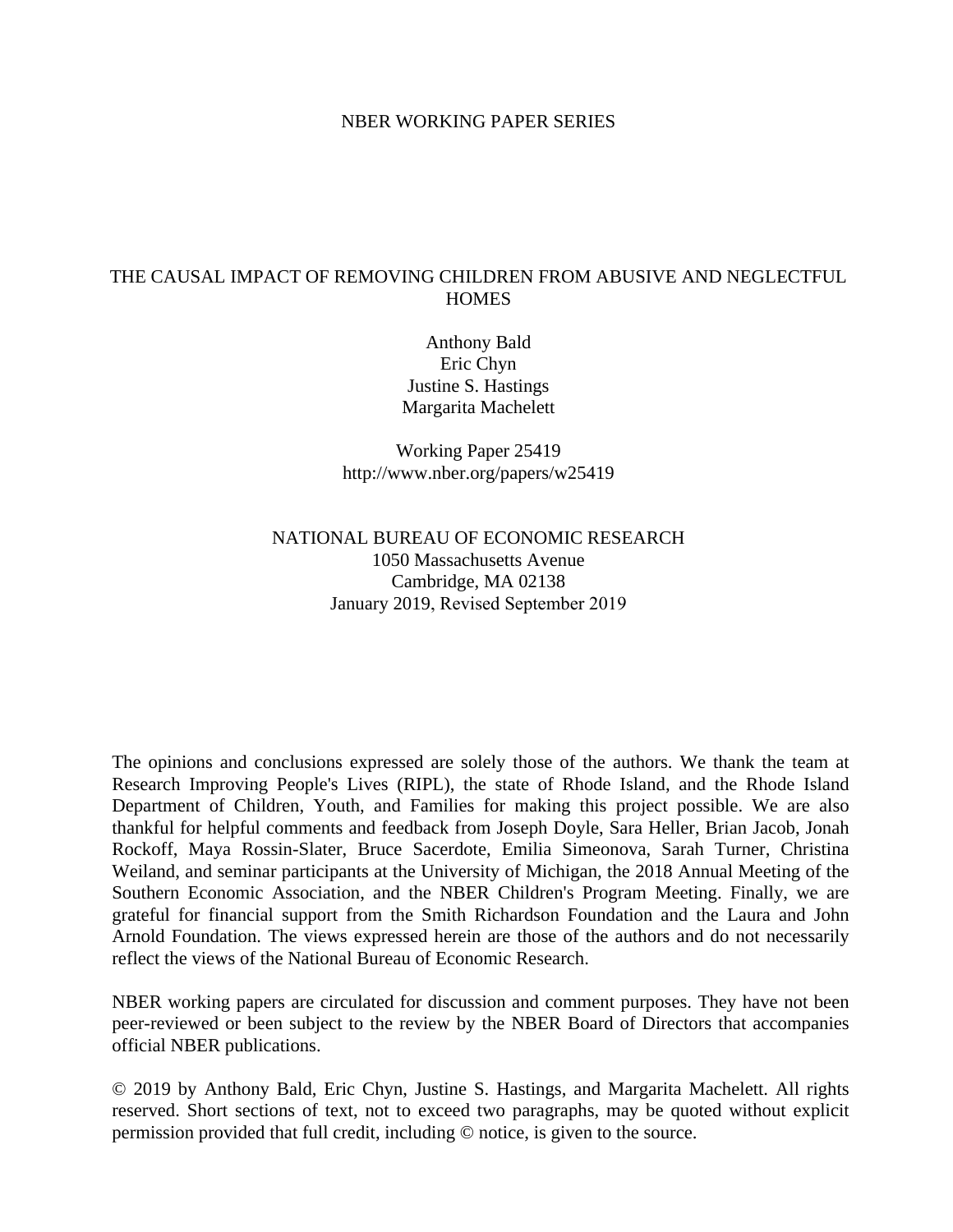## NBER WORKING PAPER SERIES

## THE CAUSAL IMPACT OF REMOVING CHILDREN FROM ABUSIVE AND NEGLECTFUL **HOMES**

Anthony Bald Eric Chyn Justine S. Hastings Margarita Machelett

Working Paper 25419 http://www.nber.org/papers/w25419

# NATIONAL BUREAU OF ECONOMIC RESEARCH 1050 Massachusetts Avenue Cambridge, MA 02138 January 2019, Revised September 2019

The opinions and conclusions expressed are solely those of the authors. We thank the team at Research Improving People's Lives (RIPL), the state of Rhode Island, and the Rhode Island Department of Children, Youth, and Families for making this project possible. We are also thankful for helpful comments and feedback from Joseph Doyle, Sara Heller, Brian Jacob, Jonah Rockoff, Maya Rossin-Slater, Bruce Sacerdote, Emilia Simeonova, Sarah Turner, Christina Weiland, and seminar participants at the University of Michigan, the 2018 Annual Meeting of the Southern Economic Association, and the NBER Children's Program Meeting. Finally, we are grateful for financial support from the Smith Richardson Foundation and the Laura and John Arnold Foundation. The views expressed herein are those of the authors and do not necessarily reflect the views of the National Bureau of Economic Research.

NBER working papers are circulated for discussion and comment purposes. They have not been peer-reviewed or been subject to the review by the NBER Board of Directors that accompanies official NBER publications.

© 2019 by Anthony Bald, Eric Chyn, Justine S. Hastings, and Margarita Machelett. All rights reserved. Short sections of text, not to exceed two paragraphs, may be quoted without explicit permission provided that full credit, including © notice, is given to the source.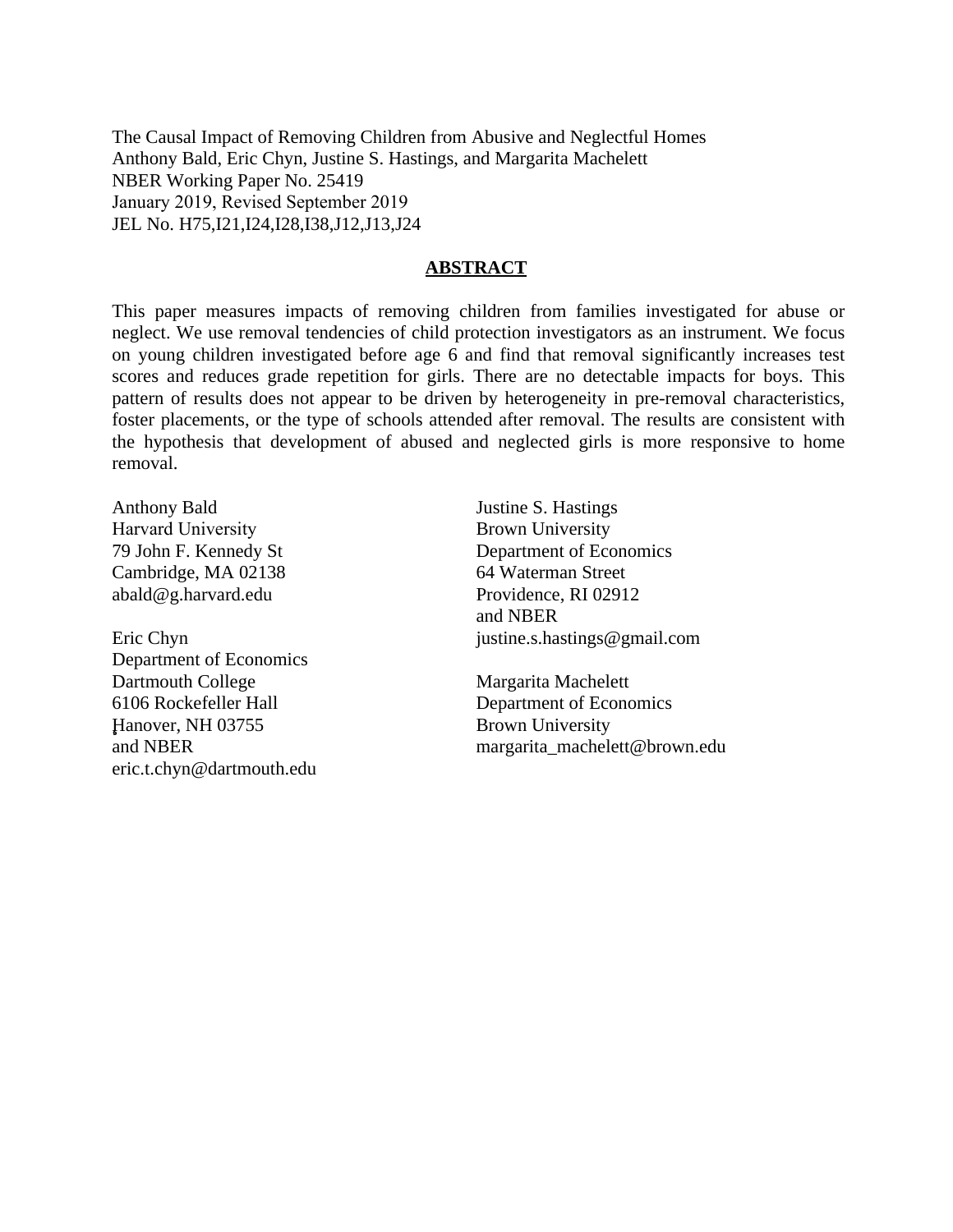The Causal Impact of Removing Children from Abusive and Neglectful Homes Anthony Bald, Eric Chyn, Justine S. Hastings, and Margarita Machelett NBER Working Paper No. 25419 January 2019, Revised September 2019 JEL No. H75,I21,I24,I28,I38,J12,J13,J24

## **ABSTRACT**

This paper measures impacts of removing children from families investigated for abuse or neglect. We use removal tendencies of child protection investigators as an instrument. We focus on young children investigated before age 6 and find that removal significantly increases test scores and reduces grade repetition for girls. There are no detectable impacts for boys. This pattern of results does not appear to be driven by heterogeneity in pre-removal characteristics, foster placements, or the type of schools attended after removal. The results are consistent with the hypothesis that development of abused and neglected girls is more responsive to home removal.

Anthony Bald Harvard University 79 John F. Kennedy St Cambridge, MA 02138 abald@g.harvard.edu

Eric Chyn Department of Economics Dartmouth College 6106 Rockefeller Hall Hanover, NH 03755 and NBER eric.t.chyn@dartmouth.edu

Justine S. Hastings Brown University Department of Economics 64 Waterman Street Providence, RI 02912 and NBER justine.s.hastings@gmail.com

Margarita Machelett Department of Economics Brown University margarita\_machelett@brown.edu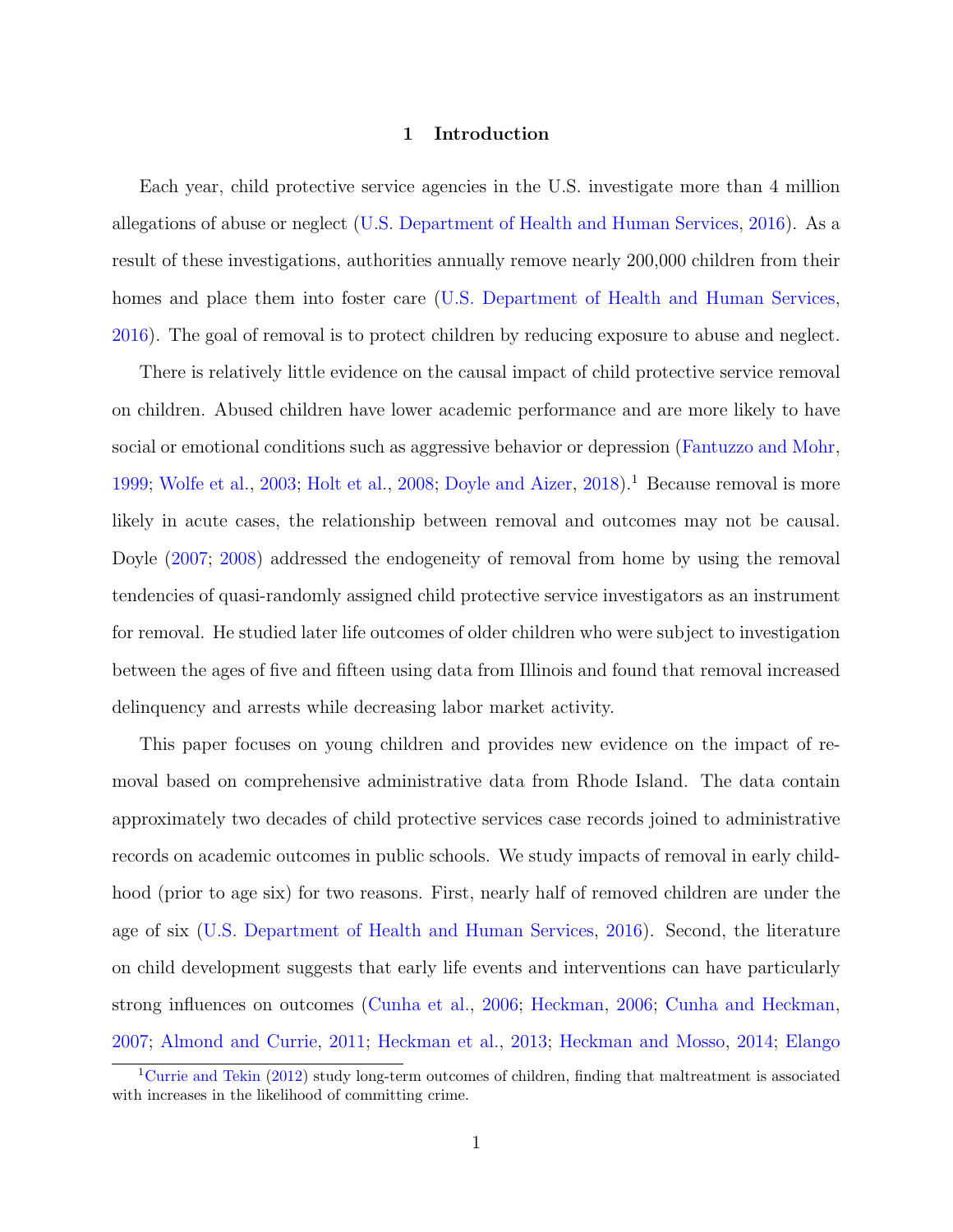### 1 Introduction

Each year, child protective service agencies in the U.S. investigate more than 4 million allegations of abuse or neglect [\(U.S. Department of Health and Human Services,](#page-39-0) [2016\)](#page-39-0). As a result of these investigations, authorities annually remove nearly 200,000 children from their homes and place them into foster care [\(U.S. Department of Health and Human Services,](#page-39-0) [2016\)](#page-39-0). The goal of removal is to protect children by reducing exposure to abuse and neglect.

There is relatively little evidence on the causal impact of child protective service removal on children. Abused children have lower academic performance and are more likely to have social or emotional conditions such as aggressive behavior or depression [\(Fantuzzo and Mohr,](#page-37-0) [1999;](#page-37-0) [Wolfe et al.,](#page-40-0) [2003;](#page-40-0) [Holt et al.,](#page-38-0) [2008;](#page-38-0) [Doyle and Aizer,](#page-37-1) [2018\)](#page-37-1).<sup>[1](#page-2-0)</sup> Because removal is more likely in acute cases, the relationship between removal and outcomes may not be causal. Doyle [\(2007;](#page-37-2) [2008\)](#page-37-3) addressed the endogeneity of removal from home by using the removal tendencies of quasi-randomly assigned child protective service investigators as an instrument for removal. He studied later life outcomes of older children who were subject to investigation between the ages of five and fifteen using data from Illinois and found that removal increased delinquency and arrests while decreasing labor market activity.

This paper focuses on young children and provides new evidence on the impact of removal based on comprehensive administrative data from Rhode Island. The data contain approximately two decades of child protective services case records joined to administrative records on academic outcomes in public schools. We study impacts of removal in early childhood (prior to age six) for two reasons. First, nearly half of removed children are under the age of six [\(U.S. Department of Health and Human Services,](#page-39-0) [2016\)](#page-39-0). Second, the literature on child development suggests that early life events and interventions can have particularly strong influences on outcomes [\(Cunha et al.,](#page-36-0) [2006;](#page-36-0) [Heckman,](#page-38-1) [2006;](#page-38-1) [Cunha and Heckman,](#page-36-1) [2007;](#page-36-1) [Almond and Currie,](#page-34-0) [2011;](#page-34-0) [Heckman et al.,](#page-38-2) [2013;](#page-38-2) [Heckman and Mosso,](#page-38-3) [2014;](#page-38-3) [Elango](#page-37-4)

<span id="page-2-0"></span><sup>&</sup>lt;sup>1</sup>[Currie and Tekin](#page-36-2) [\(2012\) study long-term outcomes of children, finding that maltreatment is associated](#page-37-4) [with increases in the likelihood of committing crime.](#page-37-4)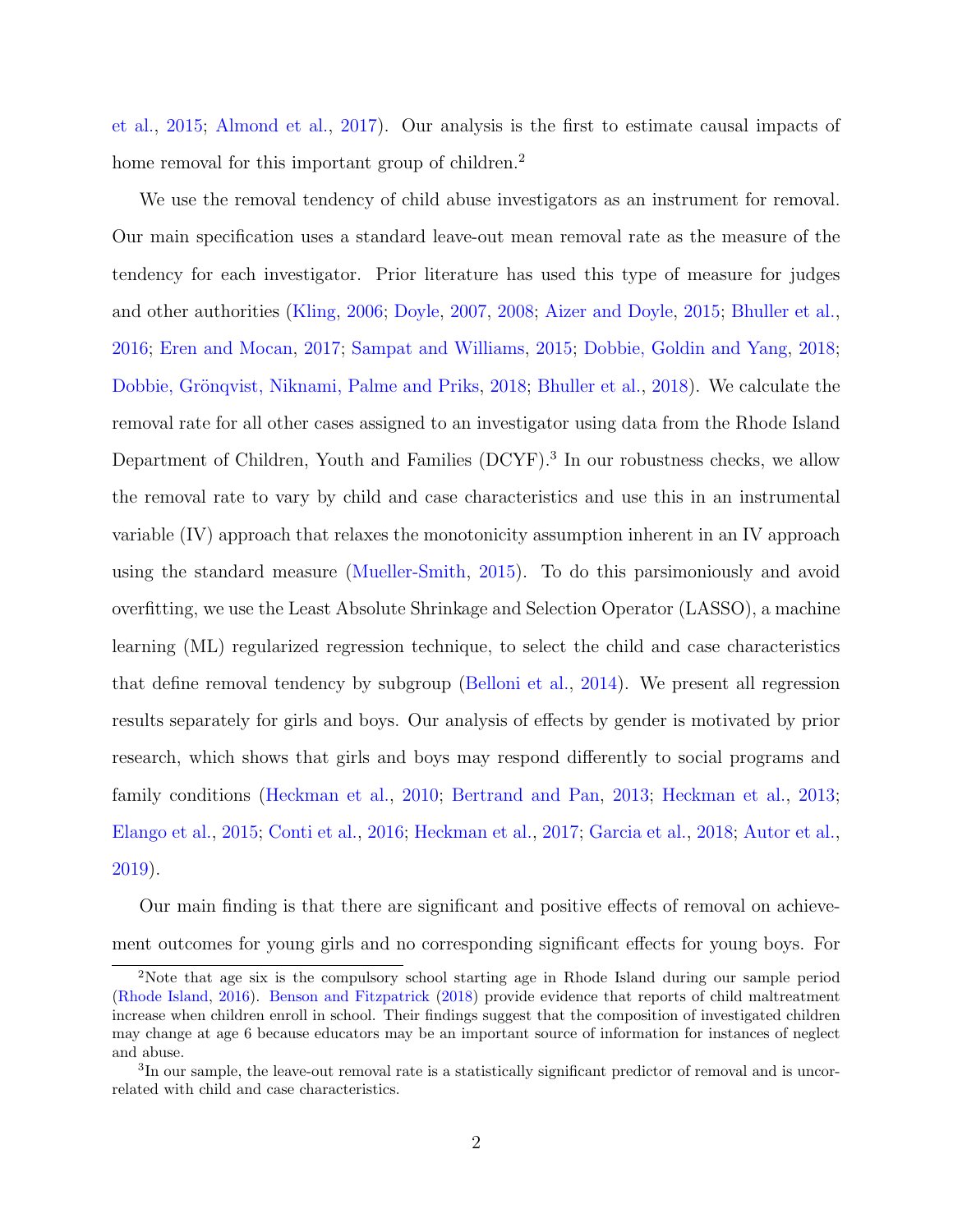[et al.,](#page-37-4) [2015;](#page-37-4) [Almond et al.,](#page-34-1) [2017\)](#page-34-1). Our analysis is the first to estimate causal impacts of home removal for this important group of children.<sup>[2](#page-3-0)</sup>

We use the removal tendency of child abuse investigators as an instrument for removal. Our main specification uses a standard leave-out mean removal rate as the measure of the tendency for each investigator. Prior literature has used this type of measure for judges and other authorities [\(Kling,](#page-39-1) [2006;](#page-39-1) [Doyle,](#page-37-2) [2007,](#page-37-2) [2008;](#page-37-3) [Aizer and Doyle,](#page-34-2) [2015;](#page-34-2) [Bhuller et al.,](#page-35-0) [2016;](#page-35-0) [Eren and Mocan,](#page-37-5) [2017;](#page-37-5) [Sampat and Williams,](#page-39-2) [2015;](#page-39-2) [Dobbie, Goldin and Yang,](#page-36-3) [2018;](#page-36-3) Dobbie, Grönqvist, Niknami, Palme and Priks, [2018;](#page-37-6) [Bhuller et al.,](#page-35-1) [2018\)](#page-35-1). We calculate the removal rate for all other cases assigned to an investigator using data from the Rhode Island Department of Children, Youth and Families (DCYF).<sup>[3](#page-3-1)</sup> In our robustness checks, we allow the removal rate to vary by child and case characteristics and use this in an instrumental variable (IV) approach that relaxes the monotonicity assumption inherent in an IV approach using the standard measure [\(Mueller-Smith,](#page-39-3) [2015\)](#page-39-3). To do this parsimoniously and avoid overfitting, we use the Least Absolute Shrinkage and Selection Operator (LASSO), a machine learning (ML) regularized regression technique, to select the child and case characteristics that define removal tendency by subgroup [\(Belloni et al.,](#page-35-2) [2014\)](#page-35-2). We present all regression results separately for girls and boys. Our analysis of effects by gender is motivated by prior research, which shows that girls and boys may respond differently to social programs and family conditions [\(Heckman et al.,](#page-38-4) [2010;](#page-38-4) [Bertrand and Pan,](#page-35-3) [2013;](#page-35-3) [Heckman et al.,](#page-38-2) [2013;](#page-38-2) [Elango et al.,](#page-37-4) [2015;](#page-37-4) [Conti et al.,](#page-36-4) [2016;](#page-36-4) [Heckman et al.,](#page-38-5) [2017;](#page-38-5) [Garcia et al.,](#page-37-7) [2018;](#page-37-7) [Autor et al.,](#page-34-3) [2019\)](#page-34-3).

Our main finding is that there are significant and positive effects of removal on achievement outcomes for young girls and no corresponding significant effects for young boys. For

<span id="page-3-0"></span><sup>2</sup>Note that age six is the compulsory school starting age in Rhode Island during our sample period [\(Rhode Island,](#page-39-4) [2016\)](#page-39-4). [Benson and Fitzpatrick](#page-35-4) [\(2018\)](#page-35-4) provide evidence that reports of child maltreatment increase when children enroll in school. Their findings suggest that the composition of investigated children may change at age 6 because educators may be an important source of information for instances of neglect and abuse.

<span id="page-3-1"></span><sup>&</sup>lt;sup>3</sup>In our sample, the leave-out removal rate is a statistically significant predictor of removal and is uncorrelated with child and case characteristics.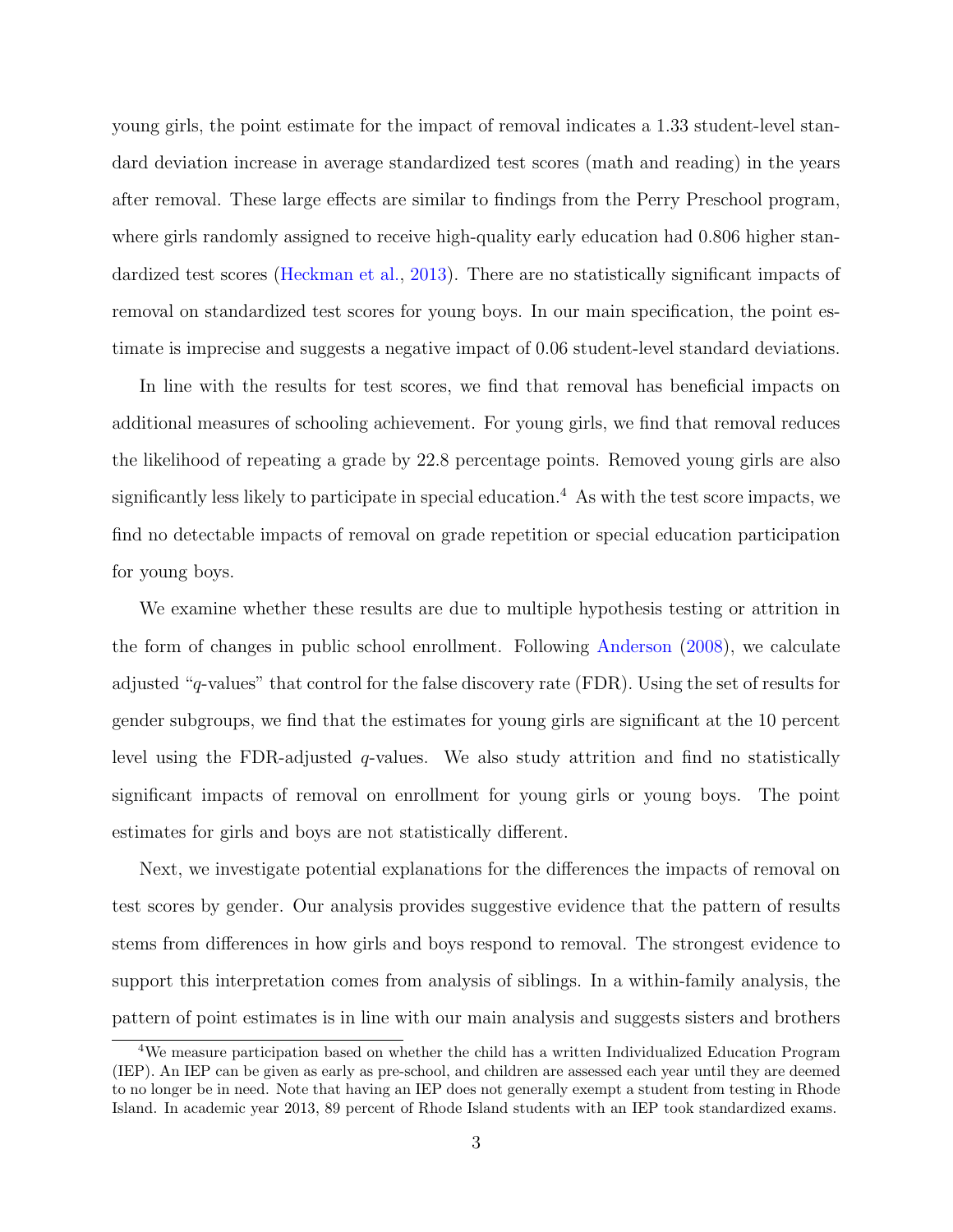young girls, the point estimate for the impact of removal indicates a 1.33 student-level standard deviation increase in average standardized test scores (math and reading) in the years after removal. These large effects are similar to findings from the Perry Preschool program, where girls randomly assigned to receive high-quality early education had 0.806 higher stan-dardized test scores [\(Heckman et al.,](#page-38-2) [2013\)](#page-38-2). There are no statistically significant impacts of removal on standardized test scores for young boys. In our main specification, the point estimate is imprecise and suggests a negative impact of 0.06 student-level standard deviations.

In line with the results for test scores, we find that removal has beneficial impacts on additional measures of schooling achievement. For young girls, we find that removal reduces the likelihood of repeating a grade by 22.8 percentage points. Removed young girls are also significantly less likely to participate in special education.<sup>[4](#page-4-0)</sup> As with the test score impacts, we find no detectable impacts of removal on grade repetition or special education participation for young boys.

We examine whether these results are due to multiple hypothesis testing or attrition in the form of changes in public school enrollment. Following [Anderson](#page-34-4) [\(2008\)](#page-34-4), we calculate adjusted "q-values" that control for the false discovery rate (FDR). Using the set of results for gender subgroups, we find that the estimates for young girls are significant at the 10 percent level using the FDR-adjusted  $q$ -values. We also study attrition and find no statistically significant impacts of removal on enrollment for young girls or young boys. The point estimates for girls and boys are not statistically different.

Next, we investigate potential explanations for the differences the impacts of removal on test scores by gender. Our analysis provides suggestive evidence that the pattern of results stems from differences in how girls and boys respond to removal. The strongest evidence to support this interpretation comes from analysis of siblings. In a within-family analysis, the pattern of point estimates is in line with our main analysis and suggests sisters and brothers

<span id="page-4-0"></span><sup>4</sup>We measure participation based on whether the child has a written Individualized Education Program (IEP). An IEP can be given as early as pre-school, and children are assessed each year until they are deemed to no longer be in need. Note that having an IEP does not generally exempt a student from testing in Rhode Island. In academic year 2013, 89 percent of Rhode Island students with an IEP took standardized exams.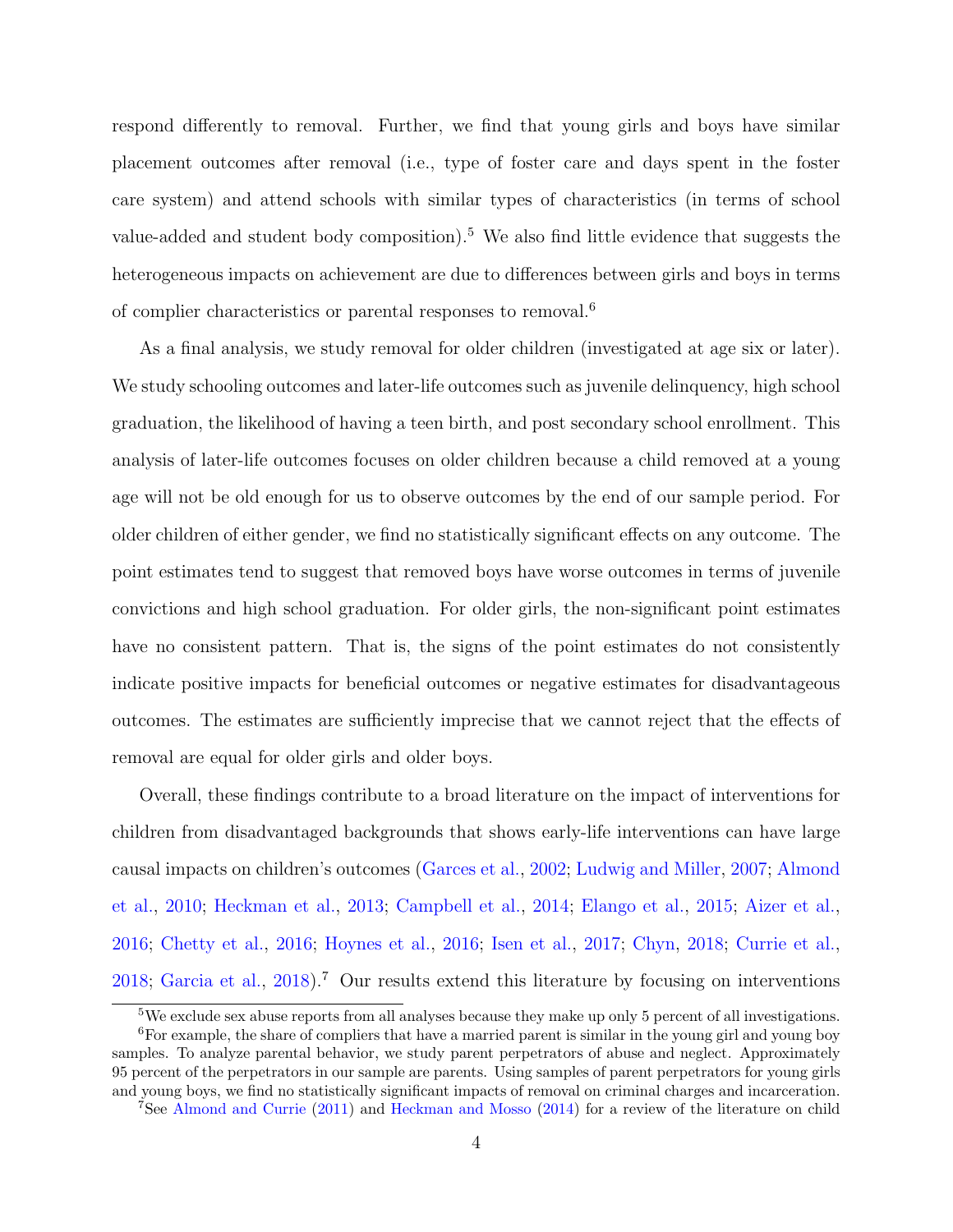respond differently to removal. Further, we find that young girls and boys have similar placement outcomes after removal (i.e., type of foster care and days spent in the foster care system) and attend schools with similar types of characteristics (in terms of school value-added and student body composition).<sup>[5](#page-5-0)</sup> We also find little evidence that suggests the heterogeneous impacts on achievement are due to differences between girls and boys in terms of complier characteristics or parental responses to removal.[6](#page-5-1)

As a final analysis, we study removal for older children (investigated at age six or later). We study schooling outcomes and later-life outcomes such as juvenile delinquency, high school graduation, the likelihood of having a teen birth, and post secondary school enrollment. This analysis of later-life outcomes focuses on older children because a child removed at a young age will not be old enough for us to observe outcomes by the end of our sample period. For older children of either gender, we find no statistically significant effects on any outcome. The point estimates tend to suggest that removed boys have worse outcomes in terms of juvenile convictions and high school graduation. For older girls, the non-significant point estimates have no consistent pattern. That is, the signs of the point estimates do not consistently indicate positive impacts for beneficial outcomes or negative estimates for disadvantageous outcomes. The estimates are sufficiently imprecise that we cannot reject that the effects of removal are equal for older girls and older boys.

Overall, these findings contribute to a broad literature on the impact of interventions for children from disadvantaged backgrounds that shows early-life interventions can have large causal impacts on children's outcomes [\(Garces et al.,](#page-37-8) [2002;](#page-37-8) [Ludwig and Miller,](#page-39-5) [2007;](#page-39-5) [Almond](#page-34-5) [et al.,](#page-34-5) [2010;](#page-34-5) [Heckman et al.,](#page-38-2) [2013;](#page-38-2) [Campbell et al.,](#page-35-5) [2014;](#page-35-5) [Elango et al.,](#page-37-4) [2015;](#page-37-4) [Aizer et al.,](#page-34-6) [2016;](#page-34-6) [Chetty et al.,](#page-36-5) [2016;](#page-36-5) [Hoynes et al.,](#page-38-6) [2016;](#page-38-6) [Isen et al.,](#page-38-7) [2017;](#page-38-7) [Chyn,](#page-36-6) [2018;](#page-36-6) [Currie et al.,](#page-36-7) [2018;](#page-36-7) [Garcia et al.,](#page-37-7) [2018\)](#page-37-7).<sup>[7](#page-5-2)</sup> Our results extend this literature by focusing on interventions

<span id="page-5-1"></span><span id="page-5-0"></span><sup>&</sup>lt;sup>5</sup>We exclude sex abuse reports from all analyses because they make up only 5 percent of all investigations.

 $6$ For example, the share of compliers that have a married parent is similar in the young girl and young boy samples. To analyze parental behavior, we study parent perpetrators of abuse and neglect. Approximately 95 percent of the perpetrators in our sample are parents. Using samples of parent perpetrators for young girls and young boys, we find no statistically significant impacts of removal on criminal charges and incarceration.

<span id="page-5-2"></span><sup>7</sup>See [Almond and Currie](#page-34-0) [\(2011\)](#page-34-0) and [Heckman and Mosso](#page-38-3) [\(2014\)](#page-38-3) for a review of the literature on child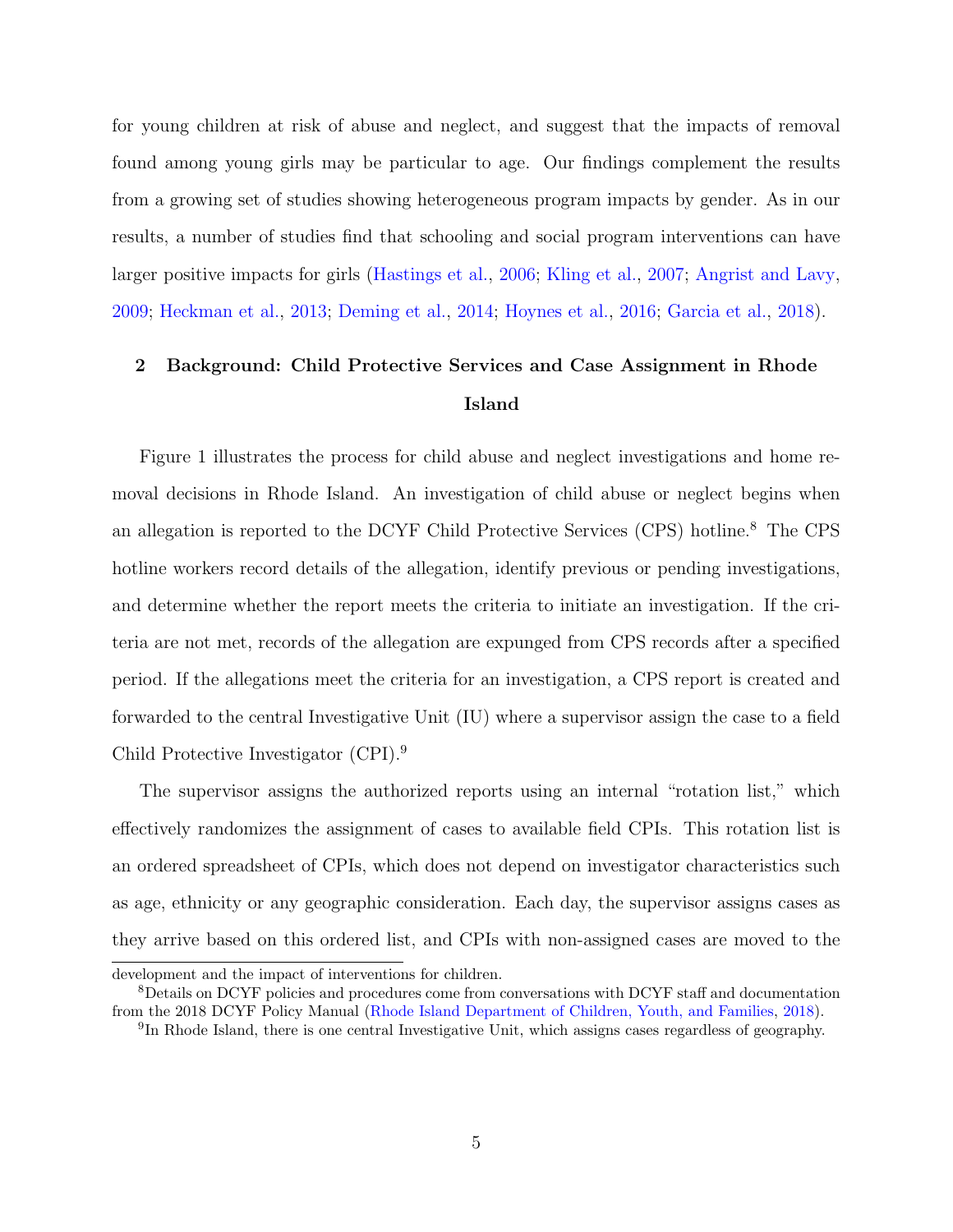for young children at risk of abuse and neglect, and suggest that the impacts of removal found among young girls may be particular to age. Our findings complement the results from a growing set of studies showing heterogeneous program impacts by gender. As in our results, a number of studies find that schooling and social program interventions can have larger positive impacts for girls [\(Hastings et al.,](#page-37-9) [2006;](#page-37-9) [Kling et al.,](#page-39-6) [2007;](#page-39-6) [Angrist and Lavy,](#page-34-7) [2009;](#page-34-7) [Heckman et al.,](#page-38-2) [2013;](#page-38-2) [Deming et al.,](#page-36-8) [2014;](#page-36-8) [Hoynes et al.,](#page-38-6) [2016;](#page-38-6) [Garcia et al.,](#page-37-7) [2018\)](#page-37-7).

# <span id="page-6-2"></span>2 Background: Child Protective Services and Case Assignment in Rhode Island

Figure [1](#page-49-0) illustrates the process for child abuse and neglect investigations and home removal decisions in Rhode Island. An investigation of child abuse or neglect begins when an allegation is reported to the DCYF Child Protective Services (CPS) hotline.[8](#page-6-0) The CPS hotline workers record details of the allegation, identify previous or pending investigations, and determine whether the report meets the criteria to initiate an investigation. If the criteria are not met, records of the allegation are expunged from CPS records after a specified period. If the allegations meet the criteria for an investigation, a CPS report is created and forwarded to the central Investigative Unit (IU) where a supervisor assign the case to a field Child Protective Investigator (CPI).<sup>[9](#page-6-1)</sup>

The supervisor assigns the authorized reports using an internal "rotation list," which effectively randomizes the assignment of cases to available field CPIs. This rotation list is an ordered spreadsheet of CPIs, which does not depend on investigator characteristics such as age, ethnicity or any geographic consideration. Each day, the supervisor assigns cases as they arrive based on this ordered list, and CPIs with non-assigned cases are moved to the

development and the impact of interventions for children.

<span id="page-6-0"></span><sup>8</sup>Details on DCYF policies and procedures come from conversations with DCYF staff and documentation from the 2018 DCYF Policy Manual [\(Rhode Island Department of Children, Youth, and Families,](#page-39-7) [2018\)](#page-39-7).

<span id="page-6-1"></span><sup>&</sup>lt;sup>9</sup>In Rhode Island, there is one central Investigative Unit, which assigns cases regardless of geography.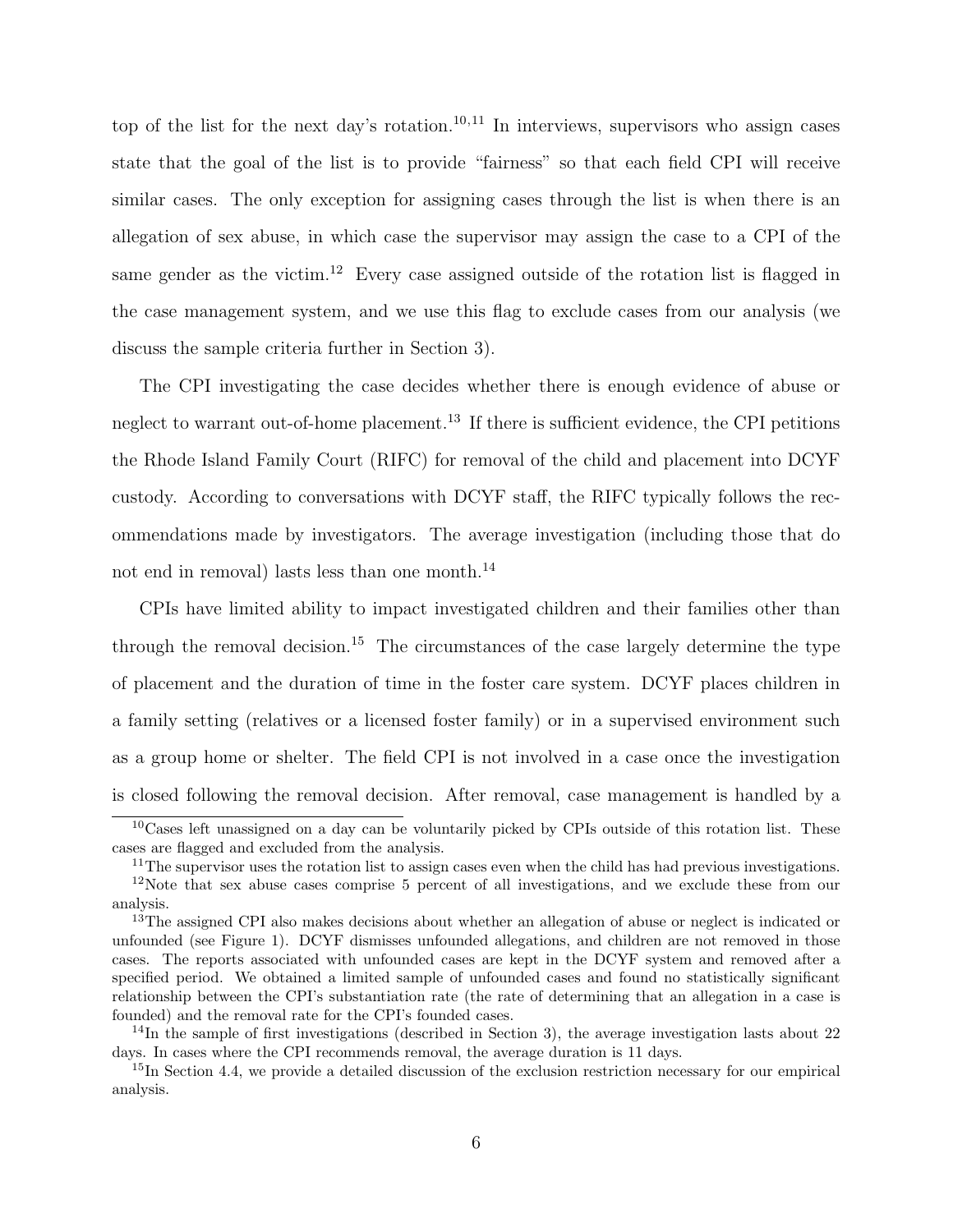top of the list for the next day's rotation.<sup>[10](#page-7-0),[11](#page-7-1)</sup> In interviews, supervisors who assign cases state that the goal of the list is to provide "fairness" so that each field CPI will receive similar cases. The only exception for assigning cases through the list is when there is an allegation of sex abuse, in which case the supervisor may assign the case to a CPI of the same gender as the victim.<sup>[12](#page-7-2)</sup> Every case assigned outside of the rotation list is flagged in the case management system, and we use this flag to exclude cases from our analysis (we discuss the sample criteria further in Section [3\)](#page-8-0).

The CPI investigating the case decides whether there is enough evidence of abuse or neglect to warrant out-of-home placement.<sup>[13](#page-7-3)</sup> If there is sufficient evidence, the CPI petitions the Rhode Island Family Court (RIFC) for removal of the child and placement into DCYF custody. According to conversations with DCYF staff, the RIFC typically follows the recommendations made by investigators. The average investigation (including those that do not end in removal) lasts less than one month.<sup>[14](#page-7-4)</sup>

CPIs have limited ability to impact investigated children and their families other than through the removal decision.<sup>[15](#page-7-5)</sup> The circumstances of the case largely determine the type of placement and the duration of time in the foster care system. DCYF places children in a family setting (relatives or a licensed foster family) or in a supervised environment such as a group home or shelter. The field CPI is not involved in a case once the investigation is closed following the removal decision. After removal, case management is handled by a

<span id="page-7-0"></span> $10C$ ases left unassigned on a day can be voluntarily picked by CPIs outside of this rotation list. These cases are flagged and excluded from the analysis.

<span id="page-7-2"></span><span id="page-7-1"></span><sup>&</sup>lt;sup>11</sup>The supervisor uses the rotation list to assign cases even when the child has had previous investigations. <sup>12</sup>Note that sex abuse cases comprise 5 percent of all investigations, and we exclude these from our analysis.

<span id="page-7-3"></span><sup>&</sup>lt;sup>13</sup>The assigned CPI also makes decisions about whether an allegation of abuse or neglect is indicated or unfounded (see Figure [1\)](#page-49-0). DCYF dismisses unfounded allegations, and children are not removed in those cases. The reports associated with unfounded cases are kept in the DCYF system and removed after a specified period. We obtained a limited sample of unfounded cases and found no statistically significant relationship between the CPI's substantiation rate (the rate of determining that an allegation in a case is founded) and the removal rate for the CPI's founded cases.

<span id="page-7-4"></span><sup>&</sup>lt;sup>14</sup>In the sample of first investigations (described in Section [3\)](#page-8-0), the average investigation lasts about 22 days. In cases where the CPI recommends removal, the average duration is 11 days.

<span id="page-7-5"></span><sup>&</sup>lt;sup>15</sup>In Section [4.4,](#page-17-0) we provide a detailed discussion of the exclusion restriction necessary for our empirical analysis.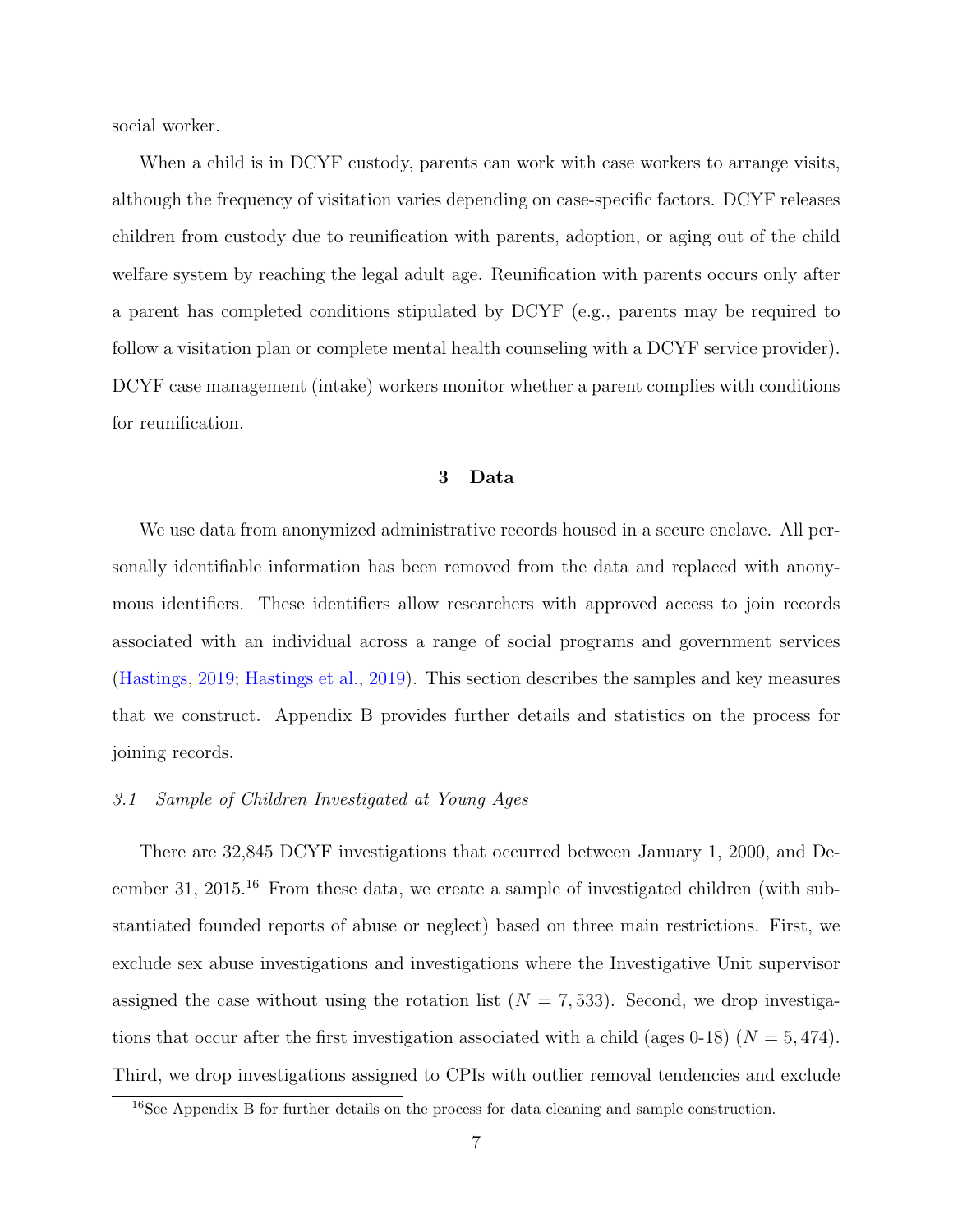social worker.

When a child is in DCYF custody, parents can work with case workers to arrange visits, although the frequency of visitation varies depending on case-specific factors. DCYF releases children from custody due to reunification with parents, adoption, or aging out of the child welfare system by reaching the legal adult age. Reunification with parents occurs only after a parent has completed conditions stipulated by DCYF (e.g., parents may be required to follow a visitation plan or complete mental health counseling with a DCYF service provider). DCYF case management (intake) workers monitor whether a parent complies with conditions for reunification.

## 3 Data

<span id="page-8-0"></span>We use data from anonymized administrative records housed in a secure enclave. All personally identifiable information has been removed from the data and replaced with anonymous identifiers. These identifiers allow researchers with approved access to join records associated with an individual across a range of social programs and government services [\(Hastings,](#page-37-10) [2019;](#page-37-10) [Hastings et al.,](#page-37-11) [2019\)](#page-37-11). This section describes the samples and key measures that we construct. Appendix [B](#page-69-0) provides further details and statistics on the process for joining records.

### 3.1 Sample of Children Investigated at Young Ages

There are 32,845 DCYF investigations that occurred between January 1, 2000, and December 31, 2015.[16](#page-8-1) From these data, we create a sample of investigated children (with substantiated founded reports of abuse or neglect) based on three main restrictions. First, we exclude sex abuse investigations and investigations where the Investigative Unit supervisor assigned the case without using the rotation list  $(N = 7, 533)$ . Second, we drop investigations that occur after the first investigation associated with a child (ages 0-18) ( $N = 5,474$ ). Third, we drop investigations assigned to CPIs with outlier removal tendencies and exclude

<span id="page-8-1"></span><sup>&</sup>lt;sup>16</sup>See Appendix [B](#page-69-0) for further details on the process for data cleaning and sample construction.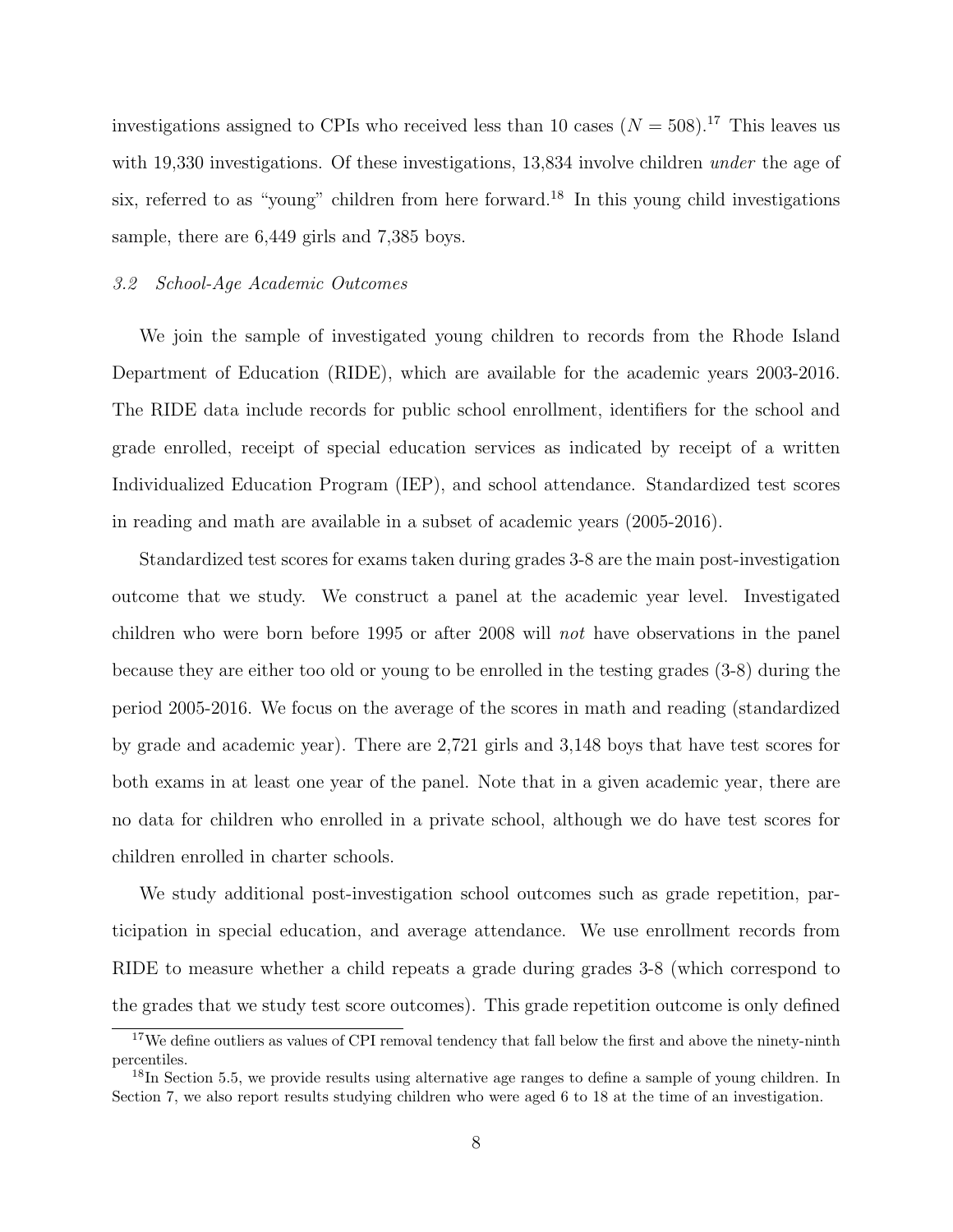investigations assigned to CPIs who received less than 10 cases  $(N = 508).^{17}$  $(N = 508).^{17}$  $(N = 508).^{17}$  This leaves us with 19,330 investigations. Of these investigations, 13,834 involve children *under* the age of six, referred to as "young" children from here forward.<sup>[18](#page-9-1)</sup> In this young child investigations sample, there are 6,449 girls and 7,385 boys.

## 3.2 School-Age Academic Outcomes

We join the sample of investigated young children to records from the Rhode Island Department of Education (RIDE), which are available for the academic years 2003-2016. The RIDE data include records for public school enrollment, identifiers for the school and grade enrolled, receipt of special education services as indicated by receipt of a written Individualized Education Program (IEP), and school attendance. Standardized test scores in reading and math are available in a subset of academic years (2005-2016).

Standardized test scores for exams taken during grades 3-8 are the main post-investigation outcome that we study. We construct a panel at the academic year level. Investigated children who were born before 1995 or after 2008 will not have observations in the panel because they are either too old or young to be enrolled in the testing grades (3-8) during the period 2005-2016. We focus on the average of the scores in math and reading (standardized by grade and academic year). There are 2,721 girls and 3,148 boys that have test scores for both exams in at least one year of the panel. Note that in a given academic year, there are no data for children who enrolled in a private school, although we do have test scores for children enrolled in charter schools.

We study additional post-investigation school outcomes such as grade repetition, participation in special education, and average attendance. We use enrollment records from RIDE to measure whether a child repeats a grade during grades 3-8 (which correspond to the grades that we study test score outcomes). This grade repetition outcome is only defined

<span id="page-9-0"></span><sup>&</sup>lt;sup>17</sup>We define outliers as values of CPI removal tendency that fall below the first and above the ninety-ninth percentiles.

<span id="page-9-1"></span><sup>&</sup>lt;sup>18</sup>In Section [5.5,](#page-23-0) we provide results using alternative age ranges to define a sample of young children. In Section [7,](#page-30-0) we also report results studying children who were aged 6 to 18 at the time of an investigation.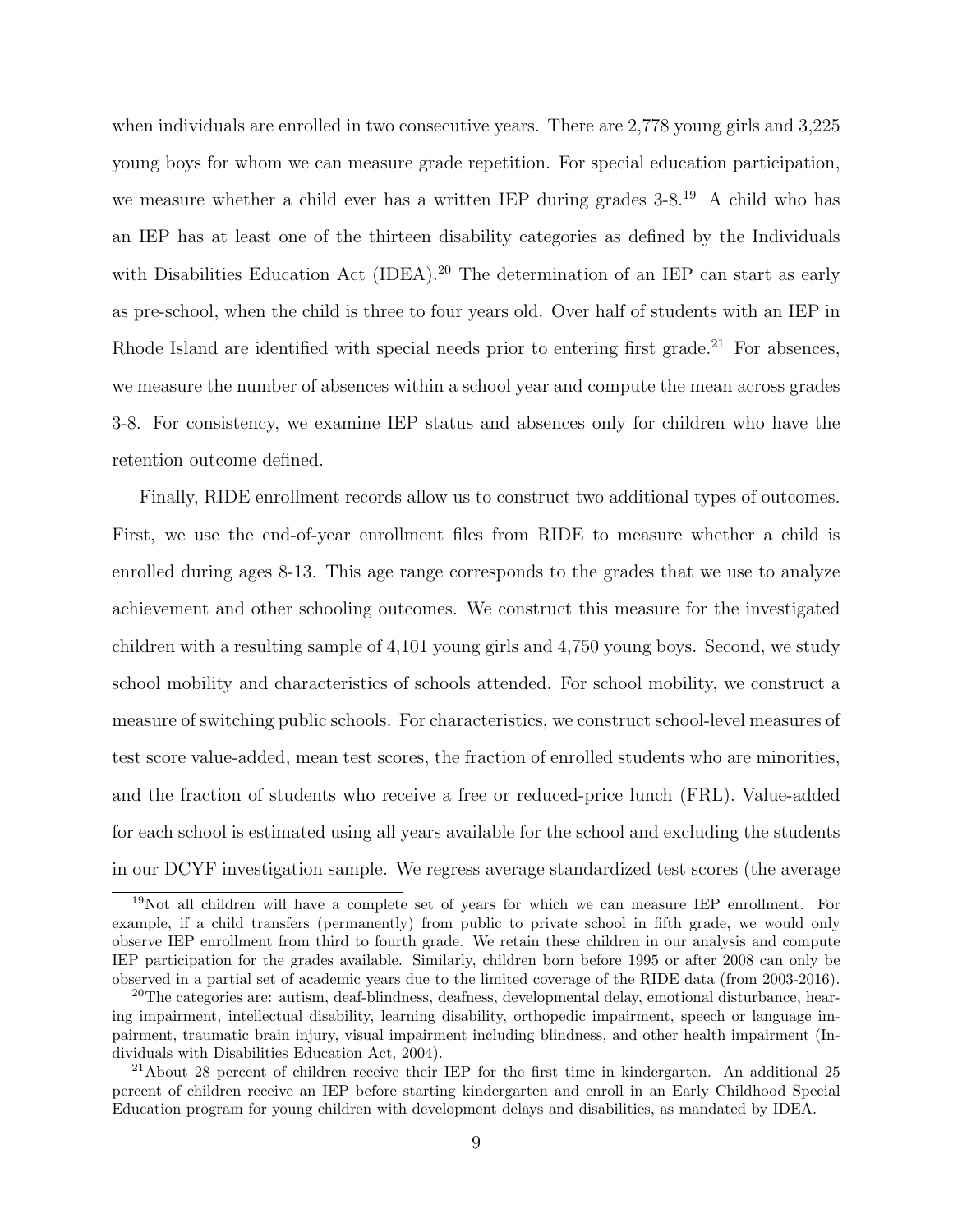when individuals are enrolled in two consecutive years. There are 2,778 young girls and 3,225 young boys for whom we can measure grade repetition. For special education participation, we measure whether a child ever has a written IEP during grades  $3\text{-}8^{19}$  $3\text{-}8^{19}$  $3\text{-}8^{19}$ . A child who has an IEP has at least one of the thirteen disability categories as defined by the Individuals with Disabilities Education Act (IDEA).<sup>[20](#page-10-1)</sup> The determination of an IEP can start as early as pre-school, when the child is three to four years old. Over half of students with an IEP in Rhode Island are identified with special needs prior to entering first grade.<sup>[21](#page-10-2)</sup> For absences, we measure the number of absences within a school year and compute the mean across grades 3-8. For consistency, we examine IEP status and absences only for children who have the retention outcome defined.

Finally, RIDE enrollment records allow us to construct two additional types of outcomes. First, we use the end-of-year enrollment files from RIDE to measure whether a child is enrolled during ages 8-13. This age range corresponds to the grades that we use to analyze achievement and other schooling outcomes. We construct this measure for the investigated children with a resulting sample of 4,101 young girls and 4,750 young boys. Second, we study school mobility and characteristics of schools attended. For school mobility, we construct a measure of switching public schools. For characteristics, we construct school-level measures of test score value-added, mean test scores, the fraction of enrolled students who are minorities, and the fraction of students who receive a free or reduced-price lunch (FRL). Value-added for each school is estimated using all years available for the school and excluding the students in our DCYF investigation sample. We regress average standardized test scores (the average

<span id="page-10-0"></span><sup>19</sup>Not all children will have a complete set of years for which we can measure IEP enrollment. For example, if a child transfers (permanently) from public to private school in fifth grade, we would only observe IEP enrollment from third to fourth grade. We retain these children in our analysis and compute IEP participation for the grades available. Similarly, children born before 1995 or after 2008 can only be observed in a partial set of academic years due to the limited coverage of the RIDE data (from 2003-2016).

<span id="page-10-1"></span><sup>&</sup>lt;sup>20</sup>The categories are: autism, deaf-blindness, deafness, developmental delay, emotional disturbance, hearing impairment, intellectual disability, learning disability, orthopedic impairment, speech or language impairment, traumatic brain injury, visual impairment including blindness, and other health impairment (Individuals with Disabilities Education Act, 2004).

<span id="page-10-2"></span><sup>&</sup>lt;sup>21</sup>About 28 percent of children receive their IEP for the first time in kindergarten. An additional 25 percent of children receive an IEP before starting kindergarten and enroll in an Early Childhood Special Education program for young children with development delays and disabilities, as mandated by IDEA.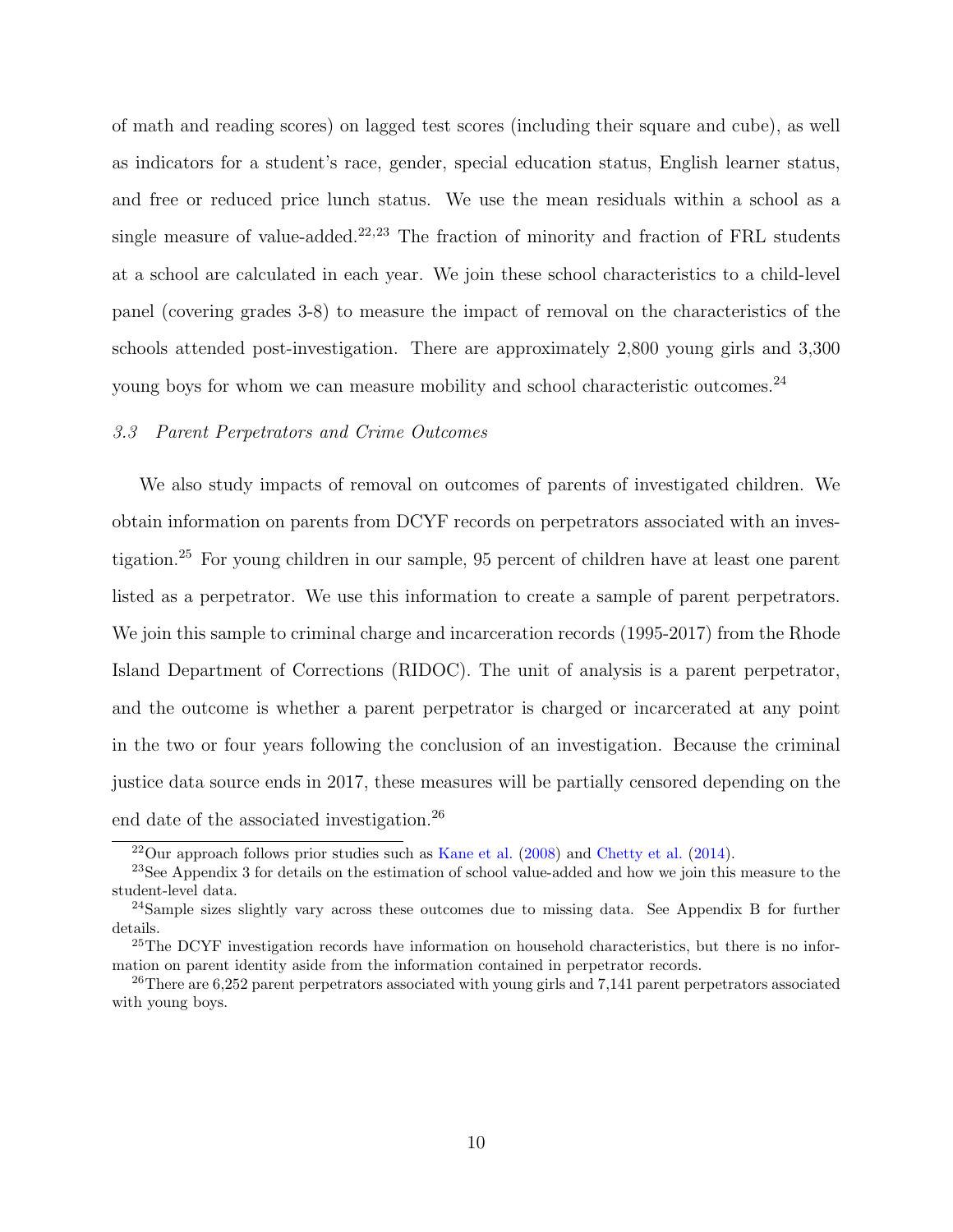of math and reading scores) on lagged test scores (including their square and cube), as well as indicators for a student's race, gender, special education status, English learner status, and free or reduced price lunch status. We use the mean residuals within a school as a single measure of value-added.<sup>[22](#page-11-0),[23](#page-11-1)</sup> The fraction of minority and fraction of FRL students at a school are calculated in each year. We join these school characteristics to a child-level panel (covering grades 3-8) to measure the impact of removal on the characteristics of the schools attended post-investigation. There are approximately 2,800 young girls and 3,300 young boys for whom we can measure mobility and school characteristic outcomes.<sup>[24](#page-11-2)</sup>

#### 3.3 Parent Perpetrators and Crime Outcomes

We also study impacts of removal on outcomes of parents of investigated children. We obtain information on parents from DCYF records on perpetrators associated with an investigation.[25](#page-11-3) For young children in our sample, 95 percent of children have at least one parent listed as a perpetrator. We use this information to create a sample of parent perpetrators. We join this sample to criminal charge and incarceration records (1995-2017) from the Rhode Island Department of Corrections (RIDOC). The unit of analysis is a parent perpetrator, and the outcome is whether a parent perpetrator is charged or incarcerated at any point in the two or four years following the conclusion of an investigation. Because the criminal justice data source ends in 2017, these measures will be partially censored depending on the end date of the associated investigation.[26](#page-11-4)

<span id="page-11-1"></span><span id="page-11-0"></span> $22$ Our approach follows prior studies such as [Kane et al.](#page-39-8) [\(2008\)](#page-39-8) and [Chetty et al.](#page-36-9) [\(2014\)](#page-36-9).

<sup>&</sup>lt;sup>23</sup>See Appendix [3](#page-8-0) for details on the estimation of school value-added and how we join this measure to the student-level data.

<span id="page-11-2"></span><sup>&</sup>lt;sup>24</sup>Sample sizes slightly vary across these outcomes due to missing data. See Appendix [B](#page-69-0) for further details.

<span id="page-11-3"></span><sup>&</sup>lt;sup>25</sup>The DCYF investigation records have information on household characteristics, but there is no information on parent identity aside from the information contained in perpetrator records.

<span id="page-11-4"></span><sup>&</sup>lt;sup>26</sup>There are 6,252 parent perpetrators associated with young girls and 7,141 parent perpetrators associated with young boys.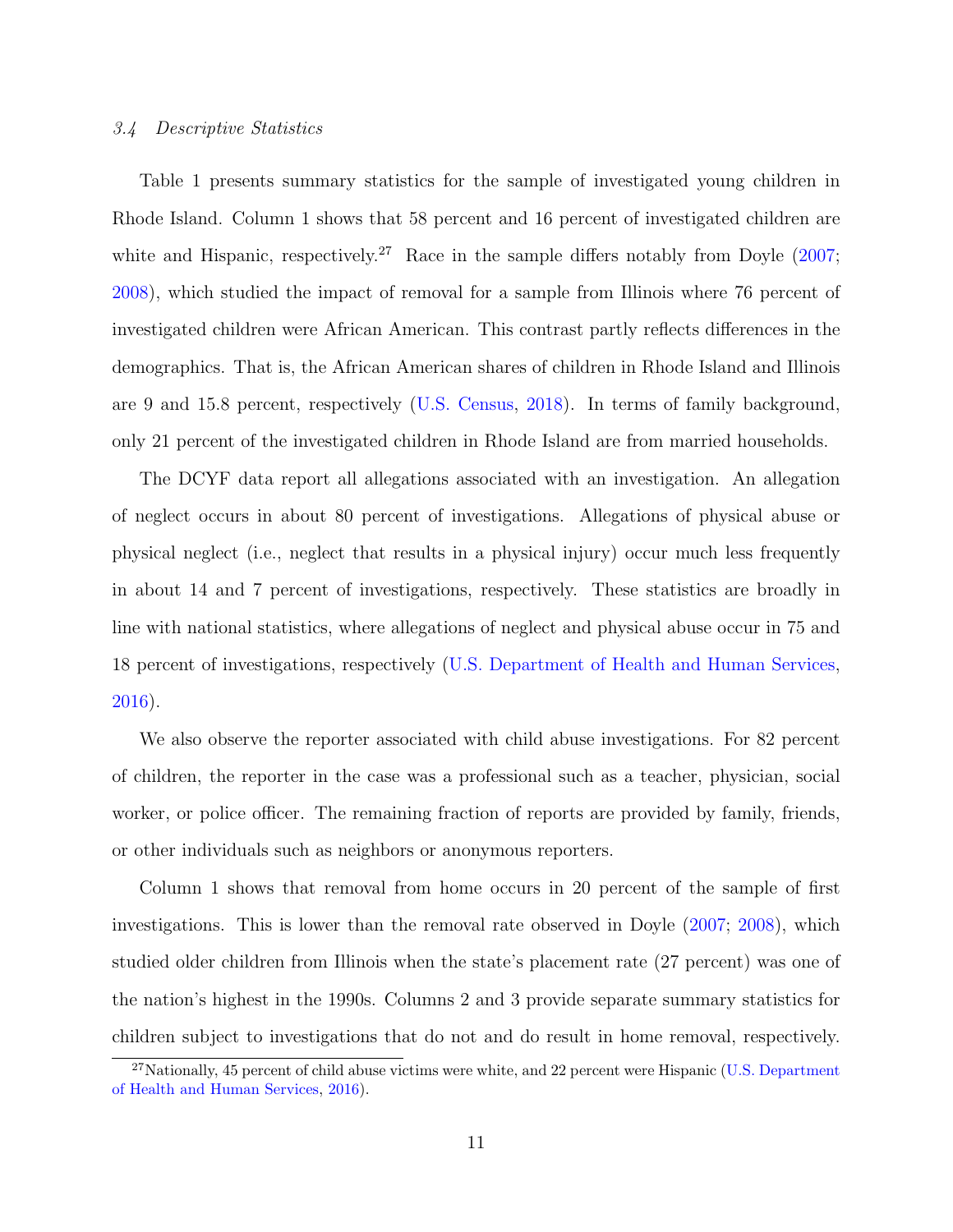## 3.4 Descriptive Statistics

Table [1](#page-41-0) presents summary statistics for the sample of investigated young children in Rhode Island. Column 1 shows that 58 percent and 16 percent of investigated children are white and Hispanic, respectively.<sup>[27](#page-12-0)</sup> Race in the sample differs notably from Doyle  $(2007;$ [2008\)](#page-37-3), which studied the impact of removal for a sample from Illinois where 76 percent of investigated children were African American. This contrast partly reflects differences in the demographics. That is, the African American shares of children in Rhode Island and Illinois are 9 and 15.8 percent, respectively [\(U.S. Census,](#page-39-9) [2018\)](#page-39-9). In terms of family background, only 21 percent of the investigated children in Rhode Island are from married households.

The DCYF data report all allegations associated with an investigation. An allegation of neglect occurs in about 80 percent of investigations. Allegations of physical abuse or physical neglect (i.e., neglect that results in a physical injury) occur much less frequently in about 14 and 7 percent of investigations, respectively. These statistics are broadly in line with national statistics, where allegations of neglect and physical abuse occur in 75 and 18 percent of investigations, respectively [\(U.S. Department of Health and Human Services,](#page-39-0) [2016\)](#page-39-0).

We also observe the reporter associated with child abuse investigations. For 82 percent of children, the reporter in the case was a professional such as a teacher, physician, social worker, or police officer. The remaining fraction of reports are provided by family, friends, or other individuals such as neighbors or anonymous reporters.

Column 1 shows that removal from home occurs in 20 percent of the sample of first investigations. This is lower than the removal rate observed in Doyle [\(2007;](#page-37-2) [2008\)](#page-37-3), which studied older children from Illinois when the state's placement rate (27 percent) was one of the nation's highest in the 1990s. Columns 2 and 3 provide separate summary statistics for children subject to investigations that do not and do result in home removal, respectively.

<span id="page-12-0"></span> $27$ Nationally, 45 percent of child abuse victims were white, and 22 percent were Hispanic [\(U.S. Department](#page-39-0) [of Health and Human Services,](#page-39-0) [2016\)](#page-39-0).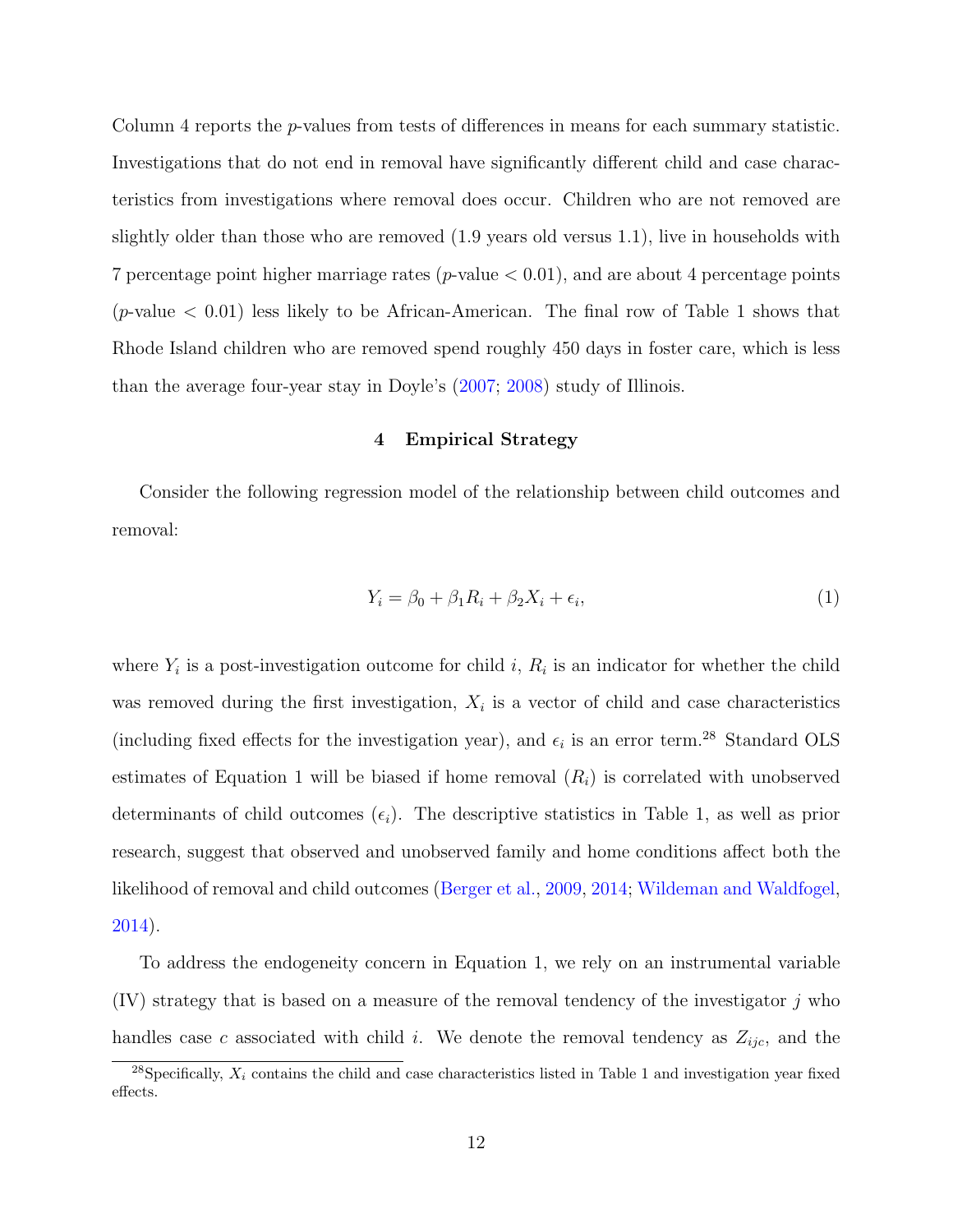Column 4 reports the p-values from tests of differences in means for each summary statistic. Investigations that do not end in removal have significantly different child and case characteristics from investigations where removal does occur. Children who are not removed are slightly older than those who are removed (1.9 years old versus 1.1), live in households with 7 percentage point higher marriage rates ( $p$ -value  $< 0.01$ ), and are about 4 percentage points (*p*-value  $\lt$  0.01) less likely to be African-American. The final row of Table [1](#page-41-0) shows that Rhode Island children who are removed spend roughly 450 days in foster care, which is less than the average four-year stay in Doyle's [\(2007;](#page-37-2) [2008\)](#page-37-3) study of Illinois.

## 4 Empirical Strategy

<span id="page-13-2"></span>Consider the following regression model of the relationship between child outcomes and removal:

<span id="page-13-1"></span>
$$
Y_i = \beta_0 + \beta_1 R_i + \beta_2 X_i + \epsilon_i,\tag{1}
$$

where  $Y_i$  is a post-investigation outcome for child i,  $R_i$  is an indicator for whether the child was removed during the first investigation,  $X_i$  is a vector of child and case characteristics (including fixed effects for the investigation year), and  $\epsilon_i$  is an error term.<sup>[28](#page-13-0)</sup> Standard OLS estimates of Equation 1 will be biased if home removal  $(R<sub>i</sub>)$  is correlated with unobserved determinants of child outcomes  $(\epsilon_i)$ . The descriptive statistics in Table [1,](#page-41-0) as well as prior research, suggest that observed and unobserved family and home conditions affect both the likelihood of removal and child outcomes [\(Berger et al.,](#page-35-6) [2009,](#page-35-6) [2014;](#page-35-7) [Wildeman and Waldfogel,](#page-39-10) [2014\)](#page-39-10).

To address the endogeneity concern in Equation [1,](#page-13-1) we rely on an instrumental variable  $(IV)$  strategy that is based on a measure of the removal tendency of the investigator j who handles case c associated with child i. We denote the removal tendency as  $Z_{ijc}$ , and the

<span id="page-13-0"></span><sup>&</sup>lt;sup>28</sup>Specifically,  $X_i$  contains the child and case characteristics listed in Table 1 and investigation year fixed effects.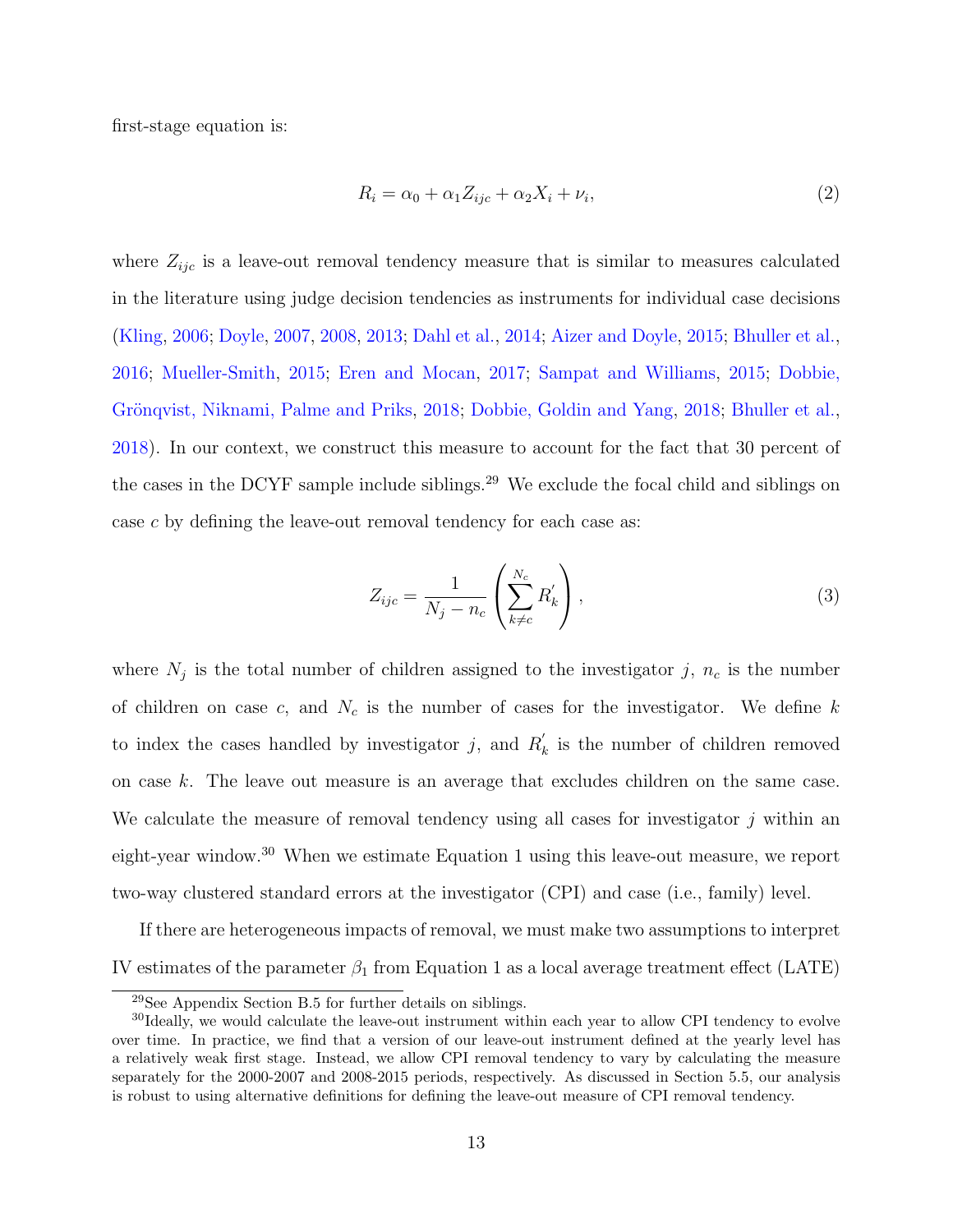first-stage equation is:

<span id="page-14-3"></span>
$$
R_i = \alpha_0 + \alpha_1 Z_{ijc} + \alpha_2 X_i + \nu_i,\tag{2}
$$

where  $Z_{ijc}$  is a leave-out removal tendency measure that is similar to measures calculated in the literature using judge decision tendencies as instruments for individual case decisions [\(Kling,](#page-39-1) [2006;](#page-39-1) [Doyle,](#page-37-2) [2007,](#page-37-2) [2008,](#page-37-3) [2013;](#page-37-12) [Dahl et al.,](#page-36-10) [2014;](#page-36-10) [Aizer and Doyle,](#page-34-2) [2015;](#page-34-2) [Bhuller et al.,](#page-35-0) [2016;](#page-35-0) [Mueller-Smith,](#page-39-3) [2015;](#page-39-3) [Eren and Mocan,](#page-37-5) [2017;](#page-37-5) [Sampat and Williams,](#page-39-2) [2015;](#page-39-2) [Dobbie,](#page-37-6) Grönqvist, Niknami, Palme and Priks, [2018;](#page-36-3) [Dobbie, Goldin and Yang,](#page-36-3) 2018; [Bhuller et al.,](#page-35-1) [2018\)](#page-35-1). In our context, we construct this measure to account for the fact that 30 percent of the cases in the DCYF sample include siblings.<sup>[29](#page-14-0)</sup> We exclude the focal child and siblings on case c by defining the leave-out removal tendency for each case as:

<span id="page-14-2"></span>
$$
Z_{ijc} = \frac{1}{N_j - n_c} \left( \sum_{k \neq c}^{N_c} R'_k \right),\tag{3}
$$

where  $N_j$  is the total number of children assigned to the investigator j,  $n_c$  is the number of children on case c, and  $N_c$  is the number of cases for the investigator. We define k to index the cases handled by investigator j, and  $R'_p$  $\kappa_k$  is the number of children removed on case k. The leave out measure is an average that excludes children on the same case. We calculate the measure of removal tendency using all cases for investigator  $j$  within an eight-year window.[30](#page-14-1) When we estimate Equation [1](#page-13-1) using this leave-out measure, we report two-way clustered standard errors at the investigator (CPI) and case (i.e., family) level.

If there are heterogeneous impacts of removal, we must make two assumptions to interpret IV estimates of the parameter  $\beta_1$  from Equation [1](#page-13-1) as a local average treatment effect (LATE)

<span id="page-14-1"></span><span id="page-14-0"></span><sup>29</sup>See Appendix Section [B.5](#page-80-0) for further details on siblings.

<sup>&</sup>lt;sup>30</sup>Ideally, we would calculate the leave-out instrument within each year to allow CPI tendency to evolve over time. In practice, we find that a version of our leave-out instrument defined at the yearly level has a relatively weak first stage. Instead, we allow CPI removal tendency to vary by calculating the measure separately for the 2000-2007 and 2008-2015 periods, respectively. As discussed in Section [5.5,](#page-23-0) our analysis is robust to using alternative definitions for defining the leave-out measure of CPI removal tendency.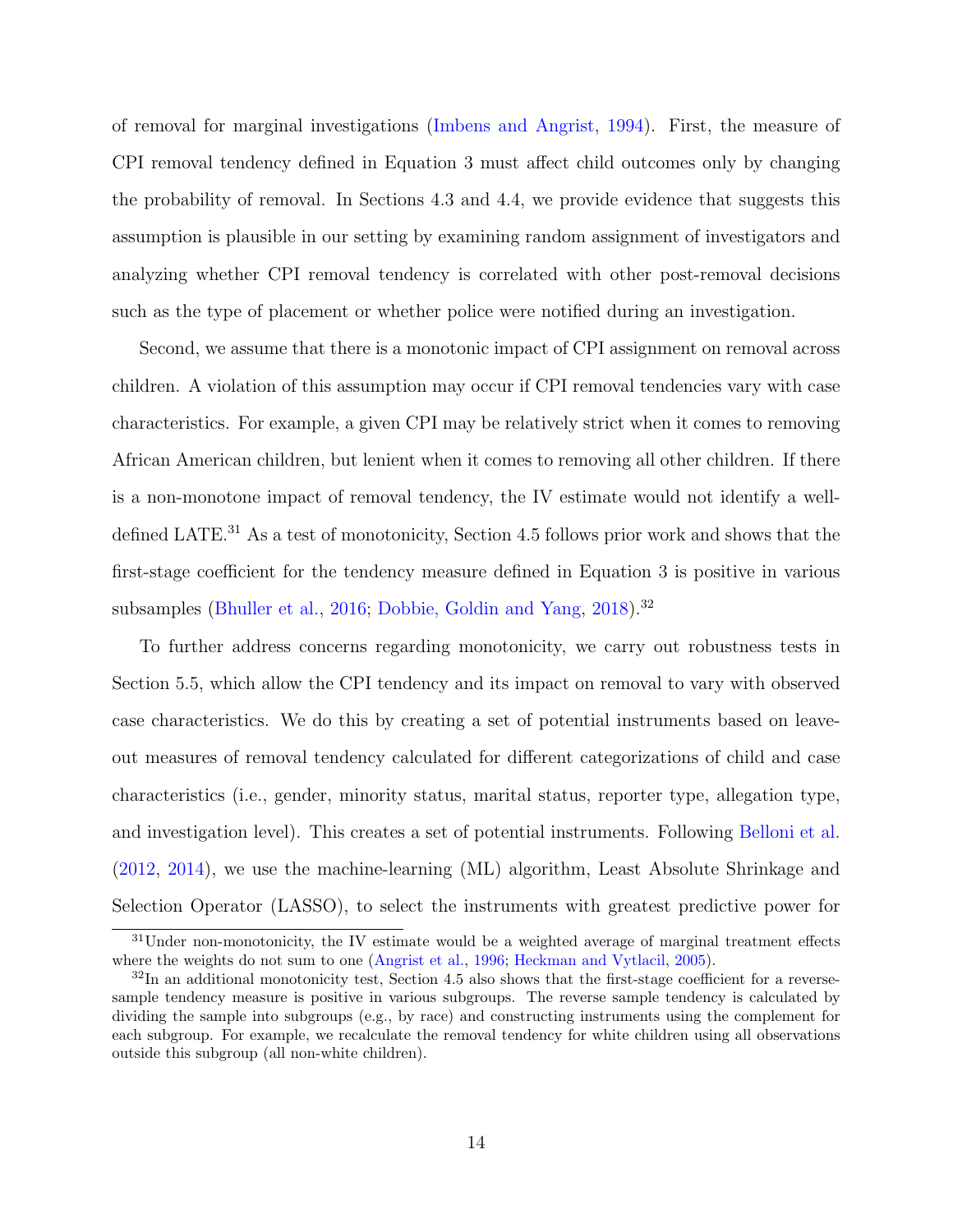of removal for marginal investigations [\(Imbens and Angrist,](#page-38-8) [1994\)](#page-38-8). First, the measure of CPI removal tendency defined in Equation [3](#page-14-2) must affect child outcomes only by changing the probability of removal. In Sections [4.3](#page-16-0) and [4.4,](#page-17-0) we provide evidence that suggests this assumption is plausible in our setting by examining random assignment of investigators and analyzing whether CPI removal tendency is correlated with other post-removal decisions such as the type of placement or whether police were notified during an investigation.

Second, we assume that there is a monotonic impact of CPI assignment on removal across children. A violation of this assumption may occur if CPI removal tendencies vary with case characteristics. For example, a given CPI may be relatively strict when it comes to removing African American children, but lenient when it comes to removing all other children. If there is a non-monotone impact of removal tendency, the IV estimate would not identify a well-defined LATE.<sup>[31](#page-15-0)</sup> As a test of monotonicity, Section [4.5](#page-18-0) follows prior work and shows that the first-stage coefficient for the tendency measure defined in Equation [3](#page-14-2) is positive in various subsamples [\(Bhuller et al.,](#page-35-0) [2016;](#page-35-0) [Dobbie, Goldin and Yang,](#page-36-3) [2018\)](#page-36-3).<sup>[32](#page-15-1)</sup>

To further address concerns regarding monotonicity, we carry out robustness tests in Section [5.5,](#page-23-0) which allow the CPI tendency and its impact on removal to vary with observed case characteristics. We do this by creating a set of potential instruments based on leaveout measures of removal tendency calculated for different categorizations of child and case characteristics (i.e., gender, minority status, marital status, reporter type, allegation type, and investigation level). This creates a set of potential instruments. Following [Belloni et al.](#page-34-8) [\(2012,](#page-34-8) [2014\)](#page-35-2), we use the machine-learning (ML) algorithm, Least Absolute Shrinkage and Selection Operator (LASSO), to select the instruments with greatest predictive power for

<span id="page-15-0"></span><sup>&</sup>lt;sup>31</sup>Under non-monotonicity, the IV estimate would be a weighted average of marginal treatment effects where the weights do not sum to one [\(Angrist et al.,](#page-34-9) [1996;](#page-34-9) [Heckman and Vytlacil,](#page-38-9) [2005\)](#page-38-9).

<span id="page-15-1"></span> $32$ In an additional monotonicity test, Section [4.5](#page-18-0) also shows that the first-stage coefficient for a reversesample tendency measure is positive in various subgroups. The reverse sample tendency is calculated by dividing the sample into subgroups (e.g., by race) and constructing instruments using the complement for each subgroup. For example, we recalculate the removal tendency for white children using all observations outside this subgroup (all non-white children).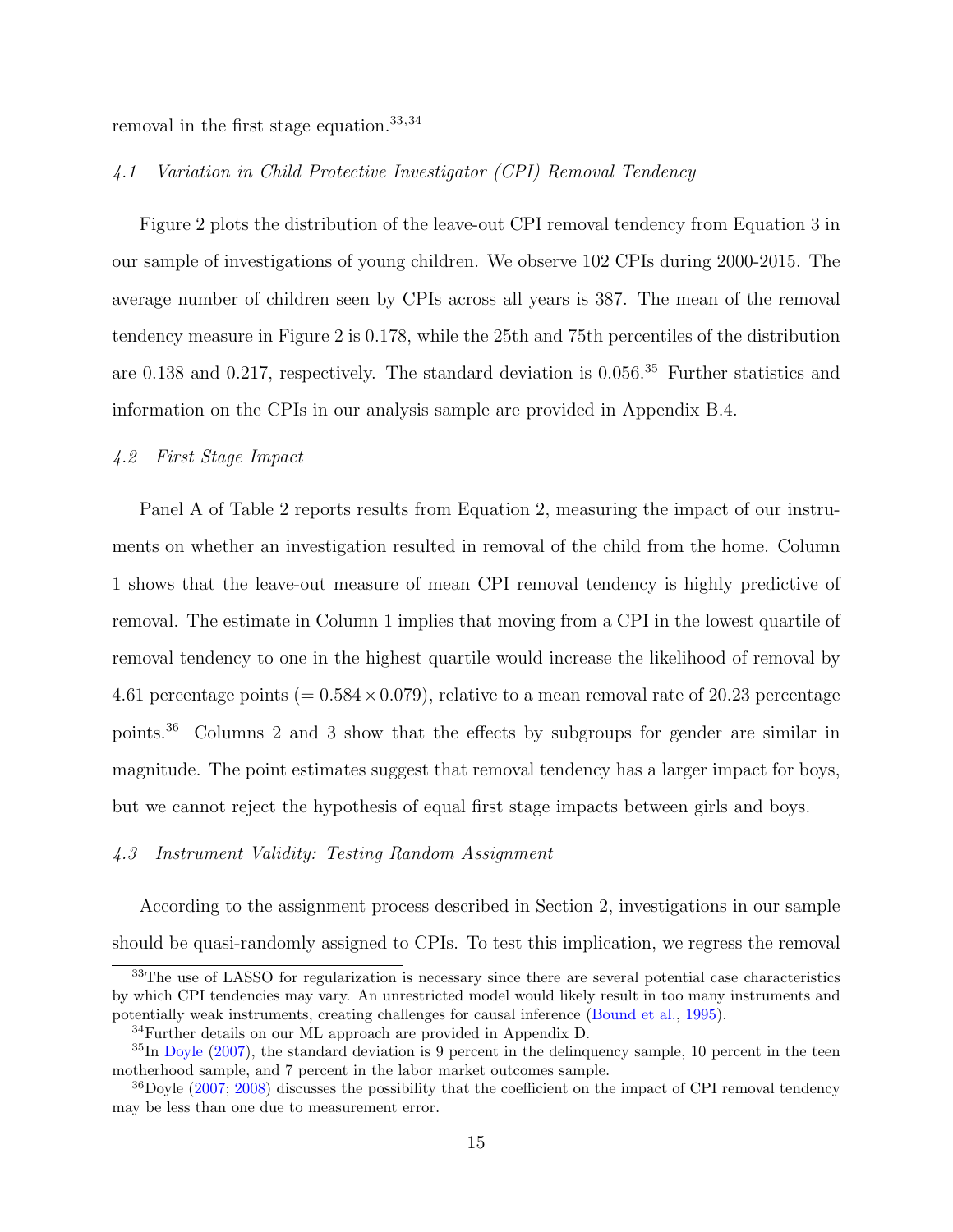removal in the first stage equation.[33](#page-16-1),[34](#page-16-2)

## 4.1 Variation in Child Protective Investigator (CPI) Removal Tendency

Figure [2](#page-50-0) plots the distribution of the leave-out CPI removal tendency from Equation [3](#page-14-2) in our sample of investigations of young children. We observe 102 CPIs during 2000-2015. The average number of children seen by CPIs across all years is 387. The mean of the removal tendency measure in Figure 2 is 0.178, while the 25th and 75th percentiles of the distribution are 0.138 and 0.217, respectively. The standard deviation is 0.056.[35](#page-16-3) Further statistics and information on the CPIs in our analysis sample are provided in Appendix [B.4.](#page-79-0)

## 4.2 First Stage Impact

Panel A of Table [2](#page-42-0) reports results from Equation [2,](#page-14-3) measuring the impact of our instruments on whether an investigation resulted in removal of the child from the home. Column 1 shows that the leave-out measure of mean CPI removal tendency is highly predictive of removal. The estimate in Column 1 implies that moving from a CPI in the lowest quartile of removal tendency to one in the highest quartile would increase the likelihood of removal by 4.61 percentage points (=  $0.584 \times 0.079$ ), relative to a mean removal rate of 20.23 percentage points.[36](#page-16-4) Columns 2 and 3 show that the effects by subgroups for gender are similar in magnitude. The point estimates suggest that removal tendency has a larger impact for boys, but we cannot reject the hypothesis of equal first stage impacts between girls and boys.

#### <span id="page-16-0"></span>4.3 Instrument Validity: Testing Random Assignment

According to the assignment process described in Section [2,](#page-6-2) investigations in our sample should be quasi-randomly assigned to CPIs. To test this implication, we regress the removal

<span id="page-16-1"></span><sup>&</sup>lt;sup>33</sup>The use of LASSO for regularization is necessary since there are several potential case characteristics by which CPI tendencies may vary. An unrestricted model would likely result in too many instruments and potentially weak instruments, creating challenges for causal inference [\(Bound et al.,](#page-35-8) [1995\)](#page-35-8).

<span id="page-16-3"></span><span id="page-16-2"></span><sup>34</sup>Further details on our ML approach are provided in Appendix [D.](#page-83-0)

 ${}^{35}$ In [Doyle](#page-37-2) [\(2007\)](#page-37-2), the standard deviation is 9 percent in the delinquency sample, 10 percent in the teen motherhood sample, and 7 percent in the labor market outcomes sample.

<span id="page-16-4"></span> $36Doyle$  [\(2007;](#page-37-2) [2008\)](#page-37-3) discusses the possibility that the coefficient on the impact of CPI removal tendency may be less than one due to measurement error.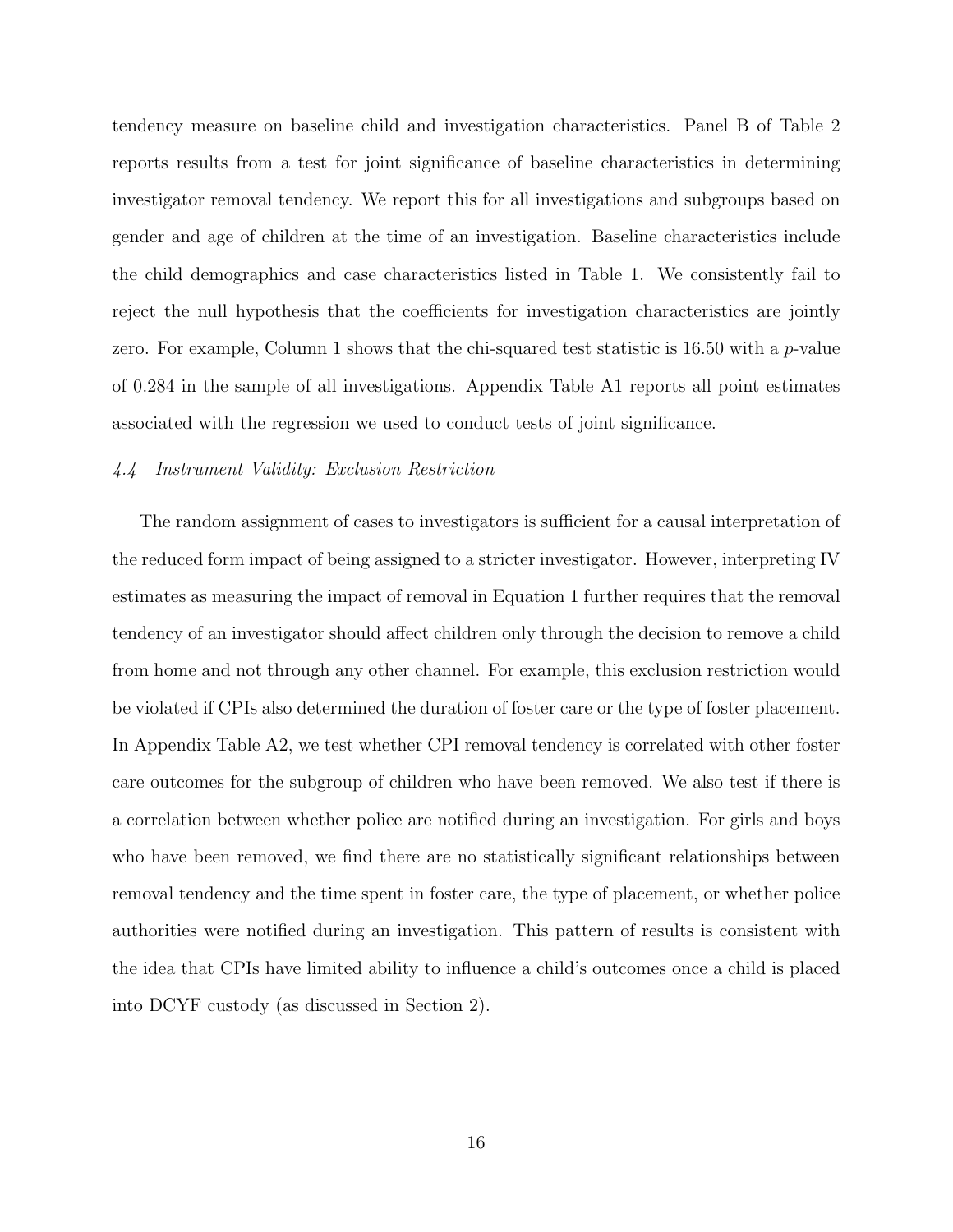tendency measure on baseline child and investigation characteristics. Panel B of Table [2](#page-42-0) reports results from a test for joint significance of baseline characteristics in determining investigator removal tendency. We report this for all investigations and subgroups based on gender and age of children at the time of an investigation. Baseline characteristics include the child demographics and case characteristics listed in Table [1.](#page-41-0) We consistently fail to reject the null hypothesis that the coefficients for investigation characteristics are jointly zero. For example, Column 1 shows that the chi-squared test statistic is  $16.50$  with a *p*-value of 0.284 in the sample of all investigations. Appendix Table [A1](#page-41-0) reports all point estimates associated with the regression we used to conduct tests of joint significance.

## <span id="page-17-0"></span>4.4 Instrument Validity: Exclusion Restriction

The random assignment of cases to investigators is sufficient for a causal interpretation of the reduced form impact of being assigned to a stricter investigator. However, interpreting IV estimates as measuring the impact of removal in Equation [1](#page-13-1) further requires that the removal tendency of an investigator should affect children only through the decision to remove a child from home and not through any other channel. For example, this exclusion restriction would be violated if CPIs also determined the duration of foster care or the type of foster placement. In Appendix Table [A2,](#page-52-0) we test whether CPI removal tendency is correlated with other foster care outcomes for the subgroup of children who have been removed. We also test if there is a correlation between whether police are notified during an investigation. For girls and boys who have been removed, we find there are no statistically significant relationships between removal tendency and the time spent in foster care, the type of placement, or whether police authorities were notified during an investigation. This pattern of results is consistent with the idea that CPIs have limited ability to influence a child's outcomes once a child is placed into DCYF custody (as discussed in Section [2\)](#page-6-2).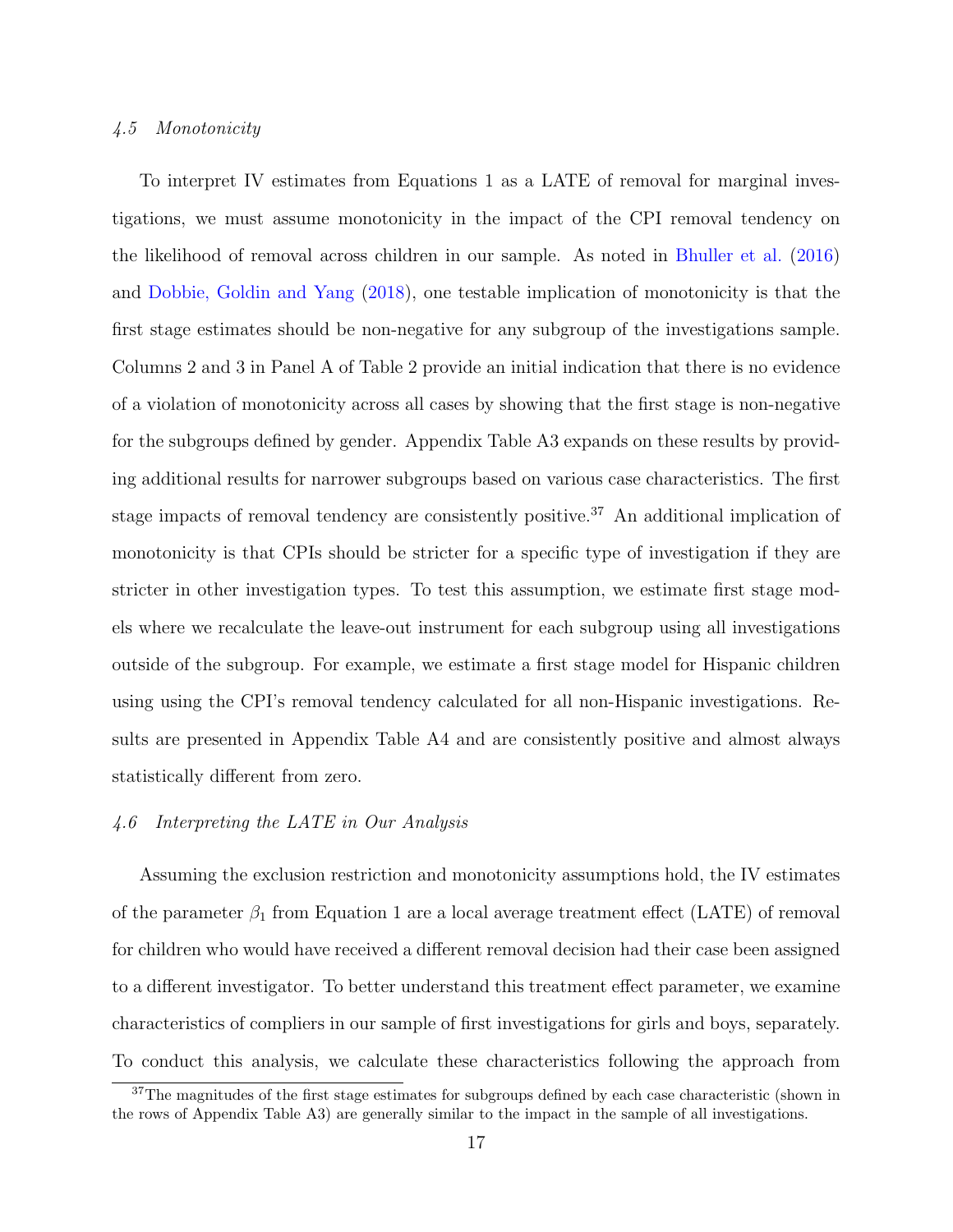## <span id="page-18-0"></span>4.5 Monotonicity

To interpret IV estimates from Equations [1](#page-13-1) as a LATE of removal for marginal investigations, we must assume monotonicity in the impact of the CPI removal tendency on the likelihood of removal across children in our sample. As noted in [Bhuller et al.](#page-35-0) [\(2016\)](#page-35-0) and [Dobbie, Goldin and Yang](#page-36-3) [\(2018\)](#page-36-3), one testable implication of monotonicity is that the first stage estimates should be non-negative for any subgroup of the investigations sample. Columns 2 and 3 in Panel A of Table [2](#page-42-0) provide an initial indication that there is no evidence of a violation of monotonicity across all cases by showing that the first stage is non-negative for the subgroups defined by gender. Appendix Table [A3](#page-53-0) expands on these results by providing additional results for narrower subgroups based on various case characteristics. The first stage impacts of removal tendency are consistently positive.<sup>[37](#page-18-1)</sup> An additional implication of monotonicity is that CPIs should be stricter for a specific type of investigation if they are stricter in other investigation types. To test this assumption, we estimate first stage models where we recalculate the leave-out instrument for each subgroup using all investigations outside of the subgroup. For example, we estimate a first stage model for Hispanic children using using the CPI's removal tendency calculated for all non-Hispanic investigations. Results are presented in Appendix Table [A4](#page-54-0) and are consistently positive and almost always statistically different from zero.

## <span id="page-18-2"></span>4.6 Interpreting the LATE in Our Analysis

Assuming the exclusion restriction and monotonicity assumptions hold, the IV estimates of the parameter  $\beta_1$  from Equation [1](#page-13-1) are a local average treatment effect (LATE) of removal for children who would have received a different removal decision had their case been assigned to a different investigator. To better understand this treatment effect parameter, we examine characteristics of compliers in our sample of first investigations for girls and boys, separately. To conduct this analysis, we calculate these characteristics following the approach from

<span id="page-18-1"></span><sup>&</sup>lt;sup>37</sup>The magnitudes of the first stage estimates for subgroups defined by each case characteristic (shown in the rows of Appendix Table [A3\)](#page-53-0) are generally similar to the impact in the sample of all investigations.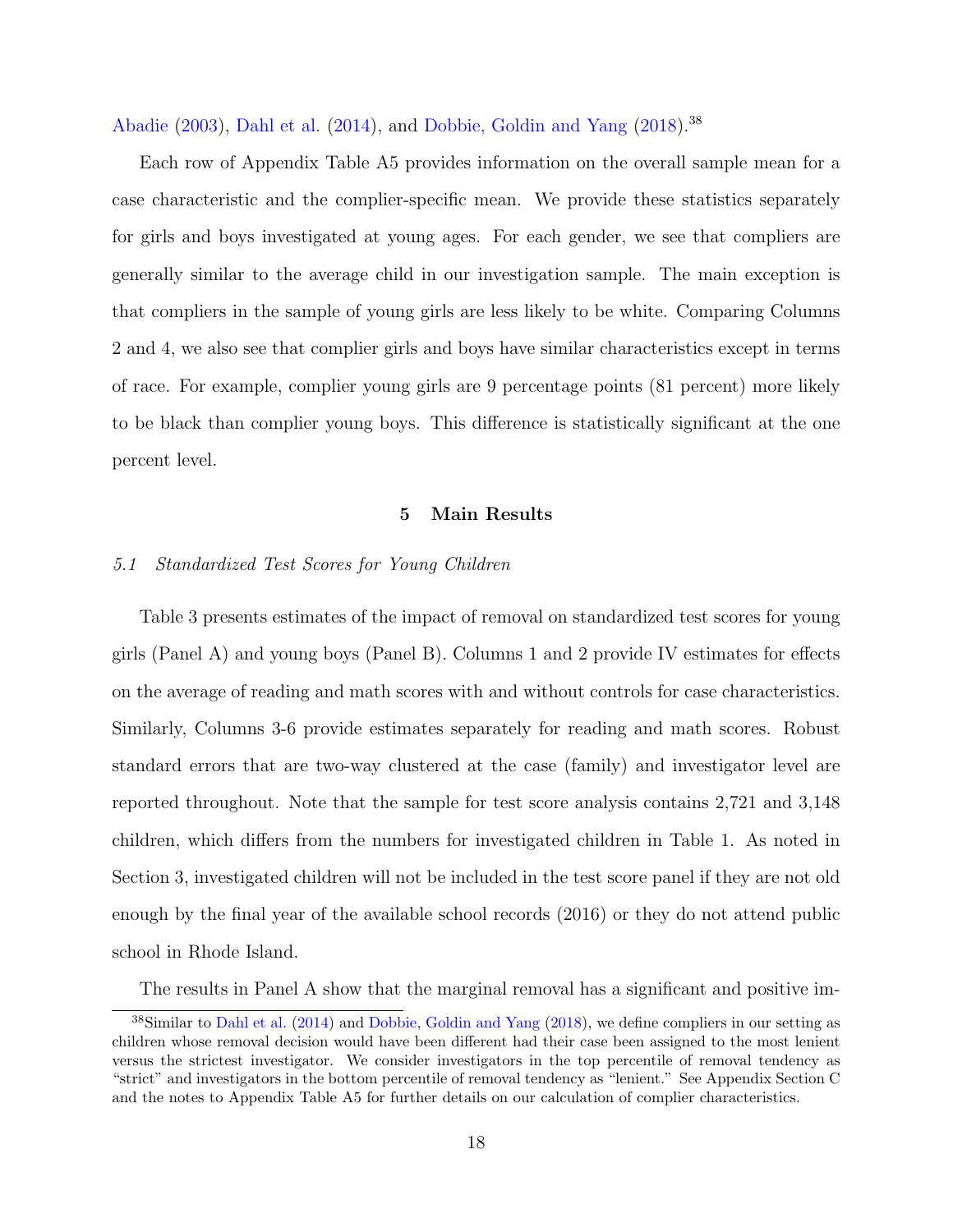[Abadie](#page-34-10) [\(2003\)](#page-34-10), [Dahl et al.](#page-36-10) [\(2014\)](#page-36-10), and [Dobbie, Goldin and Yang](#page-36-3) [\(2018\)](#page-36-3).[38](#page-19-0)

Each row of Appendix Table [A5](#page-55-0) provides information on the overall sample mean for a case characteristic and the complier-specific mean. We provide these statistics separately for girls and boys investigated at young ages. For each gender, we see that compliers are generally similar to the average child in our investigation sample. The main exception is that compliers in the sample of young girls are less likely to be white. Comparing Columns 2 and 4, we also see that complier girls and boys have similar characteristics except in terms of race. For example, complier young girls are 9 percentage points (81 percent) more likely to be black than complier young boys. This difference is statistically significant at the one percent level.

## 5 Main Results

## <span id="page-19-1"></span>5.1 Standardized Test Scores for Young Children

Table [3](#page-43-0) presents estimates of the impact of removal on standardized test scores for young girls (Panel A) and young boys (Panel B). Columns 1 and 2 provide IV estimates for effects on the average of reading and math scores with and without controls for case characteristics. Similarly, Columns 3-6 provide estimates separately for reading and math scores. Robust standard errors that are two-way clustered at the case (family) and investigator level are reported throughout. Note that the sample for test score analysis contains 2,721 and 3,148 children, which differs from the numbers for investigated children in Table [1.](#page-41-0) As noted in Section [3,](#page-8-0) investigated children will not be included in the test score panel if they are not old enough by the final year of the available school records (2016) or they do not attend public school in Rhode Island.

<span id="page-19-0"></span>The results in Panel A show that the marginal removal has a significant and positive im-

<sup>38</sup>Similar to [Dahl et al.](#page-36-10) [\(2014\)](#page-36-10) and [Dobbie, Goldin and Yang](#page-36-3) [\(2018\)](#page-36-3), we define compliers in our setting as children whose removal decision would have been different had their case been assigned to the most lenient versus the strictest investigator. We consider investigators in the top percentile of removal tendency as "strict" and investigators in the bottom percentile of removal tendency as "lenient." See Appendix Section [C](#page-81-0) and the notes to Appendix Table [A5](#page-55-0) for further details on our calculation of complier characteristics.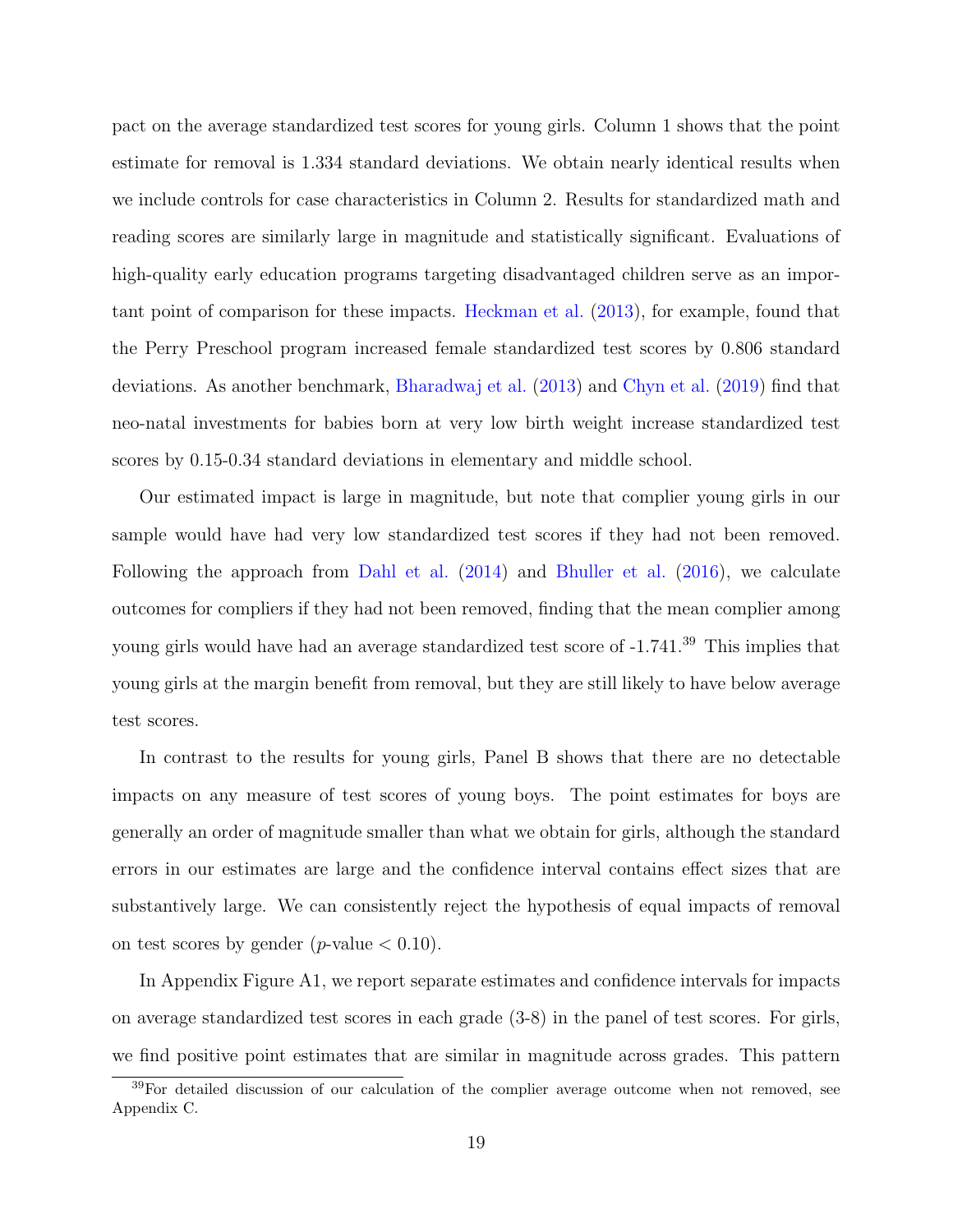pact on the average standardized test scores for young girls. Column 1 shows that the point estimate for removal is 1.334 standard deviations. We obtain nearly identical results when we include controls for case characteristics in Column 2. Results for standardized math and reading scores are similarly large in magnitude and statistically significant. Evaluations of high-quality early education programs targeting disadvantaged children serve as an important point of comparison for these impacts. [Heckman et al.](#page-38-2) [\(2013\)](#page-38-2), for example, found that the Perry Preschool program increased female standardized test scores by 0.806 standard deviations. As another benchmark, [Bharadwaj et al.](#page-35-9) [\(2013\)](#page-35-9) and [Chyn et al.](#page-36-11) [\(2019\)](#page-36-11) find that neo-natal investments for babies born at very low birth weight increase standardized test scores by 0.15-0.34 standard deviations in elementary and middle school.

Our estimated impact is large in magnitude, but note that complier young girls in our sample would have had very low standardized test scores if they had not been removed. Following the approach from [Dahl et al.](#page-36-10) [\(2014\)](#page-36-10) and [Bhuller et al.](#page-35-0) [\(2016\)](#page-35-0), we calculate outcomes for compliers if they had not been removed, finding that the mean complier among young girls would have had an average standardized test score of -1.741.<sup>[39](#page-20-0)</sup> This implies that young girls at the margin benefit from removal, but they are still likely to have below average test scores.

In contrast to the results for young girls, Panel B shows that there are no detectable impacts on any measure of test scores of young boys. The point estimates for boys are generally an order of magnitude smaller than what we obtain for girls, although the standard errors in our estimates are large and the confidence interval contains effect sizes that are substantively large. We can consistently reject the hypothesis of equal impacts of removal on test scores by gender (*p*-value  $< 0.10$ ).

In Appendix Figure [A1,](#page-66-0) we report separate estimates and confidence intervals for impacts on average standardized test scores in each grade (3-8) in the panel of test scores. For girls, we find positive point estimates that are similar in magnitude across grades. This pattern

<span id="page-20-0"></span><sup>&</sup>lt;sup>39</sup>For detailed discussion of our calculation of the complier average outcome when not removed, see Appendix [C.](#page-81-0)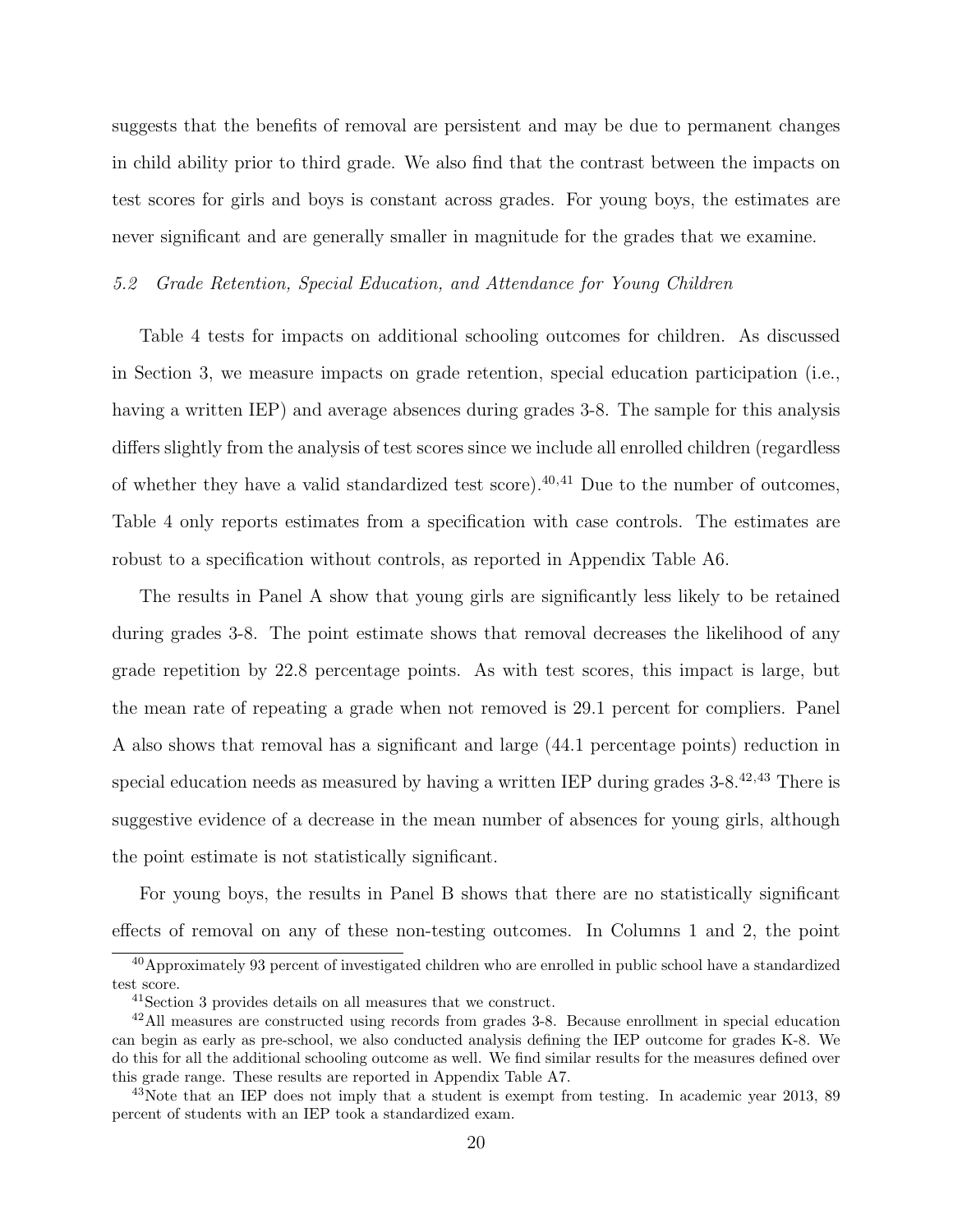suggests that the benefits of removal are persistent and may be due to permanent changes in child ability prior to third grade. We also find that the contrast between the impacts on test scores for girls and boys is constant across grades. For young boys, the estimates are never significant and are generally smaller in magnitude for the grades that we examine.

5.2 Grade Retention, Special Education, and Attendance for Young Children

Table [4](#page-44-0) tests for impacts on additional schooling outcomes for children. As discussed in Section [3,](#page-8-0) we measure impacts on grade retention, special education participation (i.e., having a written IEP) and average absences during grades 3-8. The sample for this analysis differs slightly from the analysis of test scores since we include all enrolled children (regardless of whether they have a valid standardized test score).<sup>[40](#page-21-0),[41](#page-21-1)</sup> Due to the number of outcomes, Table [4](#page-44-0) only reports estimates from a specification with case controls. The estimates are robust to a specification without controls, as reported in Appendix Table [A6.](#page-56-0)

The results in Panel A show that young girls are significantly less likely to be retained during grades 3-8. The point estimate shows that removal decreases the likelihood of any grade repetition by 22.8 percentage points. As with test scores, this impact is large, but the mean rate of repeating a grade when not removed is 29.1 percent for compliers. Panel A also shows that removal has a significant and large (44.1 percentage points) reduction in special education needs as measured by having a written IEP during grades 3-8.[42](#page-21-2),[43](#page-21-3) There is suggestive evidence of a decrease in the mean number of absences for young girls, although the point estimate is not statistically significant.

For young boys, the results in Panel B shows that there are no statistically significant effects of removal on any of these non-testing outcomes. In Columns 1 and 2, the point

<span id="page-21-0"></span><sup>&</sup>lt;sup>40</sup>Approximately 93 percent of investigated children who are enrolled in public school have a standardized test score.

<span id="page-21-2"></span><span id="page-21-1"></span><sup>41</sup>Section 3 provides details on all measures that we construct.

<sup>42</sup>All measures are constructed using records from grades 3-8. Because enrollment in special education can begin as early as pre-school, we also conducted analysis defining the IEP outcome for grades K-8. We do this for all the additional schooling outcome as well. We find similar results for the measures defined over this grade range. These results are reported in Appendix Table [A7.](#page-57-0)

<span id="page-21-3"></span><sup>&</sup>lt;sup>43</sup>Note that an IEP does not imply that a student is exempt from testing. In academic year 2013, 89 percent of students with an IEP took a standardized exam.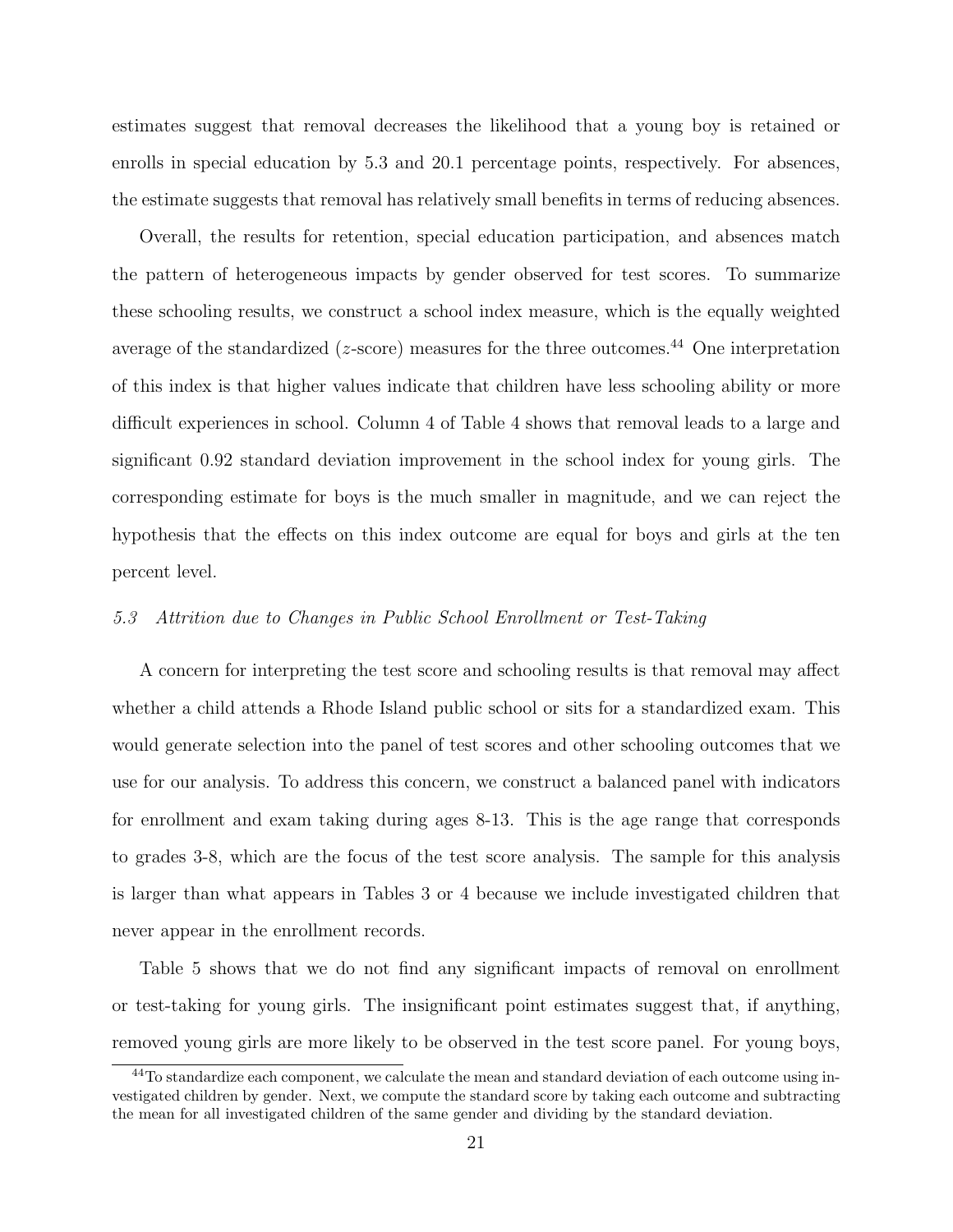estimates suggest that removal decreases the likelihood that a young boy is retained or enrolls in special education by 5.3 and 20.1 percentage points, respectively. For absences, the estimate suggests that removal has relatively small benefits in terms of reducing absences.

Overall, the results for retention, special education participation, and absences match the pattern of heterogeneous impacts by gender observed for test scores. To summarize these schooling results, we construct a school index measure, which is the equally weighted average of the standardized ( $z$ -score) measures for the three outcomes.<sup>[44](#page-22-0)</sup> One interpretation of this index is that higher values indicate that children have less schooling ability or more difficult experiences in school. Column 4 of Table 4 shows that removal leads to a large and significant 0.92 standard deviation improvement in the school index for young girls. The corresponding estimate for boys is the much smaller in magnitude, and we can reject the hypothesis that the effects on this index outcome are equal for boys and girls at the ten percent level.

## 5.3 Attrition due to Changes in Public School Enrollment or Test-Taking

A concern for interpreting the test score and schooling results is that removal may affect whether a child attends a Rhode Island public school or sits for a standardized exam. This would generate selection into the panel of test scores and other schooling outcomes that we use for our analysis. To address this concern, we construct a balanced panel with indicators for enrollment and exam taking during ages 8-13. This is the age range that corresponds to grades 3-8, which are the focus of the test score analysis. The sample for this analysis is larger than what appears in Tables [3](#page-43-0) or [4](#page-44-0) because we include investigated children that never appear in the enrollment records.

Table [5](#page-45-0) shows that we do not find any significant impacts of removal on enrollment or test-taking for young girls. The insignificant point estimates suggest that, if anything, removed young girls are more likely to be observed in the test score panel. For young boys,

<span id="page-22-0"></span><sup>&</sup>lt;sup>44</sup>To standardize each component, we calculate the mean and standard deviation of each outcome using investigated children by gender. Next, we compute the standard score by taking each outcome and subtracting the mean for all investigated children of the same gender and dividing by the standard deviation.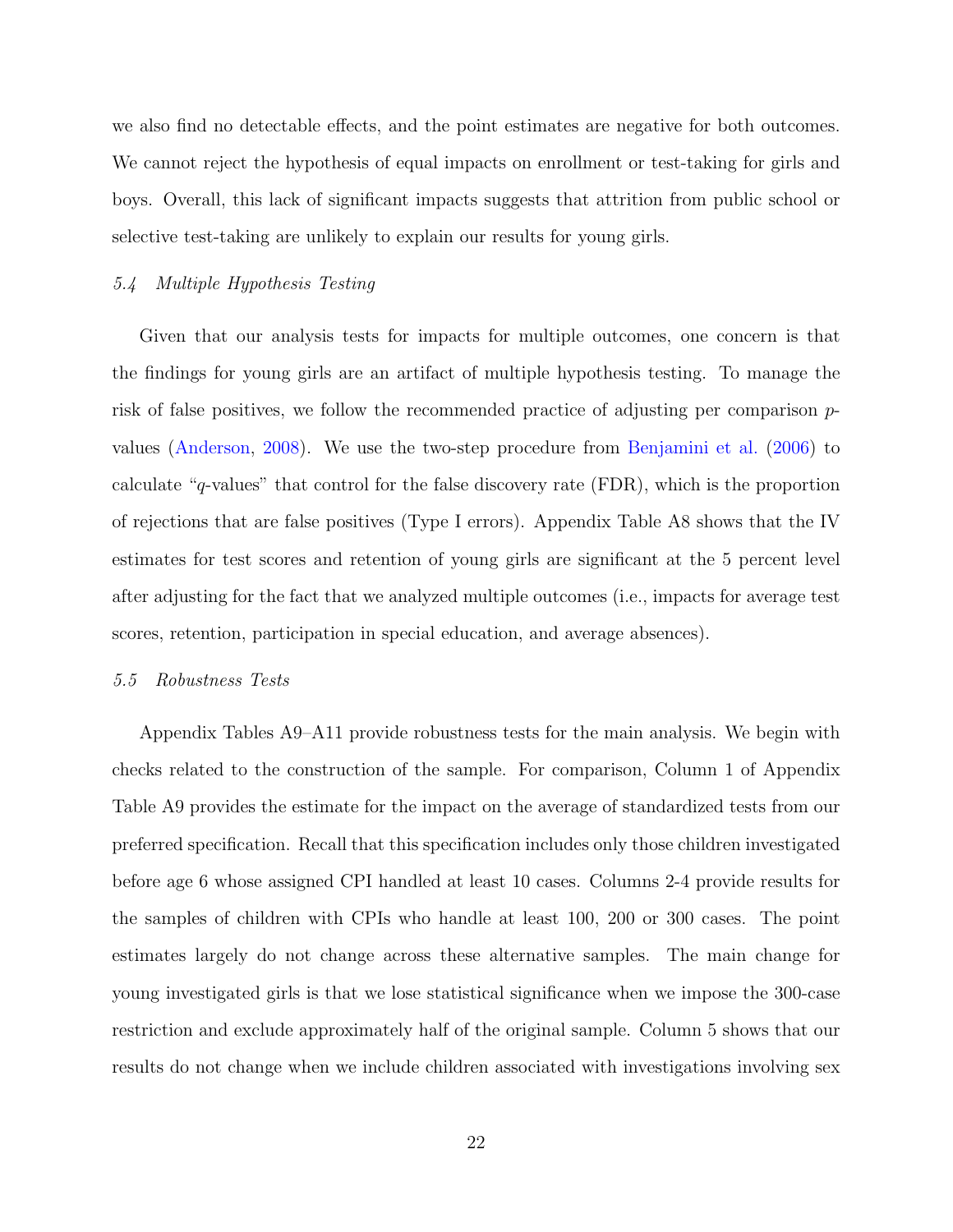we also find no detectable effects, and the point estimates are negative for both outcomes. We cannot reject the hypothesis of equal impacts on enrollment or test-taking for girls and boys. Overall, this lack of significant impacts suggests that attrition from public school or selective test-taking are unlikely to explain our results for young girls.

#### 5.4 Multiple Hypothesis Testing

Given that our analysis tests for impacts for multiple outcomes, one concern is that the findings for young girls are an artifact of multiple hypothesis testing. To manage the risk of false positives, we follow the recommended practice of adjusting per comparison pvalues [\(Anderson,](#page-34-4) [2008\)](#page-34-4). We use the two-step procedure from [Benjamini et al.](#page-35-10) [\(2006\)](#page-35-10) to calculate "q-values" that control for the false discovery rate (FDR), which is the proportion of rejections that are false positives (Type I errors). Appendix Table [A8](#page-58-0) shows that the IV estimates for test scores and retention of young girls are significant at the 5 percent level after adjusting for the fact that we analyzed multiple outcomes (i.e., impacts for average test scores, retention, participation in special education, and average absences).

#### <span id="page-23-0"></span>5.5 Robustness Tests

Appendix Tables [A9](#page-59-0)[–A11](#page-61-0) provide robustness tests for the main analysis. We begin with checks related to the construction of the sample. For comparison, Column 1 of Appendix Table [A9](#page-59-0) provides the estimate for the impact on the average of standardized tests from our preferred specification. Recall that this specification includes only those children investigated before age 6 whose assigned CPI handled at least 10 cases. Columns 2-4 provide results for the samples of children with CPIs who handle at least 100, 200 or 300 cases. The point estimates largely do not change across these alternative samples. The main change for young investigated girls is that we lose statistical significance when we impose the 300-case restriction and exclude approximately half of the original sample. Column 5 shows that our results do not change when we include children associated with investigations involving sex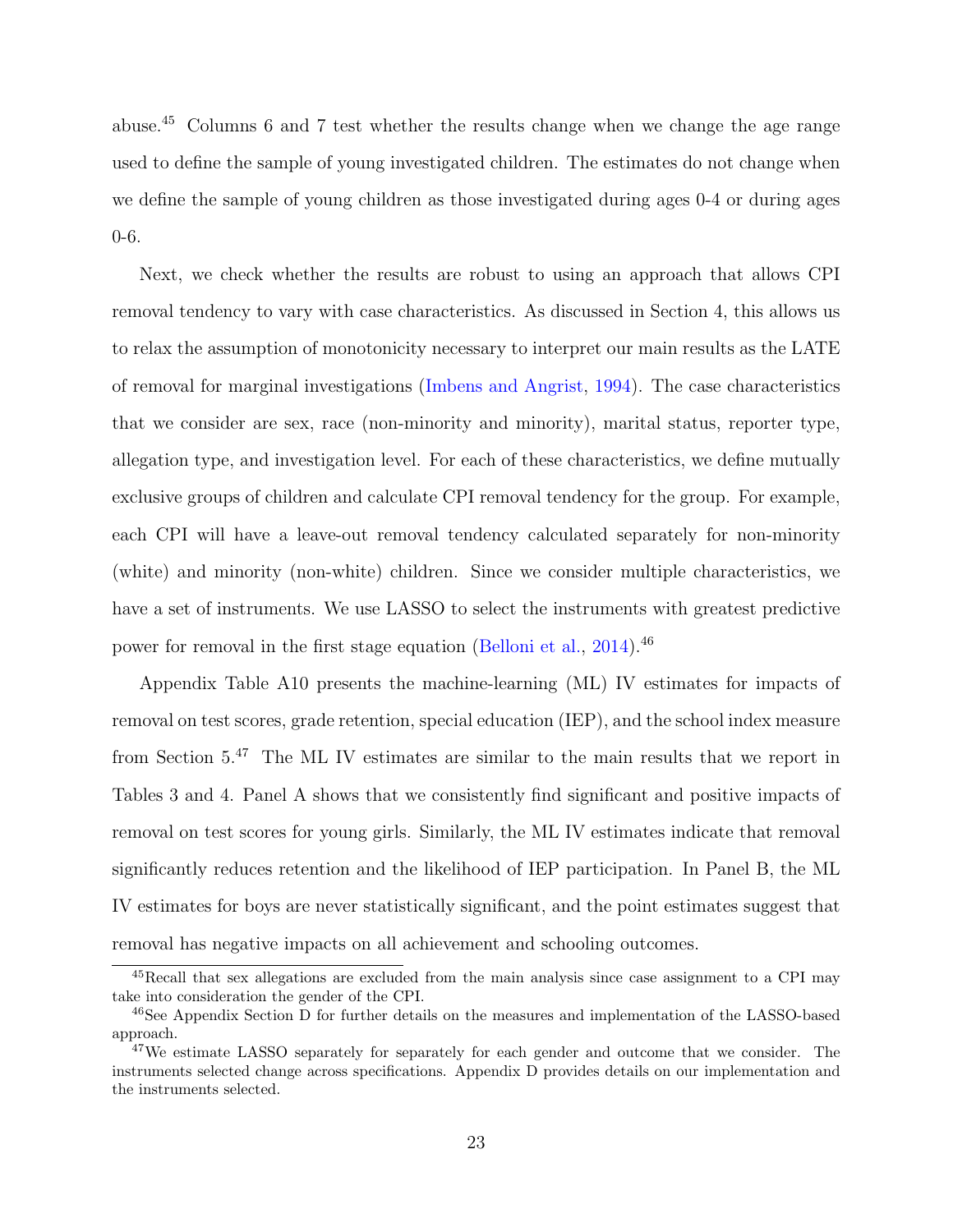abuse.[45](#page-24-0) Columns 6 and 7 test whether the results change when we change the age range used to define the sample of young investigated children. The estimates do not change when we define the sample of young children as those investigated during ages 0-4 or during ages 0-6.

Next, we check whether the results are robust to using an approach that allows CPI removal tendency to vary with case characteristics. As discussed in Section [4,](#page-13-2) this allows us to relax the assumption of monotonicity necessary to interpret our main results as the LATE of removal for marginal investigations [\(Imbens and Angrist,](#page-38-8) [1994\)](#page-38-8). The case characteristics that we consider are sex, race (non-minority and minority), marital status, reporter type, allegation type, and investigation level. For each of these characteristics, we define mutually exclusive groups of children and calculate CPI removal tendency for the group. For example, each CPI will have a leave-out removal tendency calculated separately for non-minority (white) and minority (non-white) children. Since we consider multiple characteristics, we have a set of instruments. We use LASSO to select the instruments with greatest predictive power for removal in the first stage equation [\(Belloni et al.,](#page-35-2) [2014\)](#page-35-2).[46](#page-24-1)

Appendix Table [A10](#page-60-0) presents the machine-learning (ML) IV estimates for impacts of removal on test scores, grade retention, special education (IEP), and the school index measure from Section [5.](#page-19-1)[47](#page-24-2) The ML IV estimates are similar to the main results that we report in Tables [3](#page-43-0) and [4.](#page-44-0) Panel A shows that we consistently find significant and positive impacts of removal on test scores for young girls. Similarly, the ML IV estimates indicate that removal significantly reduces retention and the likelihood of IEP participation. In Panel B, the ML IV estimates for boys are never statistically significant, and the point estimates suggest that removal has negative impacts on all achievement and schooling outcomes.

<span id="page-24-0"></span><sup>45</sup>Recall that sex allegations are excluded from the main analysis since case assignment to a CPI may take into consideration the gender of the CPI.

<span id="page-24-1"></span><sup>46</sup>See Appendix Section [D](#page-83-0) for further details on the measures and implementation of the LASSO-based approach.

<span id="page-24-2"></span><sup>&</sup>lt;sup>47</sup>We estimate LASSO separately for separately for each gender and outcome that we consider. The instruments selected change across specifications. Appendix [D](#page-83-0) provides details on our implementation and the instruments selected.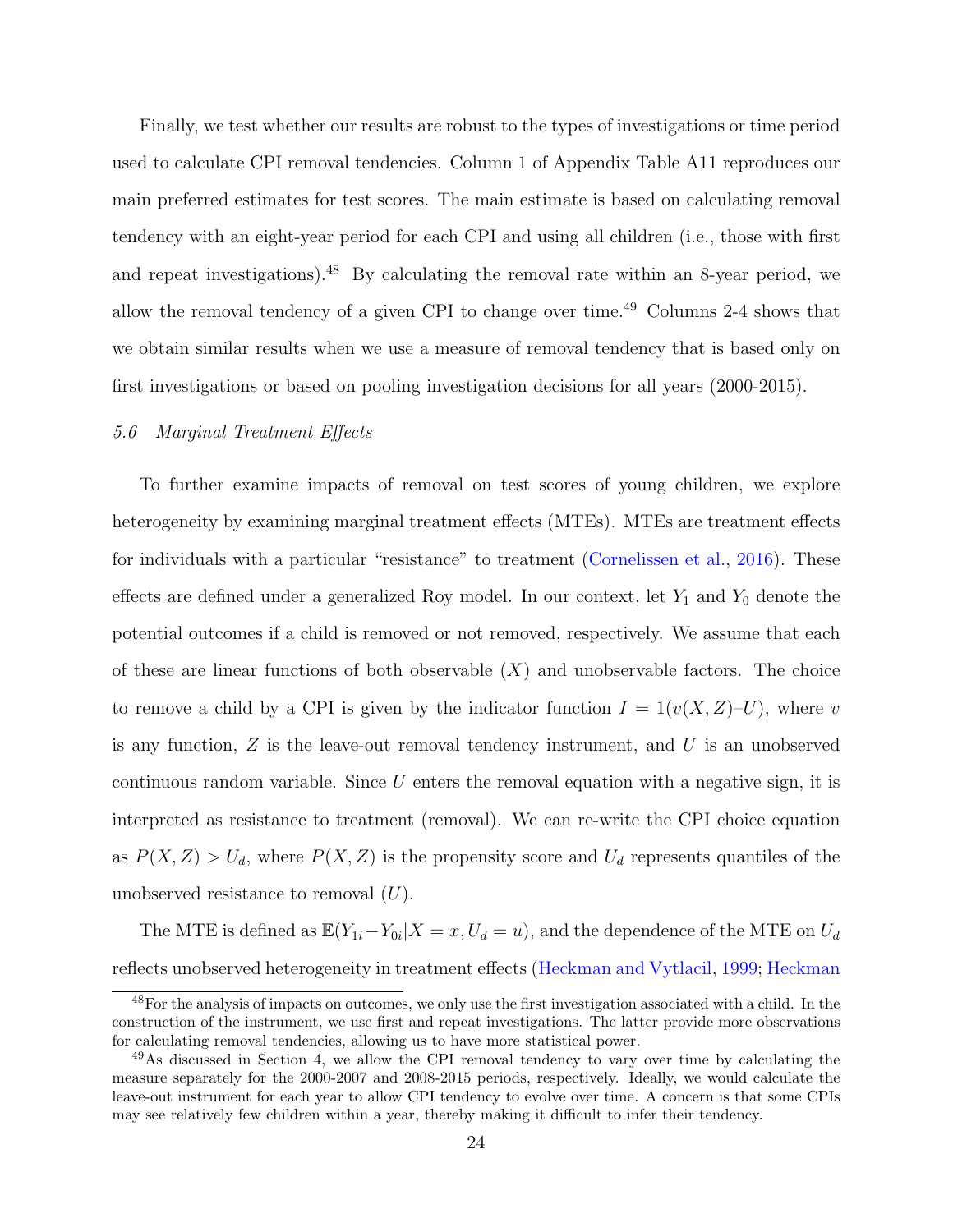Finally, we test whether our results are robust to the types of investigations or time period used to calculate CPI removal tendencies. Column 1 of Appendix Table [A11](#page-61-0) reproduces our main preferred estimates for test scores. The main estimate is based on calculating removal tendency with an eight-year period for each CPI and using all children (i.e., those with first and repeat investigations).[48](#page-25-0) By calculating the removal rate within an 8-year period, we allow the removal tendency of a given CPI to change over time.[49](#page-25-1) Columns 2-4 shows that we obtain similar results when we use a measure of removal tendency that is based only on first investigations or based on pooling investigation decisions for all years (2000-2015).

## 5.6 Marginal Treatment Effects

To further examine impacts of removal on test scores of young children, we explore heterogeneity by examining marginal treatment effects (MTEs). MTEs are treatment effects for individuals with a particular "resistance" to treatment [\(Cornelissen et al.,](#page-36-12) [2016\)](#page-36-12). These effects are defined under a generalized Roy model. In our context, let  $Y_1$  and  $Y_0$  denote the potential outcomes if a child is removed or not removed, respectively. We assume that each of these are linear functions of both observable  $(X)$  and unobservable factors. The choice to remove a child by a CPI is given by the indicator function  $I = 1(v(X, Z)-U)$ , where v is any function,  $Z$  is the leave-out removal tendency instrument, and  $U$  is an unobserved continuous random variable. Since  $U$  enters the removal equation with a negative sign, it is interpreted as resistance to treatment (removal). We can re-write the CPI choice equation as  $P(X, Z) > U_d$ , where  $P(X, Z)$  is the propensity score and  $U_d$  represents quantiles of the unobserved resistance to removal  $(U)$ .

The MTE is defined as  $\mathbb{E}(Y_{1i}-Y_{0i}|X=x, U_d=u)$ , and the dependence of the MTE on  $U_d$ reflects unobserved heterogeneity in treatment effects [\(Heckman and Vytlacil,](#page-38-10) [1999;](#page-38-10) [Heckman](#page-38-11)

<span id="page-25-0"></span><sup>&</sup>lt;sup>48</sup>[For the analysis of impacts on outcomes, we only use the first investigation associated with a child. In the](#page-38-11) [construction of the instrument, we use first and repeat investigations. The latter provide more observations](#page-38-11) [for calculating removal tendencies, allowing us to have more statistical power.](#page-38-11)

<span id="page-25-1"></span><sup>&</sup>lt;sup>49</sup>[As discussed in Section 4, we allow the CPI removal tendency to vary over time by calculating the](#page-38-11) [measure separately for the 2000-2007 and 2008-2015 periods, respectively. Ideally, we would calculate the](#page-38-11) [leave-out instrument for each year to allow CPI tendency to evolve over time. A concern is that some CPIs](#page-38-11) [may see relatively few children within a year, thereby making it difficult to infer their tendency.](#page-38-11)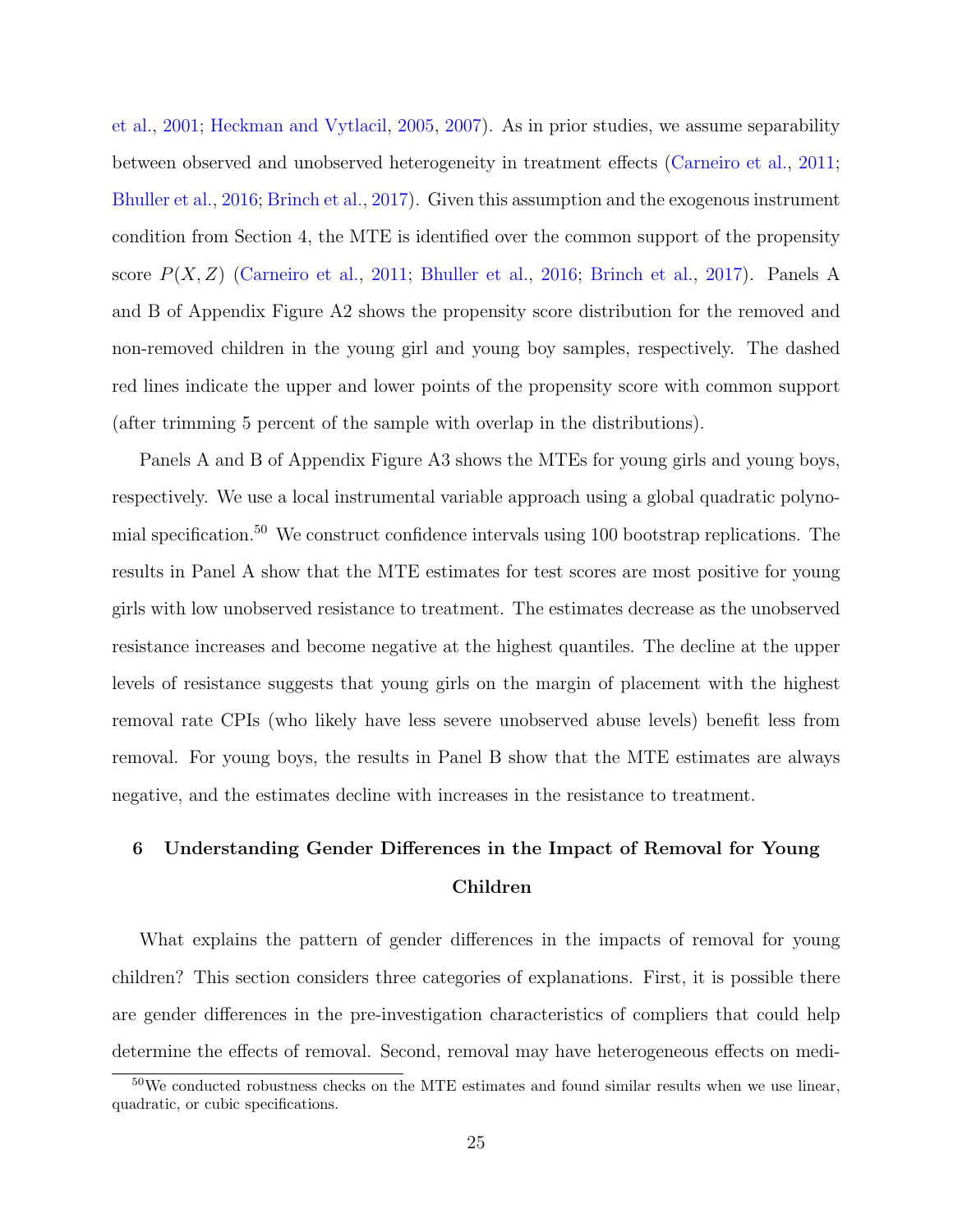[et al.,](#page-38-11) [2001;](#page-38-11) [Heckman and Vytlacil,](#page-38-9) [2005,](#page-38-9) [2007\)](#page-38-12). As in prior studies, we assume separability between observed and unobserved heterogeneity in treatment effects [\(Carneiro et al.,](#page-35-11) [2011;](#page-35-11) [Bhuller et al.,](#page-35-0) [2016;](#page-35-0) [Brinch et al.,](#page-35-12) [2017\)](#page-35-12). Given this assumption and the exogenous instrument condition from Section 4, the MTE is identified over the common support of the propensity score  $P(X, Z)$  [\(Carneiro et al.,](#page-35-11) [2011;](#page-35-11) [Bhuller et al.,](#page-35-0) [2016;](#page-35-0) [Brinch et al.,](#page-35-12) [2017\)](#page-35-12). Panels A and B of Appendix Figure [A2](#page-67-0) shows the propensity score distribution for the removed and non-removed children in the young girl and young boy samples, respectively. The dashed red lines indicate the upper and lower points of the propensity score with common support (after trimming 5 percent of the sample with overlap in the distributions).

Panels A and B of Appendix Figure [A3](#page-68-0) shows the MTEs for young girls and young boys, respectively. We use a local instrumental variable approach using a global quadratic polynomial specification.[50](#page-26-0) We construct confidence intervals using 100 bootstrap replications. The results in Panel A show that the MTE estimates for test scores are most positive for young girls with low unobserved resistance to treatment. The estimates decrease as the unobserved resistance increases and become negative at the highest quantiles. The decline at the upper levels of resistance suggests that young girls on the margin of placement with the highest removal rate CPIs (who likely have less severe unobserved abuse levels) benefit less from removal. For young boys, the results in Panel B show that the MTE estimates are always negative, and the estimates decline with increases in the resistance to treatment.

# 6 Understanding Gender Differences in the Impact of Removal for Young Children

What explains the pattern of gender differences in the impacts of removal for young children? This section considers three categories of explanations. First, it is possible there are gender differences in the pre-investigation characteristics of compliers that could help determine the effects of removal. Second, removal may have heterogeneous effects on medi-

<span id="page-26-0"></span> $50\text{We conducted robustness checks on the MTE estimates and found similar results when we use linear, }$ quadratic, or cubic specifications.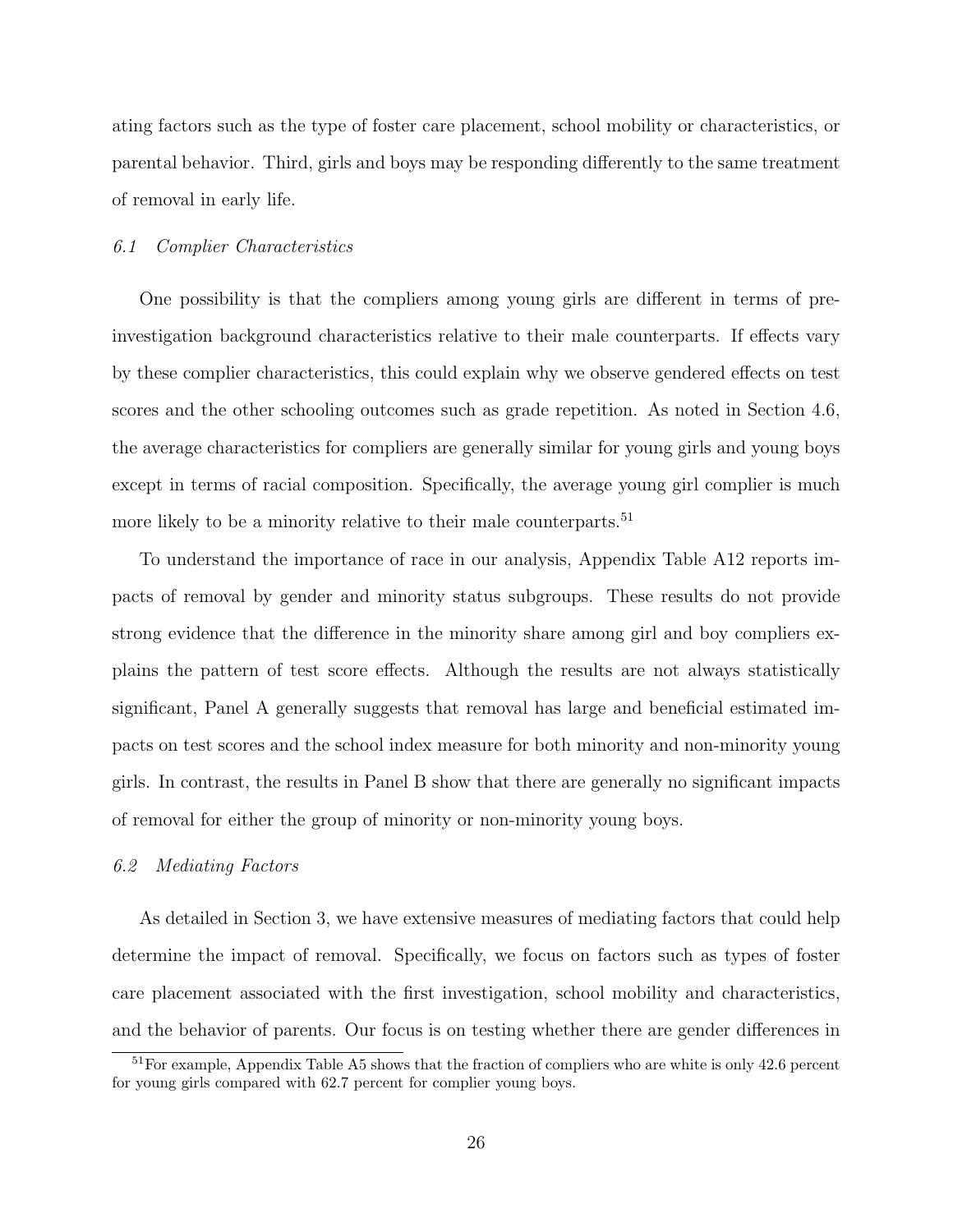ating factors such as the type of foster care placement, school mobility or characteristics, or parental behavior. Third, girls and boys may be responding differently to the same treatment of removal in early life.

## 6.1 Complier Characteristics

One possibility is that the compliers among young girls are different in terms of preinvestigation background characteristics relative to their male counterparts. If effects vary by these complier characteristics, this could explain why we observe gendered effects on test scores and the other schooling outcomes such as grade repetition. As noted in Section [4.6,](#page-18-2) the average characteristics for compliers are generally similar for young girls and young boys except in terms of racial composition. Specifically, the average young girl complier is much more likely to be a minority relative to their male counterparts.<sup>[51](#page-27-0)</sup>

To understand the importance of race in our analysis, Appendix Table [A12](#page-62-0) reports impacts of removal by gender and minority status subgroups. These results do not provide strong evidence that the difference in the minority share among girl and boy compliers explains the pattern of test score effects. Although the results are not always statistically significant, Panel A generally suggests that removal has large and beneficial estimated impacts on test scores and the school index measure for both minority and non-minority young girls. In contrast, the results in Panel B show that there are generally no significant impacts of removal for either the group of minority or non-minority young boys.

## 6.2 Mediating Factors

As detailed in Section [3,](#page-8-0) we have extensive measures of mediating factors that could help determine the impact of removal. Specifically, we focus on factors such as types of foster care placement associated with the first investigation, school mobility and characteristics, and the behavior of parents. Our focus is on testing whether there are gender differences in

<span id="page-27-0"></span><sup>51</sup>For example, Appendix Table [A5](#page-55-0) shows that the fraction of compliers who are white is only 42.6 percent for young girls compared with 62.7 percent for complier young boys.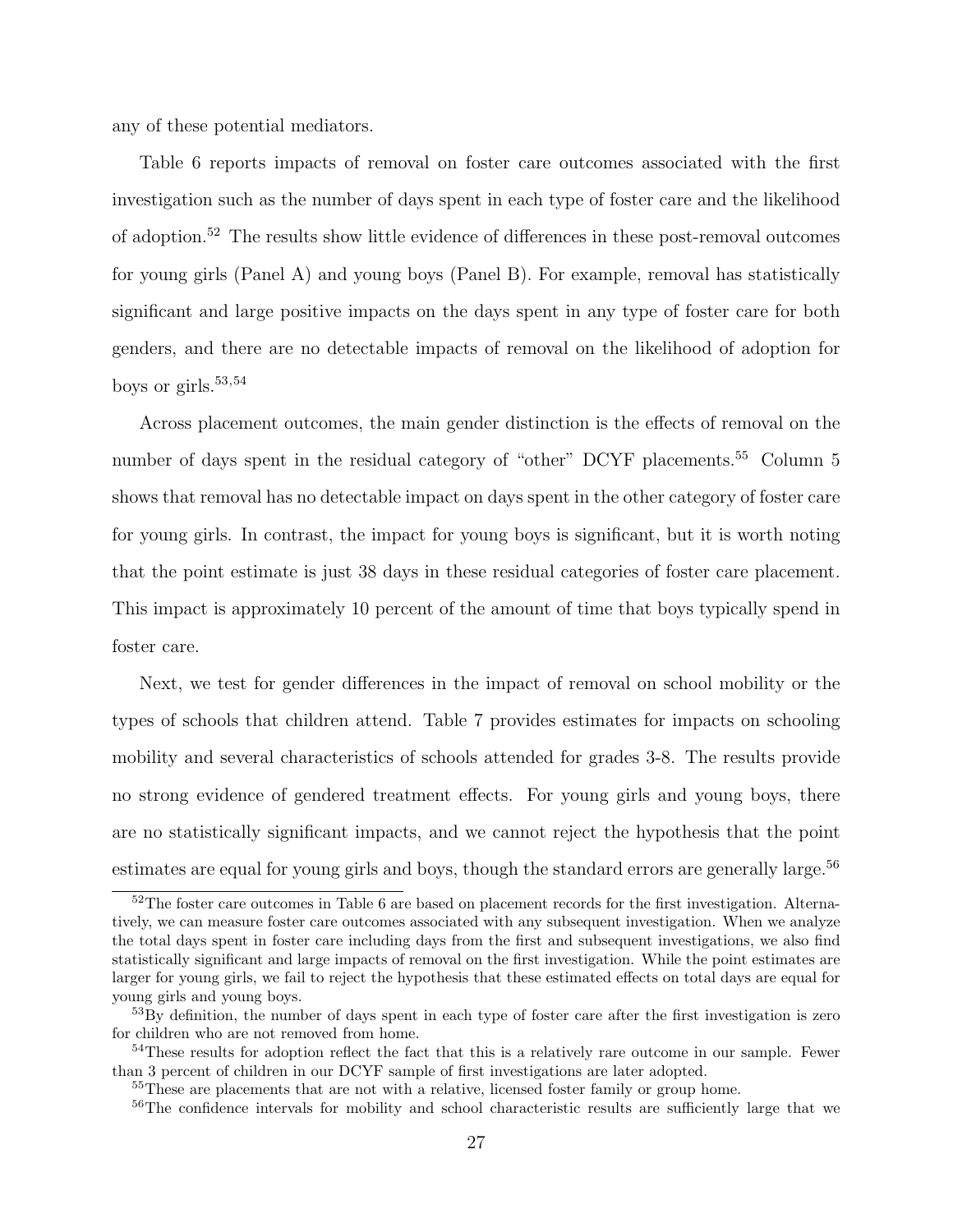any of these potential mediators.

Table [6](#page-46-0) reports impacts of removal on foster care outcomes associated with the first investigation such as the number of days spent in each type of foster care and the likelihood of adoption.[52](#page-28-0) The results show little evidence of differences in these post-removal outcomes for young girls (Panel A) and young boys (Panel B). For example, removal has statistically significant and large positive impacts on the days spent in any type of foster care for both genders, and there are no detectable impacts of removal on the likelihood of adoption for boys or girls. $53,54$  $53,54$  $53,54$ 

Across placement outcomes, the main gender distinction is the effects of removal on the number of days spent in the residual category of "other" DCYF placements.<sup>[55](#page-28-3)</sup> Column 5 shows that removal has no detectable impact on days spent in the other category of foster care for young girls. In contrast, the impact for young boys is significant, but it is worth noting that the point estimate is just 38 days in these residual categories of foster care placement. This impact is approximately 10 percent of the amount of time that boys typically spend in foster care.

Next, we test for gender differences in the impact of removal on school mobility or the types of schools that children attend. Table [7](#page-47-0) provides estimates for impacts on schooling mobility and several characteristics of schools attended for grades 3-8. The results provide no strong evidence of gendered treatment effects. For young girls and young boys, there are no statistically significant impacts, and we cannot reject the hypothesis that the point estimates are equal for young girls and boys, though the standard errors are generally large.<sup>[56](#page-28-4)</sup>

<span id="page-28-0"></span><sup>&</sup>lt;sup>52</sup>The foster care outcomes in Table [6](#page-46-0) are based on placement records for the first investigation. Alternatively, we can measure foster care outcomes associated with any subsequent investigation. When we analyze the total days spent in foster care including days from the first and subsequent investigations, we also find statistically significant and large impacts of removal on the first investigation. While the point estimates are larger for young girls, we fail to reject the hypothesis that these estimated effects on total days are equal for young girls and young boys.

<span id="page-28-1"></span><sup>&</sup>lt;sup>53</sup>By definition, the number of days spent in each type of foster care after the first investigation is zero for children who are not removed from home.

<span id="page-28-2"></span><sup>&</sup>lt;sup>54</sup>These results for adoption reflect the fact that this is a relatively rare outcome in our sample. Fewer than 3 percent of children in our DCYF sample of first investigations are later adopted.

<span id="page-28-3"></span><sup>&</sup>lt;sup>55</sup>These are placements that are not with a relative, licensed foster family or group home.

<span id="page-28-4"></span><sup>&</sup>lt;sup>56</sup>The confidence intervals for mobility and school characteristic results are sufficiently large that we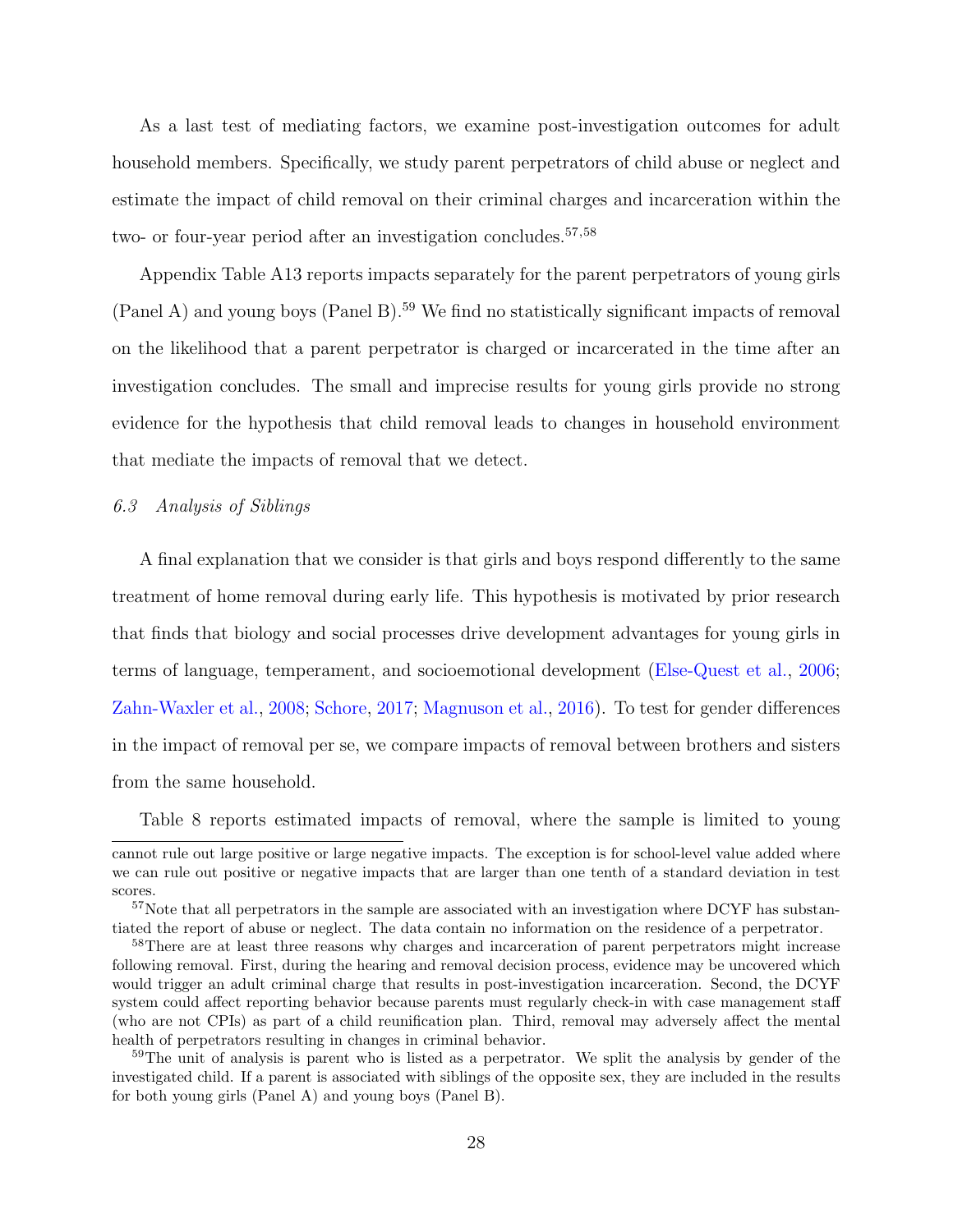As a last test of mediating factors, we examine post-investigation outcomes for adult household members. Specifically, we study parent perpetrators of child abuse or neglect and estimate the impact of child removal on their criminal charges and incarceration within the two- or four-year period after an investigation concludes.<sup>[57](#page-29-0),[58](#page-29-1)</sup>

Appendix Table [A13](#page-63-0) reports impacts separately for the parent perpetrators of young girls  $(Pane A)$  and young boys  $(Pane B)$ .<sup>[59](#page-29-2)</sup> We find no statistically significant impacts of removal on the likelihood that a parent perpetrator is charged or incarcerated in the time after an investigation concludes. The small and imprecise results for young girls provide no strong evidence for the hypothesis that child removal leads to changes in household environment that mediate the impacts of removal that we detect.

## 6.3 Analysis of Siblings

A final explanation that we consider is that girls and boys respond differently to the same treatment of home removal during early life. This hypothesis is motivated by prior research that finds that biology and social processes drive development advantages for young girls in terms of language, temperament, and socioemotional development [\(Else-Quest et al.,](#page-37-13) [2006;](#page-37-13) [Zahn-Waxler et al.,](#page-40-1) [2008;](#page-40-1) [Schore,](#page-39-11) [2017;](#page-39-11) [Magnuson et al.,](#page-39-12) [2016\)](#page-39-12). To test for gender differences in the impact of removal per se, we compare impacts of removal between brothers and sisters from the same household.

Table [8](#page-48-0) reports estimated impacts of removal, where the sample is limited to young

cannot rule out large positive or large negative impacts. The exception is for school-level value added where we can rule out positive or negative impacts that are larger than one tenth of a standard deviation in test scores.

<span id="page-29-0"></span><sup>&</sup>lt;sup>57</sup>Note that all perpetrators in the sample are associated with an investigation where DCYF has substantiated the report of abuse or neglect. The data contain no information on the residence of a perpetrator.

<span id="page-29-1"></span><sup>58</sup>There are at least three reasons why charges and incarceration of parent perpetrators might increase following removal. First, during the hearing and removal decision process, evidence may be uncovered which would trigger an adult criminal charge that results in post-investigation incarceration. Second, the DCYF system could affect reporting behavior because parents must regularly check-in with case management staff (who are not CPIs) as part of a child reunification plan. Third, removal may adversely affect the mental health of perpetrators resulting in changes in criminal behavior.

<span id="page-29-2"></span><sup>&</sup>lt;sup>59</sup>The unit of analysis is parent who is listed as a perpetrator. We split the analysis by gender of the investigated child. If a parent is associated with siblings of the opposite sex, they are included in the results for both young girls (Panel A) and young boys (Panel B).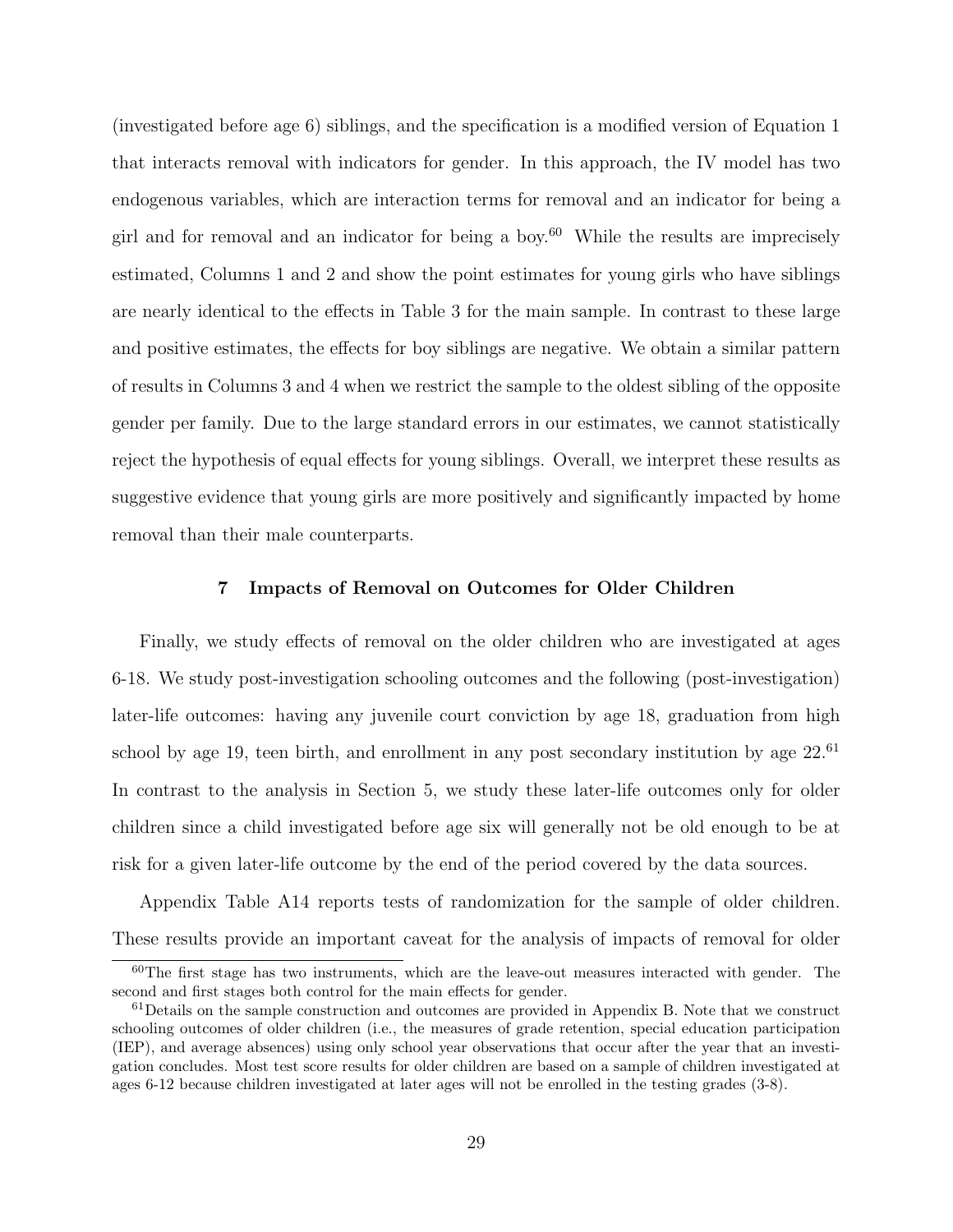(investigated before age 6) siblings, and the specification is a modified version of Equation [1](#page-13-1) that interacts removal with indicators for gender. In this approach, the IV model has two endogenous variables, which are interaction terms for removal and an indicator for being a girl and for removal and an indicator for being a boy.<sup>[60](#page-30-1)</sup> While the results are imprecisely estimated, Columns 1 and 2 and show the point estimates for young girls who have siblings are nearly identical to the effects in Table [3](#page-43-0) for the main sample. In contrast to these large and positive estimates, the effects for boy siblings are negative. We obtain a similar pattern of results in Columns 3 and 4 when we restrict the sample to the oldest sibling of the opposite gender per family. Due to the large standard errors in our estimates, we cannot statistically reject the hypothesis of equal effects for young siblings. Overall, we interpret these results as suggestive evidence that young girls are more positively and significantly impacted by home removal than their male counterparts.

## 7 Impacts of Removal on Outcomes for Older Children

<span id="page-30-0"></span>Finally, we study effects of removal on the older children who are investigated at ages 6-18. We study post-investigation schooling outcomes and the following (post-investigation) later-life outcomes: having any juvenile court conviction by age 18, graduation from high school by age 19, teen birth, and enrollment in any post secondary institution by age  $22^{61}$  $22^{61}$  $22^{61}$ In contrast to the analysis in Section [5,](#page-19-1) we study these later-life outcomes only for older children since a child investigated before age six will generally not be old enough to be at risk for a given later-life outcome by the end of the period covered by the data sources.

Appendix Table [A14](#page-64-0) reports tests of randomization for the sample of older children. These results provide an important caveat for the analysis of impacts of removal for older

<span id="page-30-1"></span><sup>60</sup>The first stage has two instruments, which are the leave-out measures interacted with gender. The second and first stages both control for the main effects for gender.

<span id="page-30-2"></span> $61$  Details on the sample construction and outcomes are provided in Appendix [B.](#page-69-0) Note that we construct schooling outcomes of older children (i.e., the measures of grade retention, special education participation (IEP), and average absences) using only school year observations that occur after the year that an investigation concludes. Most test score results for older children are based on a sample of children investigated at ages 6-12 because children investigated at later ages will not be enrolled in the testing grades (3-8).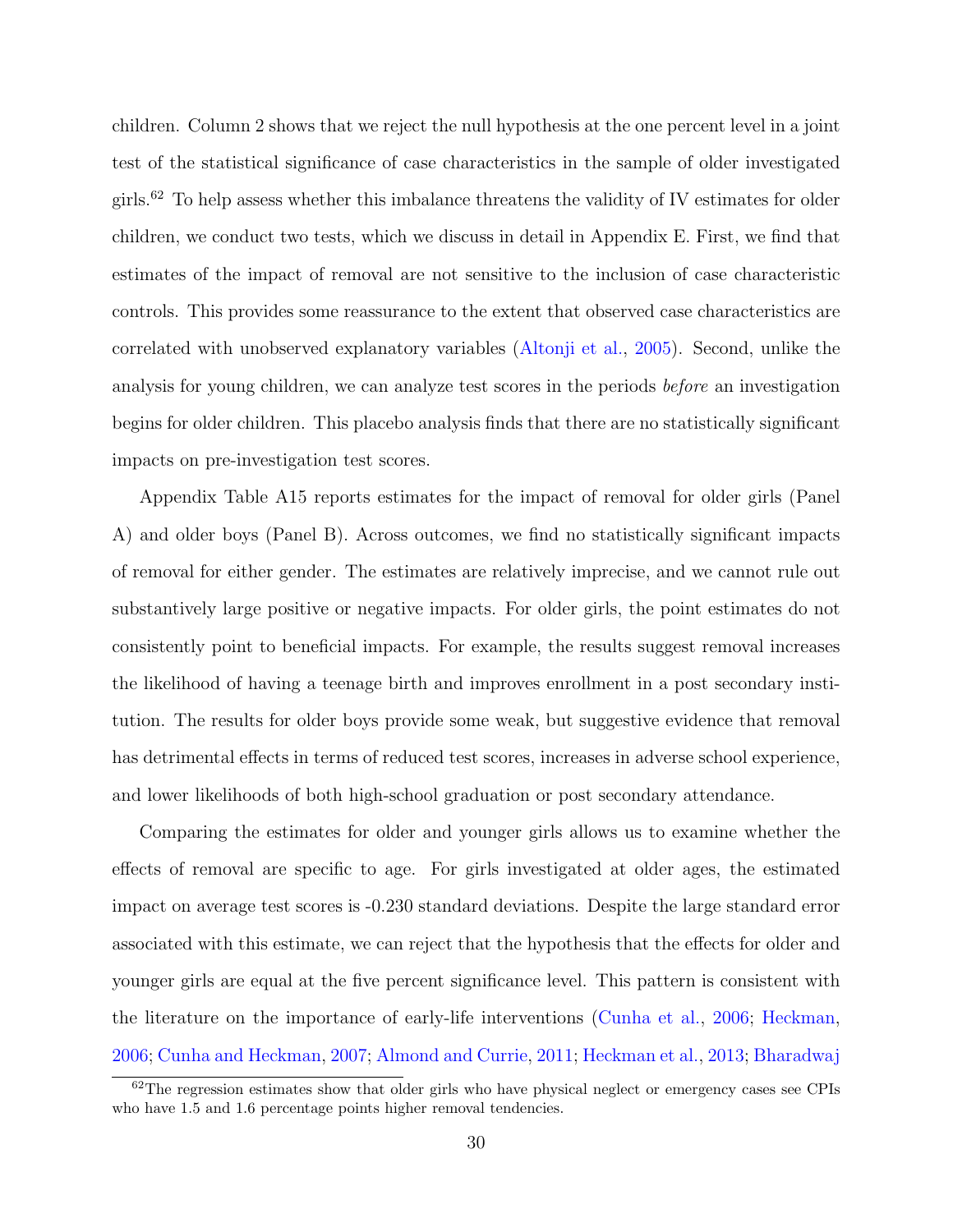children. Column 2 shows that we reject the null hypothesis at the one percent level in a joint test of the statistical significance of case characteristics in the sample of older investigated girls.<sup>[62](#page-31-0)</sup> To help assess whether this imbalance threatens the validity of IV estimates for older children, we conduct two tests, which we discuss in detail in Appendix [E.](#page-87-0) First, we find that estimates of the impact of removal are not sensitive to the inclusion of case characteristic controls. This provides some reassurance to the extent that observed case characteristics are correlated with unobserved explanatory variables [\(Altonji et al.,](#page-34-11) [2005\)](#page-34-11). Second, unlike the analysis for young children, we can analyze test scores in the periods before an investigation begins for older children. This placebo analysis finds that there are no statistically significant impacts on pre-investigation test scores.

Appendix Table [A15](#page-65-0) reports estimates for the impact of removal for older girls (Panel A) and older boys (Panel B). Across outcomes, we find no statistically significant impacts of removal for either gender. The estimates are relatively imprecise, and we cannot rule out substantively large positive or negative impacts. For older girls, the point estimates do not consistently point to beneficial impacts. For example, the results suggest removal increases the likelihood of having a teenage birth and improves enrollment in a post secondary institution. The results for older boys provide some weak, but suggestive evidence that removal has detrimental effects in terms of reduced test scores, increases in adverse school experience, and lower likelihoods of both high-school graduation or post secondary attendance.

Comparing the estimates for older and younger girls allows us to examine whether the effects of removal are specific to age. For girls investigated at older ages, the estimated impact on average test scores is -0.230 standard deviations. Despite the large standard error associated with this estimate, we can reject that the hypothesis that the effects for older and younger girls are equal at the five percent significance level. This pattern is consistent with the literature on the importance of early-life interventions [\(Cunha et al.,](#page-36-0) [2006;](#page-36-0) [Heckman,](#page-38-1) [2006;](#page-38-1) [Cunha and Heckman,](#page-36-1) [2007;](#page-36-1) [Almond and Currie,](#page-34-0) [2011;](#page-34-0) [Heckman et al.,](#page-38-2) [2013;](#page-38-2) [Bharadwaj](#page-35-9)

<span id="page-31-0"></span> $62$ [The regression estimates show that older girls who have physical neglect or emergency cases see CPIs](#page-35-9) [who have 1.5 and 1.6 percentage points higher removal tendencies.](#page-35-9)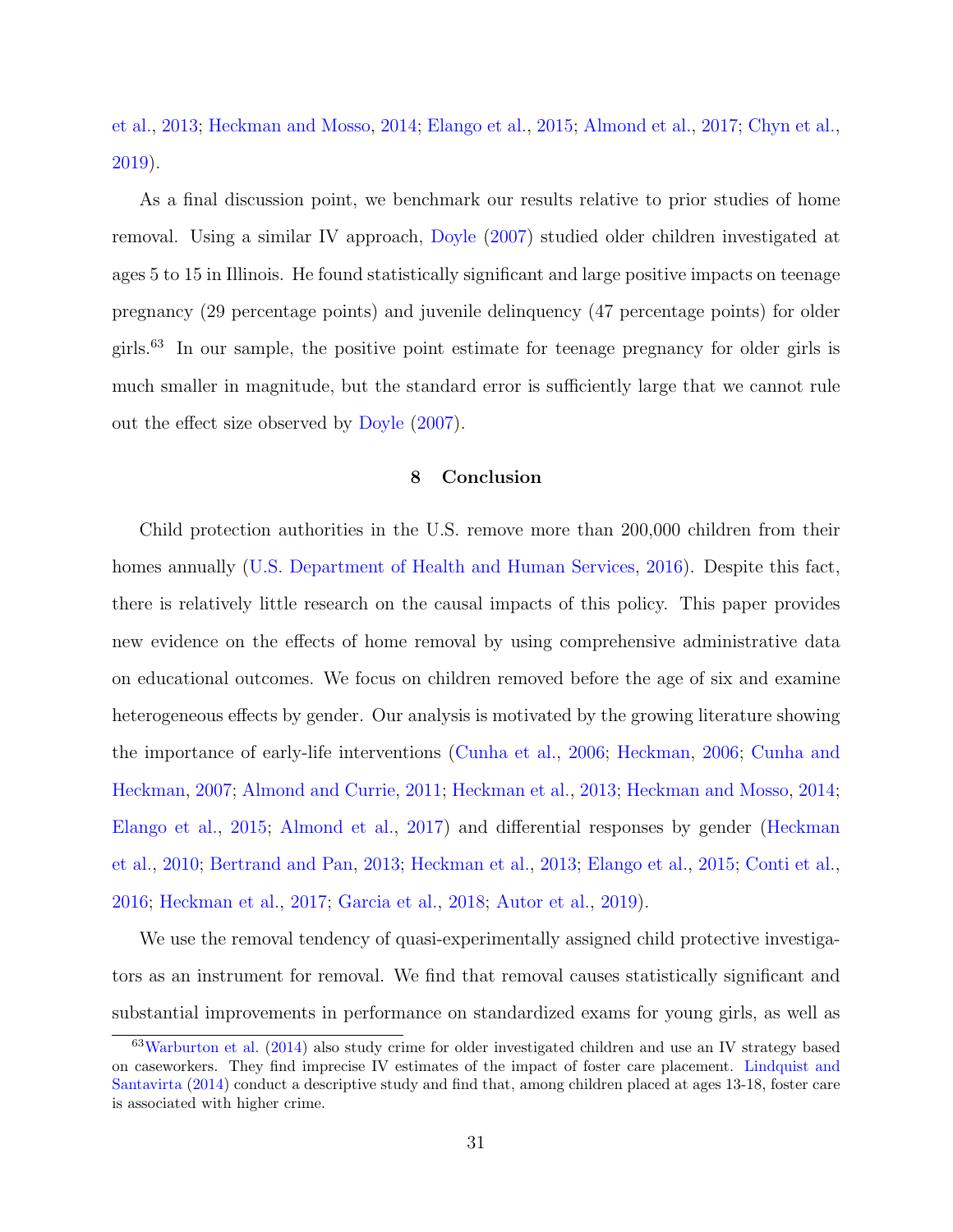[et al.,](#page-35-9) [2013;](#page-35-9) [Heckman and Mosso,](#page-38-3) [2014;](#page-38-3) [Elango et al.,](#page-37-4) [2015;](#page-37-4) [Almond et al.,](#page-34-1) [2017;](#page-34-1) [Chyn et al.,](#page-36-11) [2019\)](#page-36-11).

As a final discussion point, we benchmark our results relative to prior studies of home removal. Using a similar IV approach, [Doyle](#page-37-2) [\(2007\)](#page-37-2) studied older children investigated at ages 5 to 15 in Illinois. He found statistically significant and large positive impacts on teenage pregnancy (29 percentage points) and juvenile delinquency (47 percentage points) for older girls.[63](#page-32-0) In our sample, the positive point estimate for teenage pregnancy for older girls is much smaller in magnitude, but the standard error is sufficiently large that we cannot rule out the effect size observed by [Doyle](#page-37-2) [\(2007\)](#page-37-2).

## 8 Conclusion

Child protection authorities in the U.S. remove more than 200,000 children from their homes annually [\(U.S. Department of Health and Human Services,](#page-39-0) [2016\)](#page-39-0). Despite this fact, there is relatively little research on the causal impacts of this policy. This paper provides new evidence on the effects of home removal by using comprehensive administrative data on educational outcomes. We focus on children removed before the age of six and examine heterogeneous effects by gender. Our analysis is motivated by the growing literature showing the importance of early-life interventions [\(Cunha et al.,](#page-36-0) [2006;](#page-36-0) [Heckman,](#page-38-1) [2006;](#page-38-1) [Cunha and](#page-36-1) [Heckman,](#page-36-1) [2007;](#page-36-1) [Almond and Currie,](#page-34-0) [2011;](#page-34-0) [Heckman et al.,](#page-38-2) [2013;](#page-38-2) [Heckman and Mosso,](#page-38-3) [2014;](#page-38-3) [Elango et al.,](#page-37-4) [2015;](#page-37-4) [Almond et al.,](#page-34-1) [2017\)](#page-34-1) and differential responses by gender [\(Heckman](#page-38-4) [et al.,](#page-38-4) [2010;](#page-38-4) [Bertrand and Pan,](#page-35-3) [2013;](#page-35-3) [Heckman et al.,](#page-38-2) [2013;](#page-38-2) [Elango et al.,](#page-37-4) [2015;](#page-37-4) [Conti et al.,](#page-36-4) [2016;](#page-36-4) [Heckman et al.,](#page-38-5) [2017;](#page-38-5) [Garcia et al.,](#page-37-7) [2018;](#page-37-7) [Autor et al.,](#page-34-3) [2019\)](#page-34-3).

We use the removal tendency of quasi-experimentally assigned child protective investigators as an instrument for removal. We find that removal causes statistically significant and substantial improvements in performance on standardized exams for young girls, as well as

<span id="page-32-0"></span><sup>63</sup>[Warburton et al.](#page-39-13) [\(2014\)](#page-39-13) also study crime for older investigated children and use an IV strategy based on caseworkers. They find imprecise IV estimates of the impact of foster care placement. [Lindquist and](#page-39-14) [Santavirta](#page-39-14) [\(2014\)](#page-39-14) conduct a descriptive study and find that, among children placed at ages 13-18, foster care is associated with higher crime.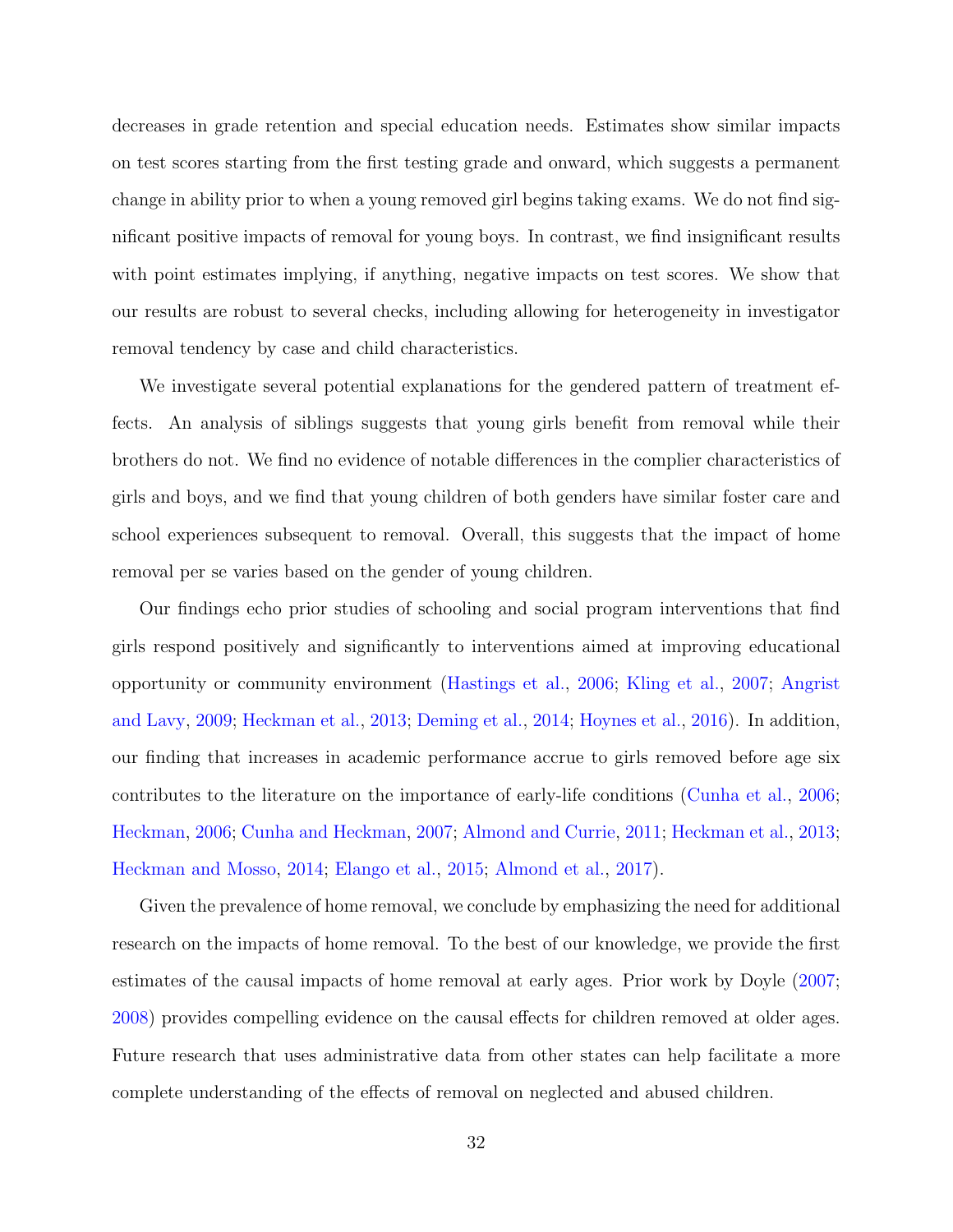decreases in grade retention and special education needs. Estimates show similar impacts on test scores starting from the first testing grade and onward, which suggests a permanent change in ability prior to when a young removed girl begins taking exams. We do not find significant positive impacts of removal for young boys. In contrast, we find insignificant results with point estimates implying, if anything, negative impacts on test scores. We show that our results are robust to several checks, including allowing for heterogeneity in investigator removal tendency by case and child characteristics.

We investigate several potential explanations for the gendered pattern of treatment effects. An analysis of siblings suggests that young girls benefit from removal while their brothers do not. We find no evidence of notable differences in the complier characteristics of girls and boys, and we find that young children of both genders have similar foster care and school experiences subsequent to removal. Overall, this suggests that the impact of home removal per se varies based on the gender of young children.

Our findings echo prior studies of schooling and social program interventions that find girls respond positively and significantly to interventions aimed at improving educational opportunity or community environment [\(Hastings et al.,](#page-37-9) [2006;](#page-37-9) [Kling et al.,](#page-39-6) [2007;](#page-39-6) [Angrist](#page-34-7) [and Lavy,](#page-34-7) [2009;](#page-34-7) [Heckman et al.,](#page-38-2) [2013;](#page-38-2) [Deming et al.,](#page-36-8) [2014;](#page-36-8) [Hoynes et al.,](#page-38-6) [2016\)](#page-38-6). In addition, our finding that increases in academic performance accrue to girls removed before age six contributes to the literature on the importance of early-life conditions [\(Cunha et al.,](#page-36-0) [2006;](#page-36-0) [Heckman,](#page-38-1) [2006;](#page-38-1) [Cunha and Heckman,](#page-36-1) [2007;](#page-36-1) [Almond and Currie,](#page-34-0) [2011;](#page-34-0) [Heckman et al.,](#page-38-2) [2013;](#page-38-2) [Heckman and Mosso,](#page-38-3) [2014;](#page-38-3) [Elango et al.,](#page-37-4) [2015;](#page-37-4) [Almond et al.,](#page-34-1) [2017\)](#page-34-1).

Given the prevalence of home removal, we conclude by emphasizing the need for additional research on the impacts of home removal. To the best of our knowledge, we provide the first estimates of the causal impacts of home removal at early ages. Prior work by Doyle [\(2007;](#page-37-2) [2008\)](#page-37-3) provides compelling evidence on the causal effects for children removed at older ages. Future research that uses administrative data from other states can help facilitate a more complete understanding of the effects of removal on neglected and abused children.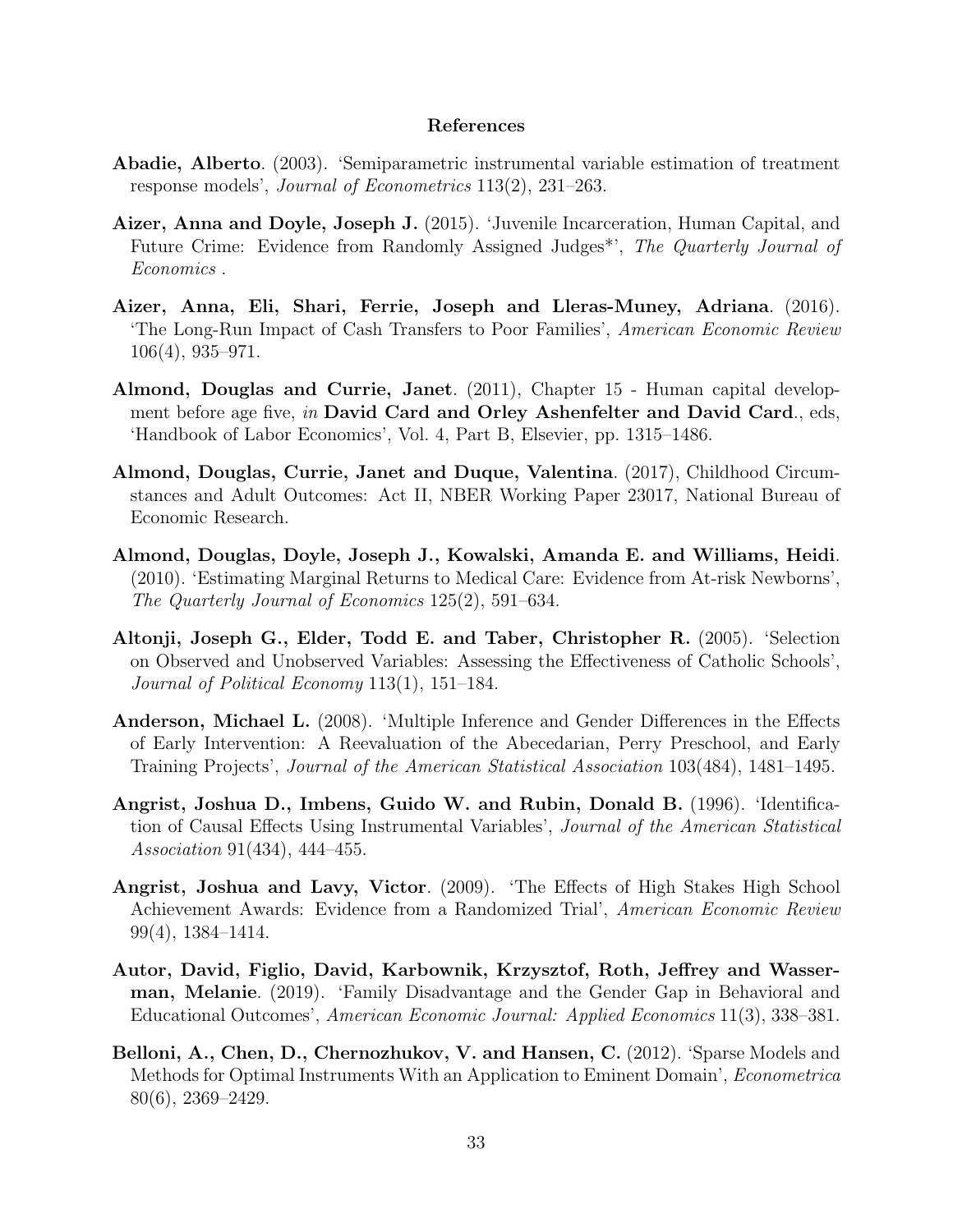## References

- <span id="page-34-10"></span>Abadie, Alberto. (2003). 'Semiparametric instrumental variable estimation of treatment response models', Journal of Econometrics 113(2), 231–263.
- <span id="page-34-2"></span>Aizer, Anna and Doyle, Joseph J. (2015). 'Juvenile Incarceration, Human Capital, and Future Crime: Evidence from Randomly Assigned Judges<sup>\*</sup>', The Quarterly Journal of Economics .
- <span id="page-34-6"></span>Aizer, Anna, Eli, Shari, Ferrie, Joseph and Lleras-Muney, Adriana. (2016). 'The Long-Run Impact of Cash Transfers to Poor Families', American Economic Review 106(4), 935–971.
- <span id="page-34-0"></span>Almond, Douglas and Currie, Janet. (2011), Chapter 15 - Human capital development before age five, in David Card and Orley Ashenfelter and David Card., eds, 'Handbook of Labor Economics', Vol. 4, Part B, Elsevier, pp. 1315–1486.
- <span id="page-34-1"></span>Almond, Douglas, Currie, Janet and Duque, Valentina. (2017), Childhood Circumstances and Adult Outcomes: Act II, NBER Working Paper 23017, National Bureau of Economic Research.
- <span id="page-34-5"></span>Almond, Douglas, Doyle, Joseph J., Kowalski, Amanda E. and Williams, Heidi. (2010). 'Estimating Marginal Returns to Medical Care: Evidence from At-risk Newborns', The Quarterly Journal of Economics 125(2), 591–634.
- <span id="page-34-11"></span>Altonji, Joseph G., Elder, Todd E. and Taber, Christopher R. (2005). 'Selection on Observed and Unobserved Variables: Assessing the Effectiveness of Catholic Schools', Journal of Political Economy 113(1), 151–184.
- <span id="page-34-4"></span>Anderson, Michael L. (2008). 'Multiple Inference and Gender Differences in the Effects of Early Intervention: A Reevaluation of the Abecedarian, Perry Preschool, and Early Training Projects', Journal of the American Statistical Association 103(484), 1481–1495.
- <span id="page-34-9"></span>Angrist, Joshua D., Imbens, Guido W. and Rubin, Donald B. (1996). 'Identification of Causal Effects Using Instrumental Variables', Journal of the American Statistical Association 91(434), 444–455.
- <span id="page-34-7"></span>Angrist, Joshua and Lavy, Victor. (2009). 'The Effects of High Stakes High School Achievement Awards: Evidence from a Randomized Trial', American Economic Review 99(4), 1384–1414.
- <span id="page-34-3"></span>Autor, David, Figlio, David, Karbownik, Krzysztof, Roth, Jeffrey and Wasserman, Melanie. (2019). 'Family Disadvantage and the Gender Gap in Behavioral and Educational Outcomes', American Economic Journal: Applied Economics 11(3), 338–381.
- <span id="page-34-8"></span>Belloni, A., Chen, D., Chernozhukov, V. and Hansen, C. (2012). 'Sparse Models and Methods for Optimal Instruments With an Application to Eminent Domain', Econometrica 80(6), 2369–2429.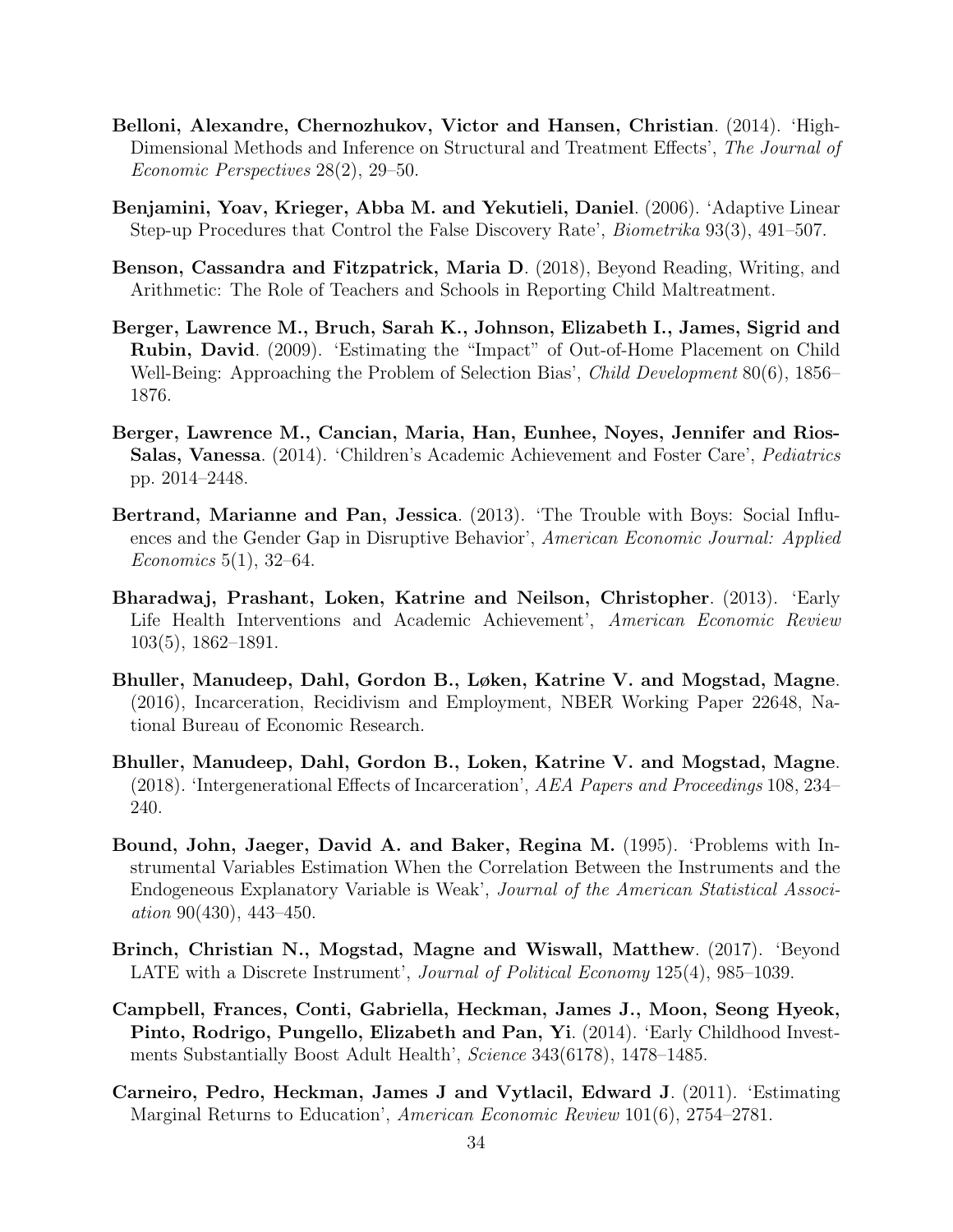- <span id="page-35-2"></span>Belloni, Alexandre, Chernozhukov, Victor and Hansen, Christian. (2014). 'High-Dimensional Methods and Inference on Structural and Treatment Effects', The Journal of Economic Perspectives 28(2), 29–50.
- <span id="page-35-10"></span>Benjamini, Yoav, Krieger, Abba M. and Yekutieli, Daniel. (2006). 'Adaptive Linear Step-up Procedures that Control the False Discovery Rate', Biometrika 93(3), 491–507.
- <span id="page-35-4"></span>Benson, Cassandra and Fitzpatrick, Maria D. (2018), Beyond Reading, Writing, and Arithmetic: The Role of Teachers and Schools in Reporting Child Maltreatment.
- <span id="page-35-6"></span>Berger, Lawrence M., Bruch, Sarah K., Johnson, Elizabeth I., James, Sigrid and Rubin, David. (2009). 'Estimating the "Impact" of Out-of-Home Placement on Child Well-Being: Approaching the Problem of Selection Bias', *Child Development* 80(6), 1856– 1876.
- <span id="page-35-7"></span>Berger, Lawrence M., Cancian, Maria, Han, Eunhee, Noyes, Jennifer and Rios-Salas, Vanessa. (2014). 'Children's Academic Achievement and Foster Care', Pediatrics pp. 2014–2448.
- <span id="page-35-3"></span>Bertrand, Marianne and Pan, Jessica. (2013). 'The Trouble with Boys: Social Influences and the Gender Gap in Disruptive Behavior', American Economic Journal: Applied Economics 5(1), 32–64.
- <span id="page-35-9"></span>Bharadwaj, Prashant, Loken, Katrine and Neilson, Christopher. (2013). 'Early Life Health Interventions and Academic Achievement', American Economic Review 103(5), 1862–1891.
- <span id="page-35-0"></span>Bhuller, Manudeep, Dahl, Gordon B., Løken, Katrine V. and Mogstad, Magne. (2016), Incarceration, Recidivism and Employment, NBER Working Paper 22648, National Bureau of Economic Research.
- <span id="page-35-1"></span>Bhuller, Manudeep, Dahl, Gordon B., Loken, Katrine V. and Mogstad, Magne. (2018). 'Intergenerational Effects of Incarceration', AEA Papers and Proceedings 108, 234– 240.
- <span id="page-35-8"></span>Bound, John, Jaeger, David A. and Baker, Regina M. (1995). 'Problems with Instrumental Variables Estimation When the Correlation Between the Instruments and the Endogeneous Explanatory Variable is Weak', Journal of the American Statistical Associ $ation 90(430), 443-450.$
- <span id="page-35-12"></span>Brinch, Christian N., Mogstad, Magne and Wiswall, Matthew. (2017). 'Beyond LATE with a Discrete Instrument', *Journal of Political Economy* 125(4), 985–1039.
- <span id="page-35-5"></span>Campbell, Frances, Conti, Gabriella, Heckman, James J., Moon, Seong Hyeok, Pinto, Rodrigo, Pungello, Elizabeth and Pan, Yi. (2014). 'Early Childhood Investments Substantially Boost Adult Health', Science 343(6178), 1478–1485.
- <span id="page-35-11"></span>Carneiro, Pedro, Heckman, James J and Vytlacil, Edward J. (2011). 'Estimating Marginal Returns to Education', American Economic Review 101(6), 2754–2781.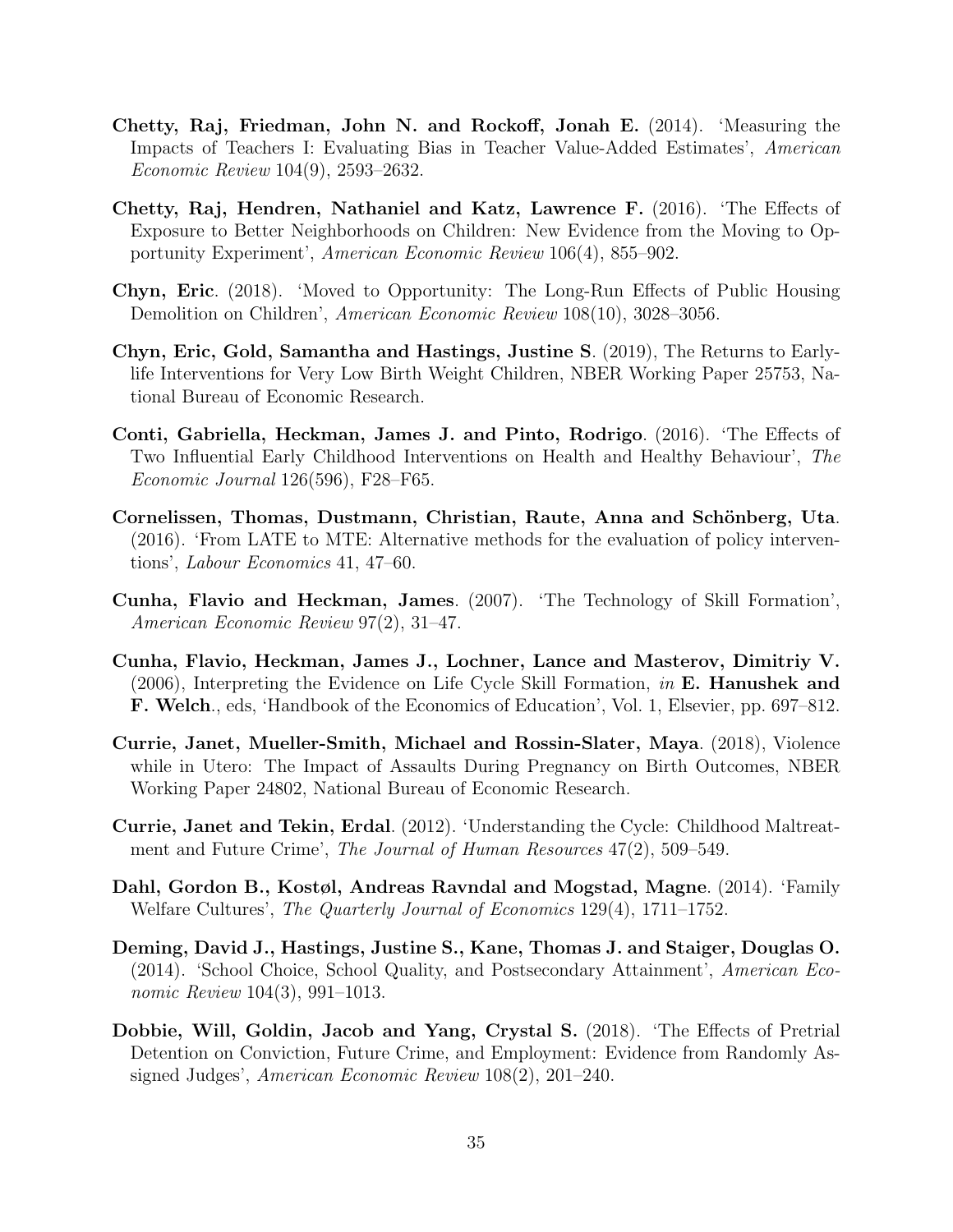- Chetty, Raj, Friedman, John N. and Rockoff, Jonah E. (2014). 'Measuring the Impacts of Teachers I: Evaluating Bias in Teacher Value-Added Estimates', American Economic Review 104(9), 2593–2632.
- Chetty, Raj, Hendren, Nathaniel and Katz, Lawrence F. (2016). 'The Effects of Exposure to Better Neighborhoods on Children: New Evidence from the Moving to Opportunity Experiment', American Economic Review 106(4), 855–902.
- Chyn, Eric. (2018). 'Moved to Opportunity: The Long-Run Effects of Public Housing Demolition on Children', American Economic Review 108(10), 3028–3056.
- Chyn, Eric, Gold, Samantha and Hastings, Justine S. (2019), The Returns to Earlylife Interventions for Very Low Birth Weight Children, NBER Working Paper 25753, National Bureau of Economic Research.
- Conti, Gabriella, Heckman, James J. and Pinto, Rodrigo. (2016). 'The Effects of Two Influential Early Childhood Interventions on Health and Healthy Behaviour', The Economic Journal 126(596), F28–F65.
- Cornelissen, Thomas, Dustmann, Christian, Raute, Anna and Schönberg, Uta. (2016). 'From LATE to MTE: Alternative methods for the evaluation of policy interventions', Labour Economics 41, 47–60.
- Cunha, Flavio and Heckman, James. (2007). 'The Technology of Skill Formation', American Economic Review 97(2), 31–47.
- Cunha, Flavio, Heckman, James J., Lochner, Lance and Masterov, Dimitriy V. (2006), Interpreting the Evidence on Life Cycle Skill Formation, in E. Hanushek and F. Welch., eds, 'Handbook of the Economics of Education', Vol. 1, Elsevier, pp. 697–812.
- Currie, Janet, Mueller-Smith, Michael and Rossin-Slater, Maya. (2018), Violence while in Utero: The Impact of Assaults During Pregnancy on Birth Outcomes, NBER Working Paper 24802, National Bureau of Economic Research.
- Currie, Janet and Tekin, Erdal. (2012). 'Understanding the Cycle: Childhood Maltreatment and Future Crime', The Journal of Human Resources 47(2), 509–549.
- <span id="page-36-0"></span>Dahl, Gordon B., Kostøl, Andreas Ravndal and Mogstad, Magne. (2014). 'Family Welfare Cultures', The Quarterly Journal of Economics 129(4), 1711–1752.
- Deming, David J., Hastings, Justine S., Kane, Thomas J. and Staiger, Douglas O. (2014). 'School Choice, School Quality, and Postsecondary Attainment', American Economic Review 104(3), 991-1013.
- <span id="page-36-1"></span>Dobbie, Will, Goldin, Jacob and Yang, Crystal S. (2018). 'The Effects of Pretrial Detention on Conviction, Future Crime, and Employment: Evidence from Randomly Assigned Judges', American Economic Review 108(2), 201–240.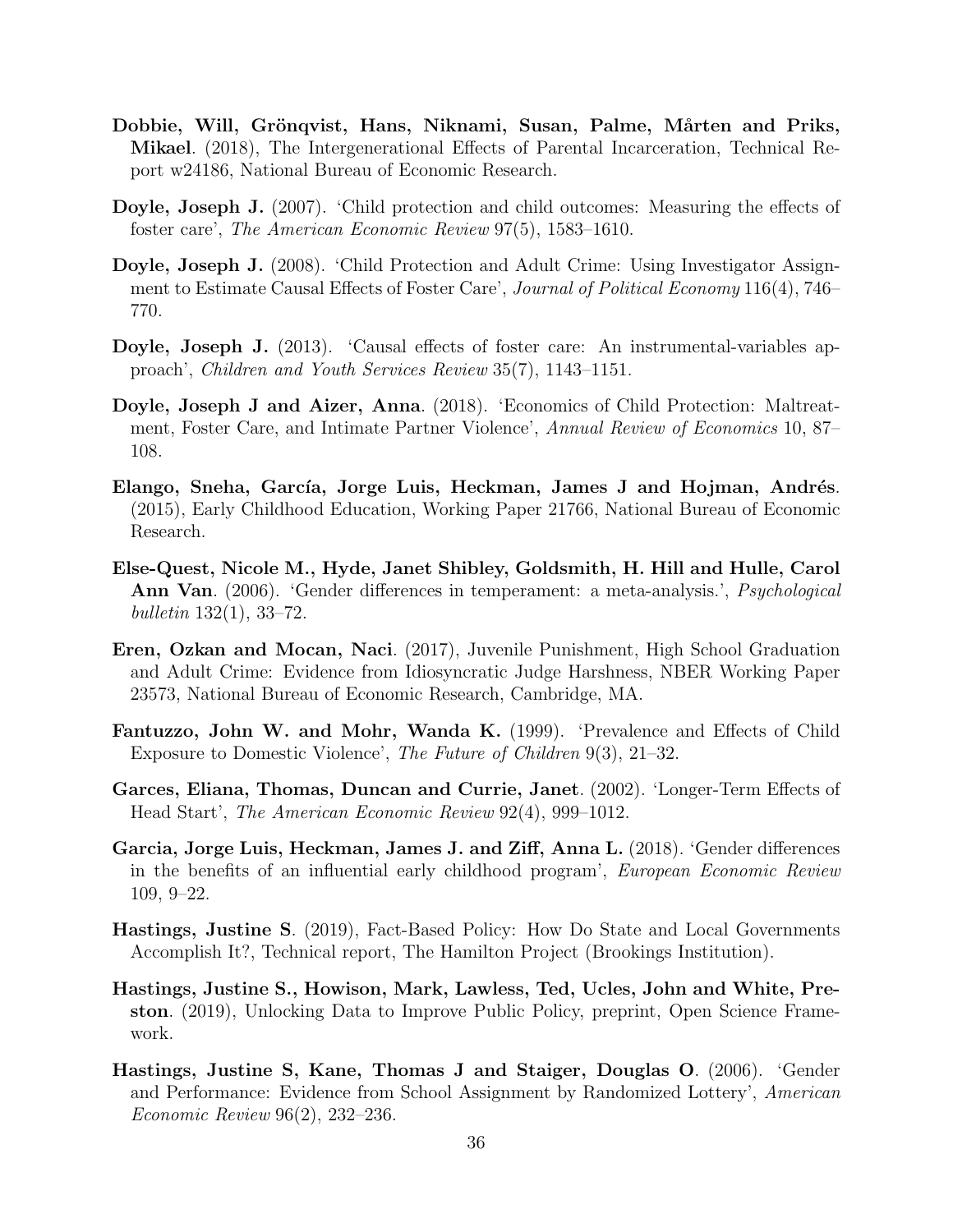- Dobbie, Will, Grönqvist, Hans, Niknami, Susan, Palme, Mårten and Priks, Mikael. (2018), The Intergenerational Effects of Parental Incarceration, Technical Report w24186, National Bureau of Economic Research.
- Doyle, Joseph J. (2007). 'Child protection and child outcomes: Measuring the effects of foster care', The American Economic Review 97(5), 1583–1610.
- Doyle, Joseph J. (2008). 'Child Protection and Adult Crime: Using Investigator Assignment to Estimate Causal Effects of Foster Care', Journal of Political Economy 116(4), 746– 770.
- Doyle, Joseph J. (2013). 'Causal effects of foster care: An instrumental-variables approach', Children and Youth Services Review 35(7), 1143–1151.
- Doyle, Joseph J and Aizer, Anna. (2018). 'Economics of Child Protection: Maltreatment, Foster Care, and Intimate Partner Violence', Annual Review of Economics 10, 87– 108.
- Elango, Sneha, García, Jorge Luis, Heckman, James J and Hojman, Andrés. (2015), Early Childhood Education, Working Paper 21766, National Bureau of Economic Research.
- Else-Quest, Nicole M., Hyde, Janet Shibley, Goldsmith, H. Hill and Hulle, Carol Ann Van. (2006). 'Gender differences in temperament: a meta-analysis.', Psychological bulletin 132(1), 33–72.
- Eren, Ozkan and Mocan, Naci. (2017), Juvenile Punishment, High School Graduation and Adult Crime: Evidence from Idiosyncratic Judge Harshness, NBER Working Paper 23573, National Bureau of Economic Research, Cambridge, MA.
- Fantuzzo, John W. and Mohr, Wanda K. (1999). 'Prevalence and Effects of Child Exposure to Domestic Violence', The Future of Children 9(3), 21–32.
- Garces, Eliana, Thomas, Duncan and Currie, Janet. (2002). 'Longer-Term Effects of Head Start', The American Economic Review 92(4), 999–1012.
- Garcia, Jorge Luis, Heckman, James J. and Ziff, Anna L. (2018). 'Gender differences in the benefits of an influential early childhood program', European Economic Review 109, 9–22.
- Hastings, Justine S. (2019), Fact-Based Policy: How Do State and Local Governments Accomplish It?, Technical report, The Hamilton Project (Brookings Institution).
- <span id="page-37-0"></span>Hastings, Justine S., Howison, Mark, Lawless, Ted, Ucles, John and White, Preston. (2019), Unlocking Data to Improve Public Policy, preprint, Open Science Framework.
- Hastings, Justine S, Kane, Thomas J and Staiger, Douglas O. (2006). 'Gender and Performance: Evidence from School Assignment by Randomized Lottery', American Economic Review 96(2), 232–236.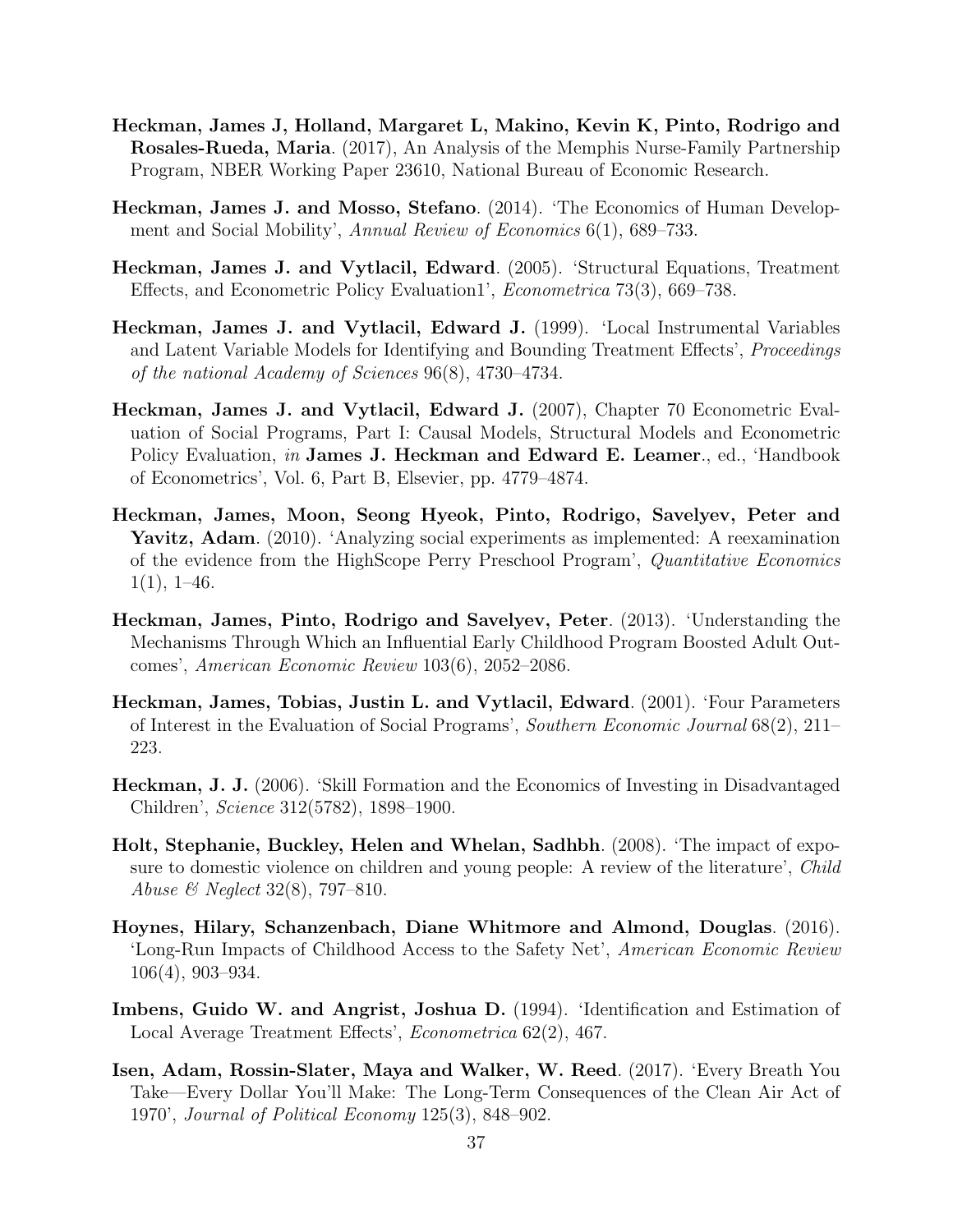- Heckman, James J, Holland, Margaret L, Makino, Kevin K, Pinto, Rodrigo and Rosales-Rueda, Maria. (2017), An Analysis of the Memphis Nurse-Family Partnership Program, NBER Working Paper 23610, National Bureau of Economic Research.
- Heckman, James J. and Mosso, Stefano. (2014). 'The Economics of Human Development and Social Mobility', Annual Review of Economics 6(1), 689–733.
- Heckman, James J. and Vytlacil, Edward. (2005). 'Structural Equations, Treatment Effects, and Econometric Policy Evaluation1', Econometrica 73(3), 669–738.
- Heckman, James J. and Vytlacil, Edward J. (1999). 'Local Instrumental Variables and Latent Variable Models for Identifying and Bounding Treatment Effects', *Proceedings* of the national Academy of Sciences 96(8), 4730–4734.
- Heckman, James J. and Vytlacil, Edward J. (2007), Chapter 70 Econometric Evaluation of Social Programs, Part I: Causal Models, Structural Models and Econometric Policy Evaluation, in James J. Heckman and Edward E. Leamer., ed., 'Handbook of Econometrics', Vol. 6, Part B, Elsevier, pp. 4779–4874.
- Heckman, James, Moon, Seong Hyeok, Pinto, Rodrigo, Savelyev, Peter and Yavitz, Adam. (2010). 'Analyzing social experiments as implemented: A reexamination of the evidence from the HighScope Perry Preschool Program', Quantitative Economics  $1(1), 1-46.$
- Heckman, James, Pinto, Rodrigo and Savelyev, Peter. (2013). 'Understanding the Mechanisms Through Which an Influential Early Childhood Program Boosted Adult Outcomes', American Economic Review 103(6), 2052–2086.
- Heckman, James, Tobias, Justin L. and Vytlacil, Edward. (2001). 'Four Parameters of Interest in the Evaluation of Social Programs', Southern Economic Journal 68(2), 211– 223.
- Heckman, J. J. (2006). 'Skill Formation and the Economics of Investing in Disadvantaged Children', Science 312(5782), 1898–1900.
- Holt, Stephanie, Buckley, Helen and Whelan, Sadhbh. (2008). 'The impact of exposure to domestic violence on children and young people: A review of the literature', *Child* Abuse & Neglect 32(8), 797–810.
- Hoynes, Hilary, Schanzenbach, Diane Whitmore and Almond, Douglas. (2016). 'Long-Run Impacts of Childhood Access to the Safety Net', American Economic Review 106(4), 903–934.
- Imbens, Guido W. and Angrist, Joshua D. (1994). 'Identification and Estimation of Local Average Treatment Effects', Econometrica 62(2), 467.
- Isen, Adam, Rossin-Slater, Maya and Walker, W. Reed. (2017). 'Every Breath You Take—Every Dollar You'll Make: The Long-Term Consequences of the Clean Air Act of 1970', Journal of Political Economy 125(3), 848–902.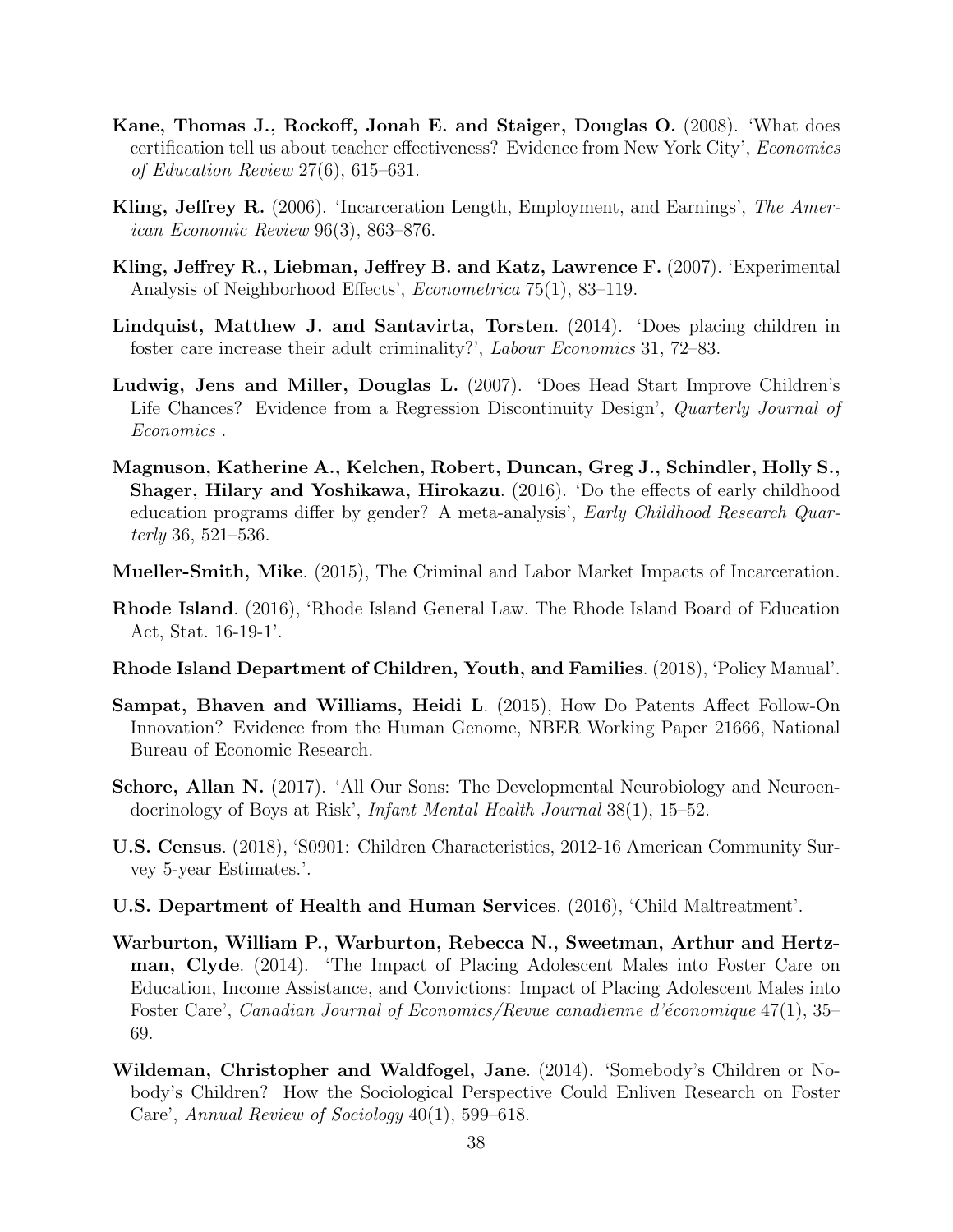- Kane, Thomas J., Rockoff, Jonah E. and Staiger, Douglas O. (2008). 'What does certification tell us about teacher effectiveness? Evidence from New York City', Economics of Education Review 27(6), 615–631.
- Kling, Jeffrey R. (2006). 'Incarceration Length, Employment, and Earnings', The American Economic Review 96(3), 863–876.
- Kling, Jeffrey R., Liebman, Jeffrey B. and Katz, Lawrence F. (2007). 'Experimental Analysis of Neighborhood Effects', Econometrica 75(1), 83–119.
- Lindquist, Matthew J. and Santavirta, Torsten. (2014). 'Does placing children in foster care increase their adult criminality?', Labour Economics 31, 72–83.
- Ludwig, Jens and Miller, Douglas L. (2007). 'Does Head Start Improve Children's Life Chances? Evidence from a Regression Discontinuity Design', Quarterly Journal of Economics .
- Magnuson, Katherine A., Kelchen, Robert, Duncan, Greg J., Schindler, Holly S., Shager, Hilary and Yoshikawa, Hirokazu. (2016). 'Do the effects of early childhood education programs differ by gender? A meta-analysis', Early Childhood Research Quarterly 36, 521–536.
- Mueller-Smith, Mike. (2015), The Criminal and Labor Market Impacts of Incarceration.
- Rhode Island. (2016), 'Rhode Island General Law. The Rhode Island Board of Education Act, Stat. 16-19-1'.
- Rhode Island Department of Children, Youth, and Families. (2018), 'Policy Manual'.
- Sampat, Bhaven and Williams, Heidi L. (2015), How Do Patents Affect Follow-On Innovation? Evidence from the Human Genome, NBER Working Paper 21666, National Bureau of Economic Research.
- Schore, Allan N. (2017). 'All Our Sons: The Developmental Neurobiology and Neuroendocrinology of Boys at Risk', Infant Mental Health Journal 38(1), 15–52.
- U.S. Census. (2018), 'S0901: Children Characteristics, 2012-16 American Community Survey 5-year Estimates.'.
- U.S. Department of Health and Human Services. (2016), 'Child Maltreatment'.
- Warburton, William P., Warburton, Rebecca N., Sweetman, Arthur and Hertzman, Clyde. (2014). 'The Impact of Placing Adolescent Males into Foster Care on Education, Income Assistance, and Convictions: Impact of Placing Adolescent Males into Foster Care', Canadian Journal of Economics/Revue canadienne d'économique  $47(1)$ , 35– 69.
- Wildeman, Christopher and Waldfogel, Jane. (2014). 'Somebody's Children or Nobody's Children? How the Sociological Perspective Could Enliven Research on Foster Care', Annual Review of Sociology 40(1), 599–618.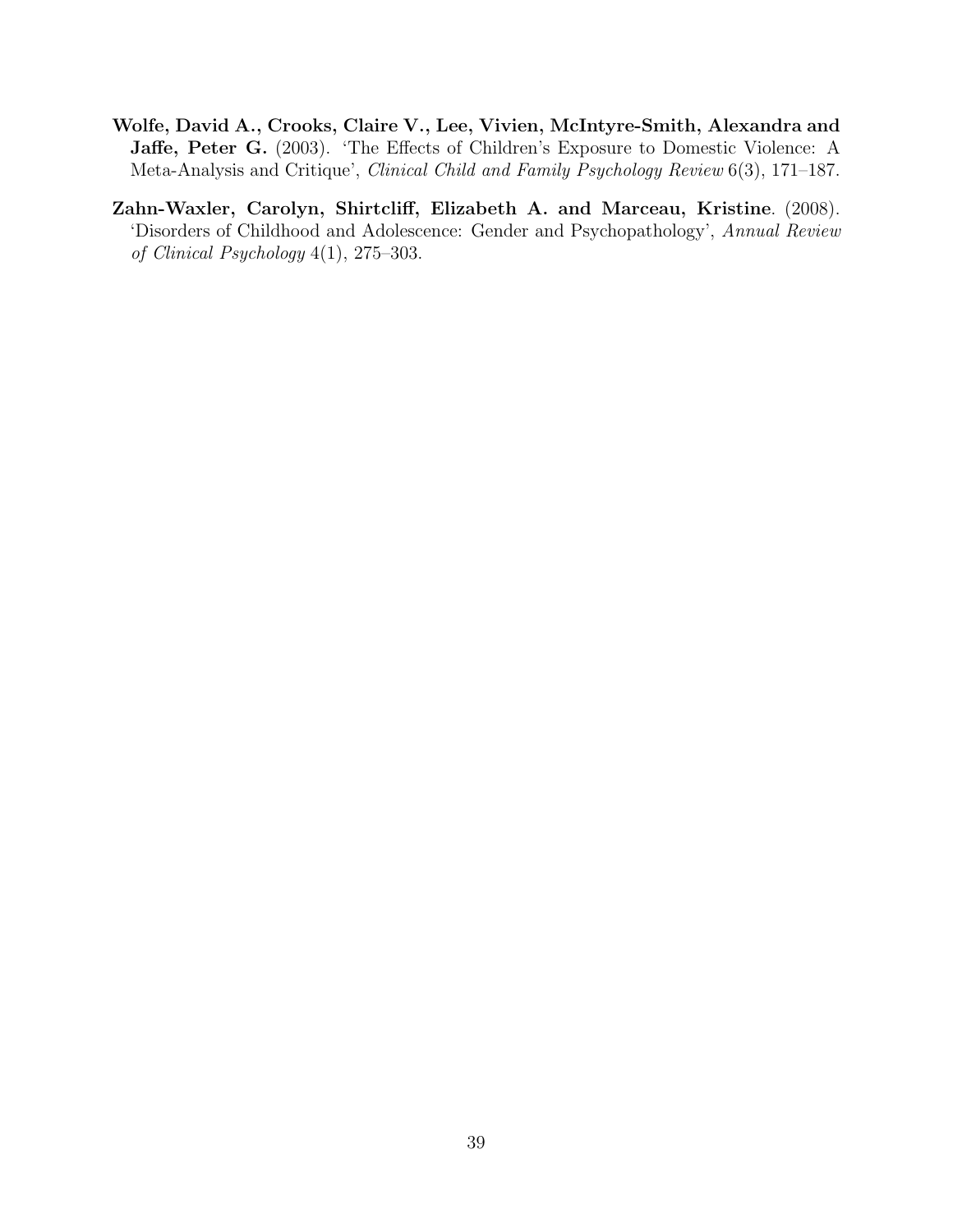- Wolfe, David A., Crooks, Claire V., Lee, Vivien, McIntyre-Smith, Alexandra and Jaffe, Peter G. (2003). 'The Effects of Children's Exposure to Domestic Violence: A Meta-Analysis and Critique', Clinical Child and Family Psychology Review 6(3), 171–187.
- Zahn-Waxler, Carolyn, Shirtcliff, Elizabeth A. and Marceau, Kristine. (2008). 'Disorders of Childhood and Adolescence: Gender and Psychopathology', Annual Review of Clinical Psychology 4(1), 275–303.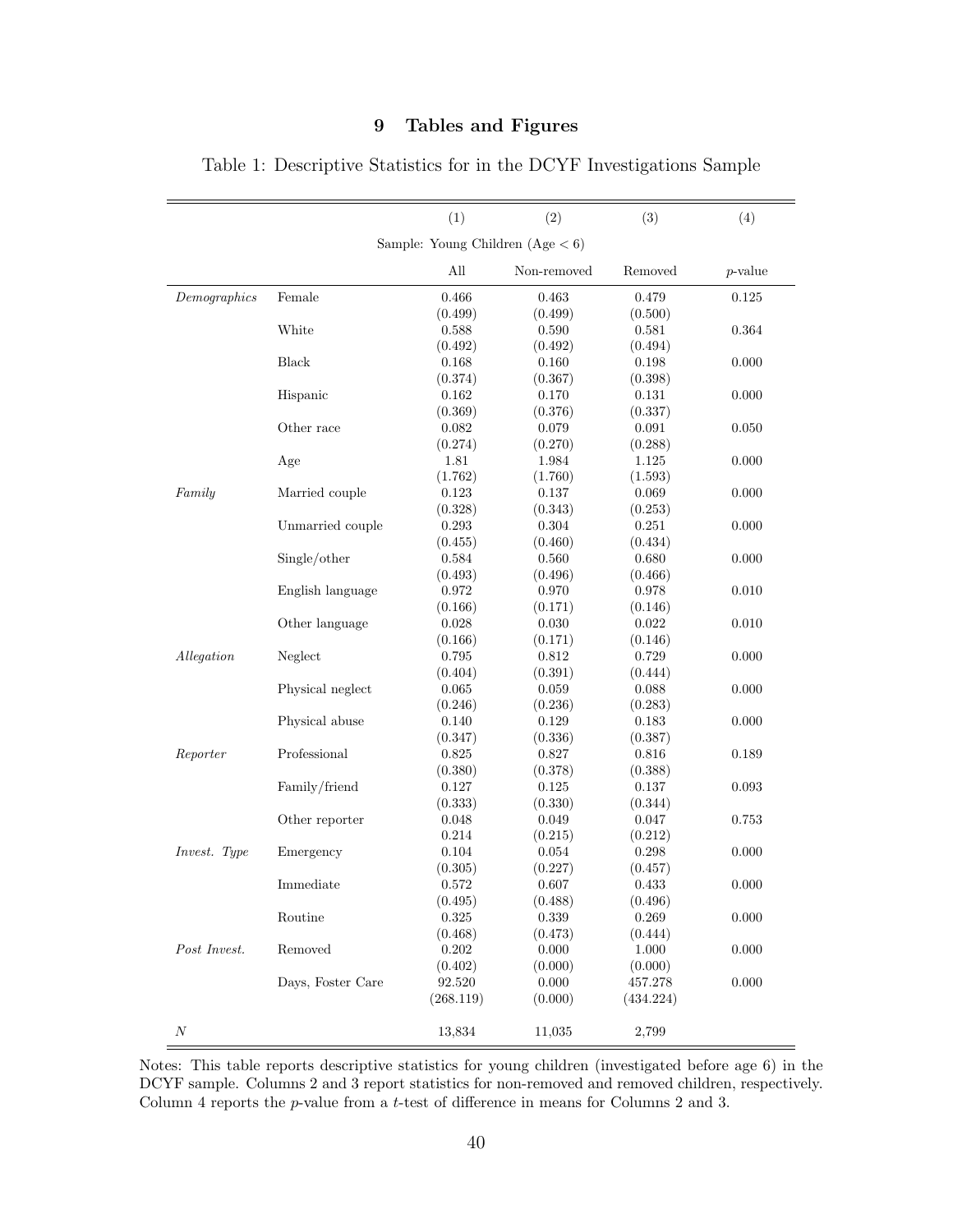# 9 Tables and Figures

|                                    |                   | (1)       | (2)         | (3)       | (4)        |  |
|------------------------------------|-------------------|-----------|-------------|-----------|------------|--|
| Sample: Young Children $(Age < 6)$ |                   |           |             |           |            |  |
|                                    |                   | All       | Non-removed | Removed   | $p$ -value |  |
| $\label{lem:gen} Demographies$     | Female            | 0.466     | 0.463       | 0.479     | 0.125      |  |
|                                    |                   | (0.499)   | (0.499)     | (0.500)   |            |  |
|                                    | White             | 0.588     | 0.590       | 0.581     | 0.364      |  |
|                                    |                   | (0.492)   | (0.492)     | (0.494)   |            |  |
|                                    | Black             | 0.168     | 0.160       | 0.198     | 0.000      |  |
|                                    |                   | (0.374)   | (0.367)     | (0.398)   |            |  |
|                                    | Hispanic          | 0.162     | 0.170       | 0.131     | 0.000      |  |
|                                    |                   | (0.369)   | (0.376)     | (0.337)   |            |  |
|                                    | Other race        | 0.082     | 0.079       | 0.091     | 0.050      |  |
|                                    |                   | (0.274)   | (0.270)     | (0.288)   |            |  |
|                                    | Age               | 1.81      | 1.984       | 1.125     | 0.000      |  |
|                                    |                   | (1.762)   | (1.760)     | (1.593)   |            |  |
| Family                             | Married couple    | 0.123     | 0.137       | 0.069     | 0.000      |  |
|                                    |                   | (0.328)   | (0.343)     | (0.253)   |            |  |
|                                    | Unmarried couple  | 0.293     | 0.304       | 0.251     | 0.000      |  |
|                                    |                   | (0.455)   | (0.460)     | (0.434)   |            |  |
|                                    | Single/other      | 0.584     | 0.560       | 0.680     | 0.000      |  |
|                                    |                   | (0.493)   | (0.496)     | (0.466)   |            |  |
|                                    | English language  | 0.972     | 0.970       | 0.978     | 0.010      |  |
|                                    |                   | (0.166)   | (0.171)     | (0.146)   |            |  |
|                                    | Other language    | $0.028\,$ | 0.030       | 0.022     | 0.010      |  |
|                                    |                   | (0.166)   | (0.171)     | (0.146)   |            |  |
| Allegation                         | Neglect           | 0.795     | 0.812       | 0.729     | 0.000      |  |
|                                    |                   | (0.404)   | (0.391)     | (0.444)   |            |  |
|                                    | Physical neglect  | 0.065     | 0.059       | 0.088     | 0.000      |  |
|                                    |                   | (0.246)   | (0.236)     | (0.283)   |            |  |
|                                    | Physical abuse    | 0.140     | 0.129       | 0.183     | 0.000      |  |
|                                    |                   | (0.347)   | (0.336)     | (0.387)   |            |  |
| Reporter                           | Professional      | 0.825     | 0.827       | 0.816     | 0.189      |  |
|                                    |                   | (0.380)   | (0.378)     | (0.388)   |            |  |
|                                    | Family/friend     | 0.127     | 0.125       | 0.137     | 0.093      |  |
|                                    |                   | (0.333)   | (0.330)     | (0.344)   |            |  |
|                                    | Other reporter    | 0.048     | 0.049       | 0.047     | 0.753      |  |
|                                    |                   | 0.214     | (0.215)     | (0.212)   |            |  |
| Invest. Type                       | Emergency         | 0.104     | 0.054       | 0.298     | 0.000      |  |
|                                    |                   | (0.305)   | (0.227)     | (0.457)   |            |  |
|                                    | Immediate         | 0.572     | 0.607       | 0.433     | 0.000      |  |
|                                    |                   | (0.495)   | (0.488)     | (0.496)   |            |  |
|                                    | Routine           | 0.325     | 0.339       | 0.269     | 0.000      |  |
|                                    |                   | (0.468)   | (0.473)     | (0.444)   |            |  |
| Post Invest.                       | Removed           | $0.202\,$ | 0.000       | 1.000     | 0.000      |  |
|                                    |                   | (0.402)   | (0.000)     | (0.000)   |            |  |
|                                    | Days, Foster Care | 92.520    | 0.000       | 457.278   | 0.000      |  |
|                                    |                   | (268.119) | (0.000)     | (434.224) |            |  |
| $\boldsymbol{N}$                   |                   | 13,834    | 11,035      | 2,799     |            |  |

<span id="page-41-0"></span>Table 1: Descriptive Statistics for in the DCYF Investigations Sample

Column 4 reports the  $p$ -value from a t-test of difference in means for Columns 2 and 3. Notes: This table reports descriptive statistics for young children (investigated before age 6) in the DCYF sample. Columns 2 and 3 report statistics for non-removed and removed children, respectively.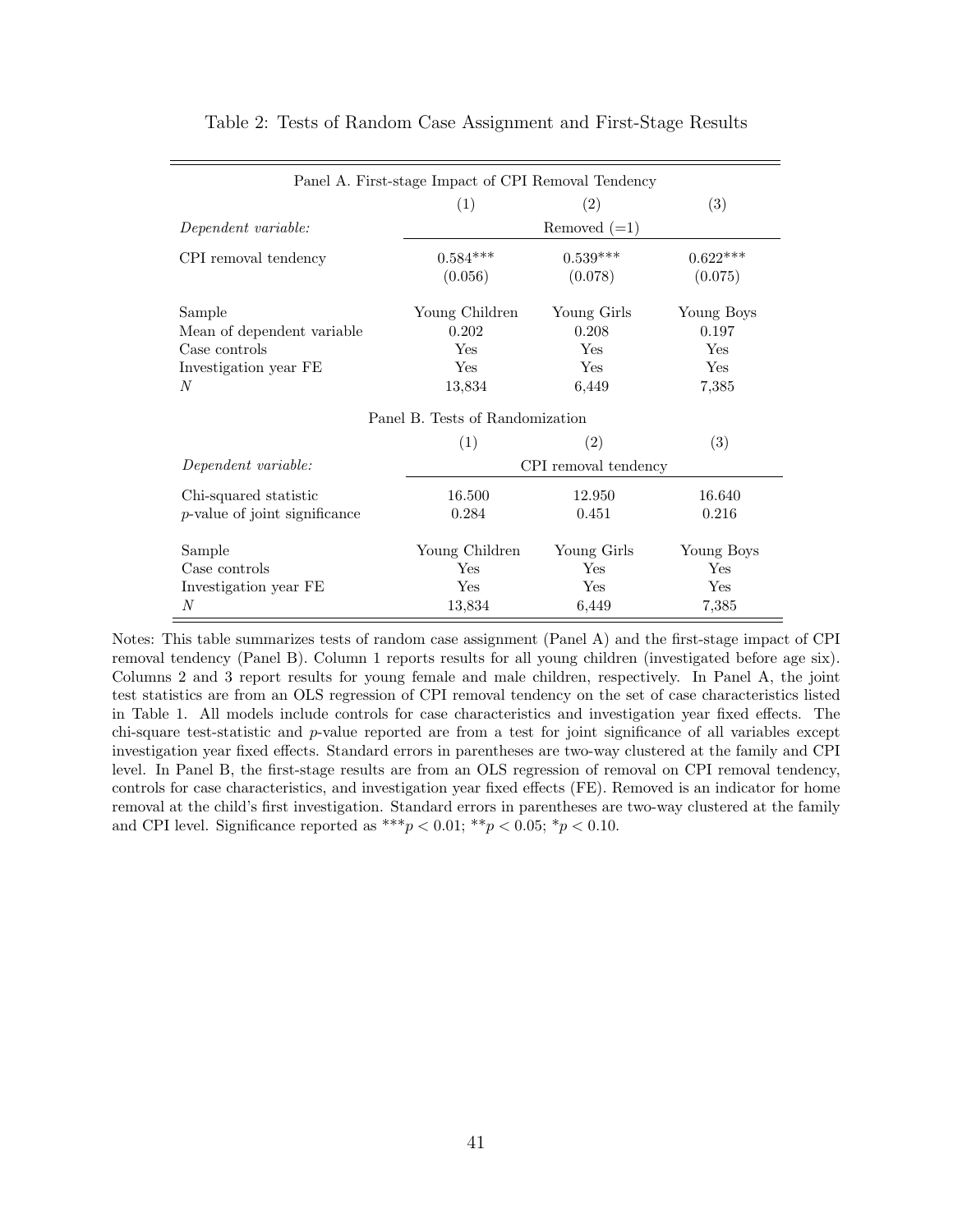| Panel A. First-stage Impact of CPI Removal Tendency |                                 |                      |            |  |  |
|-----------------------------------------------------|---------------------------------|----------------------|------------|--|--|
|                                                     | (1)                             | (2)                  | (3)        |  |  |
| Dependent variable:                                 |                                 | Removed $(=1)$       |            |  |  |
| CPI removal tendency                                | $0.584***$                      | $0.539***$           | $0.622***$ |  |  |
|                                                     | (0.056)                         | (0.078)              | (0.075)    |  |  |
| Sample                                              | Young Children                  | Young Girls          | Young Boys |  |  |
| Mean of dependent variable                          | 0.202                           | 0.208                | 0.197      |  |  |
| Case controls                                       | Yes                             | Yes                  | Yes        |  |  |
| Investigation year FE                               | Yes                             | Yes                  | Yes        |  |  |
| N                                                   | 13.834                          | 6,449                | 7,385      |  |  |
|                                                     | Panel B. Tests of Randomization |                      |            |  |  |
|                                                     | (1)                             | (2)                  | (3)        |  |  |
| Dependent variable:                                 |                                 | CPI removal tendency |            |  |  |
| Chi-squared statistic                               | 16.500                          | 12.950               | 16.640     |  |  |
| $p$ -value of joint significance                    | 0.284                           | 0.451                | 0.216      |  |  |
| Sample                                              | Young Children                  | Young Girls          | Young Boys |  |  |
| Case controls                                       | Yes                             | Yes                  | Yes        |  |  |
| Investigation year FE                               | Yes                             | <b>Yes</b>           | Yes        |  |  |
| N                                                   | 13,834                          | 6,449                | 7,385      |  |  |

#### Table 2: Tests of Random Case Assignment and First-Stage Results

Notes: This table summarizes tests of random case assignment (Panel A) and the first-stage impact of CPI removal tendency (Panel B). Column 1 reports results for all young children (investigated before age six). Columns 2 and 3 report results for young female and male children, respectively. In Panel A, the joint test statistics are from an OLS regression of CPI removal tendency on the set of case characteristics listed in Table [1.](#page-41-0) All models include controls for case characteristics and investigation year fixed effects. The chi-square test-statistic and p-value reported are from a test for joint significance of all variables except investigation year fixed effects. Standard errors in parentheses are two-way clustered at the family and CPI level. In Panel B, the first-stage results are from an OLS regression of removal on CPI removal tendency, controls for case characteristics, and investigation year fixed effects (FE). Removed is an indicator for home removal at the child's first investigation. Standard errors in parentheses are two-way clustered at the family and CPI level. Significance reported as \*\*\*  $p < 0.01$ ; \*\*  $p < 0.05$ ; \*  $p < 0.10$ .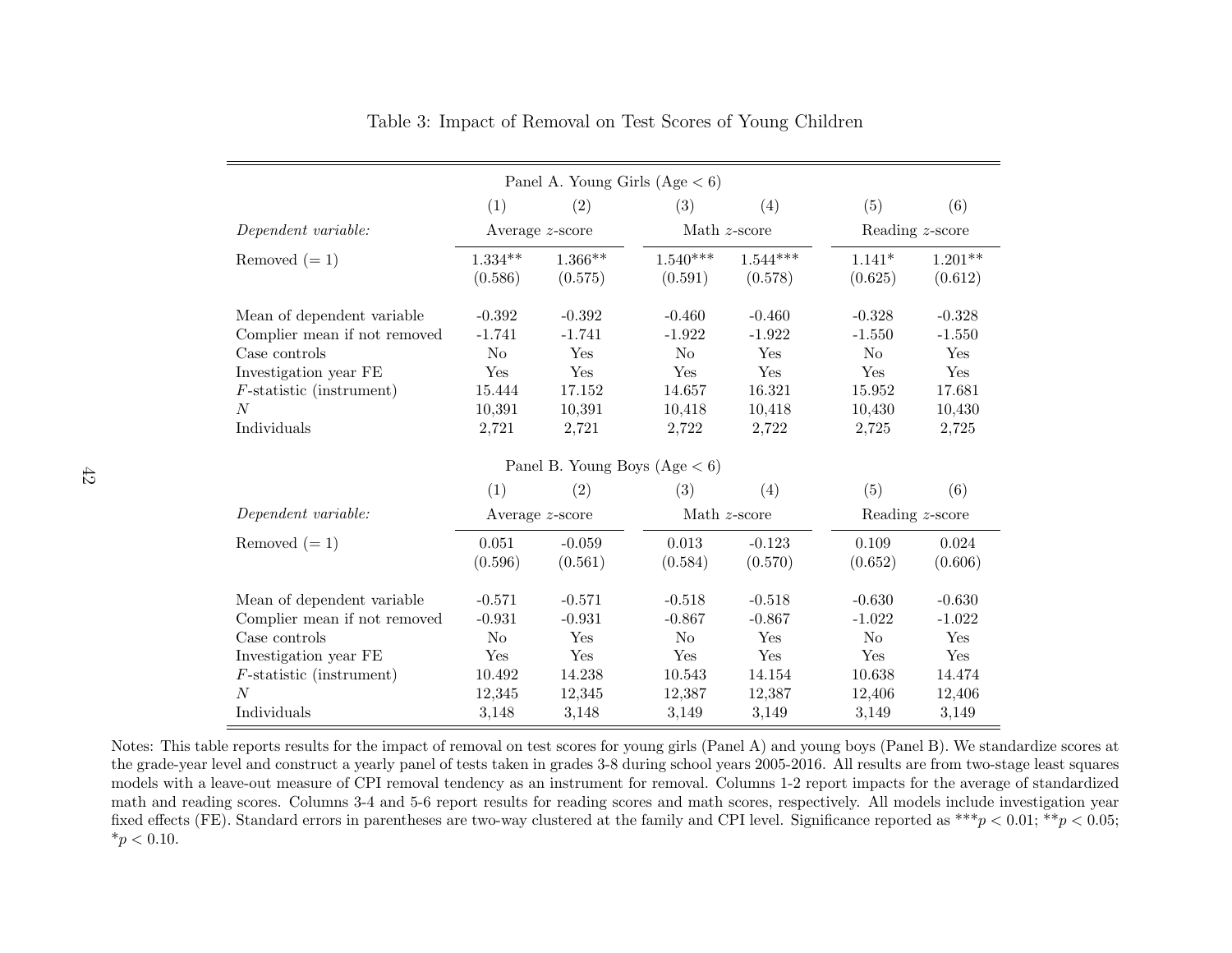|                                   |                               |                      | Panel A. Young Girls $(Age < 6)$ |                       |                     |                      |  |
|-----------------------------------|-------------------------------|----------------------|----------------------------------|-----------------------|---------------------|----------------------|--|
|                                   | (1)                           | (2)                  | (3)                              | (4)                   | (5)                 | (6)                  |  |
| Dependent variable:               | Average $z$ -score            |                      |                                  | Math $z$ -score       |                     | Reading z-score      |  |
| Removed $(=1)$                    | $1.334^{\ast\ast}$<br>(0.586) | $1.366**$<br>(0.575) | $1.540***$<br>(0.591)            | $1.544***$<br>(0.578) | $1.141*$<br>(0.625) | $1.201**$<br>(0.612) |  |
| Mean of dependent variable        | $-0.392$                      | $-0.392$             | $-0.460$                         | $-0.460$              | $-0.328$            | $-0.328$             |  |
| Complier mean if not removed      | $-1.741$                      | $-1.741$             | $-1.922$                         | $-1.922$              | $-1.550$            | $-1.550$             |  |
| Case controls                     | N <sub>o</sub>                | Yes                  | N <sub>o</sub>                   | Yes                   | N <sub>o</sub>      | Yes                  |  |
| Investigation year FE             | Yes                           | Yes                  | Yes                              | Yes                   | Yes                 | Yes                  |  |
| $F\text{-statistic}$ (instrument) | 15.444                        | 17.152               | 14.657                           | 16.321                | 15.952              | 17.681               |  |
| $\overline{N}$                    | 10,391                        | 10,391               | 10,418                           | 10,418                | 10,430              | 10,430               |  |
| Individuals                       | 2,721                         | 2,721                | 2,722                            | 2,722                 | 2,725               | 2,725                |  |
|                                   |                               |                      | Panel B. Young Boys $(Age < 6)$  |                       |                     |                      |  |
|                                   | (1)                           | (2)                  | (3)                              | (4)                   | (5)                 | (6)                  |  |
| Dependent variable:               |                               | Average z-score      |                                  | Math $z$ -score       |                     | Reading z-score      |  |
| Removed $(=1)$                    | 0.051                         | $-0.059$             | 0.013                            | $-0.123$              | 0.109               | 0.024                |  |
|                                   | (0.596)                       | (0.561)              | (0.584)                          | (0.570)               | (0.652)             | (0.606)              |  |
| Mean of dependent variable        | $-0.571$                      | $-0.571$             | $-0.518$                         | $-0.518$              | $-0.630$            | $-0.630$             |  |
| Complier mean if not removed      | $-0.931$                      | $-0.931$             | $-0.867$                         | $-0.867$              | $-1.022$            | $-1.022$             |  |
| Case controls                     | N <sub>o</sub>                | Yes                  | N <sub>o</sub>                   | Yes                   | N <sub>o</sub>      | Yes                  |  |
| Investigation year FE             | Yes                           | Yes                  | Yes                              | Yes                   | Yes                 | Yes                  |  |
| $F\text{-statistic}$ (instrument) | 10.492                        | 14.238               | 10.543                           | 14.154                | 10.638              | 14.474               |  |
| $\boldsymbol{N}$                  | 12,345                        | 12,345               | 12,387                           | 12,387                | 12,406              | 12,406               |  |
| Individuals                       | 3,148                         | 3,148                | 3,149                            | 3,149                 | 3,149               | 3,149                |  |

<span id="page-43-0"></span>Table 3: Impact of Removal on Test Scores of Young Children

Notes: This table reports results for the impact of removal on test scores for young <sup>g</sup>irls (Panel A) and young boys (Panel B). We standardize scores at the grade-year level and construct <sup>a</sup> yearly panel of tests taken in grades 3-8 during school years 2005-2016. All results are from two-stage least squares models with <sup>a</sup> leave-out measure of CPI removal tendency as an instrument for removal. Columns 1-2 report impacts for the average of standardized math and reading scores. Columns 3-4 and 5-6 report results for reading scores and math scores, respectively. All models include investigation yearfixed effects (FE). Standard errors in parentheses are two-way clustered at the family and CPI level. Significance reported as  $***p < 0.01$ ;  $**p < 0.05$ ;  $*_{p}$  < 0.10.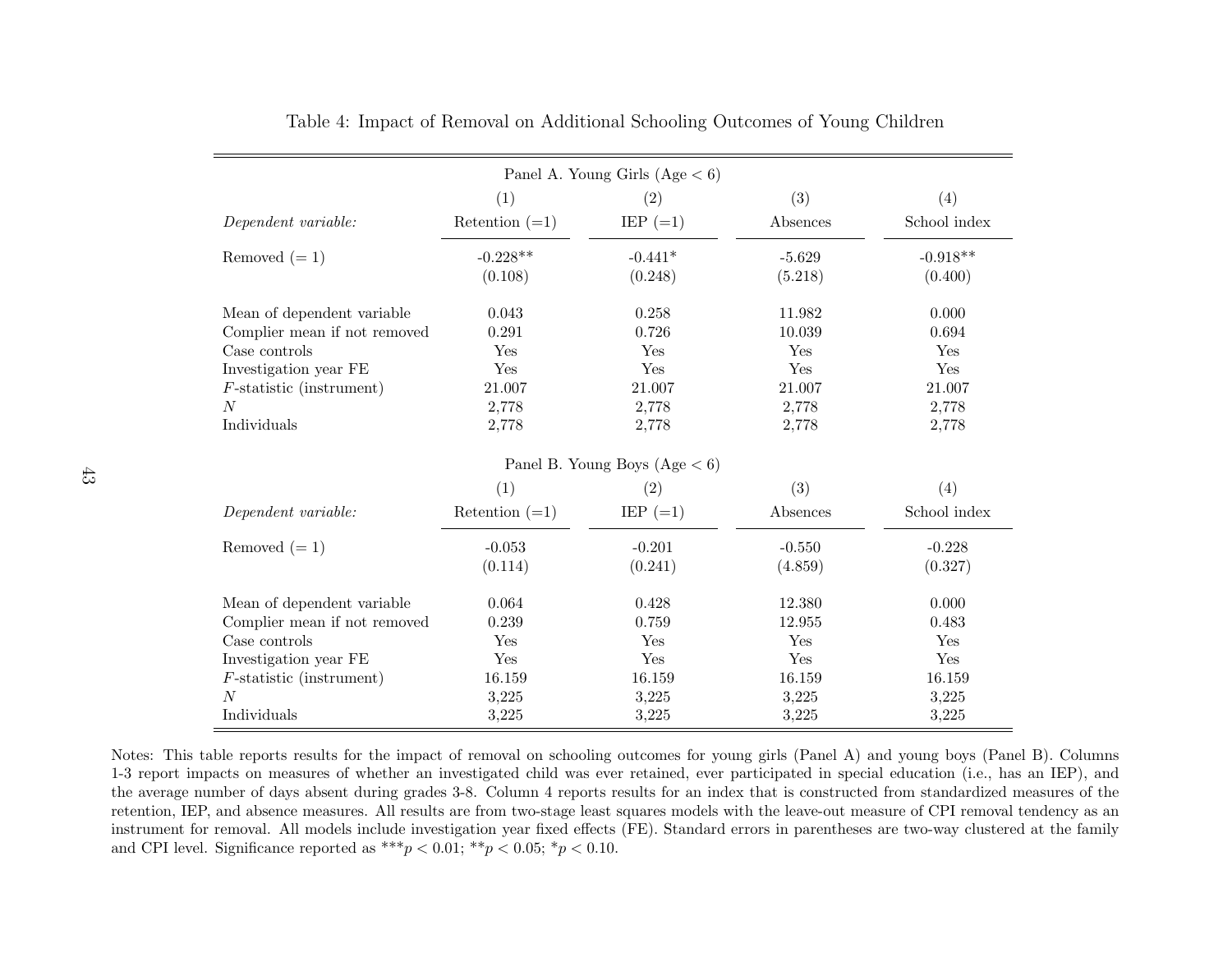| Panel A. Young Girls (Age $< 6$ ) |                  |                                 |          |              |  |  |
|-----------------------------------|------------------|---------------------------------|----------|--------------|--|--|
|                                   | (1)              | (2)                             | (3)      | (4)          |  |  |
| Dependent variable:               | Retention $(=1)$ | $IEP (=1)$                      | Absences | School index |  |  |
| Removed $(=1)$                    | $-0.228**$       | $-0.441*$                       | $-5.629$ | $-0.918**$   |  |  |
|                                   | (0.108)          | (0.248)                         | (5.218)  | (0.400)      |  |  |
| Mean of dependent variable        | 0.043            | 0.258                           | 11.982   | 0.000        |  |  |
| Complier mean if not removed      | 0.291            | 0.726                           | 10.039   | 0.694        |  |  |
| Case controls                     | Yes              | Yes                             | Yes      | Yes          |  |  |
| Investigation year FE             | Yes              | Yes                             | Yes      | Yes          |  |  |
| $F$ -statistic (instrument)       | 21.007           | 21.007                          | 21.007   | 21.007       |  |  |
| N                                 | 2,778            | 2,778                           | 2,778    | 2,778        |  |  |
| Individuals                       | 2,778            | 2,778                           | 2,778    | 2,778        |  |  |
|                                   |                  | Panel B. Young Boys $(Age < 6)$ |          |              |  |  |
|                                   | (1)              | (2)                             | (3)      | (4)          |  |  |
| Dependent variable:               | Retention $(=1)$ | IEP $(=1)$                      | Absences | School index |  |  |
| Removed $(= 1)$                   | $-0.053$         | $-0.201$                        | $-0.550$ | $-0.228$     |  |  |
|                                   | (0.114)          | (0.241)                         | (4.859)  | (0.327)      |  |  |
| Mean of dependent variable        | 0.064            | 0.428                           | 12.380   | 0.000        |  |  |
| Complier mean if not removed      | 0.239            | 0.759                           | 12.955   | 0.483        |  |  |
| Case controls                     | Yes              | Yes                             | Yes      | Yes          |  |  |
| Investigation year FE             | Yes              | Yes                             | Yes      | Yes          |  |  |
| $F\text{-statistic}$ (instrument) | 16.159           | 16.159                          | 16.159   | 16.159       |  |  |
| N                                 | 3,225            | 3,225                           | 3,225    | 3,225        |  |  |
| Individuals                       | 3,225            | 3,225                           | 3,225    | 3,225        |  |  |

<span id="page-44-0"></span>Table 4: Impact of Removal on Additional Schooling Outcomes of Young Children

<span id="page-44-1"></span>Notes: This table reports results for the impact of removal on schooling outcomes for young <sup>g</sup>irls (Panel A) and young boys (Panel B). Columns 1-3 report impacts on measures of whether an investigated child was ever retained, ever participated in special education (i.e., has an IEP), and the average number of days absent during grades 3-8. Column 4 reports results for an index that is constructed from standardized measures of the retention, IEP, and absence measures. All results are from two-stage least squares models with the leave-out measure of CPI removal tendency as an instrument for removal. All models include investigation year fixed effects (FE). Standard errors in parentheses are two-way clustered at the familyand CPI level. Significance reported as  $***p < 0.01; **p < 0.05; *p < 0.10$ .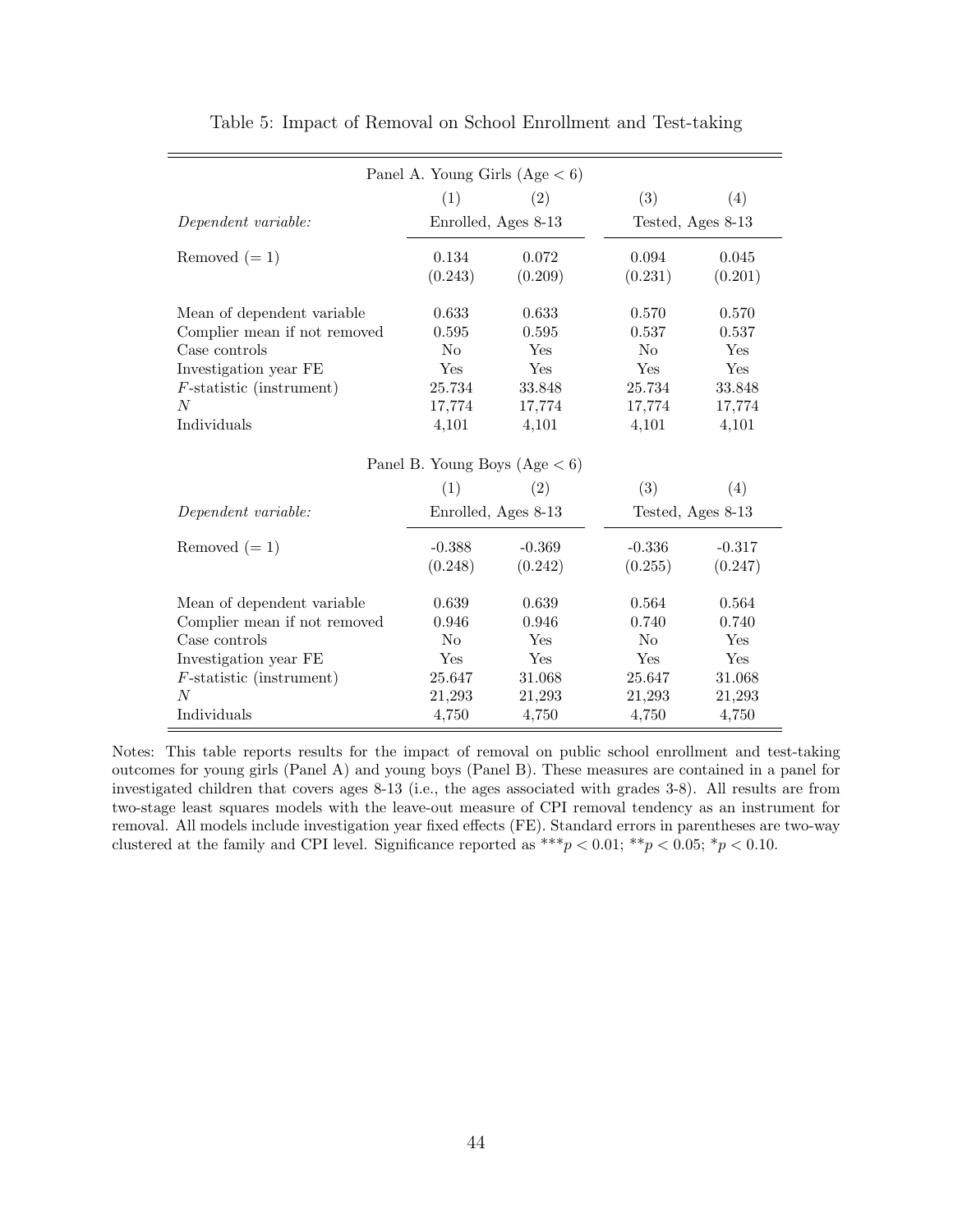| Panel A. Young Girls $(Age < 6)$  |                |                                 |                   |          |  |  |
|-----------------------------------|----------------|---------------------------------|-------------------|----------|--|--|
|                                   | (1)            | (2)                             | (3)               | (4)      |  |  |
| Dependent variable:               |                | Enrolled, Ages 8-13             | Tested, Ages 8-13 |          |  |  |
| Removed $(=1)$                    | 0.134          | 0.072                           | 0.094             | 0.045    |  |  |
|                                   | (0.243)        | (0.209)                         | (0.231)           | (0.201)  |  |  |
| Mean of dependent variable        | 0.633          | 0.633                           | 0.570             | 0.570    |  |  |
| Complier mean if not removed      | 0.595          | 0.595                           | 0.537             | 0.537    |  |  |
| Case controls                     | N <sub>0</sub> | Yes                             | No                | Yes      |  |  |
| Investigation year FE             | Yes            | Yes                             | Yes               | Yes      |  |  |
| $F\text{-statistic}$ (instrument) | 25.734         | 33.848                          | 25.734            | 33.848   |  |  |
| N                                 | 17,774         | 17,774                          | 17,774            | 17,774   |  |  |
| Individuals                       | 4,101          | 4,101                           | 4,101             | 4,101    |  |  |
|                                   |                | Panel B. Young Boys $(Age < 6)$ |                   |          |  |  |
|                                   | (1)            | (2)                             | (3)               | (4)      |  |  |
|                                   |                | Enrolled, Ages 8-13             |                   |          |  |  |
| Dependent variable:               |                |                                 | Tested, Ages 8-13 |          |  |  |
| Removed $(=1)$                    | $-0.388$       | $-0.369$                        | $-0.336$          | $-0.317$ |  |  |
|                                   | (0.248)        | (0.242)                         | (0.255)           | (0.247)  |  |  |
| Mean of dependent variable        | 0.639          | 0.639                           | 0.564             | 0.564    |  |  |
| Complier mean if not removed      | 0.946          | 0.946                           | 0.740             | 0.740    |  |  |
| Case controls                     | N <sub>o</sub> | Yes                             | N <sub>0</sub>    | Yes      |  |  |
| Investigation year FE             | Yes            | Yes                             | Yes               | Yes      |  |  |
| $F\text{-statistic}$ (instrument) | 25.647         | 31.068                          | 25.647            | 31.068   |  |  |
| $\overline{N}$                    | 21,293         | 21,293                          | 21,293            | 21,293   |  |  |
| Individuals                       | 4,750          | 4,750                           | 4,750             | 4,750    |  |  |

Table 5: Impact of Removal on School Enrollment and Test-taking

Notes: This table reports results for the impact of removal on public school enrollment and test-taking outcomes for young girls (Panel A) and young boys (Panel B). These measures are contained in a panel for investigated children that covers ages 8-13 (i.e., the ages associated with grades 3-8). All results are from two-stage least squares models with the leave-out measure of CPI removal tendency as an instrument for removal. All models include investigation year fixed effects (FE). Standard errors in parentheses are two-way clustered at the family and CPI level. Significance reported as  $***p < 0.01; **p < 0.05; *p < 0.10$ .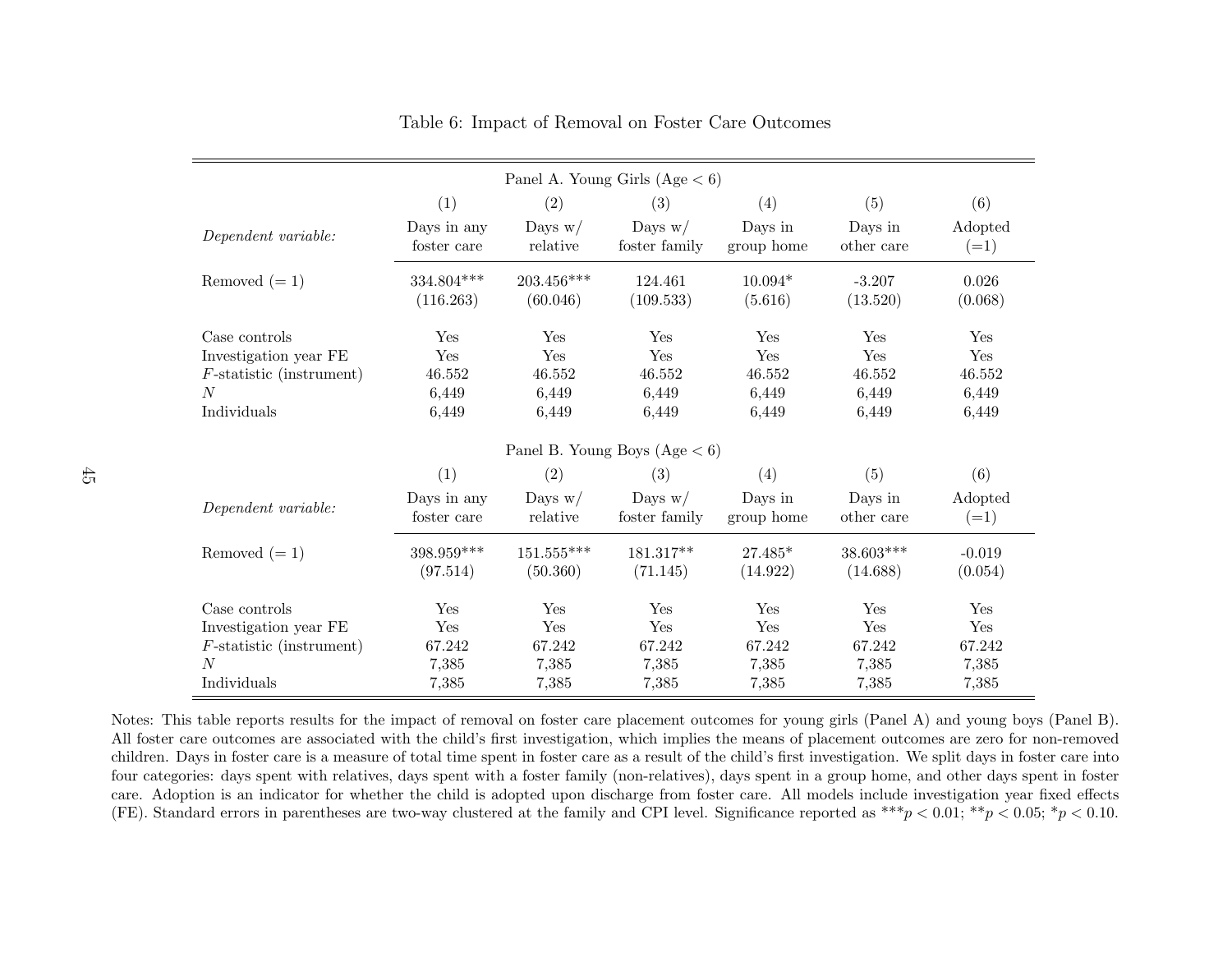|                                                            |                            |                        | Panel A. Young Girls $(Age < 6)$ |                       |                       |                     |
|------------------------------------------------------------|----------------------------|------------------------|----------------------------------|-----------------------|-----------------------|---------------------|
|                                                            | (1)                        | (2)                    | (3)                              | (4)                   | (5)                   | (6)                 |
| Dependent variable:                                        | Days in any<br>foster care | Days $w/$<br>relative  | Days $w/$<br>foster family       | Days in<br>group home | Days in<br>other care | Adopted<br>$(=1)$   |
| Removed $(=1)$                                             | 334.804***<br>(116.263)    | 203.456***<br>(60.046) | 124.461<br>(109.533)             | $10.094*$<br>(5.616)  | $-3.207$<br>(13.520)  | 0.026<br>(0.068)    |
| Case controls                                              | Yes                        | Yes                    | Yes                              | Yes                   | Yes                   | Yes                 |
| Investigation year FE<br>$F\text{-statistic}$ (instrument) | Yes<br>46.552              | Yes<br>46.552          | Yes<br>46.552                    | Yes<br>46.552         | Yes<br>46.552         | Yes<br>46.552       |
| N<br>Individuals                                           | 6,449<br>6,449             | 6,449<br>6,449         | 6,449<br>6,449                   | 6,449<br>6,449        | 6,449<br>6,449        | 6,449<br>6,449      |
|                                                            |                            |                        | Panel B. Young Boys $(Age < 6)$  |                       |                       |                     |
|                                                            | (1)                        | (2)                    | (3)                              | (4)                   | (5)                   | (6)                 |
| Dependent variable:                                        | Days in any<br>foster care | Days $w/$<br>relative  | Days $w/$<br>foster family       | Days in<br>group home | Days in<br>other care | Adopted<br>$(=1)$   |
| Removed $(=1)$                                             | 398.959***<br>(97.514)     | 151.555***<br>(50.360) | 181.317**<br>(71.145)            | $27.485*$<br>(14.922) | 38.603***<br>(14.688) | $-0.019$<br>(0.054) |
| Case controls                                              | Yes                        | <b>Yes</b>             | Yes                              | Yes                   | Yes                   | Yes                 |
| Investigation year FE                                      | Yes                        | Yes                    | Yes                              | Yes                   | Yes                   | Yes                 |
| $F\text{-statistic}$ (instrument)                          | 67.242                     | 67.242                 | 67.242                           | 67.242                | 67.242                | 67.242              |
| $\overline{N}$                                             | 7,385                      | 7,385                  | 7,385                            | 7,385                 | 7,385                 | 7,385               |
| Individuals                                                | 7,385                      | 7,385                  | 7,385                            | 7,385                 | 7,385                 | 7,385               |

#### Table 6: Impact of Removal on Foster Care Outcomes

Notes: This table reports results for the impact of removal on foster care <sup>p</sup>lacement outcomes for young <sup>g</sup>irls (Panel A) and young boys (Panel B). All foster care outcomes are associated with the child's first investigation, which implies the means of <sup>p</sup>lacement outcomes are zero for non-removed children. Days in foster care is <sup>a</sup> measure of total time spent in foster care as <sup>a</sup> result of the child's first investigation. We split days in foster care into four categories: days spent with relatives, days spent with <sup>a</sup> foster family (non-relatives), days spent in <sup>a</sup> group home, and other days spent in foster care. Adoption is an indicator for whether the child is adopted upon discharge from foster care. All models include investigation year fixed effects(FE). Standard errors in parentheses are two-way clustered at the family and CPI level. Significance reported as  $***p < 0.01$ ;  $**p < 0.05$ ;  $*p < 0.10$ .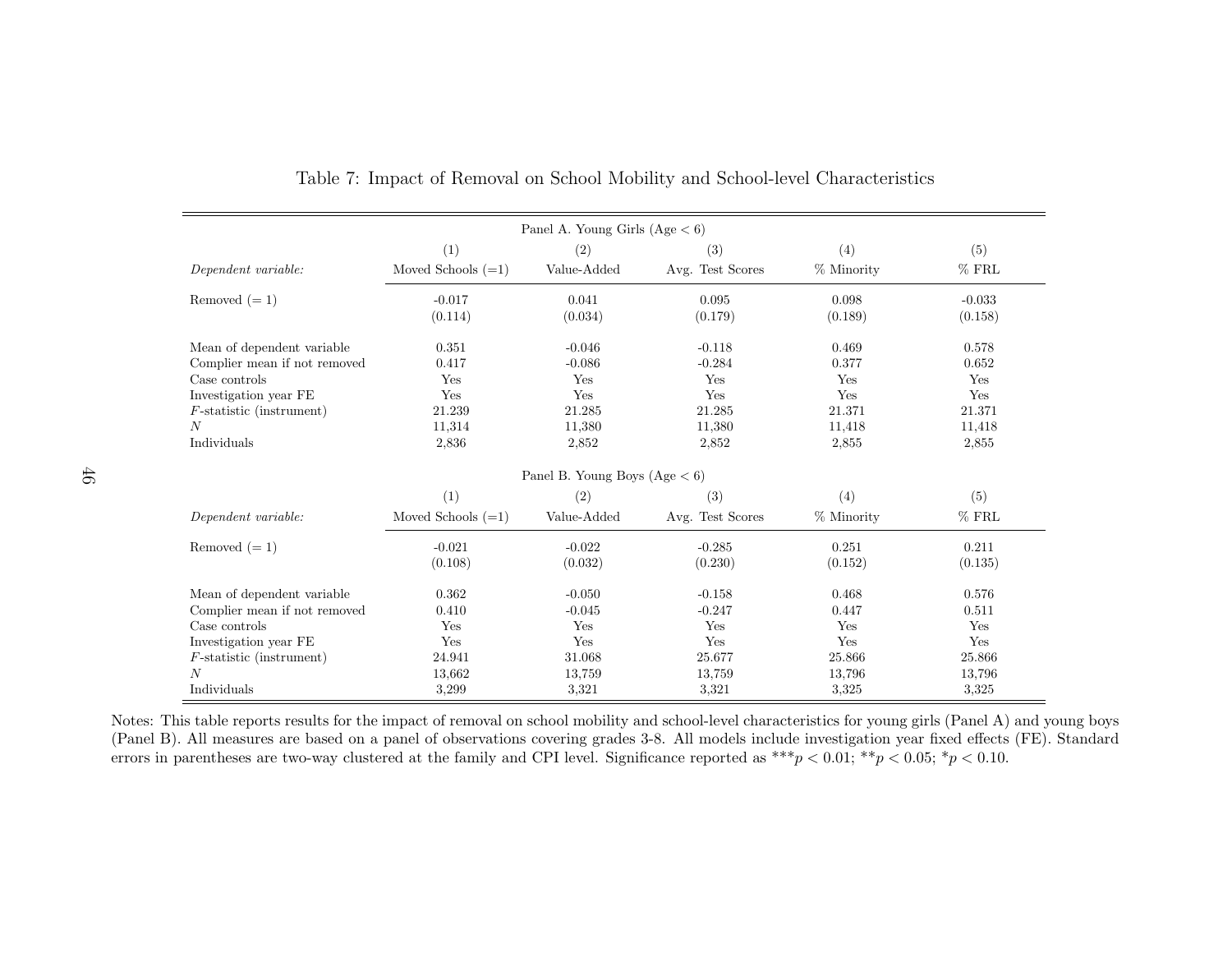| Panel A. Young Girls $(Age < 6)$ |                      |                                 |                  |            |          |  |
|----------------------------------|----------------------|---------------------------------|------------------|------------|----------|--|
|                                  | (1)                  | (2)                             | (3)              | (4)        | (5)      |  |
| Dependent variable:              | Moved Schools $(=1)$ | Value-Added                     | Avg. Test Scores | % Minority | $%$ FRL  |  |
| Removed $(=1)$                   | $-0.017$             | 0.041                           | 0.095            | 0.098      | $-0.033$ |  |
|                                  | (0.114)              | (0.034)                         | (0.179)          | (0.189)    | (0.158)  |  |
| Mean of dependent variable       | 0.351                | $-0.046$                        | $-0.118$         | 0.469      | 0.578    |  |
| Complier mean if not removed     | 0.417                | $-0.086$                        | $-0.284$         | 0.377      | 0.652    |  |
| Case controls                    | Yes                  | Yes                             | Yes              | Yes        | Yes      |  |
| Investigation year FE            | Yes                  | Yes                             | Yes              | Yes        | Yes      |  |
| $F$ -statistic (instrument)      | 21.239               | 21.285                          | 21.285           | 21.371     | 21.371   |  |
| N                                | 11,314               | 11,380                          | 11,380           | 11,418     | 11,418   |  |
| Individuals                      | 2,836                | 2,852                           | 2,852            | 2,855      | 2,855    |  |
|                                  |                      | Panel B. Young Boys $(Age < 6)$ |                  |            |          |  |
|                                  | (1)                  | (2)                             | (3)              | (4)        | (5)      |  |
| Dependent variable:              | Moved Schools $(=1)$ | Value-Added                     | Avg. Test Scores | % Minority | $%$ FRL  |  |
| Removed $(=1)$                   | $-0.021$             | $-0.022$                        | $-0.285$         | 0.251      | 0.211    |  |
|                                  | (0.108)              | (0.032)                         | (0.230)          | (0.152)    | (0.135)  |  |
| Mean of dependent variable       | 0.362                | $-0.050$                        | $-0.158$         | 0.468      | 0.576    |  |
| Complier mean if not removed     | 0.410                | $-0.045$                        | $-0.247$         | 0.447      | 0.511    |  |
| Case controls                    | Yes                  | Yes                             | Yes              | Yes        | Yes      |  |
| Investigation year FE            | Yes                  | Yes                             | Yes              | Yes        | Yes      |  |
| $F$ -statistic (instrument)      | 24.941               | 31.068                          | 25.677           | 25.866     | 25.866   |  |
| $\boldsymbol{N}$                 | 13,662               | 13,759                          | 13,759           | 13,796     | 13,796   |  |
| Individuals                      | 3,299                | 3,321                           | 3,321            | 3.325      | 3,325    |  |

Table 7: Impact of Removal on School Mobility and School-level Characteristics

Notes: This table reports results for the impact of removal on school mobility and school-level characteristics for young <sup>g</sup>irls (Panel A) and young boys (Panel B). All measures are based on <sup>a</sup> pane<sup>l</sup> of observations covering grades 3-8. All models include investigation year fixed effects (FE). Standarderrors in parentheses are two-way clustered at the family and CPI level. Significance reported as  $***p < 0.01; **p < 0.05; *p < 0.10$ .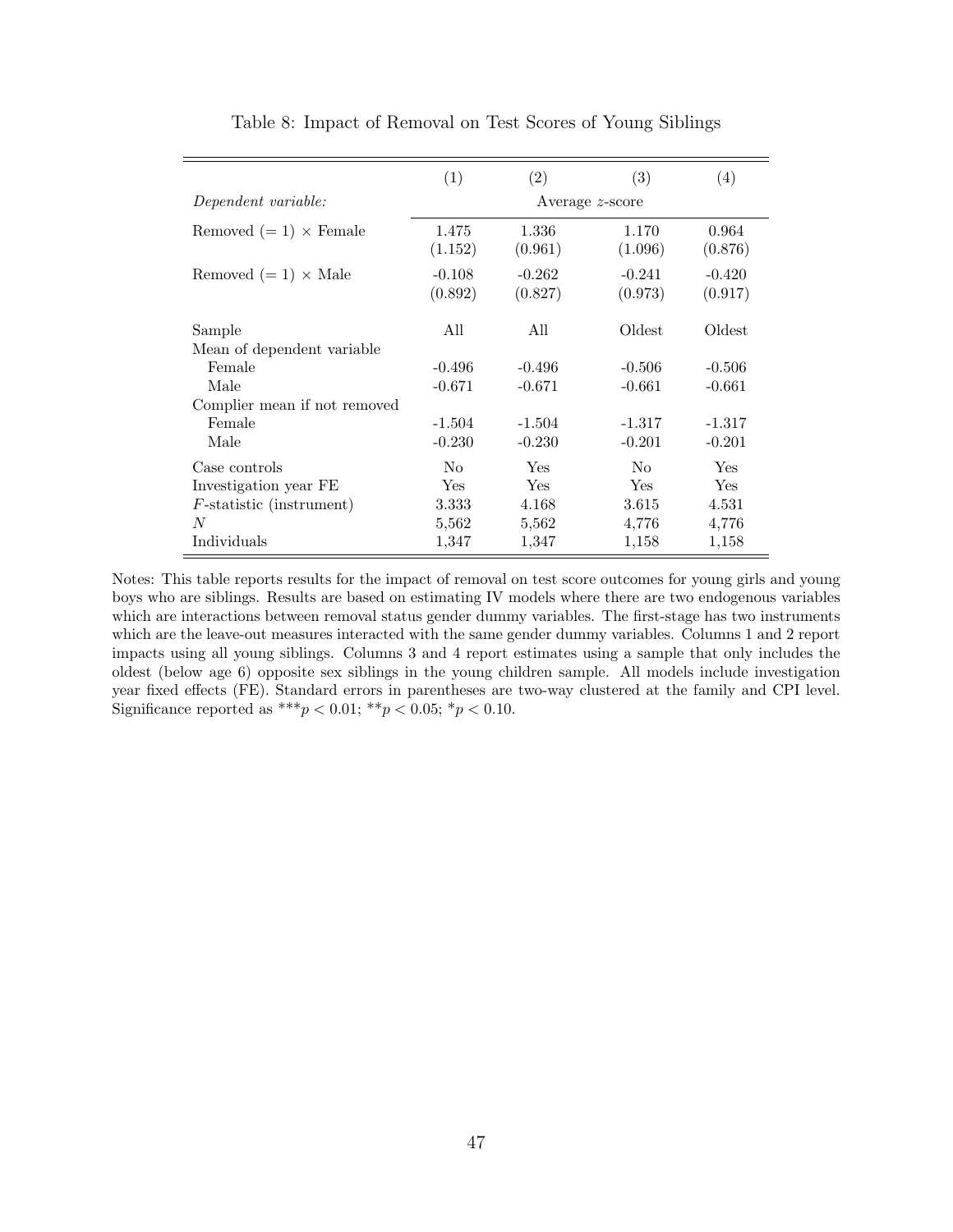|                                      | (1)                  | (2)                  | (3)                  | (4)                  |  |
|--------------------------------------|----------------------|----------------------|----------------------|----------------------|--|
| Dependent variable:                  | Average $z$ -score   |                      |                      |                      |  |
| Removed $(=1) \times$ Female         | 1.475<br>(1.152)     | 1.336<br>(0.961)     | 1.170<br>(1.096)     | 0.964<br>(0.876)     |  |
| Removed $(=1) \times$ Male           | $-0.108$<br>(0.892)  | $-0.262$<br>(0.827)  | $-0.241$<br>(0.973)  | $-0.420$<br>(0.917)  |  |
| Sample<br>Mean of dependent variable | All                  | All                  | Oldest               | Oldest               |  |
| Female<br>Male                       | $-0.496$<br>$-0.671$ | $-0.496$<br>$-0.671$ | $-0.506$<br>$-0.661$ | $-0.506$<br>$-0.661$ |  |
| Complier mean if not removed         |                      |                      |                      |                      |  |
| Female<br>Male                       | $-1.504$<br>$-0.230$ | $-1.504$<br>$-0.230$ | $-1.317$<br>$-0.201$ | $-1.317$<br>$-0.201$ |  |
| Case controls                        | No                   | Yes                  | No                   | Yes                  |  |
| Investigation year FE                | <b>Yes</b>           | <b>Yes</b>           | Yes.                 | Yes                  |  |
| $F\text{-statistic}$ (instrument)    | 3.333                | 4.168                | 3.615                | 4.531                |  |
| N                                    | 5,562                | 5,562                | 4,776                | 4,776                |  |
| Individuals                          | 1,347                | 1,347                | 1,158                | 1,158                |  |

Table 8: Impact of Removal on Test Scores of Young Siblings

Notes: This table reports results for the impact of removal on test score outcomes for young girls and young boys who are siblings. Results are based on estimating IV models where there are two endogenous variables which are interactions between removal status gender dummy variables. The first-stage has two instruments which are the leave-out measures interacted with the same gender dummy variables. Columns 1 and 2 report impacts using all young siblings. Columns 3 and 4 report estimates using a sample that only includes the oldest (below age 6) opposite sex siblings in the young children sample. All models include investigation year fixed effects (FE). Standard errors in parentheses are two-way clustered at the family and CPI level. Significance reported as \*\*\* $p < 0.01$ ; \*\* $p < 0.05$ ; \* $p < 0.10$ .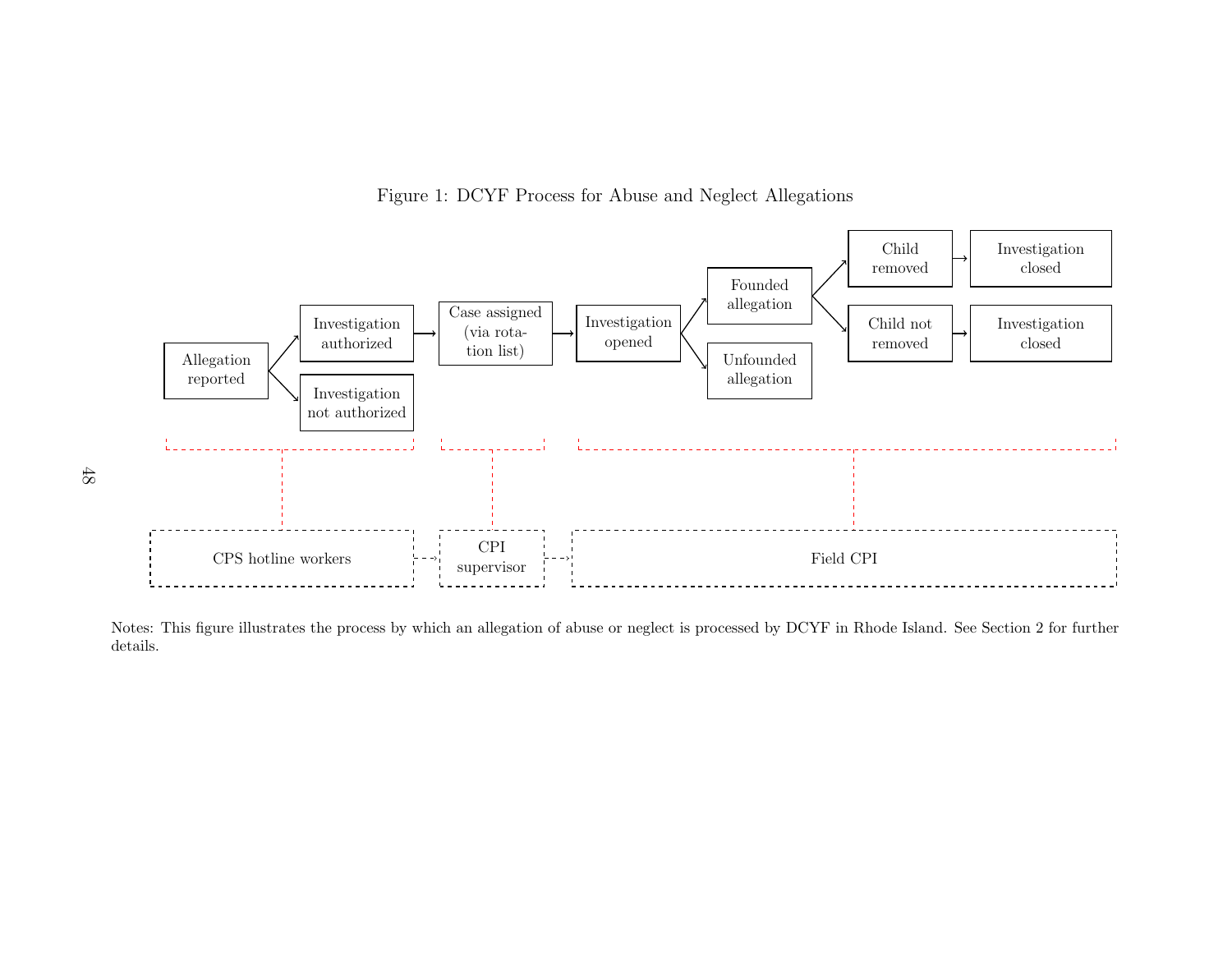

Figure 1: DCYF Process for Abuse and Neglect Allegations

Notes: This figure illustrates the process by which an allegation of abuse or neglect is processed by DCYF in Rhode Island. See Section [2](#page-6-0) for furtherdetails.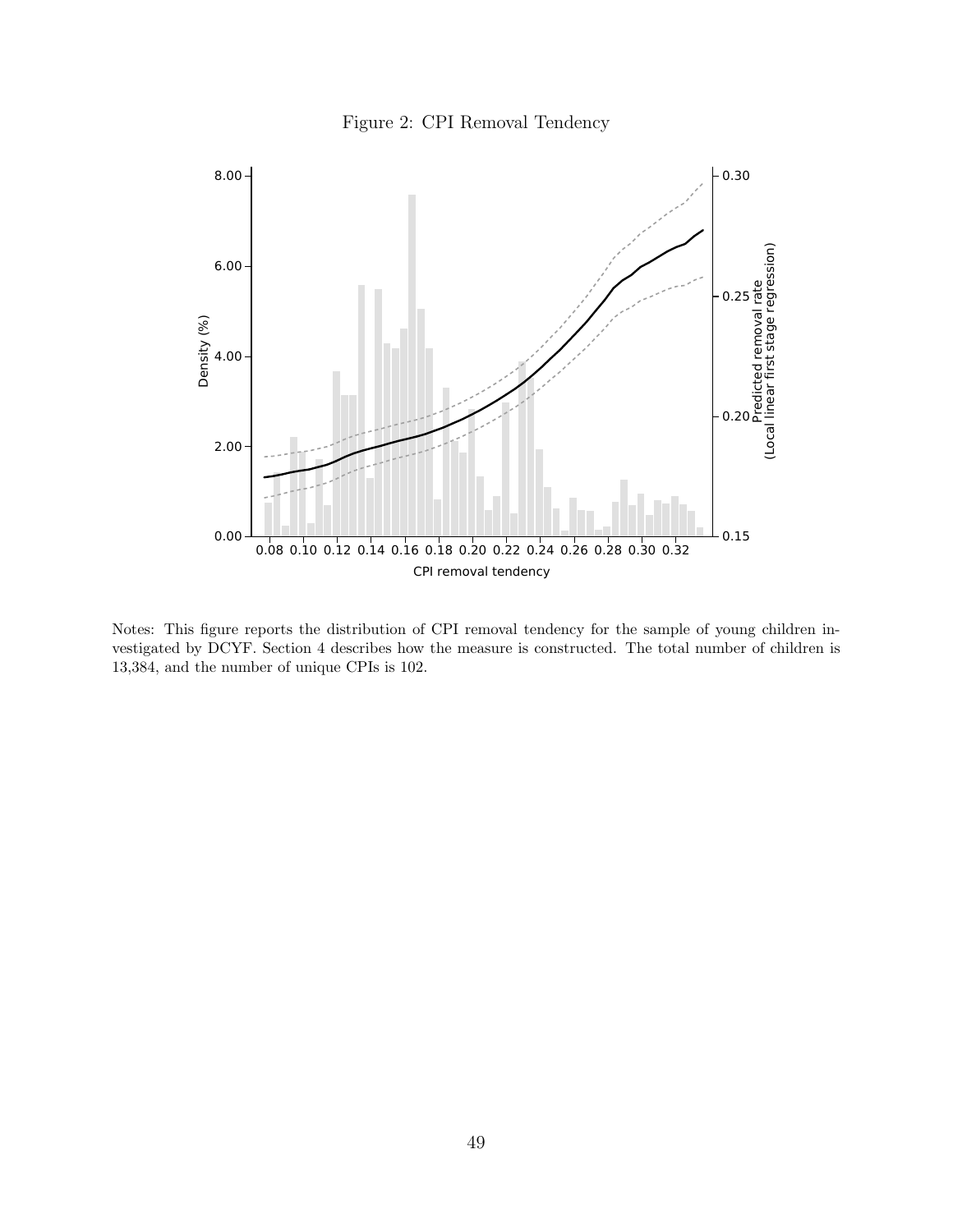



Notes: This figure reports the distribution of CPI removal tendency for the sample of young children investigated by DCYF. Section [4](#page-13-0) describes how the measure is constructed. The total number of children is 13,384, and the number of unique CPIs is 102.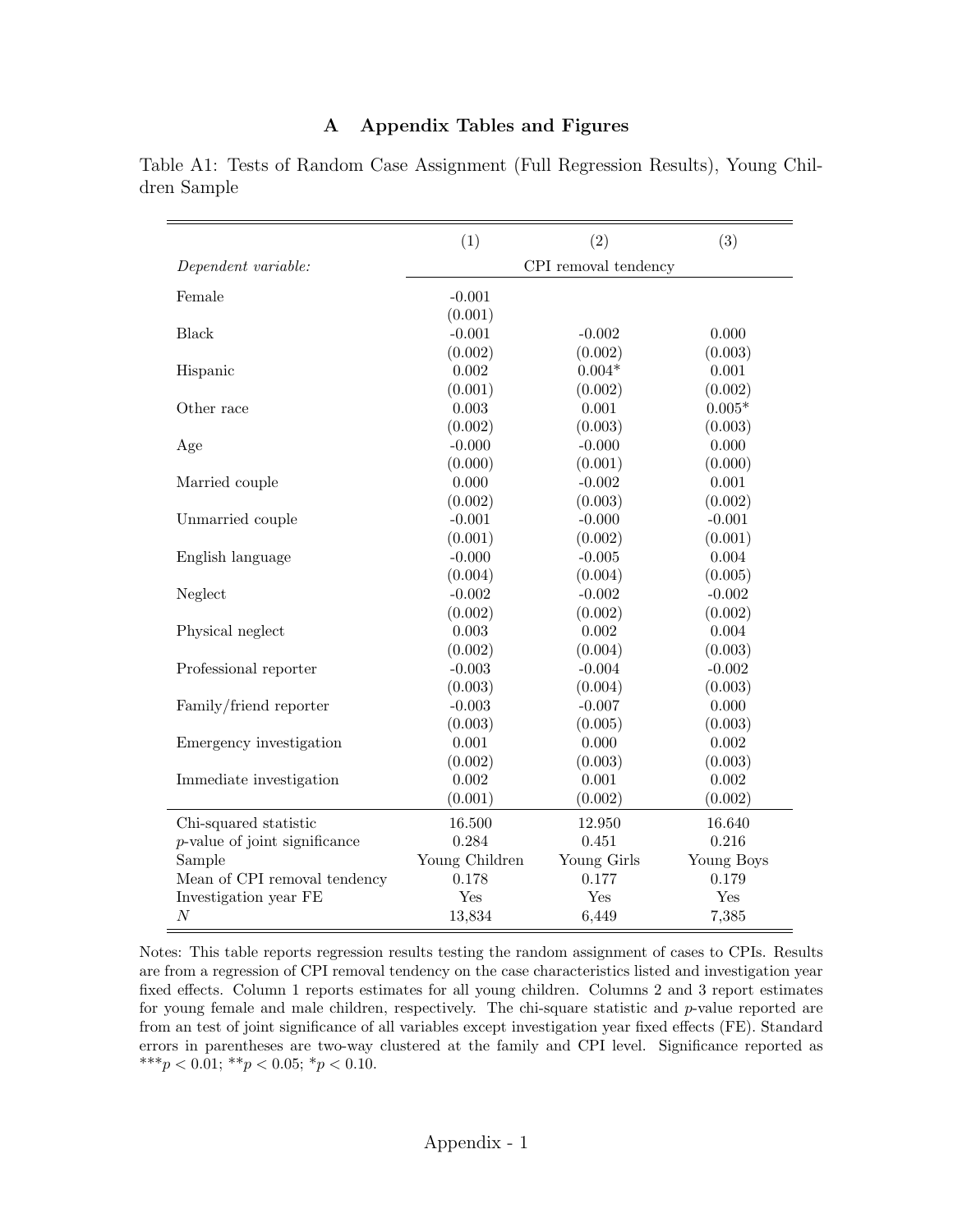#### A Appendix Tables and Figures

|             |  | Table A1: Tests of Random Case Assignment (Full Regression Results), Young Chil- |  |  |  |
|-------------|--|----------------------------------------------------------------------------------|--|--|--|
| dren Sample |  |                                                                                  |  |  |  |

|                                  | (1)            | (2)                  | (3)        |
|----------------------------------|----------------|----------------------|------------|
| Dependent variable:              |                | CPI removal tendency |            |
| Female                           | $-0.001$       |                      |            |
|                                  | (0.001)        |                      |            |
| <b>Black</b>                     | $-0.001$       | $-0.002$             | 0.000      |
|                                  | (0.002)        | (0.002)              | (0.003)    |
| Hispanic                         | 0.002          | $0.004*$             | 0.001      |
|                                  | (0.001)        | (0.002)              | (0.002)    |
| Other race                       | 0.003          | 0.001                | $0.005*$   |
|                                  | (0.002)        | (0.003)              | (0.003)    |
| Age                              | $-0.000$       | $-0.000$             | 0.000      |
|                                  | (0.000)        | (0.001)              | (0.000)    |
| Married couple                   | 0.000          | $-0.002$             | 0.001      |
|                                  | (0.002)        | (0.003)              | (0.002)    |
| Unmarried couple                 | $-0.001$       | $-0.000$             | $-0.001$   |
|                                  | (0.001)        | (0.002)              | (0.001)    |
| English language                 | $-0.000$       | $-0.005$             | 0.004      |
|                                  | (0.004)        | (0.004)              | (0.005)    |
| Neglect                          | $-0.002$       | $-0.002$             | $-0.002$   |
|                                  | (0.002)        | (0.002)              | (0.002)    |
| Physical neglect                 | 0.003          | 0.002                | 0.004      |
|                                  | (0.002)        | (0.004)              | (0.003)    |
| Professional reporter            | $-0.003$       | $-0.004$             | $-0.002$   |
|                                  | (0.003)        | (0.004)              | (0.003)    |
| Family/friend reporter           | $-0.003$       | $-0.007$             | 0.000      |
|                                  | (0.003)        | (0.005)              | (0.003)    |
| Emergency investigation          | 0.001          | 0.000                | 0.002      |
|                                  | (0.002)        | (0.003)              | (0.003)    |
| Immediate investigation          | 0.002          | 0.001                | 0.002      |
|                                  | (0.001)        | (0.002)              | (0.002)    |
| Chi-squared statistic            | 16.500         | 12.950               | 16.640     |
| $p$ -value of joint significance | 0.284          | 0.451                | 0.216      |
| Sample                           | Young Children | Young Girls          | Young Boys |
| Mean of CPI removal tendency     | 0.178          | 0.177                | 0.179      |
| Investigation year FE            | Yes            | Yes                  | Yes        |
| $\cal N$                         | 13,834         | 6,449                | 7,385      |

Notes: This table reports regression results testing the random assignment of cases to CPIs. Results are from a regression of CPI removal tendency on the case characteristics listed and investigation year fixed effects. Column 1 reports estimates for all young children. Columns 2 and 3 report estimates for young female and male children, respectively. The chi-square statistic and  $p$ -value reported are from an test of joint significance of all variables except investigation year fixed effects (FE). Standard errors in parentheses are two-way clustered at the family and CPI level. Significance reported as \*\*\*p < 0.01; \*\*p < 0.05; \*p < 0.10.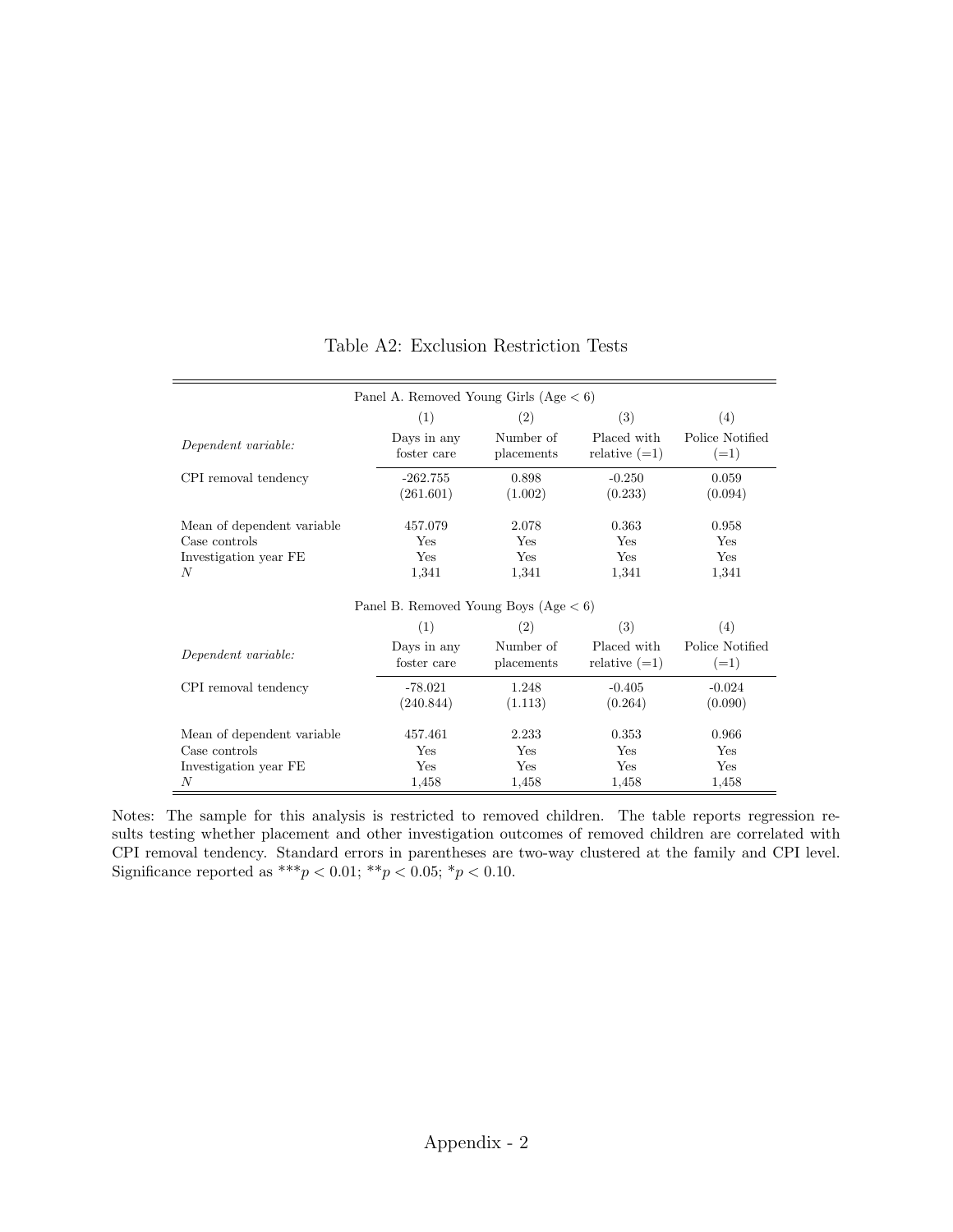|                            | Panel A. Removed Young Girls $(Age < 6)$ |            |                 |                 |
|----------------------------|------------------------------------------|------------|-----------------|-----------------|
|                            | (1)                                      | (2)        | (3)             | (4)             |
| Dependent variable:        | Days in any                              | Number of  | Placed with     | Police Notified |
|                            | foster care                              | placements | relative $(=1)$ | $(=1)$          |
| CPI removal tendency       | $-262.755$                               | 0.898      | $-0.250$        | 0.059           |
|                            | (261.601)                                | (1.002)    | (0.233)         | (0.094)         |
| Mean of dependent variable | 457.079                                  | 2.078      | 0.363           | 0.958           |
| Case controls              | Yes                                      | Yes        | Yes             | Yes             |
| Investigation year FE      | Yes                                      | Yes        | Yes             | Yes             |
| N                          | 1,341                                    | 1,341      | 1,341           | 1,341           |
|                            | Panel B. Removed Young Boys $(Age < 6)$  |            |                 |                 |
|                            | (1)                                      | (2)        | (3)             | (4)             |
| Dependent variable:        | Days in any                              | Number of  | Placed with     | Police Notified |
|                            | foster care                              | placements | relative $(=1)$ | $(=1)$          |
| CPI removal tendency       | $-78.021$                                | 1.248      | $-0.405$        | $-0.024$        |
|                            | (240.844)                                | (1.113)    | (0.264)         | (0.090)         |
| Mean of dependent variable | 457.461                                  | 2.233      | 0.353           | 0.966           |
| Case controls              | Yes                                      | Yes        | Yes             | Yes             |
| Investigation year FE      | Yes                                      | Yes        | Yes             | Yes             |
| N                          | 1,458                                    | 1,458      | 1,458           | 1,458           |

### Table A2: Exclusion Restriction Tests

Notes: The sample for this analysis is restricted to removed children. The table reports regression results testing whether placement and other investigation outcomes of removed children are correlated with CPI removal tendency. Standard errors in parentheses are two-way clustered at the family and CPI level. Significance reported as \*\*\* $p < 0.01$ ; \*\* $p < 0.05$ ; \* $p < 0.10$ .

 $\overline{\phantom{a}}$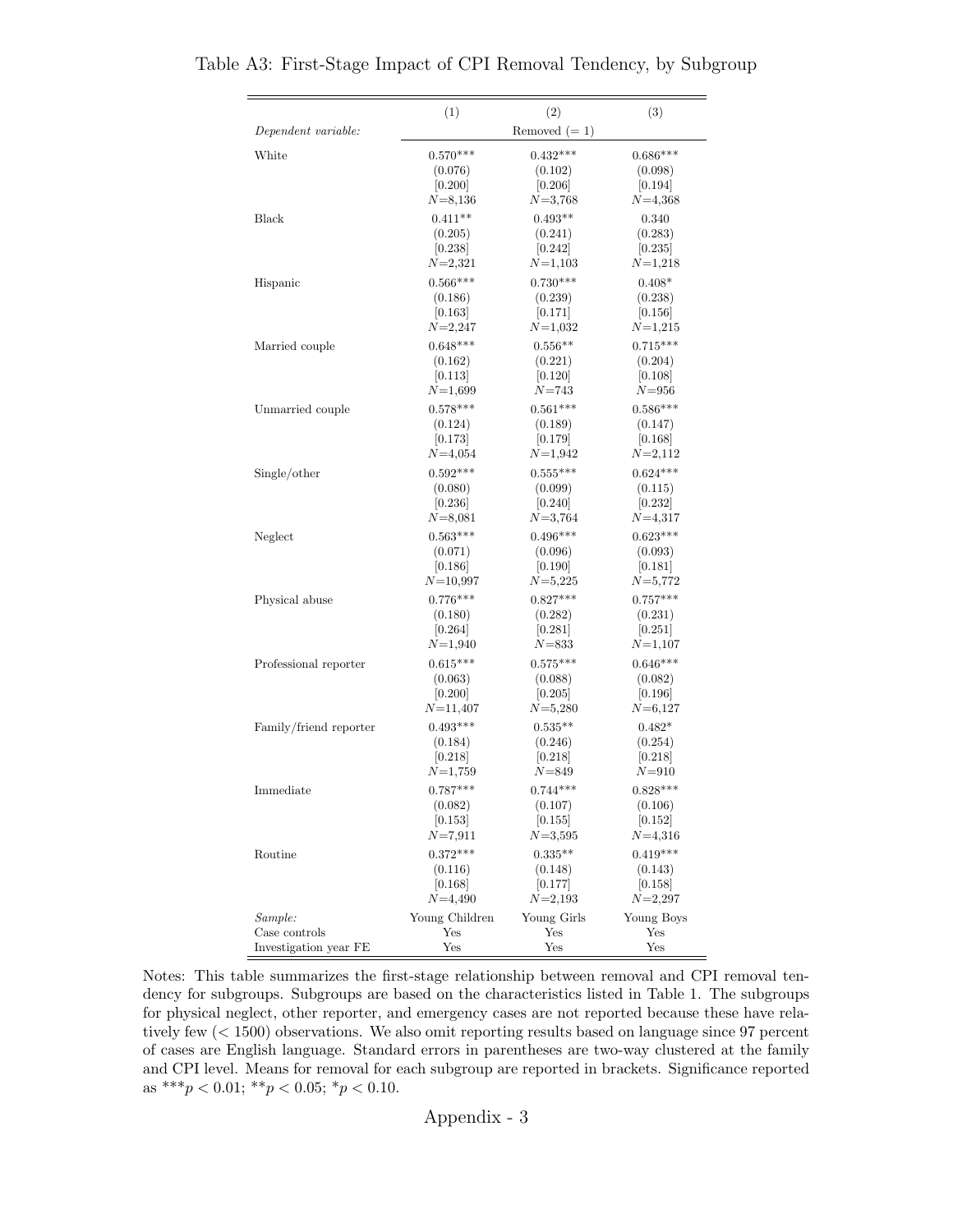|                        | (1)            | (2)                 | (3)         |
|------------------------|----------------|---------------------|-------------|
| Dependent variable:    |                | Removed $(=1)$      |             |
| White                  | $0.570***$     | $0.432***$          | $0.686***$  |
|                        | (0.076)        | (0.102)             | (0.098)     |
|                        | [0.200]        | [0.206]             | [0.194]     |
|                        | $N = 8,136$    | $N = 3,768$         | $N=4,368$   |
| Black                  | $0.411**$      | $0.493**$           | 0.340       |
|                        | (0.205)        | (0.241)             | (0.283)     |
|                        | [0.238]        | 0.242               | 0.235       |
|                        | $N = 2,321$    | $N = 1,103$         | $N=1,218$   |
| Hispanic               | $0.566***$     | $0.730***$          | $0.408*$    |
|                        | (0.186)        | (0.239)             | (0.238)     |
|                        | 0.163          | [0.171]             | 0.156       |
|                        | $N = 2,247$    | $N=1,032$           | $N=1,215$   |
| Married couple         | $0.648***$     | $0.556**$           | $0.715***$  |
|                        | (0.162)        | (0.221)             | (0.204)     |
|                        | 0.113          | 0.120               | [0.108]     |
|                        | $N=1,699$      | $N = 743$           | $N = 956$   |
| Unmarried couple       | $0.578***$     | $0.561***$          | $0.586***$  |
|                        | (0.124)        | (0.189)             | (0.147)     |
|                        | [0.173]        | [0.179]             | [0.168]     |
|                        | $N = 4,054$    | $N = 1,942$         | $N = 2,112$ |
| Single/other           | $0.592***$     | $0.555***$          | $0.624***$  |
|                        | (0.080)        | (0.099)             | (0.115)     |
|                        | [0.236]        | 0.240               | [0.232]     |
|                        | $N = 8,081$    | $N = 3,764$         | $N = 4,317$ |
| Neglect                | $0.563***$     | $0.496***$          | $0.623***$  |
|                        | (0.071)        | (0.096)             | (0.093)     |
|                        | [0.186]        | [0.190]             | 0.181       |
|                        | $N = 10,997$   | $N = 5,225$         | $N = 5,772$ |
| Physical abuse         | $0.776***$     | $0.827***$          | $0.757***$  |
|                        | (0.180)        | (0.282)             | (0.231)     |
|                        | [0.264]        | $\vert 0.281 \vert$ | 0.251       |
|                        | $N = 1,940$    | $N$ =833            | $N = 1,107$ |
| Professional reporter  | $0.615***$     | $0.575***$          | $0.646***$  |
|                        | (0.063)        | (0.088)             | (0.082)     |
|                        | [0.200]        | [0.205]             | [0.196]     |
|                        | $N = 11,407$   | $N = 5,280$         | $N = 6,127$ |
| Family/friend reporter | $0.493***$     | $0.535**$           | $0.482*$    |
|                        | (0.184)        | (0.246)             | (0.254)     |
|                        | [0.218]        | [0.218]             | [0.218]     |
|                        | $N = 1,759$    | $N$ =849            | $N = 910$   |
| Immediate              | $0.787***$     | $0.744***$          | $0.828***$  |
|                        | (0.082)        | (0.107)             | (0.106)     |
|                        | [0.153]        | [0.155]             | [0.152]     |
|                        | $N{=}7{,}911$  | $N = 3,595$         | $N = 4,316$ |
| Routine                | $0.372***$     | $0.335**$           | $0.419***$  |
|                        | (0.116)        | (0.148)             | (0.143)     |
|                        | [0.168]        | [0.177]             | 0.158       |
|                        | $N = 4,490$    | $N = 2,193$         | $N = 2,297$ |
| Sample:                | Young Children | Young Girls         | Young Boys  |
| Case controls          | Yes            | Yes                 | Yes         |
| Investigation year FE  | Yes            | Yes                 | Yes         |

Table A3: First-Stage Impact of CPI Removal Tendency, by Subgroup

Notes: This table summarizes the first-stage relationship between removal and CPI removal tendency for subgroups. Subgroups are based on the characteristics listed in Table [1.](#page-41-0) The subgroups for physical neglect, other reporter, and emergency cases are not reported because these have relatively few (< 1500) observations. We also omit reporting results based on language since 97 percent of cases are English language. Standard errors in parentheses are two-way clustered at the family and CPI level. Means for removal for each subgroup are reported in brackets. Significance reported as \*\*\* $p < 0.01$ ; \*\* $p < 0.05$ ; \* $p < 0.10$ .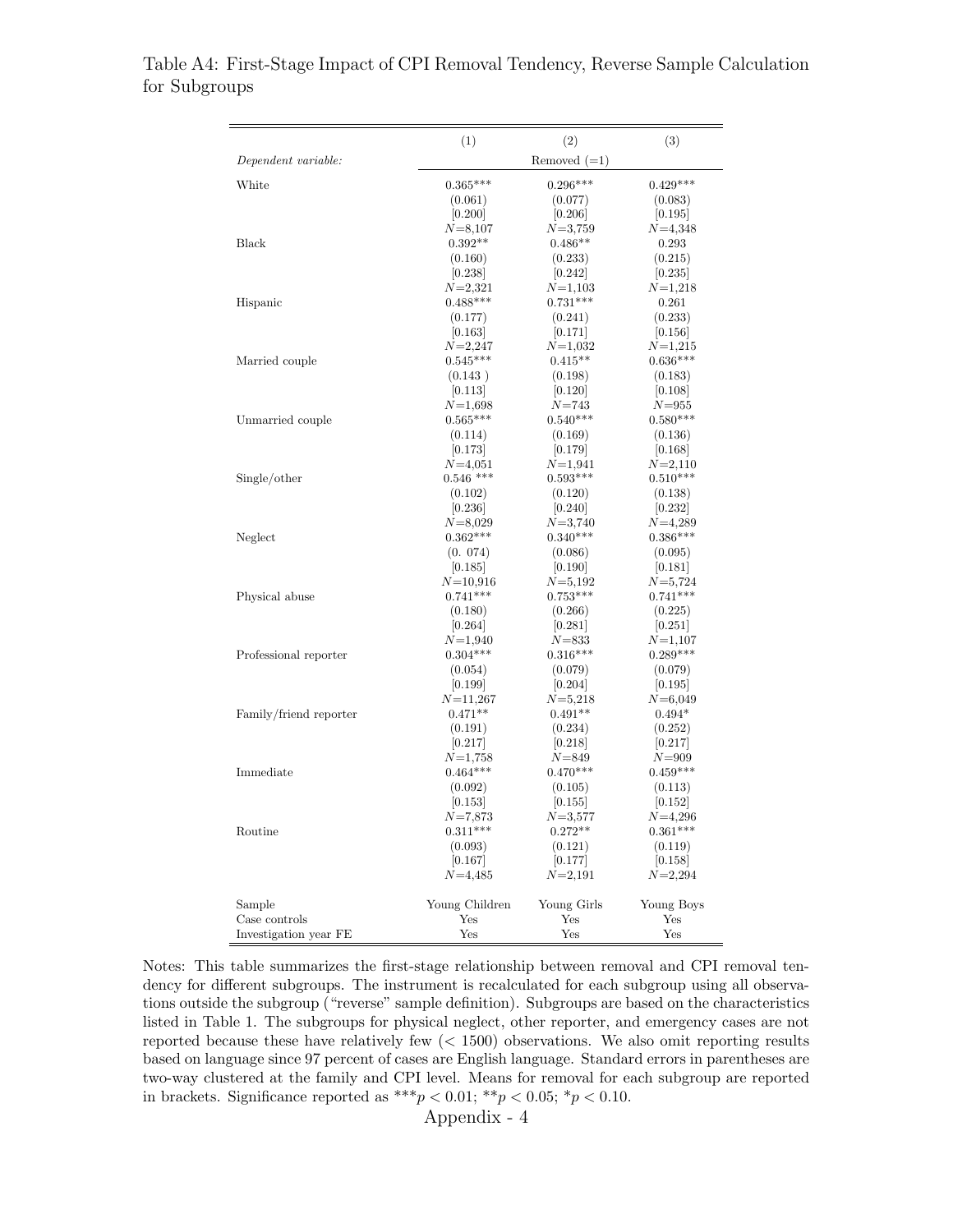|                        | (1)                     | (2)                   | (3)                 |
|------------------------|-------------------------|-----------------------|---------------------|
| Dependent variable:    |                         | Removed $(=1)$        |                     |
| White                  | $0.365***$              | $0.296***$            | $0.429***$          |
|                        | (0.061)                 | (0.077)               | (0.083)             |
|                        | [0.200]                 | [0.206]               | 0.195               |
|                        | $N = 8,107$             | $N = 3,759$           | $N = 4,348$         |
| Black                  | $0.392**$               | $0.486**$             | 0.293               |
|                        | (0.160)                 | (0.233)               | (0.215)             |
|                        | 0.238                   | 0.242                 | 0.235               |
|                        | $N=2,321$               | $N = 1,103$           | $N=1,218$           |
| Hispanic               | $0.488***$              | $0.731***$            | 0.261               |
|                        | (0.177)                 | (0.241)               | (0.233)             |
|                        | 0.163                   | 0.171                 | 0.156               |
|                        | $N = 2,247$             | $N=1,032$             | $N = 1,215$         |
| Married couple         | $0.545***$              | $0.415**$             | $0.636***$          |
|                        | (0.143)                 | (0.198)               | (0.183)             |
|                        | 0.113                   | [0.120]               | 0.108               |
|                        | $N{=}1,698$             | $N = 743$             | $N = 955$           |
| Unmarried couple       | $0.565***$              | $0.540***$            | $0.580***$          |
|                        | (0.114)                 | (0.169)               | (0.136)             |
|                        | [0.173]                 | [0.179]               | 0.168               |
|                        | $N = 4,051$             | $N=1,941$             | $N = 2,110$         |
| Single/other           | $0.546$ ***             | $0.593***$            | $0.510***$          |
|                        | (0.102)                 | (0.120)               | (0.138)             |
|                        | 0.236 <br>$N = 8,029$   | 0.240 <br>$N = 3,740$ | 0.232 <br>$N=4,289$ |
| Neglect                | $0.362***$              | $0.340***$            | $0.386***$          |
|                        | (0.074)                 | (0.086)               | (0.095)             |
|                        | 0.185                   | [0.190]               | 0.181               |
|                        | $N{=}10{,}916$          | $N = 5,192$           | $N = 5,724$         |
| Physical abuse         | $0.741***$              | $0.753***$            | $0.741***$          |
|                        | (0.180)                 | (0.266)               | (0.225)             |
|                        | 0.264                   | 0.281                 | 0.251               |
|                        | $N = 1,940$             | $N = 833$             | $N = 1,107$         |
| Professional reporter  | $0.304***$              | $0.316***$            | $0.289***$          |
|                        | (0.054)                 | (0.079)               | (0.079)             |
|                        | 0.199                   | [0.204]               | 0.195               |
|                        | $N = 11,267$            | $N = 5,218$           | $N = 6,049$         |
| Family/friend reporter | $0.471**$               | $0.491**$             | $0.494*$            |
|                        | (0.191)                 | (0.234)               | (0.252)             |
|                        | 0.217                   | 0.218                 | 0.217               |
|                        | $N = 1.758$             | $N = 849$             | $N = 909$           |
| Immediate              | $0.464***$              | $0.470***$            | $0.459***$          |
|                        | (0.092)                 | (0.105)               | (0.113)             |
|                        | 0.153 <br>$N{=}7{,}873$ | 0.155 <br>$N = 3,577$ | 0.152 <br>$N=4,296$ |
| Routine                | $0.311***$              | $0.272^{\ast\ast}$    | $0.361***$          |
|                        | (0.093)                 | (0.121)               | (0.119)             |
|                        | 0.167                   | [0.177]               | 0.158               |
|                        | $N = 4,485$             | $N=2,191$             | $N = 2,294$         |
| Sample                 | Young Children          | Young Girls           | Young Boys          |
| Case controls          | Yes                     | Yes                   | Yes                 |
| Investigation year FE  | Yes                     | Yes                   | Yes                 |

Table A4: First-Stage Impact of CPI Removal Tendency, Reverse Sample Calculation for Subgroups

Notes: This table summarizes the first-stage relationship between removal and CPI removal tendency for different subgroups. The instrument is recalculated for each subgroup using all observations outside the subgroup ("reverse" sample definition). Subgroups are based on the characteristics listed in Table [1.](#page-41-0) The subgroups for physical neglect, other reporter, and emergency cases are not reported because these have relatively few (< 1500) observations. We also omit reporting results based on language since 97 percent of cases are English language. Standard errors in parentheses are two-way clustered at the family and CPI level. Means for removal for each subgroup are reported in brackets. Significance reported as \*\*\*  $p < 0.01$ ; \*\*  $p < 0.05$ ; \*  $p < 0.10$ .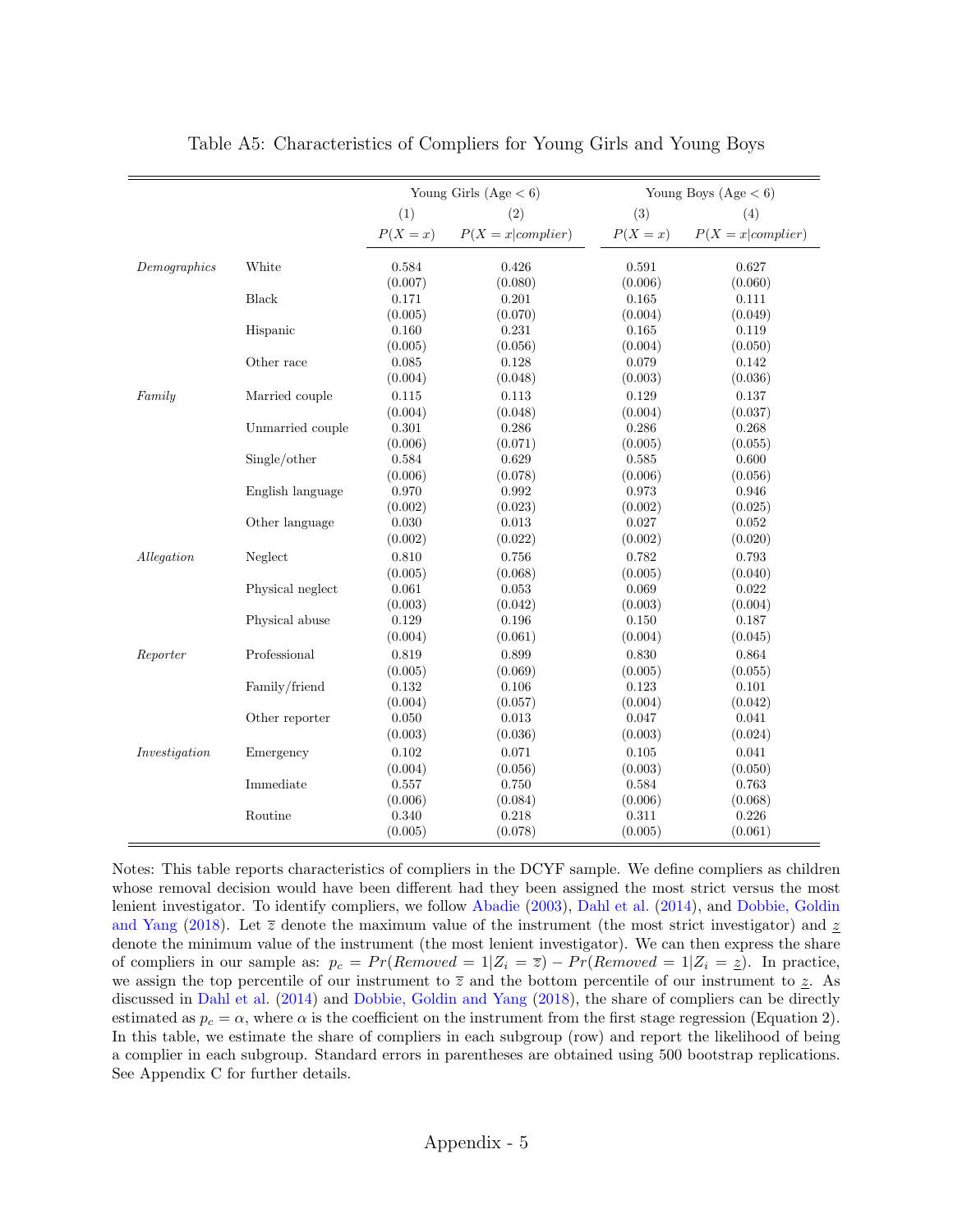|               |                  |           | Young Girls (Age $< 6$ ) |          | Young Boys $(Age < 6)$ |
|---------------|------------------|-----------|--------------------------|----------|------------------------|
|               |                  | (1)       | (2)                      | (3)      | (4)                    |
|               |                  | $P(X=x)$  | $P(X = x complier)$      | $P(X=x)$ | $P(X = x  compiler)$   |
| Demographies  | White            | 0.584     | 0.426                    | 0.591    | 0.627                  |
|               |                  | (0.007)   | (0.080)                  | (0.006)  | (0.060)                |
|               | Black            | 0.171     | 0.201                    | 0.165    | 0.111                  |
|               |                  | (0.005)   | (0.070)                  | (0.004)  | (0.049)                |
|               | Hispanic         | 0.160     | 0.231                    | 0.165    | 0.119                  |
|               |                  | (0.005)   | (0.056)                  | (0.004)  | (0.050)                |
|               | Other race       | 0.085     | 0.128                    | 0.079    | 0.142                  |
|               |                  | (0.004)   | (0.048)                  | (0.003)  | (0.036)                |
| Family        | Married couple   | 0.115     | 0.113                    | 0.129    | 0.137                  |
|               |                  | (0.004)   | (0.048)                  | (0.004)  | (0.037)                |
|               | Unmarried couple | 0.301     | 0.286                    | 0.286    | 0.268                  |
|               |                  | (0.006)   | (0.071)                  | (0.005)  | (0.055)                |
|               | Single/other     | 0.584     | 0.629                    | 0.585    | 0.600                  |
|               |                  | (0.006)   | (0.078)                  | (0.006)  | (0.056)                |
|               | English language | 0.970     | 0.992                    | 0.973    | 0.946                  |
|               |                  | (0.002)   | (0.023)                  | (0.002)  | (0.025)                |
|               | Other language   | 0.030     | 0.013                    | 0.027    | 0.052                  |
|               |                  | (0.002)   | (0.022)                  | (0.002)  | (0.020)                |
| Allegation    | Neglect          | 0.810     | 0.756                    | 0.782    | 0.793                  |
|               |                  | (0.005)   | (0.068)                  | (0.005)  | (0.040)                |
|               | Physical neglect | 0.061     | 0.053                    | 0.069    | 0.022                  |
|               |                  | (0.003)   | (0.042)                  | (0.003)  | (0.004)                |
|               | Physical abuse   | 0.129     | 0.196                    | 0.150    | 0.187                  |
|               |                  | (0.004)   | (0.061)                  | (0.004)  | (0.045)                |
| Reporter      | Professional     | 0.819     | 0.899                    | 0.830    | 0.864                  |
|               |                  | (0.005)   | (0.069)                  | (0.005)  | (0.055)                |
|               | Family/friend    | 0.132     | 0.106                    | 0.123    | 0.101                  |
|               |                  | (0.004)   | (0.057)                  | (0.004)  | (0.042)                |
|               | Other reporter   | $0.050\,$ | $\,0.013\,$              | 0.047    | 0.041                  |
|               |                  | (0.003)   | (0.036)                  | (0.003)  | (0.024)                |
| Investigation | Emergency        | 0.102     | 0.071                    | 0.105    | 0.041                  |
|               |                  | (0.004)   | (0.056)                  | (0.003)  | (0.050)                |
|               | Immediate        | 0.557     | 0.750                    | 0.584    | 0.763                  |
|               |                  | (0.006)   | (0.084)                  | (0.006)  | (0.068)                |
|               | Routine          | 0.340     | 0.218                    | 0.311    | 0.226                  |
|               |                  | (0.005)   | (0.078)                  | (0.005)  | (0.061)                |

Table A5: Characteristics of Compliers for Young Girls and Young Boys

denote the minimum value of the instrument (the most lenient investigator). We can then express the share Notes: This table reports characteristics of compliers in the DCYF sample. We define compliers as children whose removal decision would have been different had they been assigned the most strict versus the most lenient investigator. To identify compliers, we follow [Abadie](#page-34-0) [\(2003\)](#page-34-0), [Dahl et al.](#page-36-0) [\(2014\)](#page-36-0), and [Dobbie, Goldin](#page-36-1) [and Yang](#page-36-1) [\(2018\)](#page-36-1). Let  $\bar{z}$  denote the maximum value of the instrument (the most strict investigator) and  $\bar{z}$ of compliers in our sample as:  $p_c = Pr(Removed = 1|Z_i = \overline{z}) - Pr(Removed = 1|Z_i = \underline{z})$ . In practice, we assign the top percentile of our instrument to  $\overline{z}$  and the bottom percentile of our instrument to  $\underline{z}$ . As discussed in [Dahl et al.](#page-36-0) [\(2014\)](#page-36-0) and [Dobbie, Goldin and Yang](#page-36-1) [\(2018\)](#page-36-1), the share of compliers can be directly estimated as  $p_c = \alpha$ , where  $\alpha$  is the coefficient on the instrument from the first stage regression (Equation 2). In this table, we estimate the share of compliers in each subgroup (row) and report the likelihood of being a complier in each subgroup. Standard errors in parentheses are obtained using 500 bootstrap replications. See Appendix [C](#page-81-0) for further details.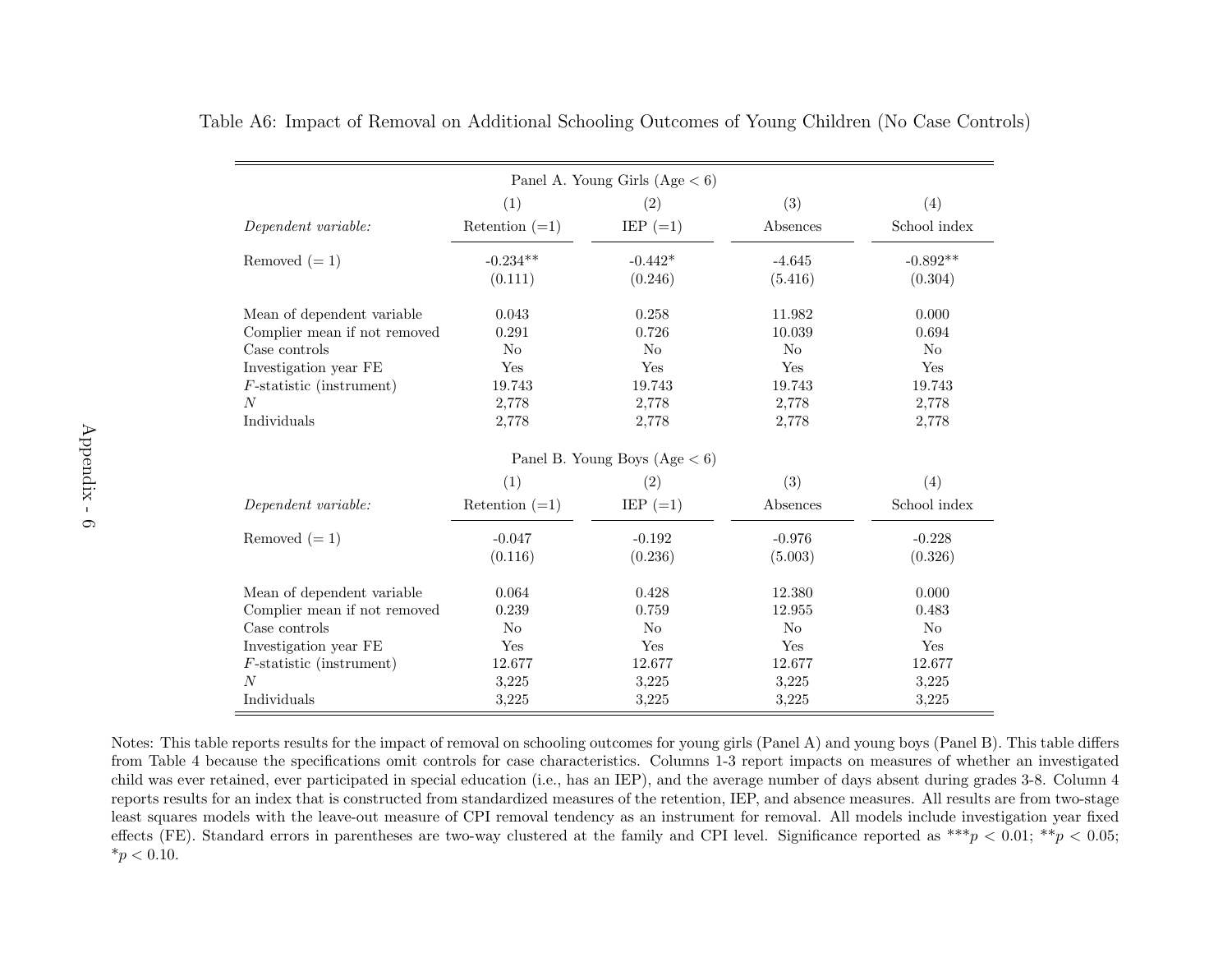|                                                                 |                  | Panel A. Young Girls $(Age < 6)$ |            |                |
|-----------------------------------------------------------------|------------------|----------------------------------|------------|----------------|
|                                                                 | (1)              | (2)                              | (3)        | (4)            |
| Dependent variable:                                             | Retention $(=1)$ | IEP $(=1)$                       | Absences   | School index   |
| Removed $(=1)$                                                  | $-0.234**$       | $-0.442*$                        | $-4.645$   | $-0.892**$     |
|                                                                 | (0.111)          | (0.246)                          | (5.416)    | (0.304)        |
| Mean of dependent variable                                      | 0.043            | 0.258                            | 11.982     | 0.000          |
| Complier mean if not removed                                    | 0.291            | 0.726                            | 10.039     | 0.694          |
| Case controls                                                   | No               | N <sub>o</sub>                   | No         | N <sub>o</sub> |
| Investigation year FE                                           | Yes              | Yes                              | Yes        | Yes            |
| $F$ -statistic (instrument)                                     | 19.743           | 19.743                           | 19.743     | 19.743         |
| N                                                               | 2,778            | 2,778                            | 2,778      | 2,778          |
| Individuals                                                     | 2,778            | 2,778                            | 2,778      | 2,778          |
|                                                                 |                  | Panel B. Young Boys $(Age < 6)$  |            |                |
|                                                                 | (1)              | (2)                              | (3)        | (4)            |
| Dependent variable:                                             | Retention $(=1)$ | IEP $(=1)$                       | Absences   | School index   |
| Removed $(=1)$                                                  | $-0.047$         | $-0.192$                         | $-0.976$   | $-0.228$       |
|                                                                 | (0.116)          | (0.236)                          | (5.003)    | (0.326)        |
| Mean of dependent variable                                      | 0.064            | 0.428                            | 12.380     | 0.000          |
| Complier mean if not removed $% \left\vert \cdot \right\rangle$ | 0.239            | 0.759                            | 12.955     | 0.483          |
| Case controls                                                   | No               | N <sub>o</sub>                   | No         | N <sub>o</sub> |
| Investigation year FE                                           | Yes              | Yes                              | <b>Yes</b> | Yes            |
| $F$ -statistic (instrument)                                     | 12.677           | 12.677                           | 12.677     | 12.677         |
| N                                                               | 3,225            | 3,225                            | 3,225      | 3,225          |
| Individuals                                                     | 3,225            | 3,225                            | 3,225      | 3,225          |

Table A6: Impact of Removal on Additional Schooling Outcomes of Young Children (No Case Controls)

Notes: This table reports results for the impact of removal on schooling outcomes for young girls (Panel A) and young boys (Panel B). This table differs from Table [4](#page-44-0) because the specifications omit controls for case characteristics. Columns 1-3 report impacts on measures of whether an investigated child was ever retained, ever participated in special education (i.e., has an IEP), and the average number of days absent during grades 3-8. Column <sup>4</sup> reports results for an index that is constructed from standardized measures of the retention, IEP, and absence measures. All results are from two-stage least squares models with the leave-out measure of CPI removal tendency as an instrument for removal. All models include investigation year fixedeffects (FE). Standard errors in parentheses are two-way clustered at the family and CPI level. Significance reported as  $**\gamma < 0.01$ ;  $**\gamma < 0.05$ ;  $*_{p}$  < 0.10.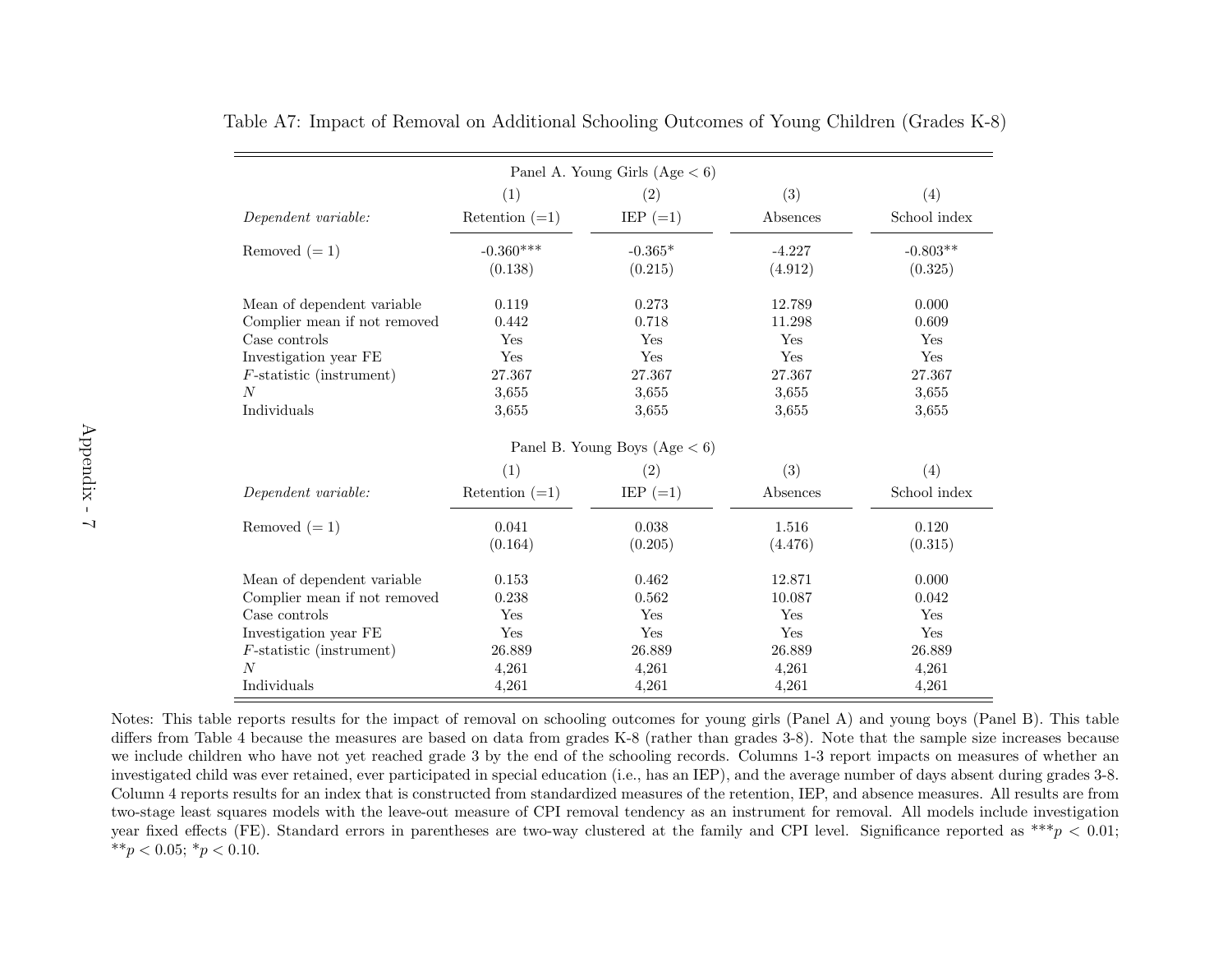|                              |                  | Panel A. Young Girls (Age $< 6$ ) |          |              |
|------------------------------|------------------|-----------------------------------|----------|--------------|
|                              | (1)              | (2)                               | (3)      | (4)          |
| Dependent variable:          | Retention $(=1)$ | IEP $(=1)$                        | Absences | School index |
| Removed $(=1)$               | $-0.360***$      | $-0.365*$                         | $-4.227$ | $-0.803**$   |
|                              | (0.138)          | (0.215)                           | (4.912)  | (0.325)      |
| Mean of dependent variable   | 0.119            | 0.273                             | 12.789   | 0.000        |
| Complier mean if not removed | 0.442            | 0.718                             | 11.298   | 0.609        |
| Case controls                | Yes              | Yes                               | Yes      | Yes          |
| Investigation year FE        | Yes              | Yes                               | Yes      | Yes          |
| $F$ -statistic (instrument)  | 27.367           | 27.367                            | 27.367   | 27.367       |
| N                            | 3,655            | 3,655                             | 3,655    | 3,655        |
| Individuals                  | 3.655            | 3,655                             | 3,655    | 3,655        |
|                              |                  | Panel B. Young Boys $(Age < 6)$   |          |              |
|                              | (1)              | (2)                               | (3)      | (4)          |
| Dependent variable:          | Retention $(=1)$ | $IEP (=1)$                        | Absences | School index |
| Removed $(=1)$               | 0.041            | 0.038                             | 1.516    | 0.120        |
|                              | (0.164)          | (0.205)                           | (4.476)  | (0.315)      |
| Mean of dependent variable   | 0.153            | 0.462                             | 12.871   | 0.000        |
| Complier mean if not removed | 0.238            | 0.562                             | 10.087   | 0.042        |
| Case controls                | Yes              | Yes                               | Yes      | Yes          |
| Investigation year FE        | Yes              | Yes                               | Yes      | Yes          |
| $F$ -statistic (instrument)  | 26.889           | 26.889                            | 26.889   | 26.889       |
| $\overline{N}$               | 4,261            | 4,261                             | 4,261    | 4,261        |
| Individuals                  | 4,261            | 4,261                             | 4,261    | 4,261        |

Table A7: Impact of Removal on Additional Schooling Outcomes of Young Children (Grades K-8)

Notes: This table reports results for the impact of removal on schooling outcomes for young <sup>g</sup>irls (Panel A) and young boys (Panel B). This table differs from Table [4](#page-44-0) because the measures are based on data from grades K-8 (rather than grades 3-8). Note that the sample size increases because we include children who have not yet reached grade 3 by the end of the schooling records. Columns 1-3 report impacts on measures of whether an investigated child was ever retained, ever participated in special education (i.e., has an IEP), and the average number of days absent during grades 3-8.Column 4 reports results for an index that is constructed from standardized measures of the retention, IEP, and absence measures. All results are from two-stage least squares models with the leave-out measure of CPI removal tendency as an instrument for removal. All models include investigationyear fixed effects (FE). Standard errors in parentheses are two-way clustered at the family and CPI level. Significance reported as  $^{***}p < 0.01$ ; \*\* $p < 0.05$ ; \* $p < 0.10$ .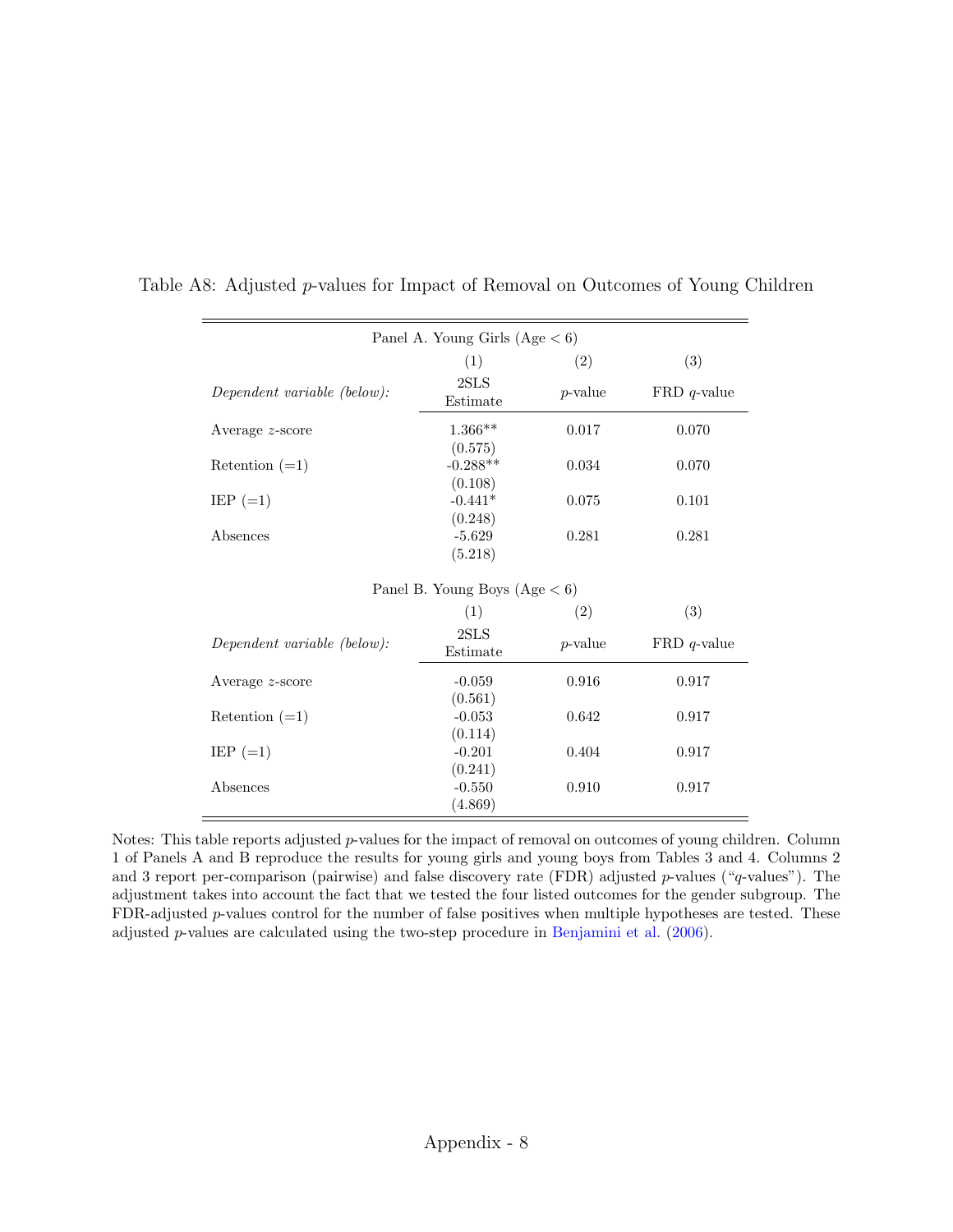| Panel A. Young Girls $(Age < 6)$ |                                 |            |                |  |  |
|----------------------------------|---------------------------------|------------|----------------|--|--|
|                                  | (1)                             | (2)        | (3)            |  |  |
| Dependent variable (below):      | 2SLS<br>Estimate                | $p$ -value | $FRD q$ -value |  |  |
| Average $z$ -score               | $1.366**$                       | $0.017\,$  | 0.070          |  |  |
| Retention $(=1)$                 | (0.575)<br>$-0.288**$           | 0.034      | 0.070          |  |  |
| $EIP (=1)$                       | (0.108)<br>$-0.441*$            | 0.075      | 0.101          |  |  |
| Absences                         | (0.248)<br>$-5.629$<br>(5.218)  | 0.281      | 0.281          |  |  |
|                                  | Panel B. Young Boys $(Age < 6)$ |            |                |  |  |
|                                  | (1)                             | (2)        | (3)            |  |  |
| Dependent variable (below):      | 2SLS<br>Estimate                | $p$ -value | $FRD q$ -value |  |  |
| Average z-score                  | $-0.059$                        | 0.916      | 0.917          |  |  |
| Retention $(=1)$                 | (0.561)<br>$-0.053$             | 0.642      | 0.917          |  |  |
| $\text{IEP}$ (=1)                | (0.114)<br>$-0.201$             | 0.404      | 0.917          |  |  |
| Absences                         | (0.241)<br>$-0.550$<br>(4.869)  | 0.910      | 0.917          |  |  |

Table A8: Adjusted p-values for Impact of Removal on Outcomes of Young Children

Notes: This table reports adjusted  $p$ -values for the impact of removal on outcomes of young children. Column 1 of Panels A and B reproduce the results for young girls and young boys from Tables [3](#page-43-0) and [4.](#page-44-1) Columns 2 and 3 report per-comparison (pairwise) and false discovery rate (FDR) adjusted p-values ("q-values"). The adjustment takes into account the fact that we tested the four listed outcomes for the gender subgroup. The FDR-adjusted p-values control for the number of false positives when multiple hypotheses are tested. These adjusted p-values are calculated using the two-step procedure in [Benjamini et al.](#page-35-0) [\(2006\)](#page-35-0).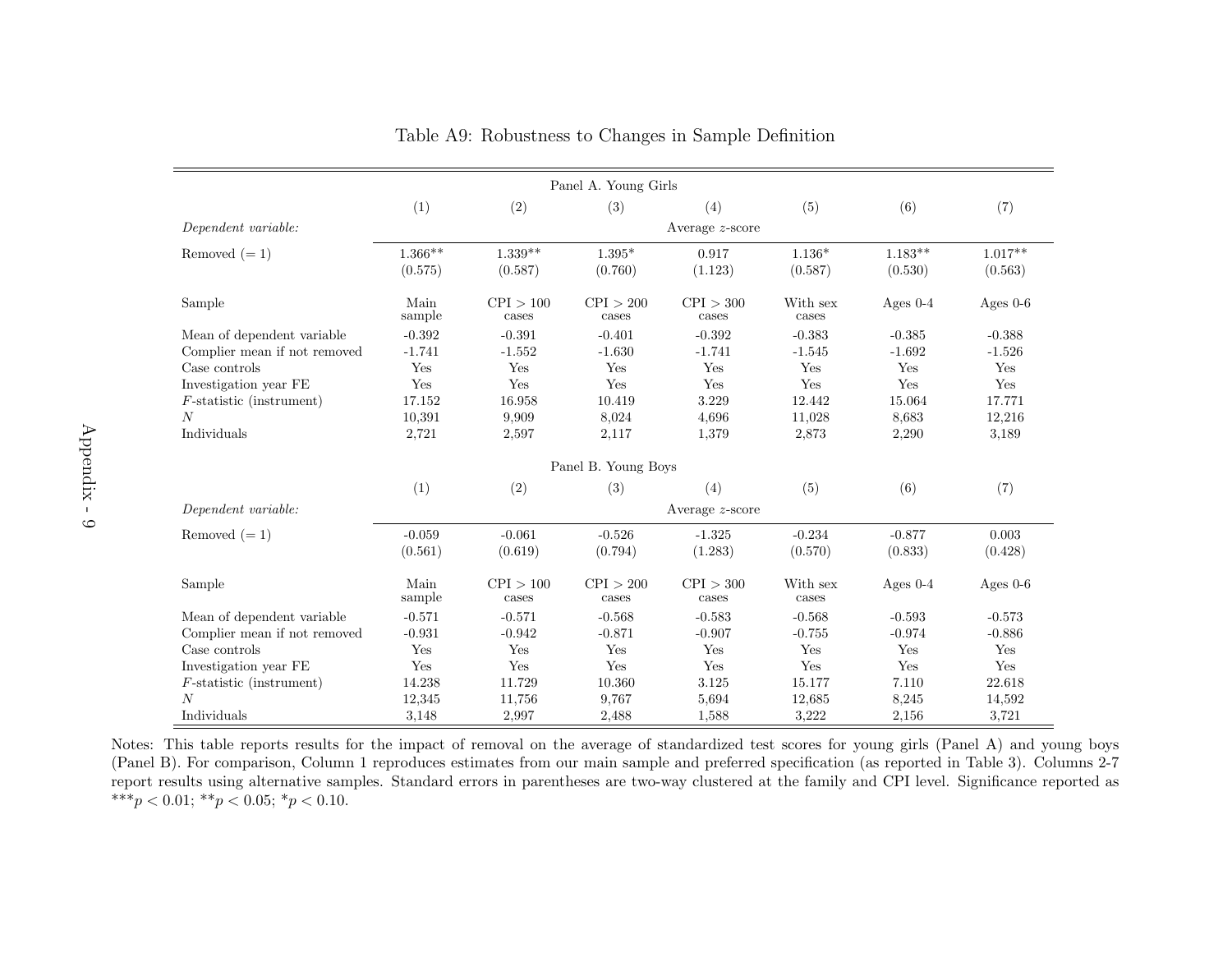|                              |                    |                    | Panel A. Young Girls |                    |                   |            |            |
|------------------------------|--------------------|--------------------|----------------------|--------------------|-------------------|------------|------------|
|                              | (1)                | (2)                | (3)                  | (4)                | (5)               | (6)        | (7)        |
| Dependent variable:          | Average $z$ -score |                    |                      |                    |                   |            |            |
| Removed $(=1)$               | $1.366**$          | $1.339**$          | $1.395^{\ast}$       | 0.917              | $1.136*$          | $1.183**$  | $1.017**$  |
|                              | (0.575)            | (0.587)            | (0.760)              | (1.123)            | (0.587)           | (0.530)    | (0.563)    |
| Sample                       | Main<br>sample     | CPI > 100<br>cases | CPI > 200<br>cases   | CPI > 300<br>cases | With sex<br>cases | Ages $0-4$ | Ages $0-6$ |
| Mean of dependent variable   | $-0.392$           | $-0.391$           | $-0.401$             | $-0.392$           | $-0.383$          | $-0.385$   | $-0.388$   |
| Complier mean if not removed | $-1.741$           | $-1.552$           | $-1.630$             | $-1.741$           | $-1.545$          | $-1.692$   | $-1.526$   |
| Case controls                | Yes                | Yes                | Yes                  | Yes                | Yes               | Yes        | Yes        |
| Investigation year FE        | Yes                | Yes                | Yes                  | Yes                | Yes               | Yes        | Yes        |
| $F$ -statistic (instrument)  | 17.152             | 16.958             | 10.419               | 3.229              | 12.442            | 15.064     | 17.771     |
| $\boldsymbol{N}$             | 10,391             | 9,909              | 8,024                | 4,696              | 11,028            | 8,683      | 12,216     |
| Individuals                  | 2,721              | 2,597              | 2,117                | 1,379              | 2,873             | 2,290      | 3,189      |
|                              |                    |                    | Panel B. Young Boys  |                    |                   |            |            |
|                              | (1)                | (2)                | (3)                  | (4)                | (5)               | (6)        | (7)        |
| Dependent variable:          |                    |                    |                      | Average $z$ -score |                   |            |            |
| Removed $(=1)$               | $-0.059$           | $-0.061$           | $-0.526$             | $-1.325$           | $-0.234$          | $-0.877$   | 0.003      |
|                              | (0.561)            | (0.619)            | (0.794)              | (1.283)            | (0.570)           | (0.833)    | (0.428)    |
| Sample                       | Main<br>sample     | CPI > 100<br>cases | CPI > 200<br>cases   | CPI > 300<br>cases | With sex<br>cases | Ages $0-4$ | Ages $0-6$ |
| Mean of dependent variable   | $-0.571$           | $-0.571$           | $-0.568$             | $-0.583$           | $-0.568$          | $-0.593$   | $-0.573$   |
| Complier mean if not removed | $-0.931$           | $-0.942$           | $-0.871$             | $-0.907$           | $-0.755$          | $-0.974$   | $-0.886$   |
| Case controls                | Yes                | Yes                | Yes                  | Yes                | Yes               | Yes        | Yes        |
| Investigation year FE        | Yes                | Yes                | Yes                  | Yes                | Yes               | Yes        | Yes        |
| $F$ -statistic (instrument)  | 14.238             | 11.729             | 10.360               | 3.125              | 15.177            | 7.110      | 22.618     |
| $\overline{N}$               | 12,345             | 11,756             | 9,767                | 5,694              | 12,685            | 8,245      | 14,592     |
| Individuals                  | 3,148              | 2,997              | 2,488                | 1,588              | 3,222             | 2,156      | 3,721      |

|  |  | Table A9: Robustness to Changes in Sample Definition |
|--|--|------------------------------------------------------|
|  |  |                                                      |

Notes: This table reports results for the impact of removal on the average of standardized test scores for young <sup>g</sup>irls (Panel A) and young boys (Panel B). For comparison, Column <sup>1</sup> reproduces estimates from our main sample and preferred specification (as reported in Table 3). Columns 2-7 report results using alternative samples. Standard errors in parentheses are two-way clustered at the family and CPI level. Significance reported as\*\*\* $p < 0.01$ ; \*\* $p < 0.05$ ; \* $p < 0.10$ .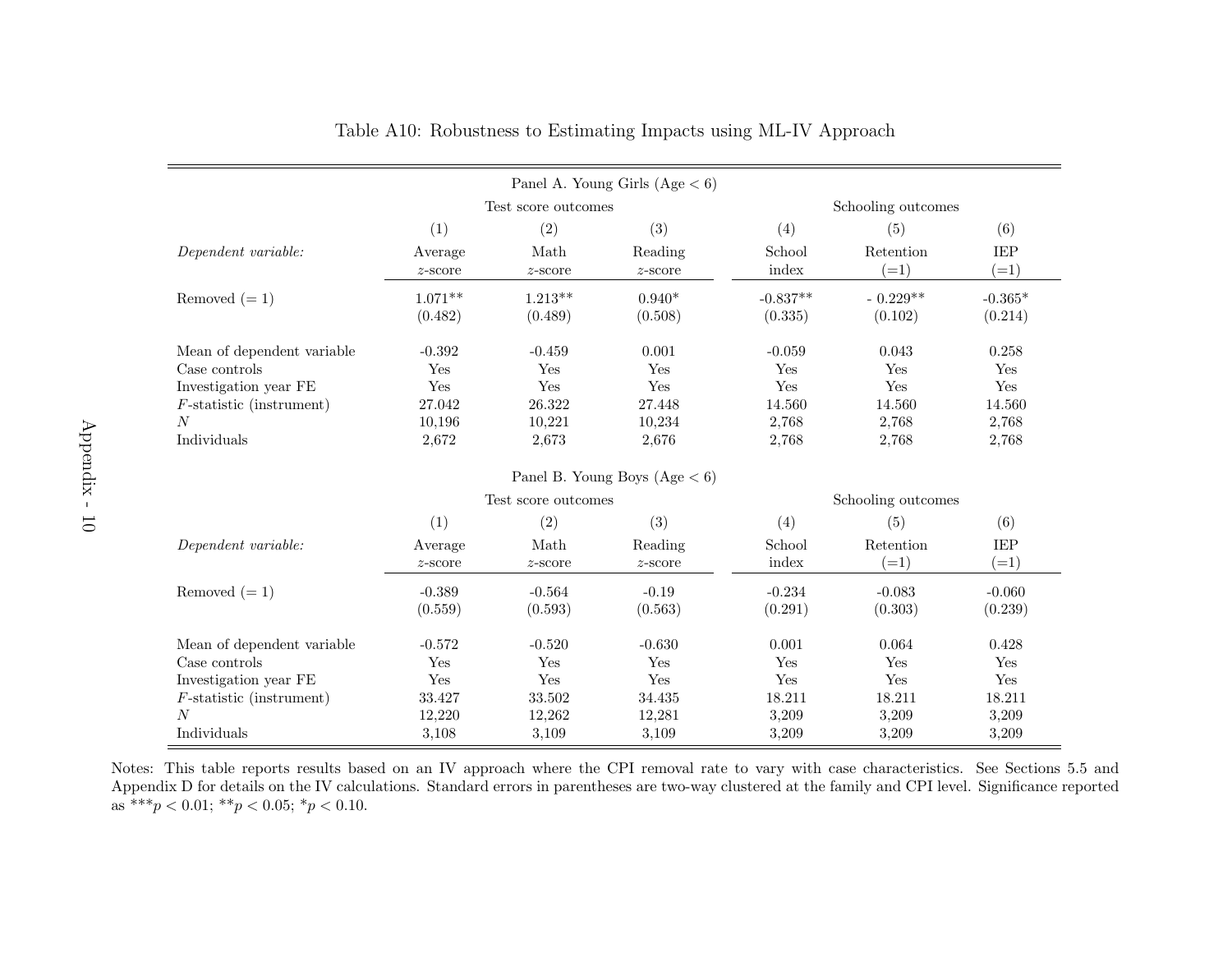| Panel A. Young Girls $(Age < 6)$ |            |                     |                                 |                    |            |           |
|----------------------------------|------------|---------------------|---------------------------------|--------------------|------------|-----------|
|                                  |            | Test score outcomes |                                 | Schooling outcomes |            |           |
|                                  | (1)        | (2)                 | (3)                             | (4)                | (5)        | (6)       |
| Dependent variable:              | Average    | Math                | Reading                         | School             | Retention  | IEP       |
|                                  | $z$ -score | $z$ -score          | $z$ -score                      | index              | $(=1)$     | $(=1)$    |
| Removed $(=1)$                   | $1.071**$  | $1.213**$           | $0.940*$                        | $-0.837**$         | $-0.229**$ | $-0.365*$ |
|                                  | (0.482)    | (0.489)             | (0.508)                         | (0.335)            | (0.102)    | (0.214)   |
| Mean of dependent variable       | $-0.392$   | $-0.459$            | 0.001                           | $-0.059$           | 0.043      | 0.258     |
| Case controls                    | Yes        | Yes                 | Yes                             | Yes                | Yes        | Yes       |
| Investigation year FE            | Yes        | Yes                 | Yes                             | Yes                | Yes        | Yes       |
| $F$ -statistic (instrument)      | 27.042     | 26.322              | 27.448                          | 14.560             | 14.560     | 14.560    |
| $\overline{N}$                   | 10,196     | 10,221              | 10,234                          | 2,768              | 2,768      | 2,768     |
| Individuals                      | 2,672      | 2,673               | 2,676                           | 2,768              | 2,768      | 2,768     |
|                                  |            |                     | Panel B. Young Boys $(Age < 6)$ |                    |            |           |
|                                  |            | Test score outcomes |                                 | Schooling outcomes |            |           |
|                                  | (1)        | (2)                 | (3)                             | (4)                | (5)        | (6)       |
| Dependent variable:              | Average    | Math                | Reading                         | School             | Retention  | IEP       |
|                                  | $z$ -score | $z$ -score          | $z$ -score                      | index              | $(=1)$     | $(=1)$    |
| Removed $(=1)$                   | $-0.389$   | $-0.564$            | $-0.19$                         | $-0.234$           | $-0.083$   | $-0.060$  |
|                                  | (0.559)    | (0.593)             | (0.563)                         | (0.291)            | (0.303)    | (0.239)   |
| Mean of dependent variable       | $-0.572$   | $-0.520$            | $-0.630$                        | 0.001              | 0.064      | 0.428     |
| Case controls                    | Yes        | Yes                 | Yes                             | Yes                | Yes        | Yes       |
| Investigation year FE            | Yes        | Yes                 | Yes                             | Yes                | Yes        | Yes       |
| $F$ -statistic (instrument)      | 33.427     | 33.502              | 34.435                          | 18.211             | 18.211     | 18.211    |
| $\overline{N}$                   | 12,220     | 12,262              | 12,281                          | 3,209              | 3,209      | 3,209     |
| Individuals                      | 3,108      | 3,109               | 3,109                           | 3,209              | 3,209      | 3,209     |

Notes: This table reports results based on an IV approach where the CPI removal rate to vary with case characteristics. See Sections [5.5](#page-23-0) and Appendix [D](#page-83-0) for details on the IV calculations. Standard errors in parentheses are two-way clustered at the family and CPI level. Significance reportedas \*\*\* $p < 0.01$ ; \*\* $p < 0.05$ ; \* $p < 0.10$ .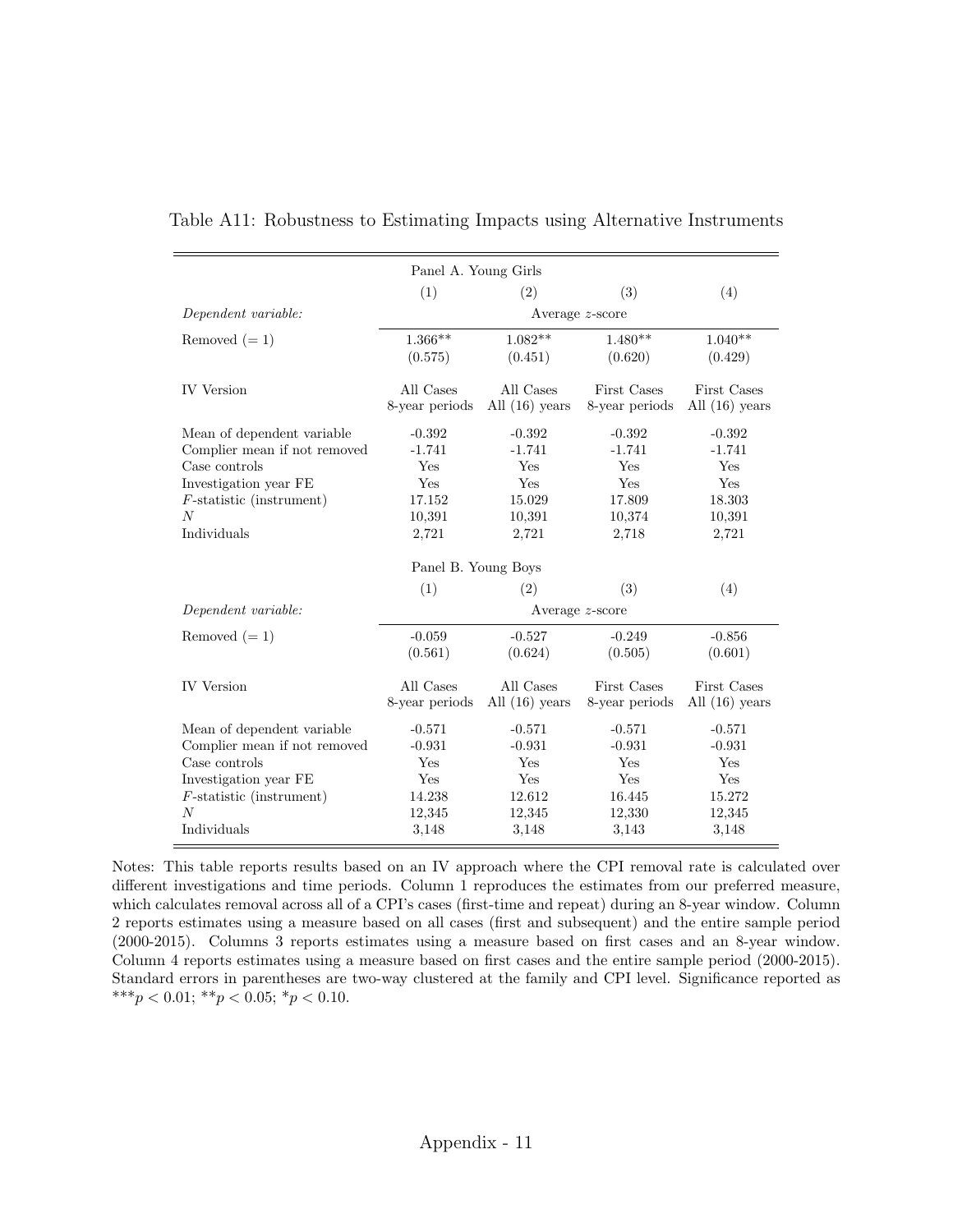| Panel A. Young Girls                                                                                                                                                         |                                                                 |                                                                        |                                                                        |                                                                        |  |
|------------------------------------------------------------------------------------------------------------------------------------------------------------------------------|-----------------------------------------------------------------|------------------------------------------------------------------------|------------------------------------------------------------------------|------------------------------------------------------------------------|--|
|                                                                                                                                                                              | (1)                                                             | (2)                                                                    | (3)                                                                    | (4)                                                                    |  |
| Dependent variable:                                                                                                                                                          |                                                                 |                                                                        | Average z-score                                                        |                                                                        |  |
| Removed $(=1)$                                                                                                                                                               | $1.366**$<br>(0.575)                                            | $1.082**$<br>(0.451)                                                   | $1.480**$<br>(0.620)                                                   | $1.040**$<br>(0.429)                                                   |  |
| <b>IV</b> Version                                                                                                                                                            | All Cases<br>8-year periods                                     | All Cases<br>All $(16)$ years                                          | First Cases<br>8-year periods                                          | First Cases<br>All $(16)$ years                                        |  |
| Mean of dependent variable<br>Complier mean if not removed<br>Case controls<br>Investigation year FE<br>$F\text{-statistic}$ (instrument)<br>$\boldsymbol{N}$<br>Individuals | $-0.392$<br>$-1.741$<br>Yes<br>Yes<br>17.152<br>10,391<br>2,721 | $-0.392$<br>$-1.741$<br>Yes<br><b>Yes</b><br>15.029<br>10,391<br>2,721 | $-0.392$<br>$-1.741$<br>Yes<br><b>Yes</b><br>17.809<br>10,374<br>2,718 | $-0.392$<br>$-1.741$<br>Yes<br><b>Yes</b><br>18.303<br>10,391<br>2,721 |  |
|                                                                                                                                                                              | Panel B. Young Boys                                             |                                                                        |                                                                        |                                                                        |  |
|                                                                                                                                                                              | (1)                                                             | (2)                                                                    | (3)                                                                    | (4)                                                                    |  |
| Dependent variable:                                                                                                                                                          |                                                                 |                                                                        | Average $z$ -score                                                     |                                                                        |  |
| Removed $(=1)$                                                                                                                                                               | $-0.059$<br>(0.561)                                             | $-0.527$<br>(0.624)                                                    | $-0.249$<br>(0.505)                                                    | $-0.856$<br>(0.601)                                                    |  |
| <b>IV</b> Version                                                                                                                                                            | All Cases<br>8-year periods                                     | All Cases<br>All $(16)$ years                                          | First Cases<br>8-year periods                                          | First Cases<br>All $(16)$ years                                        |  |
| Mean of dependent variable<br>Complier mean if not removed<br>Case controls<br>Investigation year FE<br>$F\text{-statistic}$ (instrument)<br>$\overline{N}$                  | $-0.571$<br>$-0.931$<br>Yes<br>Yes<br>14.238<br>12,345          | $-0.571$<br>$-0.931$<br>Yes<br>Yes<br>12.612<br>12,345                 | $-0.571$<br>$-0.931$<br>Yes<br>Yes<br>16.445<br>12,330                 | $-0.571$<br>$-0.931$<br>Yes<br>Yes<br>15.272<br>12,345                 |  |
| Individuals                                                                                                                                                                  | 3,148                                                           | 3,148                                                                  | 3,143                                                                  | 3,148                                                                  |  |

Table A11: Robustness to Estimating Impacts using Alternative Instruments

Notes: This table reports results based on an IV approach where the CPI removal rate is calculated over different investigations and time periods. Column 1 reproduces the estimates from our preferred measure, which calculates removal across all of a CPI's cases (first-time and repeat) during an 8-year window. Column 2 reports estimates using a measure based on all cases (first and subsequent) and the entire sample period (2000-2015). Columns 3 reports estimates using a measure based on first cases and an 8-year window. Column 4 reports estimates using a measure based on first cases and the entire sample period (2000-2015). Standard errors in parentheses are two-way clustered at the family and CPI level. Significance reported as \*\*\* $p < 0.01$ ; \*\* $p < 0.05$ ; \* $p < 0.10$ .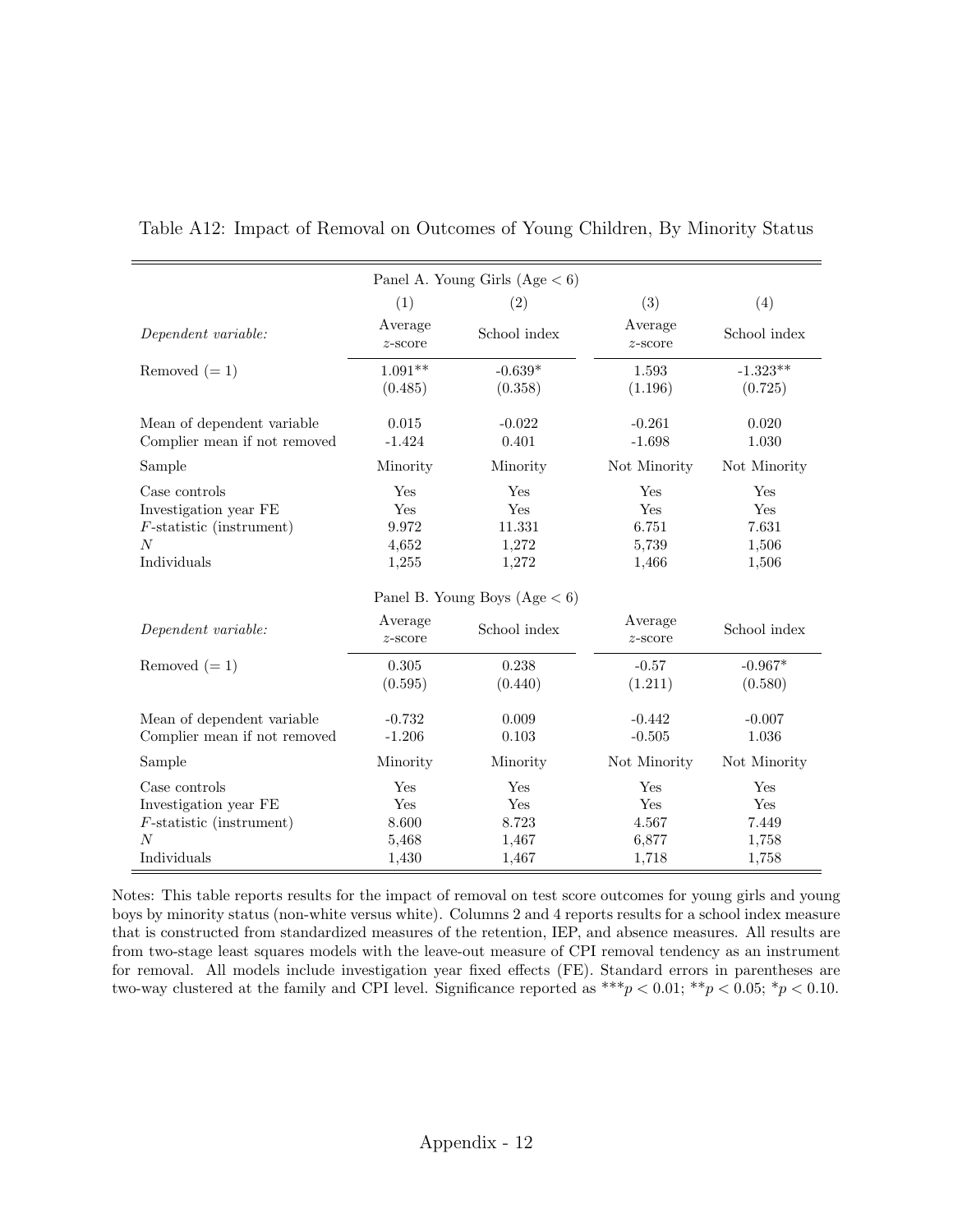| (1)<br>Average<br>$z$ -score          | (2)<br>School index                    | (3)<br>Average                           | (4)                                   |
|---------------------------------------|----------------------------------------|------------------------------------------|---------------------------------------|
|                                       |                                        |                                          |                                       |
|                                       |                                        | $z$ -score                               | School index                          |
| (0.485)                               | $-0.639*$<br>(0.358)                   | 1.593<br>(1.196)                         | $-1.323**$<br>(0.725)                 |
| 0.015<br>$-1.424$                     | $-0.022$<br>0.401                      | $-0.261$<br>$-1.698$                     | 0.020<br>1.030                        |
| Minority                              | Minority                               | Not Minority                             | Not Minority                          |
| Yes<br>Yes<br>9.972<br>4,652<br>1,255 | Yes<br>Yes<br>11.331<br>1,272<br>1,272 | Yes<br>Yes<br>6.751<br>5,739<br>1,466    | Yes<br>Yes<br>7.631<br>1,506<br>1,506 |
|                                       |                                        |                                          |                                       |
| Average<br>$z$ -score                 | School index                           | Average<br>$z$ -score                    | School index                          |
| $0.305\,$<br>(0.595)                  | 0.238<br>(0.440)                       | $-0.57$<br>(1.211)                       | $-0.967*$<br>(0.580)                  |
| $-0.732$<br>$-1.206$                  | 0.009<br>0.103                         | $-0.442$<br>$-0.505$                     | $-0.007$<br>1.036                     |
| Minority                              | Minority                               | Not Minority                             | Not Minority                          |
| Yes<br>Yes<br>8.600<br>5,468          | Yes<br>Yes<br>8.723<br>1,467           | Yes<br>Yes<br>4.567<br>6,877             | Yes<br>Yes<br>7.449<br>1,758<br>1,758 |
|                                       | $1.091**$<br>1,430                     | Panel B. Young Boys $(Age < 6)$<br>1,467 | 1,718                                 |

Table A12: Impact of Removal on Outcomes of Young Children, By Minority Status

Notes: This table reports results for the impact of removal on test score outcomes for young girls and young boys by minority status (non-white versus white). Columns 2 and 4 reports results for a school index measure that is constructed from standardized measures of the retention, IEP, and absence measures. All results are from two-stage least squares models with the leave-out measure of CPI removal tendency as an instrument for removal. All models include investigation year fixed effects (FE). Standard errors in parentheses are two-way clustered at the family and CPI level. Significance reported as  $***p < 0.01; **p < 0.05; *p < 0.10$ .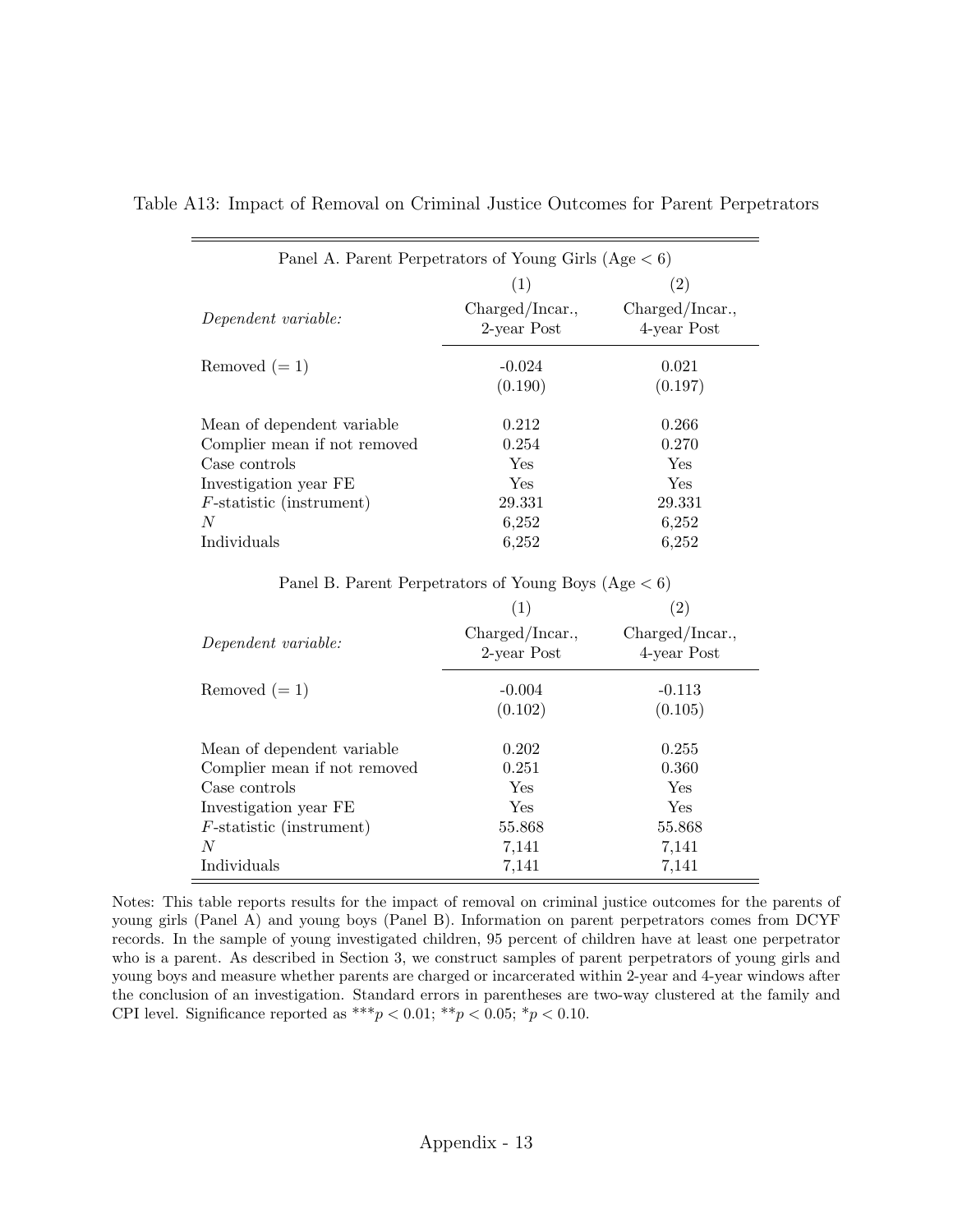| Panel A. Parent Perpetrators of Young Girls (Age $< 6$ ) |                                |                                |  |  |  |  |  |  |
|----------------------------------------------------------|--------------------------------|--------------------------------|--|--|--|--|--|--|
|                                                          | $\left( 2\right)$<br>(1)       |                                |  |  |  |  |  |  |
| Dependent variable:                                      | Charged/Incar.,<br>2-year Post | Charged/Incar.,<br>4-year Post |  |  |  |  |  |  |
| Removed $(=1)$                                           | $-0.024$<br>(0.190)            | 0.021<br>(0.197)               |  |  |  |  |  |  |
| Mean of dependent variable                               | 0.212                          | 0.266                          |  |  |  |  |  |  |
| Complier mean if not removed                             | 0.254                          | 0.270                          |  |  |  |  |  |  |
| Case controls                                            | Yes                            | Yes                            |  |  |  |  |  |  |
| Investigation year FE                                    | Yes                            | Yes                            |  |  |  |  |  |  |
| $F\text{-statistic}$ (instrument)                        | 29.331                         | 29.331                         |  |  |  |  |  |  |
| N                                                        | 6,252                          | 6,252                          |  |  |  |  |  |  |
| Individuals                                              | 6,252                          | 6,252                          |  |  |  |  |  |  |

Table A13: Impact of Removal on Criminal Justice Outcomes for Parent Perpetrators

Panel B. Parent Perpetrators of Young Boys  $(Age < 6)$ 

|                                   |                                | (2)                            |
|-----------------------------------|--------------------------------|--------------------------------|
| Dependent variable:               | Charged/Incar.,<br>2-year Post | Charged/Incar.,<br>4-year Post |
| Removed $(=1)$                    | $-0.004$                       | $-0.113$                       |
|                                   | (0.102)                        | (0.105)                        |
| Mean of dependent variable.       | 0.202                          | 0.255                          |
| Complier mean if not removed      | 0.251                          | 0.360                          |
| Case controls                     | Yes                            | Yes                            |
| Investigation year FE             | Yes                            | Yes                            |
| $F\text{-statistic}$ (instrument) | 55.868                         | 55.868                         |
| N                                 | 7,141                          | 7,141                          |
| Individuals                       | 7,141                          | 7,141                          |

Notes: This table reports results for the impact of removal on criminal justice outcomes for the parents of young girls (Panel A) and young boys (Panel B). Information on parent perpetrators comes from DCYF records. In the sample of young investigated children, 95 percent of children have at least one perpetrator who is a parent. As described in Section [3,](#page-8-0) we construct samples of parent perpetrators of young girls and young boys and measure whether parents are charged or incarcerated within 2-year and 4-year windows after the conclusion of an investigation. Standard errors in parentheses are two-way clustered at the family and CPI level. Significance reported as \*\*\*  $p < 0.01$ ; \*\*  $p < 0.05$ ; \*  $p < 0.10$ .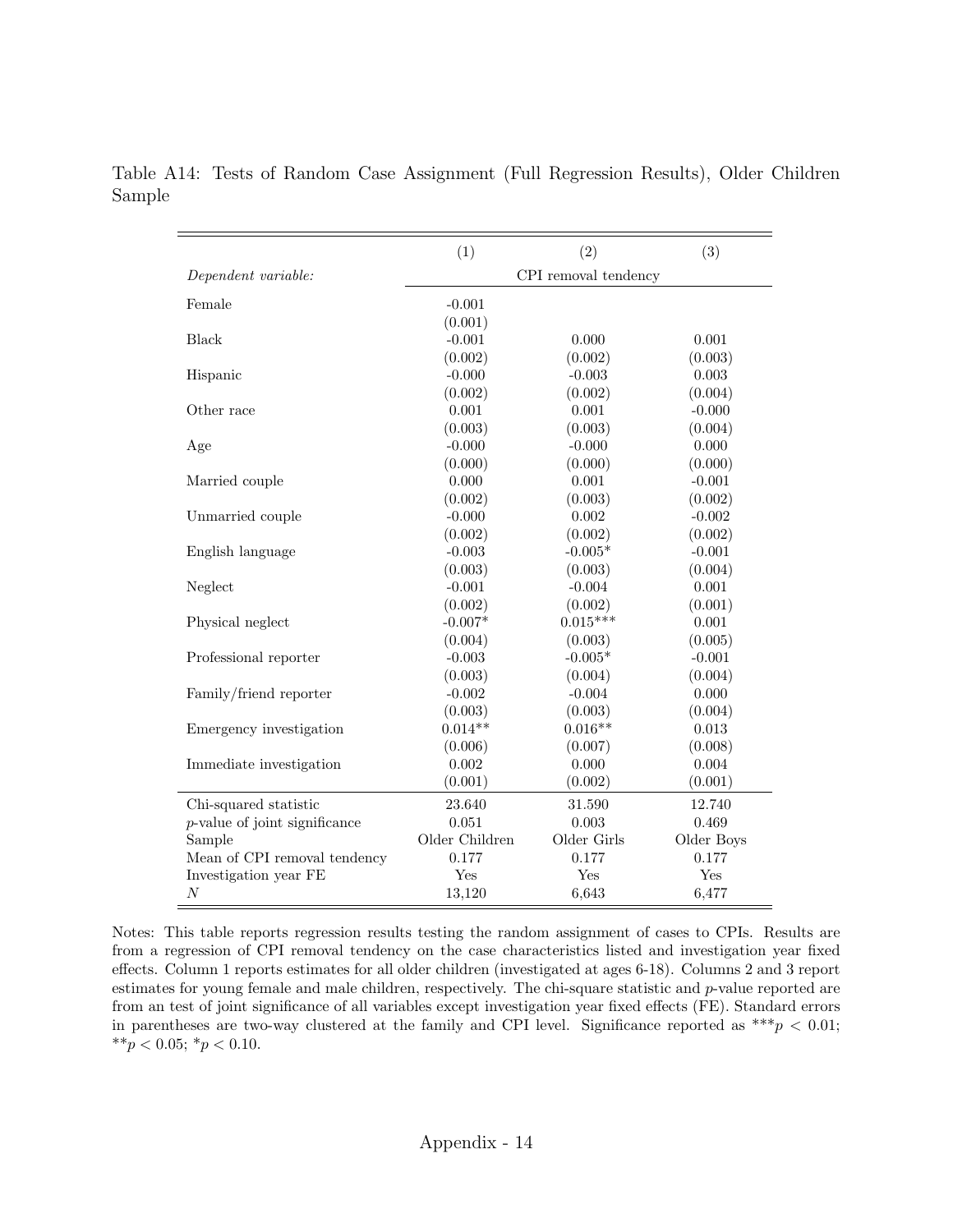|                                  | (1)                  | (2)         | (3)        |
|----------------------------------|----------------------|-------------|------------|
| Dependent variable:              | CPI removal tendency |             |            |
|                                  |                      |             |            |
| Female                           | $-0.001$             |             |            |
|                                  | (0.001)              |             |            |
| <b>Black</b>                     | $-0.001$             | 0.000       | 0.001      |
|                                  | (0.002)              | (0.002)     | (0.003)    |
| Hispanic                         | $-0.000$             | $-0.003$    | 0.003      |
|                                  | (0.002)              | (0.002)     | (0.004)    |
| Other race                       | 0.001                | 0.001       | $-0.000$   |
|                                  | (0.003)              | (0.003)     | (0.004)    |
| Age                              | $-0.000$             | $-0.000$    | 0.000      |
|                                  | (0.000)              | (0.000)     | (0.000)    |
| Married couple                   | 0.000                | 0.001       | $-0.001$   |
|                                  | (0.002)              | (0.003)     | (0.002)    |
| Unmarried couple                 | $-0.000$             | 0.002       | $-0.002$   |
|                                  | (0.002)              | (0.002)     | (0.002)    |
| English language                 | $-0.003$             | $-0.005*$   | $-0.001$   |
|                                  | (0.003)              | (0.003)     | (0.004)    |
| Neglect                          | $-0.001$             | $-0.004$    | 0.001      |
|                                  | (0.002)              | (0.002)     | (0.001)    |
| Physical neglect                 | $-0.007*$            | $0.015***$  | 0.001      |
|                                  | (0.004)              | (0.003)     | (0.005)    |
| Professional reporter            | $-0.003$             | $-0.005*$   | $-0.001$   |
|                                  | (0.003)              | (0.004)     | (0.004)    |
| Family/friend reporter           | $-0.002$             | $-0.004$    | 0.000      |
|                                  | (0.003)              | (0.003)     | (0.004)    |
| Emergency investigation          | $0.014**$            | $0.016**$   | 0.013      |
|                                  | (0.006)              | (0.007)     | (0.008)    |
| Immediate investigation          | 0.002                | 0.000       | 0.004      |
|                                  | (0.001)              | (0.002)     | (0.001)    |
| Chi-squared statistic            | 23.640               | 31.590      | 12.740     |
| $p$ -value of joint significance | 0.051                | 0.003       | 0.469      |
| Sample                           | Older Children       | Older Girls | Older Boys |
| Mean of CPI removal tendency     | 0.177                | 0.177       | 0.177      |
| Investigation year FE            | Yes                  | Yes         | Yes        |
| $\cal N$                         | 13,120               | 6,643       | 6,477      |

Table A14: Tests of Random Case Assignment (Full Regression Results), Older Children Sample

Notes: This table reports regression results testing the random assignment of cases to CPIs. Results are from a regression of CPI removal tendency on the case characteristics listed and investigation year fixed effects. Column 1 reports estimates for all older children (investigated at ages 6-18). Columns 2 and 3 report estimates for young female and male children, respectively. The chi-square statistic and p-value reported are from an test of joint significance of all variables except investigation year fixed effects (FE). Standard errors in parentheses are two-way clustered at the family and CPI level. Significance reported as \*\*\*  $p < 0.01$ ; \*\* $p < 0.05$ ; \* $p < 0.10$ .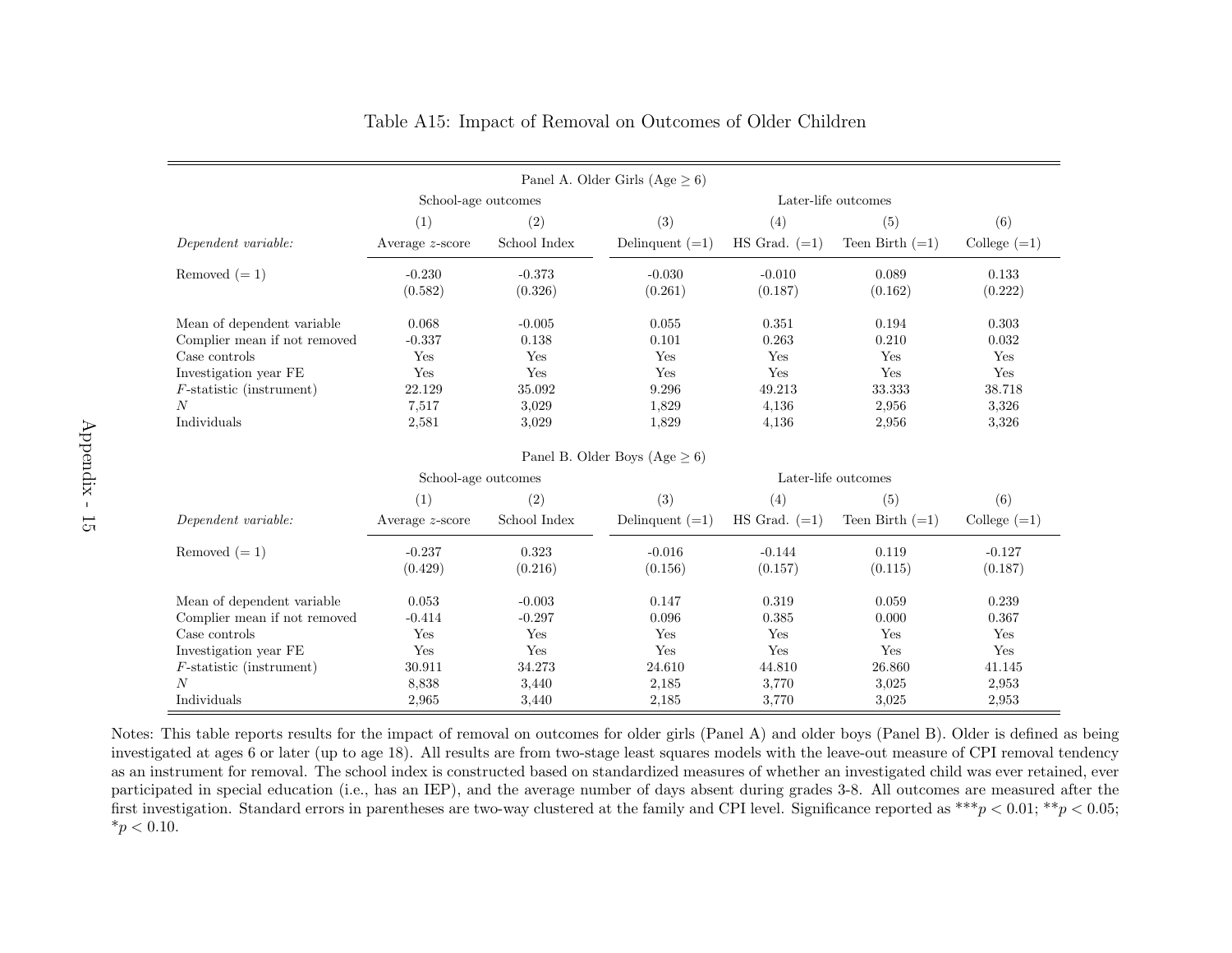| Panel A. Older Girls (Age $\geq 6$ )          |                                            |                     |                                     |                     |                   |                     |
|-----------------------------------------------|--------------------------------------------|---------------------|-------------------------------------|---------------------|-------------------|---------------------|
|                                               | Later-life outcomes<br>School-age outcomes |                     |                                     |                     |                   |                     |
|                                               | (1)                                        | (2)                 | (3)                                 | (4)                 | (5)               | (6)                 |
| Dependent variable:                           | Average $z$ -score                         | School Index        | Delinquent $(=1)$                   | $HS$ Grad. $(=1)$   | Teen Birth $(=1)$ | College $(=1)$      |
| Removed $(=1)$                                | $-0.230$<br>(0.582)                        | $-0.373$<br>(0.326) | $-0.030$<br>(0.261)                 | $-0.010$<br>(0.187) | 0.089<br>(0.162)  | 0.133<br>(0.222)    |
| Mean of dependent variable                    | 0.068<br>$-0.337$                          | $-0.005$<br>0.138   | 0.055<br>0.101                      | 0.351<br>0.263      | 0.194<br>0.210    | 0.303<br>0.032      |
| Complier mean if not removed<br>Case controls | Yes                                        | Yes                 | Yes                                 | Yes                 | Yes               | Yes                 |
| Investigation year FE                         | Yes                                        | Yes                 | Yes                                 | Yes                 | Yes               | Yes                 |
| $F$ -statistic (instrument)                   | 22.129                                     | 35.092              | 9.296                               | 49.213              | 33.333            | 38.718              |
| N                                             | 7,517                                      | 3,029               | 1,829                               | 4,136               | 2,956             | 3.326               |
| Individuals                                   | 2,581                                      | 3,029               | 1,829                               | 4,136               | 2,956             | 3,326               |
|                                               |                                            |                     | Panel B. Older Boys (Age $\geq 6$ ) |                     |                   |                     |
|                                               | School-age outcomes                        |                     |                                     | Later-life outcomes |                   |                     |
|                                               | (1)                                        | (2)                 | (3)                                 | (4)                 | (5)               | (6)                 |
| Dependent variable:                           | Average $z$ -score                         | School Index        | Delinquent $(=1)$                   | $HS$ Grad. $(=1)$   | Teen Birth $(=1)$ | College $(=1)$      |
| Removed $(=1)$                                | $-0.237$<br>(0.429)                        | 0.323<br>(0.216)    | $-0.016$<br>(0.156)                 | $-0.144$<br>(0.157) | 0.119<br>(0.115)  | $-0.127$<br>(0.187) |
| Mean of dependent variable                    | 0.053                                      | $-0.003$            | 0.147                               | 0.319               | 0.059             | 0.239               |
| Complier mean if not removed                  | $-0.414$                                   | $-0.297$            | 0.096                               | 0.385               | 0.000             | 0.367               |
| Case controls                                 | Yes                                        | Yes                 | Yes                                 | Yes                 | Yes               | Yes                 |
| Investigation year FE                         | Yes                                        | Yes                 | Yes                                 | Yes                 | Yes               | Yes                 |
| $F$ -statistic (instrument)                   | 30.911                                     | 34.273              | 24.610                              | 44.810              | 26.860            | 41.145              |
| $\overline{N}$                                | 8,838                                      | 3,440               | 2,185                               | 3,770               | 3,025             | 2,953               |
| Individuals                                   | 2,965                                      | 3,440               | 2,185                               | 3,770               | 3,025             | 2,953               |

#### Table A15: Impact of Removal on Outcomes of Older Children

Notes: This table reports results for the impact of removal on outcomes for older <sup>g</sup>irls (Panel A) and older boys (Panel B). Older is defined as being investigated at ages <sup>6</sup> or later (up to age 18). All results are from two-stage least squares models with the leave-out measure of CPI removal tendency as an instrument for removal. The school index is constructed based on standardized measures of whether an investigated child was ever retained, ever participated in special education (i.e., has an IEP), and the average number of days absent during grades 3-8. All outcomes are measured after thefirst investigation. Standard errors in parentheses are two-way clustered at the family and CPI level. Significance reported as  $^{***}p < 0.01;$   $^{**}p < 0.05;$  $*_{p}$  < 0.10.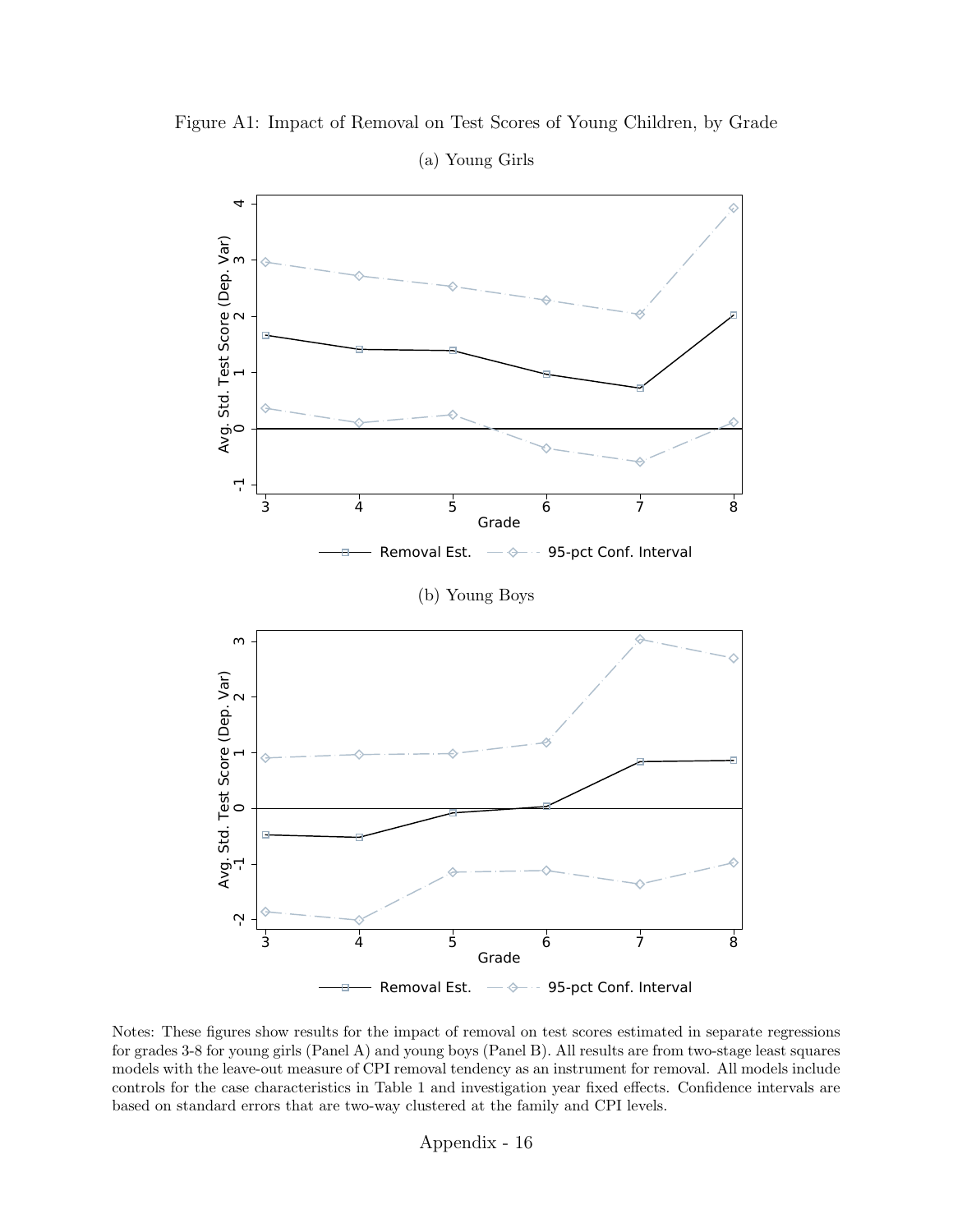

Figure A1: Impact of Removal on Test Scores of Young Children, by Grade

Notes: These figures show results for the impact of removal on test scores estimated in separate regressions for grades 3-8 for young girls (Panel A) and young boys (Panel B). All results are from two-stage least squares models with the leave-out measure of CPI removal tendency as an instrument for removal. All models include controls for the case characteristics in Table [1](#page-41-0) and investigation year fixed effects. Confidence intervals are based on standard errors that are two-way clustered at the family and CPI levels.

Appendix - 16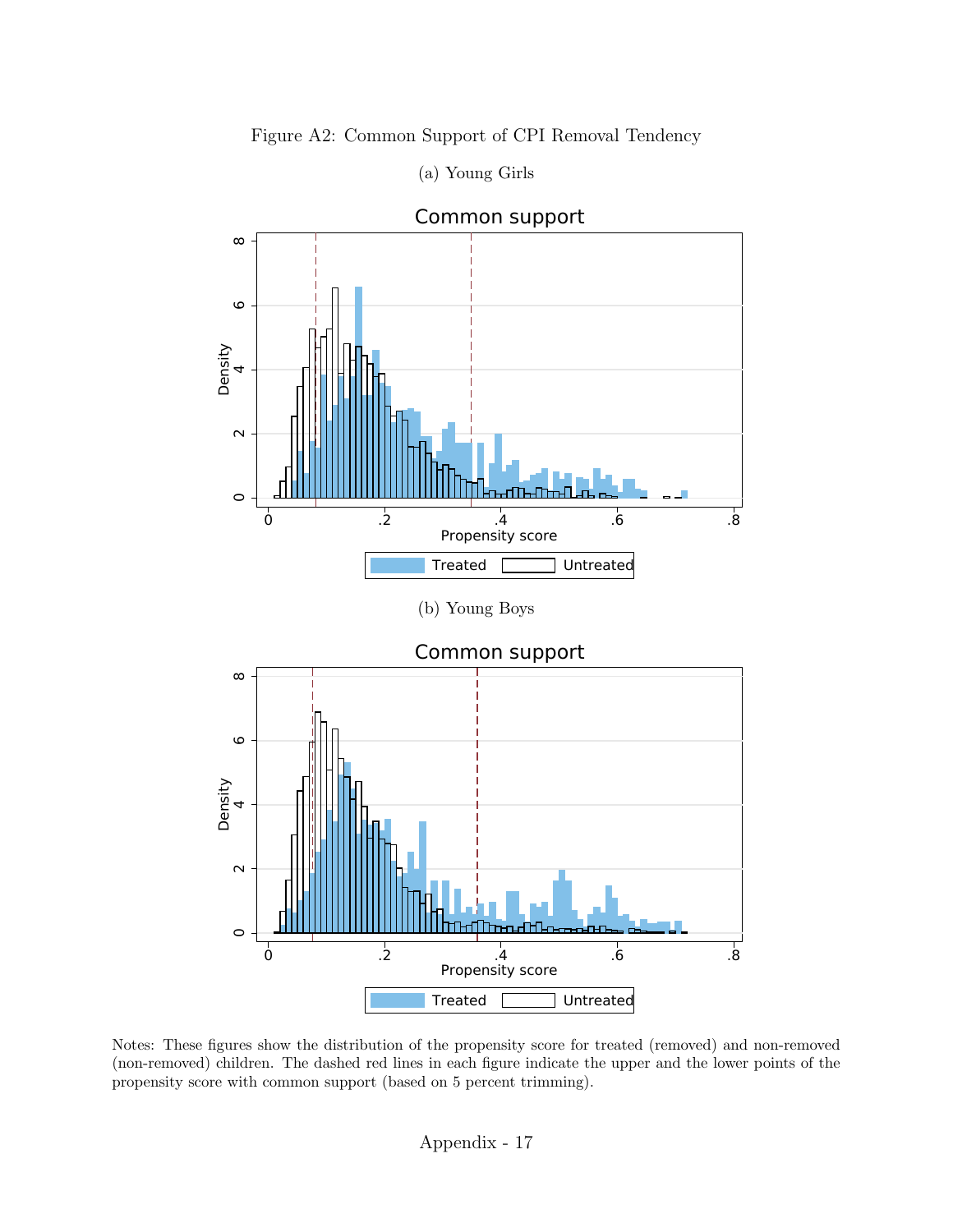

(a) Young Girls

Figure A2: Common Support of CPI Removal Tendency

Notes: These figures show the distribution of the propensity score for treated (removed) and non-removed (non-removed) children. The dashed red lines in each figure indicate the upper and the lower points of the propensity score with common support (based on 5 percent trimming).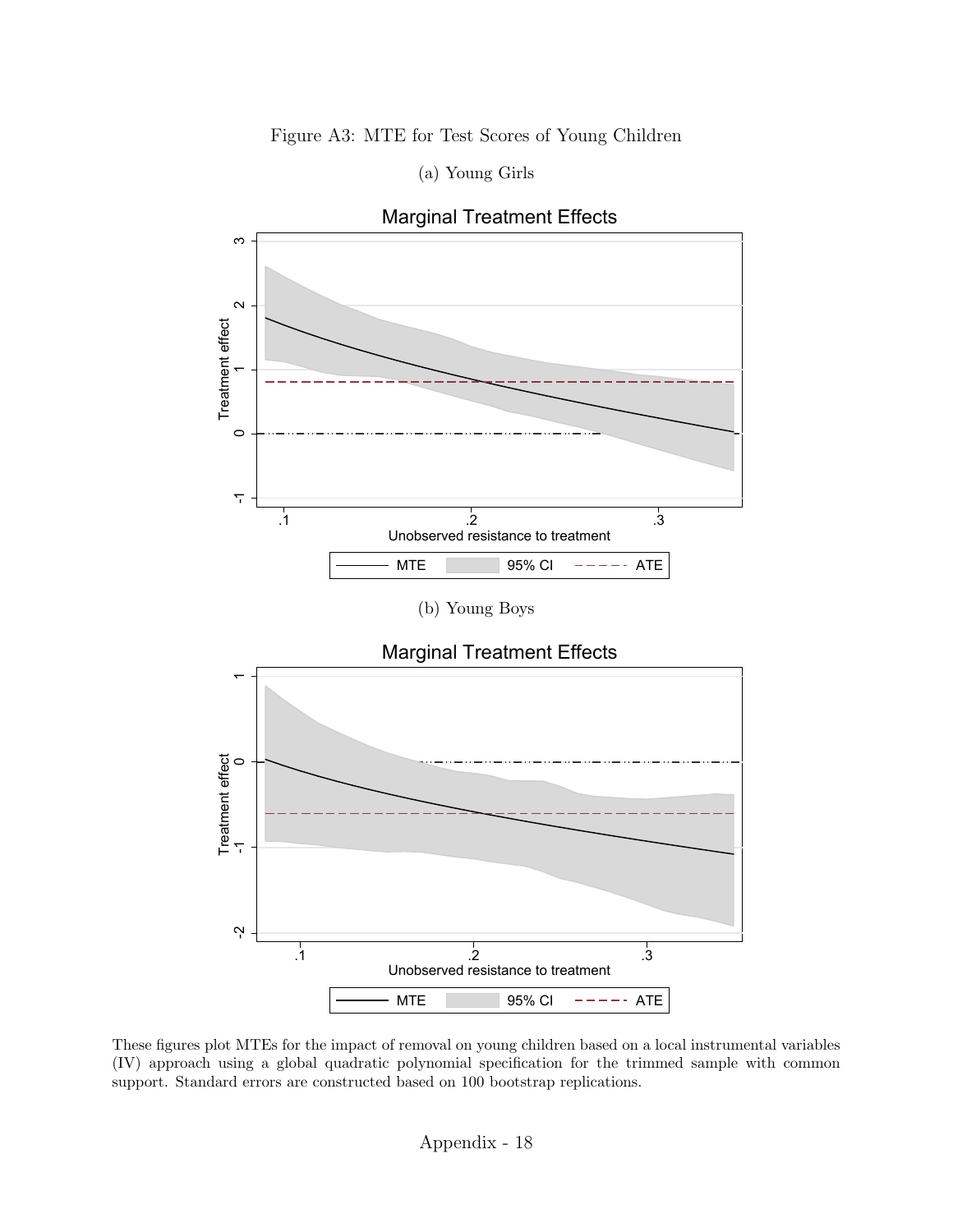### Figure A3: MTE for Test Scores of Young Children

(a) Young Girls







These figures plot MTEs for the impact of removal on young children based on a local instrumental variables (IV) approach using a global quadratic polynomial specification for the trimmed sample with common support. Standard errors are constructed based on 100 bootstrap replications.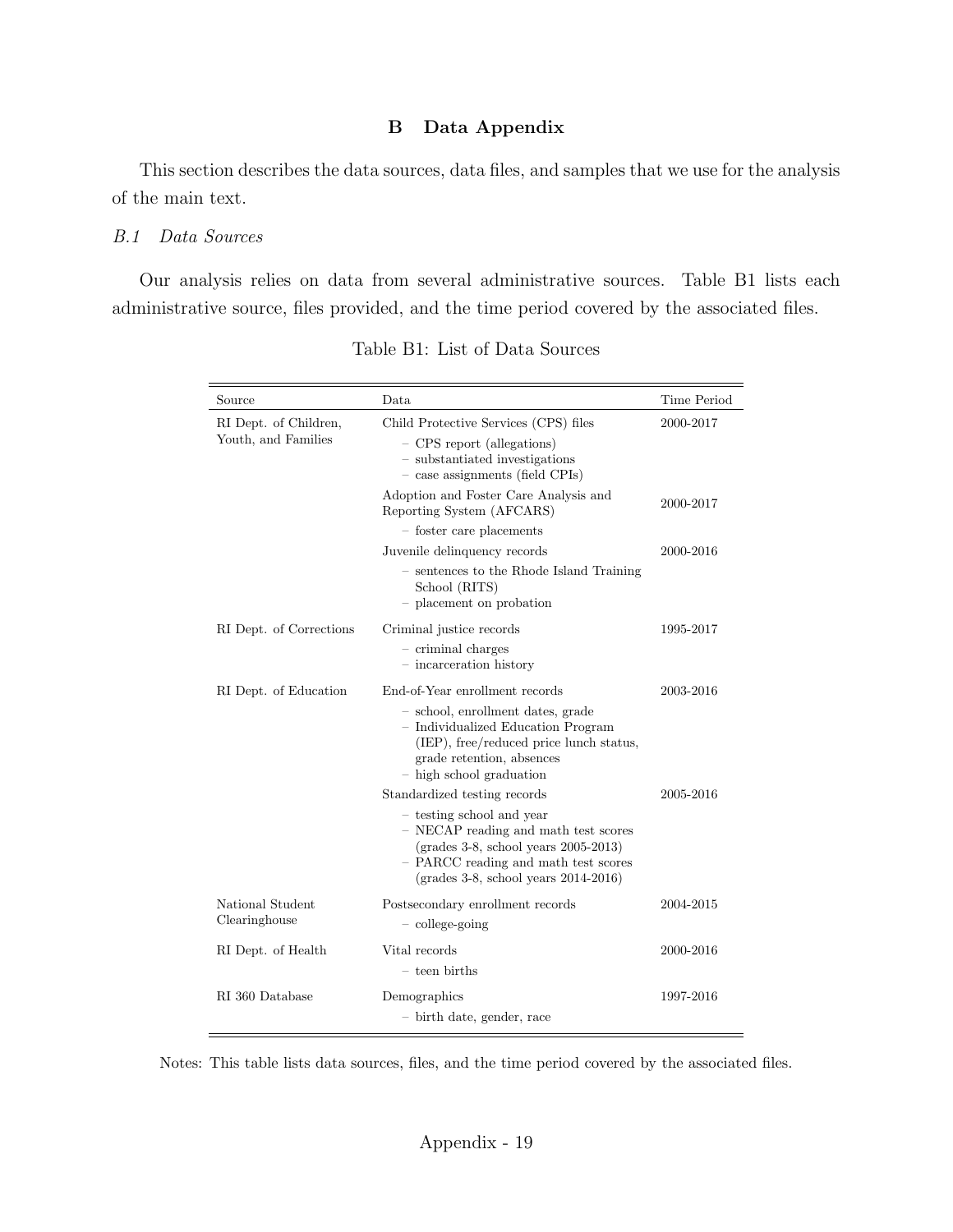#### B Data Appendix

This section describes the data sources, data files, and samples that we use for the analysis of the main text.

#### B.1 Data Sources

<span id="page-69-0"></span>Our analysis relies on data from several administrative sources. Table [B1](#page-69-0) lists each administrative source, files provided, and the time period covered by the associated files.

| Source                                       | Data                                                                                                                                                                                                                                    | Time Period |
|----------------------------------------------|-----------------------------------------------------------------------------------------------------------------------------------------------------------------------------------------------------------------------------------------|-------------|
| RI Dept. of Children,<br>Youth, and Families | Child Protective Services (CPS) files<br>- CPS report (allegations)<br>- substantiated investigations<br>- case assignments (field CPIs)                                                                                                | 2000-2017   |
|                                              | Adoption and Foster Care Analysis and<br>Reporting System (AFCARS)                                                                                                                                                                      | 2000-2017   |
|                                              | - foster care placements                                                                                                                                                                                                                |             |
|                                              | Juvenile delinquency records                                                                                                                                                                                                            | 2000-2016   |
|                                              | - sentences to the Rhode Island Training<br>School (RITS)<br>- placement on probation                                                                                                                                                   |             |
| RI Dept. of Corrections                      | Criminal justice records<br>$-$ criminal charges<br>- incarceration history                                                                                                                                                             | 1995-2017   |
| RI Dept. of Education                        | End-of-Year enrollment records                                                                                                                                                                                                          | 2003-2016   |
|                                              | - school, enrollment dates, grade<br>- Individualized Education Program<br>(IEP), free/reduced price lunch status,<br>grade retention, absences<br>- high school graduation                                                             |             |
|                                              | Standardized testing records                                                                                                                                                                                                            | 2005-2016   |
|                                              | - testing school and year<br>- NECAP reading and math test scores<br>$(grades 3-8, school years 2005-2013)$<br>- PARCC reading and math test scores<br>$\left(\text{grades } 3\text{-}8, \text{ school years } 2014\text{-}2016\right)$ |             |
| National Student<br>Clearinghouse            | Postsecondary enrollment records<br>$-$ college-going                                                                                                                                                                                   | 2004-2015   |
| RI Dept. of Health                           | Vital records<br>- teen births                                                                                                                                                                                                          | 2000-2016   |
| RI 360 Database                              | Demographics<br>- birth date, gender, race                                                                                                                                                                                              | 1997-2016   |

Table B1: List of Data Sources

Notes: This table lists data sources, files, and the time period covered by the associated files.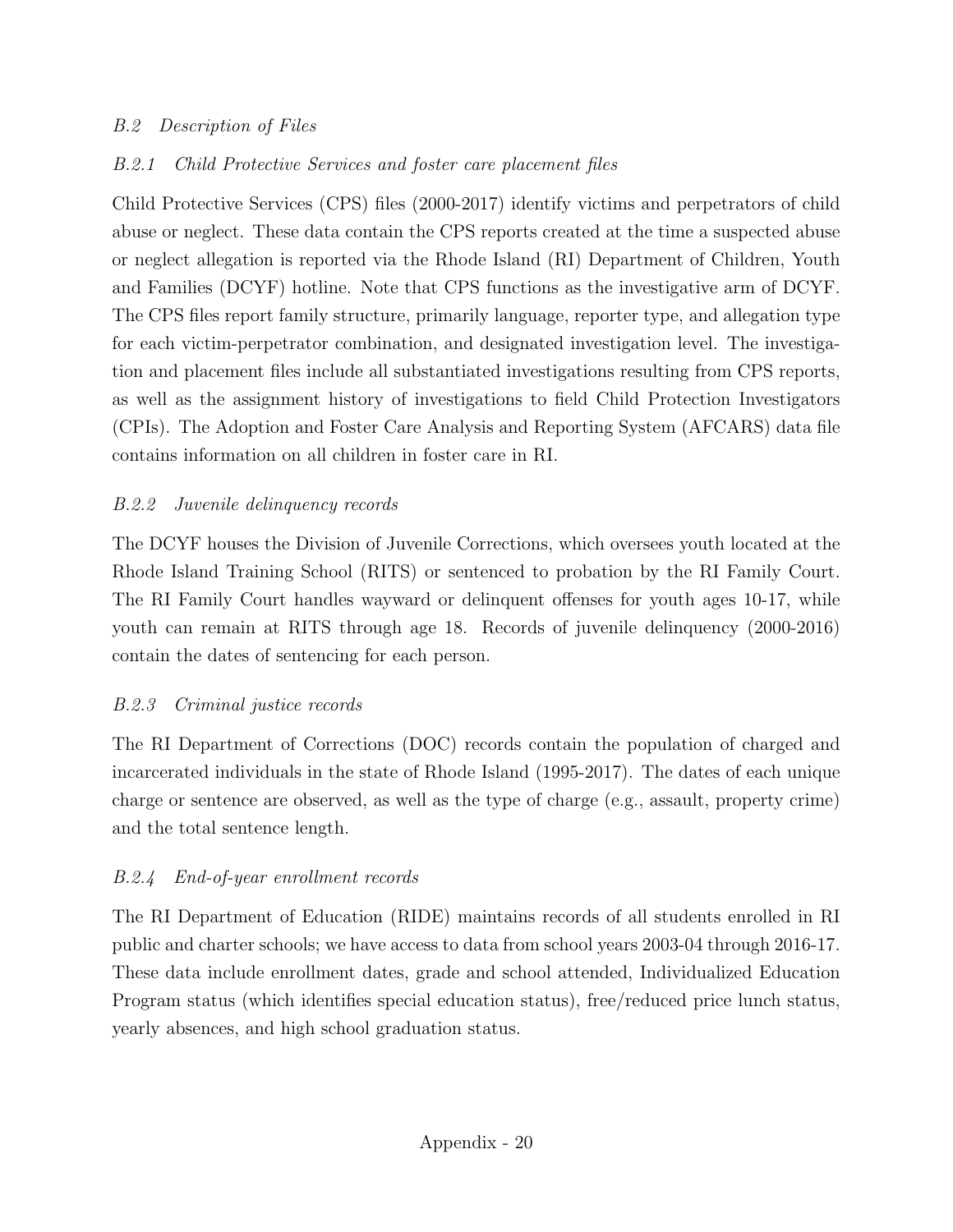# B.2 Description of Files

# B.2.1 Child Protective Services and foster care placement files

Child Protective Services (CPS) files (2000-2017) identify victims and perpetrators of child abuse or neglect. These data contain the CPS reports created at the time a suspected abuse or neglect allegation is reported via the Rhode Island (RI) Department of Children, Youth and Families (DCYF) hotline. Note that CPS functions as the investigative arm of DCYF. The CPS files report family structure, primarily language, reporter type, and allegation type for each victim-perpetrator combination, and designated investigation level. The investigation and placement files include all substantiated investigations resulting from CPS reports, as well as the assignment history of investigations to field Child Protection Investigators (CPIs). The Adoption and Foster Care Analysis and Reporting System (AFCARS) data file contains information on all children in foster care in RI.

# B.2.2 Juvenile delinquency records

The DCYF houses the Division of Juvenile Corrections, which oversees youth located at the Rhode Island Training School (RITS) or sentenced to probation by the RI Family Court. The RI Family Court handles wayward or delinquent offenses for youth ages 10-17, while youth can remain at RITS through age 18. Records of juvenile delinquency (2000-2016) contain the dates of sentencing for each person.

## B.2.3 Criminal justice records

The RI Department of Corrections (DOC) records contain the population of charged and incarcerated individuals in the state of Rhode Island (1995-2017). The dates of each unique charge or sentence are observed, as well as the type of charge (e.g., assault, property crime) and the total sentence length.

# B.2.4 End-of-year enrollment records

The RI Department of Education (RIDE) maintains records of all students enrolled in RI public and charter schools; we have access to data from school years 2003-04 through 2016-17. These data include enrollment dates, grade and school attended, Individualized Education Program status (which identifies special education status), free/reduced price lunch status, yearly absences, and high school graduation status.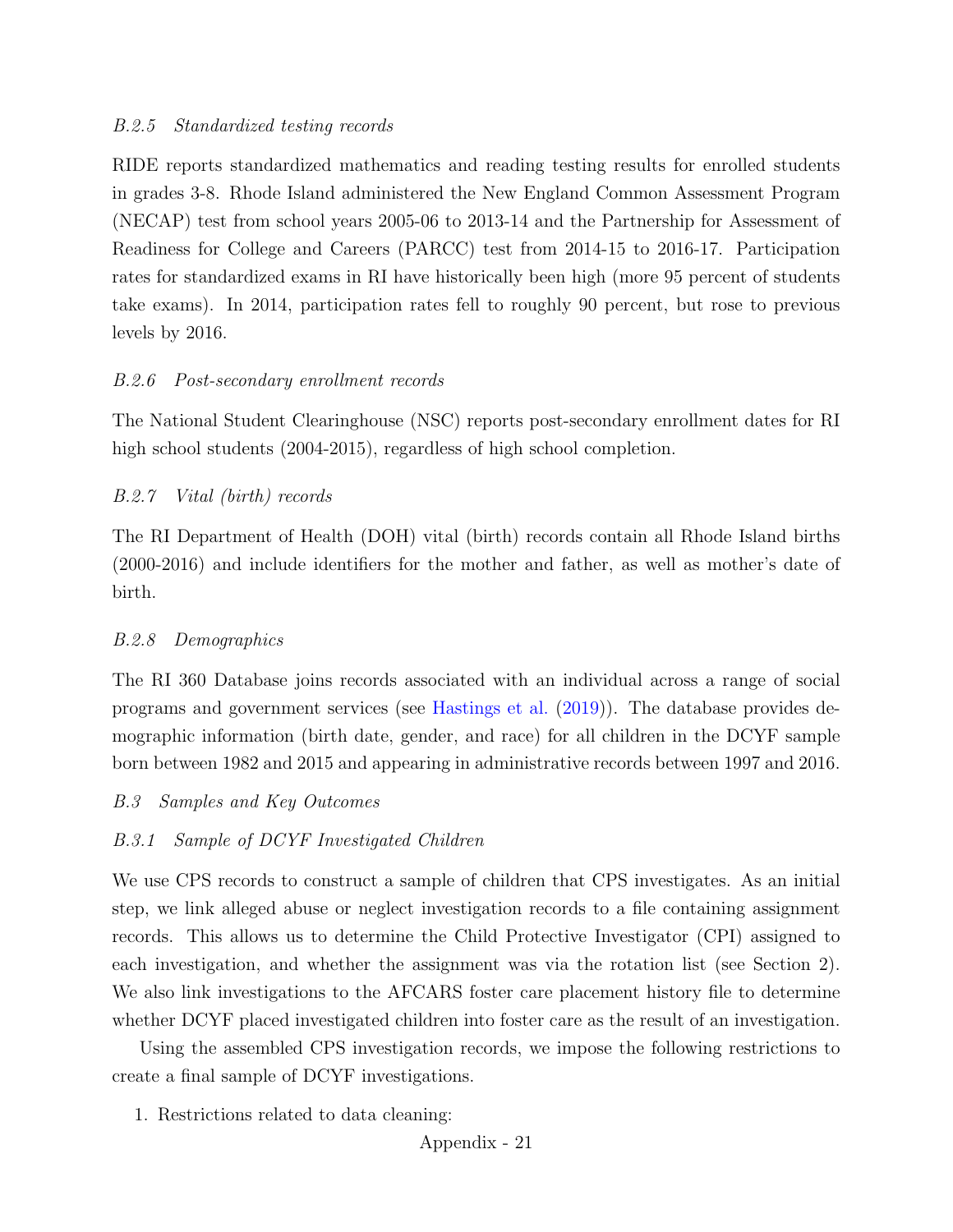## B.2.5 Standardized testing records

RIDE reports standardized mathematics and reading testing results for enrolled students in grades 3-8. Rhode Island administered the New England Common Assessment Program (NECAP) test from school years 2005-06 to 2013-14 and the Partnership for Assessment of Readiness for College and Careers (PARCC) test from 2014-15 to 2016-17. Participation rates for standardized exams in RI have historically been high (more 95 percent of students take exams). In 2014, participation rates fell to roughly 90 percent, but rose to previous levels by 2016.

# B.2.6 Post-secondary enrollment records

The National Student Clearinghouse (NSC) reports post-secondary enrollment dates for RI high school students  $(2004-2015)$ , regardless of high school completion.

# B.2.7 Vital (birth) records

The RI Department of Health (DOH) vital (birth) records contain all Rhode Island births (2000-2016) and include identifiers for the mother and father, as well as mother's date of birth.

## B.2.8 Demographics

The RI 360 Database joins records associated with an individual across a range of social programs and government services (see [Hastings et al.](#page-37-0) [\(2019\)](#page-37-0)). The database provides demographic information (birth date, gender, and race) for all children in the DCYF sample born between 1982 and 2015 and appearing in administrative records between 1997 and 2016.

## B.3 Samples and Key Outcomes

# B.3.1 Sample of DCYF Investigated Children

We use CPS records to construct a sample of children that CPS investigates. As an initial step, we link alleged abuse or neglect investigation records to a file containing assignment records. This allows us to determine the Child Protective Investigator (CPI) assigned to each investigation, and whether the assignment was via the rotation list (see Section [2\)](#page-6-1). We also link investigations to the AFCARS foster care placement history file to determine whether DCYF placed investigated children into foster care as the result of an investigation.

Using the assembled CPS investigation records, we impose the following restrictions to create a final sample of DCYF investigations.

1. Restrictions related to data cleaning: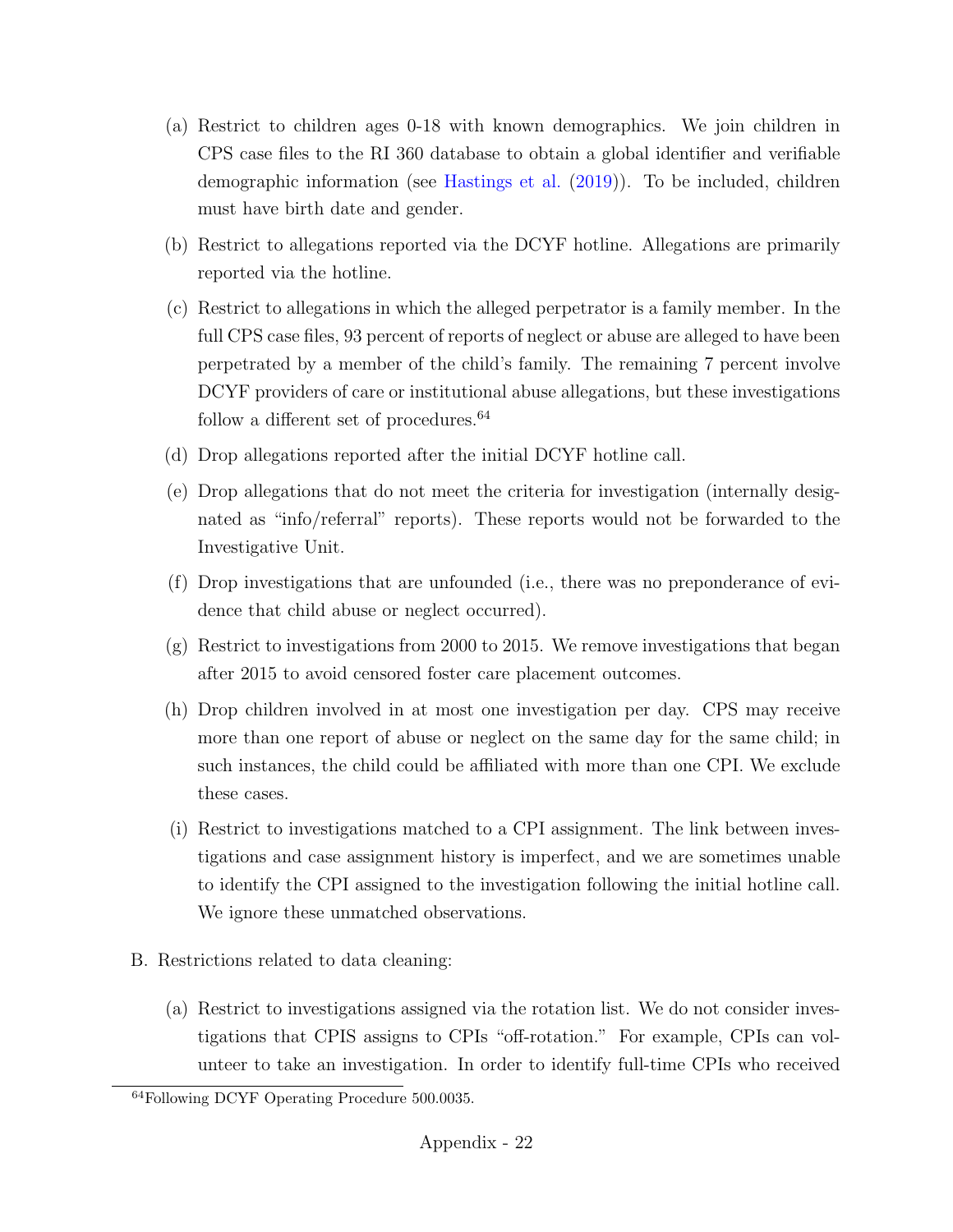- (a) Restrict to children ages 0-18 with known demographics. We join children in CPS case files to the RI 360 database to obtain a global identifier and verifiable demographic information (see [Hastings et al.](#page-37-0) [\(2019\)](#page-37-0)). To be included, children must have birth date and gender.
- (b) Restrict to allegations reported via the DCYF hotline. Allegations are primarily reported via the hotline.
- (c) Restrict to allegations in which the alleged perpetrator is a family member. In the full CPS case files, 93 percent of reports of neglect or abuse are alleged to have been perpetrated by a member of the child's family. The remaining 7 percent involve DCYF providers of care or institutional abuse allegations, but these investigations follow a different set of procedures.<sup>[64](#page-72-0)</sup>
- (d) Drop allegations reported after the initial DCYF hotline call.
- (e) Drop allegations that do not meet the criteria for investigation (internally designated as "info/referral" reports). These reports would not be forwarded to the Investigative Unit.
- (f) Drop investigations that are unfounded (i.e., there was no preponderance of evidence that child abuse or neglect occurred).
- (g) Restrict to investigations from 2000 to 2015. We remove investigations that began after 2015 to avoid censored foster care placement outcomes.
- (h) Drop children involved in at most one investigation per day. CPS may receive more than one report of abuse or neglect on the same day for the same child; in such instances, the child could be affiliated with more than one CPI. We exclude these cases.
- (i) Restrict to investigations matched to a CPI assignment. The link between investigations and case assignment history is imperfect, and we are sometimes unable to identify the CPI assigned to the investigation following the initial hotline call. We ignore these unmatched observations.
- B. Restrictions related to data cleaning:
	- (a) Restrict to investigations assigned via the rotation list. We do not consider investigations that CPIS assigns to CPIs "off-rotation." For example, CPIs can volunteer to take an investigation. In order to identify full-time CPIs who received

<span id="page-72-0"></span><sup>64</sup>Following DCYF Operating Procedure 500.0035.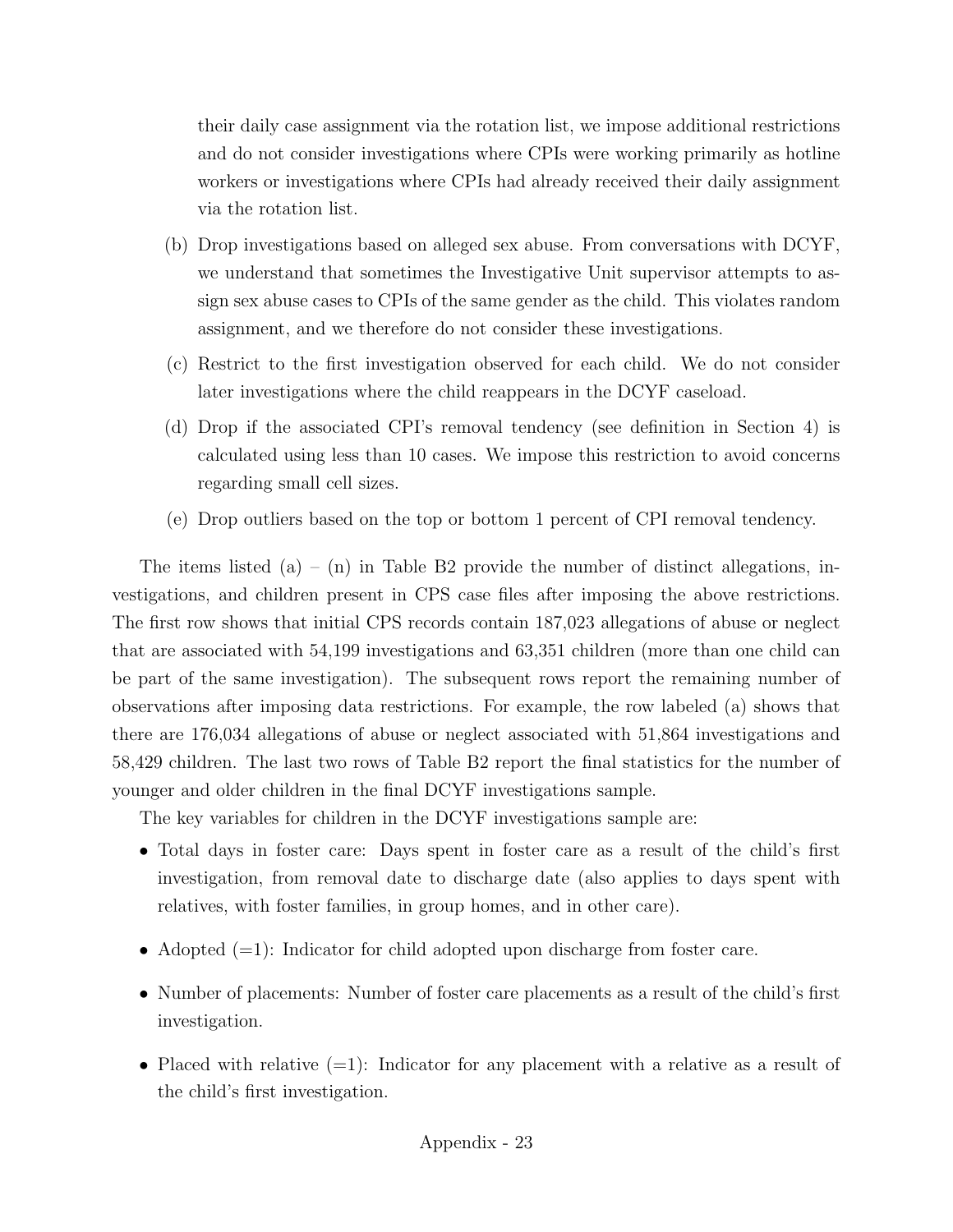their daily case assignment via the rotation list, we impose additional restrictions and do not consider investigations where CPIs were working primarily as hotline workers or investigations where CPIs had already received their daily assignment via the rotation list.

- (b) Drop investigations based on alleged sex abuse. From conversations with DCYF, we understand that sometimes the Investigative Unit supervisor attempts to assign sex abuse cases to CPIs of the same gender as the child. This violates random assignment, and we therefore do not consider these investigations.
- (c) Restrict to the first investigation observed for each child. We do not consider later investigations where the child reappears in the DCYF caseload.
- (d) Drop if the associated CPI's removal tendency (see definition in Section [4\)](#page-13-0) is calculated using less than 10 cases. We impose this restriction to avoid concerns regarding small cell sizes.
- (e) Drop outliers based on the top or bottom 1 percent of CPI removal tendency.

The items listed  $(a) - (n)$  in Table [B2](#page-74-0) provide the number of distinct allegations, investigations, and children present in CPS case files after imposing the above restrictions. The first row shows that initial CPS records contain 187,023 allegations of abuse or neglect that are associated with 54,199 investigations and 63,351 children (more than one child can be part of the same investigation). The subsequent rows report the remaining number of observations after imposing data restrictions. For example, the row labeled (a) shows that there are 176,034 allegations of abuse or neglect associated with 51,864 investigations and 58,429 children. The last two rows of Table [B2](#page-74-0) report the final statistics for the number of younger and older children in the final DCYF investigations sample.

The key variables for children in the DCYF investigations sample are:

- Total days in foster care: Days spent in foster care as a result of the child's first investigation, from removal date to discharge date (also applies to days spent with relatives, with foster families, in group homes, and in other care).
- Adopted  $(=1)$ : Indicator for child adopted upon discharge from foster care.
- Number of placements: Number of foster care placements as a result of the child's first investigation.
- Placed with relative  $(=1)$ : Indicator for any placement with a relative as a result of the child's first investigation.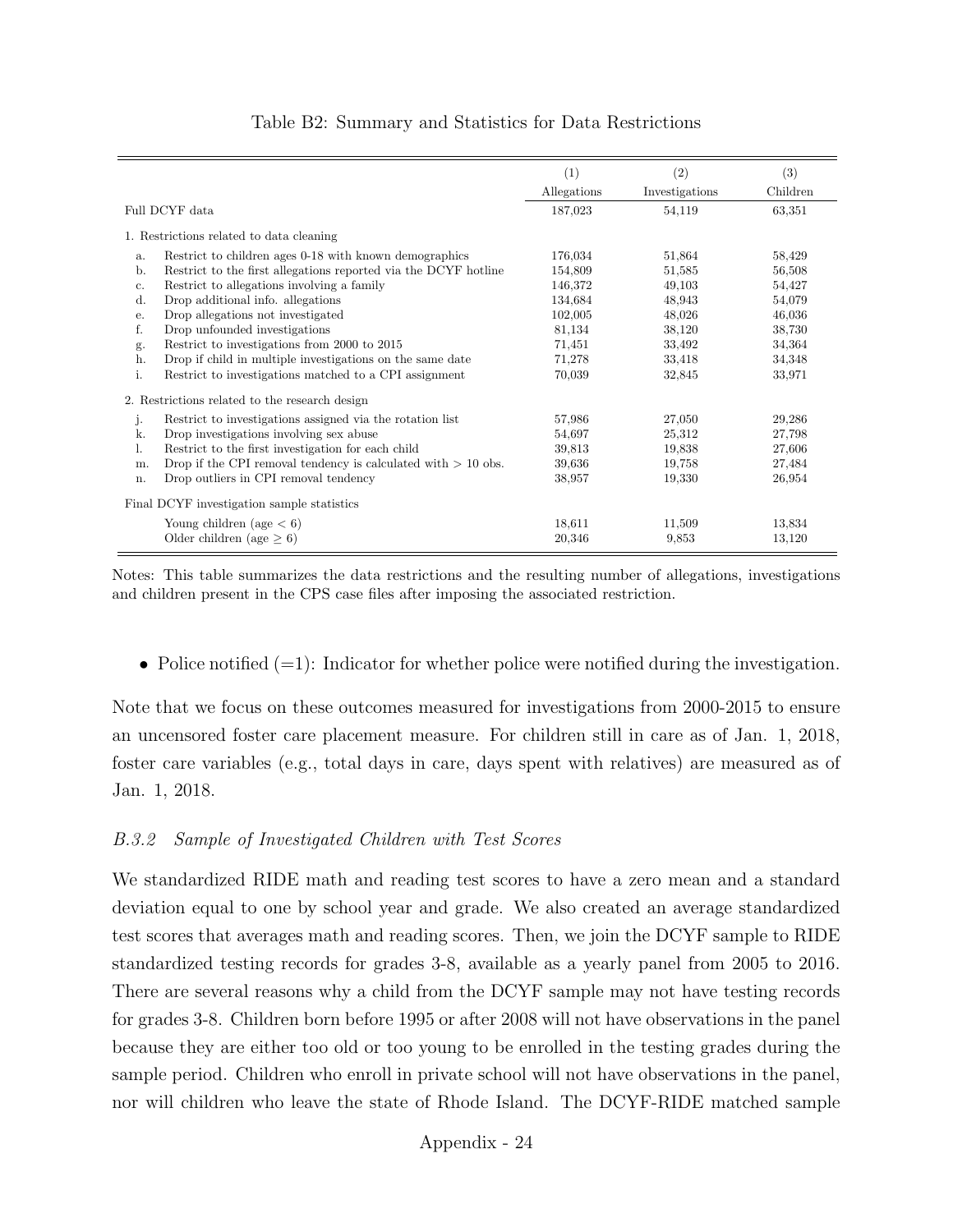<span id="page-74-0"></span>

|                |                                                                 | (1)         | (2)            | (3)      |
|----------------|-----------------------------------------------------------------|-------------|----------------|----------|
|                |                                                                 | Allegations | Investigations | Children |
| Full DCYF data |                                                                 | 187,023     | 54,119         | 63,351   |
|                | 1. Restrictions related to data cleaning                        |             |                |          |
| a.             | Restrict to children ages 0-18 with known demographics          | 176,034     | 51,864         | 58,429   |
| b.             | Restrict to the first allegations reported via the DCYF hotline | 154,809     | 51,585         | 56,508   |
| $\mathbf{c}$ . | Restrict to allegations involving a family                      | 146,372     | 49,103         | 54,427   |
| d.             | Drop additional info. allegations                               | 134,684     | 48,943         | 54,079   |
| е.             | Drop allegations not investigated                               | 102,005     | 48,026         | 46,036   |
| f.             | Drop unfounded investigations                                   | 81,134      | 38,120         | 38,730   |
| g.             | Restrict to investigations from 2000 to 2015                    | 71,451      | 33,492         | 34,364   |
| h.             | Drop if child in multiple investigations on the same date       | 71,278      | 33,418         | 34,348   |
| i.             | Restrict to investigations matched to a CPI assignment          | 70,039      | 32,845         | 33,971   |
|                | 2. Restrictions related to the research design                  |             |                |          |
| j.             | Restrict to investigations assigned via the rotation list       | 57,986      | 27,050         | 29,286   |
| k.             | Drop investigations involving sex abuse                         | 54,697      | 25,312         | 27,798   |
| ı.             | Restrict to the first investigation for each child              | 39,813      | 19,838         | 27,606   |
| m.             | Drop if the CPI removal tendency is calculated with $> 10$ obs. | 39,636      | 19,758         | 27,484   |
| n.             | Drop outliers in CPI removal tendency                           | 38,957      | 19,330         | 26,954   |
|                | Final DCYF investigation sample statistics                      |             |                |          |
|                | Young children (age $< 6$ )                                     | 18.611      | 11,509         | 13,834   |
|                | Older children (age $\geq 6$ )                                  | 20,346      | 9.853          | 13,120   |

## Table B2: Summary and Statistics for Data Restrictions

Notes: This table summarizes the data restrictions and the resulting number of allegations, investigations and children present in the CPS case files after imposing the associated restriction.

• Police notified  $(=1)$ : Indicator for whether police were notified during the investigation.

Note that we focus on these outcomes measured for investigations from 2000-2015 to ensure an uncensored foster care placement measure. For children still in care as of Jan. 1, 2018, foster care variables (e.g., total days in care, days spent with relatives) are measured as of Jan. 1, 2018.

# B.3.2 Sample of Investigated Children with Test Scores

We standardized RIDE math and reading test scores to have a zero mean and a standard deviation equal to one by school year and grade. We also created an average standardized test scores that averages math and reading scores. Then, we join the DCYF sample to RIDE standardized testing records for grades 3-8, available as a yearly panel from 2005 to 2016. There are several reasons why a child from the DCYF sample may not have testing records for grades 3-8. Children born before 1995 or after 2008 will not have observations in the panel because they are either too old or too young to be enrolled in the testing grades during the sample period. Children who enroll in private school will not have observations in the panel, nor will children who leave the state of Rhode Island. The DCYF-RIDE matched sample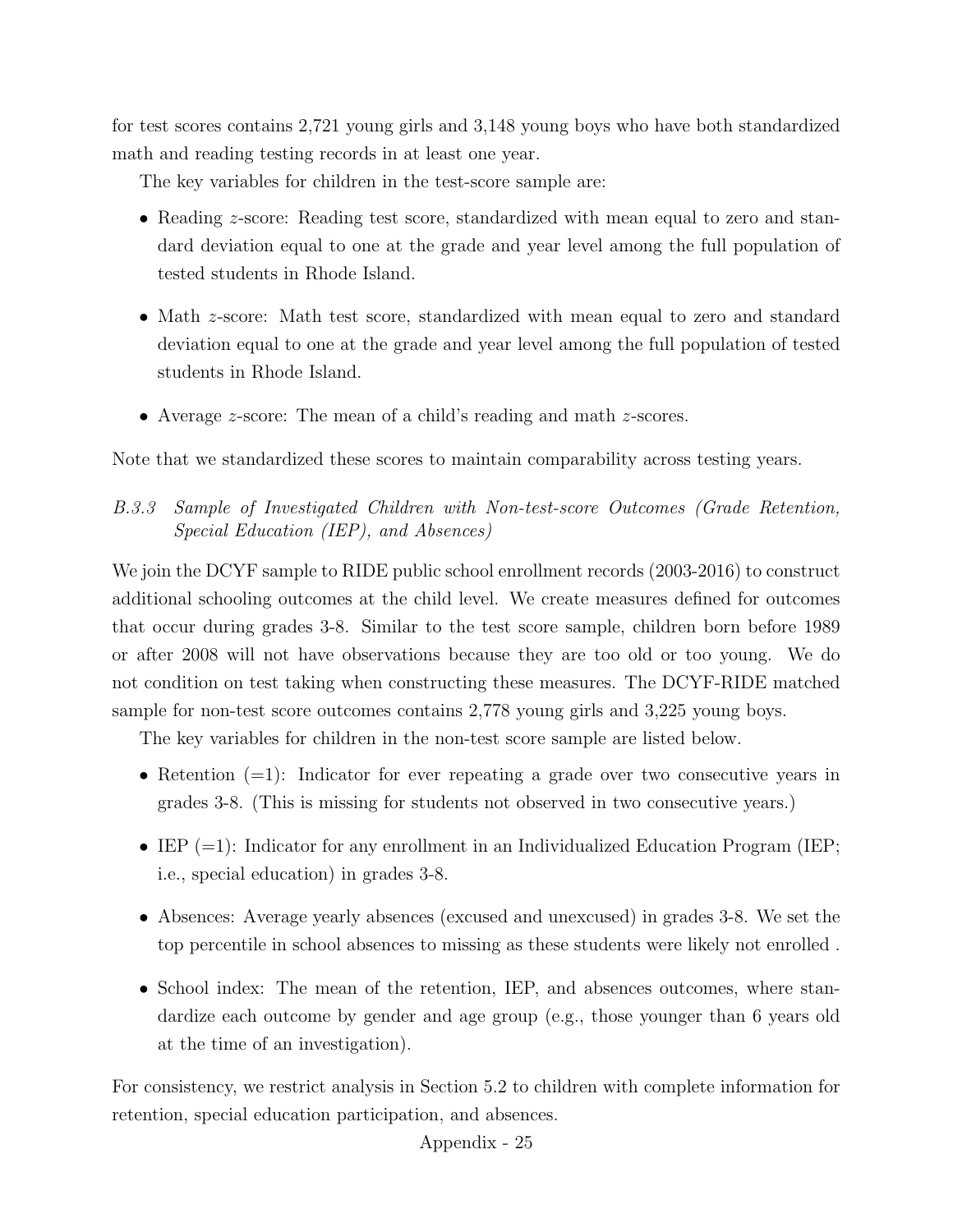for test scores contains 2,721 young girls and 3,148 young boys who have both standardized math and reading testing records in at least one year.

The key variables for children in the test-score sample are:

- Reading *z*-score: Reading test score, standardized with mean equal to zero and standard deviation equal to one at the grade and year level among the full population of tested students in Rhode Island.
- Math z-score: Math test score, standardized with mean equal to zero and standard deviation equal to one at the grade and year level among the full population of tested students in Rhode Island.
- Average *z*-score: The mean of a child's reading and math *z*-scores.

Note that we standardized these scores to maintain comparability across testing years.

# B.3.3 Sample of Investigated Children with Non-test-score Outcomes (Grade Retention, Special Education (IEP), and Absences)

We join the DCYF sample to RIDE public school enrollment records (2003-2016) to construct additional schooling outcomes at the child level. We create measures defined for outcomes that occur during grades 3-8. Similar to the test score sample, children born before 1989 or after 2008 will not have observations because they are too old or too young. We do not condition on test taking when constructing these measures. The DCYF-RIDE matched sample for non-test score outcomes contains 2,778 young girls and 3,225 young boys.

The key variables for children in the non-test score sample are listed below.

- Retention (=1): Indicator for ever repeating a grade over two consecutive years in grades 3-8. (This is missing for students not observed in two consecutive years.)
- IEP  $(=1)$ : Indicator for any enrollment in an Individualized Education Program (IEP; i.e., special education) in grades 3-8.
- Absences: Average yearly absences (excused and unexcused) in grades 3-8. We set the top percentile in school absences to missing as these students were likely not enrolled .
- School index: The mean of the retention, IEP, and absences outcomes, where standardize each outcome by gender and age group (e.g., those younger than 6 years old at the time of an investigation).

For consistency, we restrict analysis in Section [5.2](#page-21-0) to children with complete information for retention, special education participation, and absences.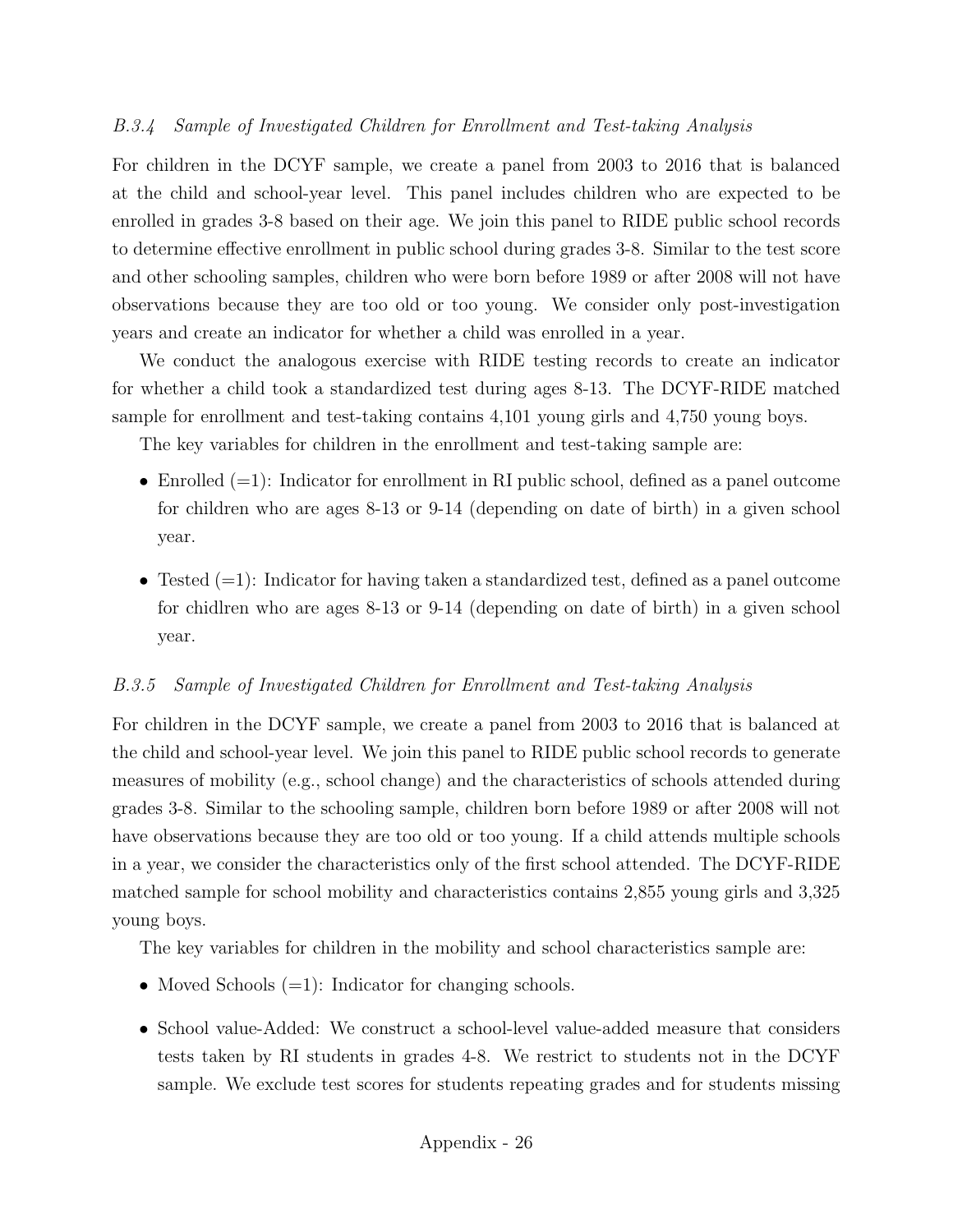# B.3.4 Sample of Investigated Children for Enrollment and Test-taking Analysis

For children in the DCYF sample, we create a panel from 2003 to 2016 that is balanced at the child and school-year level. This panel includes children who are expected to be enrolled in grades 3-8 based on their age. We join this panel to RIDE public school records to determine effective enrollment in public school during grades 3-8. Similar to the test score and other schooling samples, children who were born before 1989 or after 2008 will not have observations because they are too old or too young. We consider only post-investigation years and create an indicator for whether a child was enrolled in a year.

We conduct the analogous exercise with RIDE testing records to create an indicator for whether a child took a standardized test during ages 8-13. The DCYF-RIDE matched sample for enrollment and test-taking contains 4,101 young girls and 4,750 young boys.

The key variables for children in the enrollment and test-taking sample are:

- Enrolled  $(=1)$ : Indicator for enrollment in RI public school, defined as a panel outcome for children who are ages 8-13 or 9-14 (depending on date of birth) in a given school year.
- Tested  $(=1)$ : Indicator for having taken a standardized test, defined as a panel outcome for chidlren who are ages 8-13 or 9-14 (depending on date of birth) in a given school year.

# B.3.5 Sample of Investigated Children for Enrollment and Test-taking Analysis

For children in the DCYF sample, we create a panel from 2003 to 2016 that is balanced at the child and school-year level. We join this panel to RIDE public school records to generate measures of mobility (e.g., school change) and the characteristics of schools attended during grades 3-8. Similar to the schooling sample, children born before 1989 or after 2008 will not have observations because they are too old or too young. If a child attends multiple schools in a year, we consider the characteristics only of the first school attended. The DCYF-RIDE matched sample for school mobility and characteristics contains 2,855 young girls and 3,325 young boys.

The key variables for children in the mobility and school characteristics sample are:

- Moved Schools  $(=1)$ : Indicator for changing schools.
- School value-Added: We construct a school-level value-added measure that considers tests taken by RI students in grades 4-8. We restrict to students not in the DCYF sample. We exclude test scores for students repeating grades and for students missing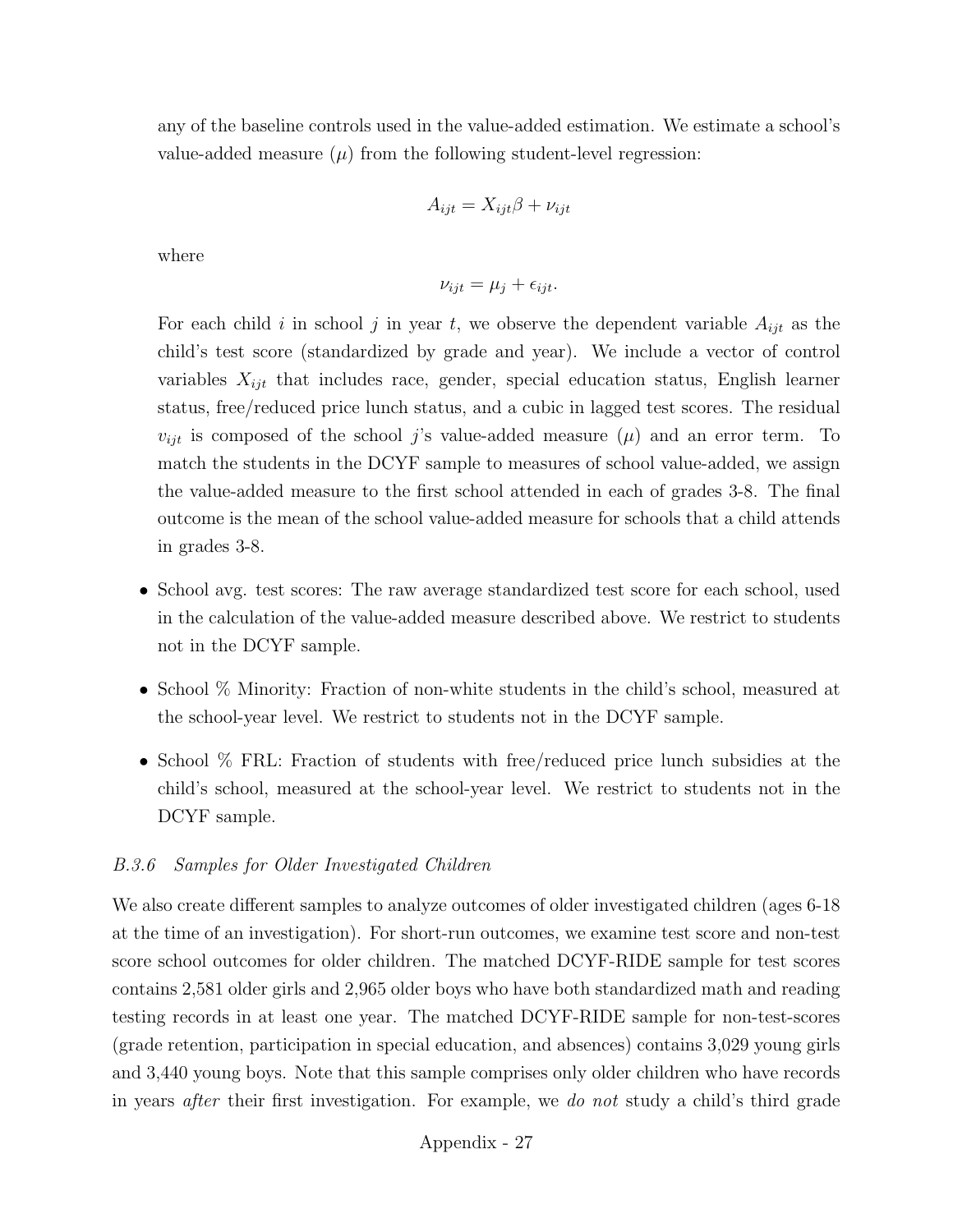any of the baseline controls used in the value-added estimation. We estimate a school's value-added measure  $(\mu)$  from the following student-level regression:

$$
A_{ijt} = X_{ijt}\beta + \nu_{ijt}
$$

where

$$
\nu_{ijt} = \mu_j + \epsilon_{ijt}.
$$

For each child i in school j in year t, we observe the dependent variable  $A_{ijt}$  as the child's test score (standardized by grade and year). We include a vector of control variables  $X_{ijt}$  that includes race, gender, special education status, English learner status, free/reduced price lunch status, and a cubic in lagged test scores. The residual  $v_{ijt}$  is composed of the school j's value-added measure  $(\mu)$  and an error term. To match the students in the DCYF sample to measures of school value-added, we assign the value-added measure to the first school attended in each of grades 3-8. The final outcome is the mean of the school value-added measure for schools that a child attends in grades 3-8.

- School avg. test scores: The raw average standardized test score for each school, used in the calculation of the value-added measure described above. We restrict to students not in the DCYF sample.
- School % Minority: Fraction of non-white students in the child's school, measured at the school-year level. We restrict to students not in the DCYF sample.
- School % FRL: Fraction of students with free/reduced price lunch subsidies at the child's school, measured at the school-year level. We restrict to students not in the DCYF sample.

### B.3.6 Samples for Older Investigated Children

We also create different samples to analyze outcomes of older investigated children (ages 6-18 at the time of an investigation). For short-run outcomes, we examine test score and non-test score school outcomes for older children. The matched DCYF-RIDE sample for test scores contains 2,581 older girls and 2,965 older boys who have both standardized math and reading testing records in at least one year. The matched DCYF-RIDE sample for non-test-scores (grade retention, participation in special education, and absences) contains 3,029 young girls and 3,440 young boys. Note that this sample comprises only older children who have records in years after their first investigation. For example, we do not study a child's third grade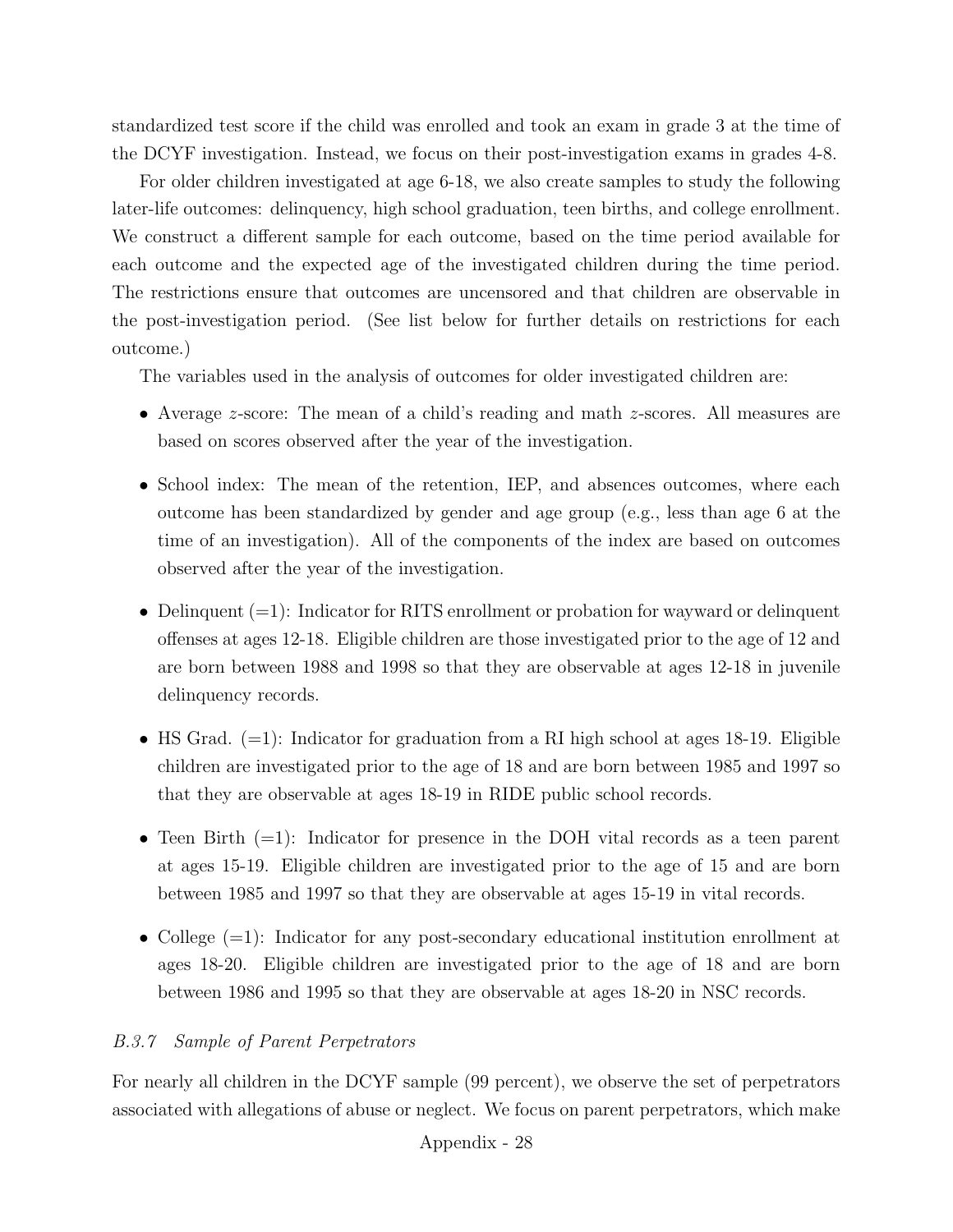standardized test score if the child was enrolled and took an exam in grade 3 at the time of the DCYF investigation. Instead, we focus on their post-investigation exams in grades 4-8.

For older children investigated at age 6-18, we also create samples to study the following later-life outcomes: delinquency, high school graduation, teen births, and college enrollment. We construct a different sample for each outcome, based on the time period available for each outcome and the expected age of the investigated children during the time period. The restrictions ensure that outcomes are uncensored and that children are observable in the post-investigation period. (See list below for further details on restrictions for each outcome.)

The variables used in the analysis of outcomes for older investigated children are:

- Average *z*-score: The mean of a child's reading and math *z*-scores. All measures are based on scores observed after the year of the investigation.
- School index: The mean of the retention, IEP, and absences outcomes, where each outcome has been standardized by gender and age group (e.g., less than age 6 at the time of an investigation). All of the components of the index are based on outcomes observed after the year of the investigation.
- Delinquent  $(=1)$ : Indicator for RITS enrollment or probation for wayward or delinquent offenses at ages 12-18. Eligible children are those investigated prior to the age of 12 and are born between 1988 and 1998 so that they are observable at ages 12-18 in juvenile delinquency records.
- HS Grad.  $(=1)$ : Indicator for graduation from a RI high school at ages 18-19. Eligible children are investigated prior to the age of 18 and are born between 1985 and 1997 so that they are observable at ages 18-19 in RIDE public school records.
- Teen Birth  $(=1)$ : Indicator for presence in the DOH vital records as a teen parent at ages 15-19. Eligible children are investigated prior to the age of 15 and are born between 1985 and 1997 so that they are observable at ages 15-19 in vital records.
- College  $(=1)$ : Indicator for any post-secondary educational institution enrollment at ages 18-20. Eligible children are investigated prior to the age of 18 and are born between 1986 and 1995 so that they are observable at ages 18-20 in NSC records.

# B.3.7 Sample of Parent Perpetrators

For nearly all children in the DCYF sample (99 percent), we observe the set of perpetrators associated with allegations of abuse or neglect. We focus on parent perpetrators, which make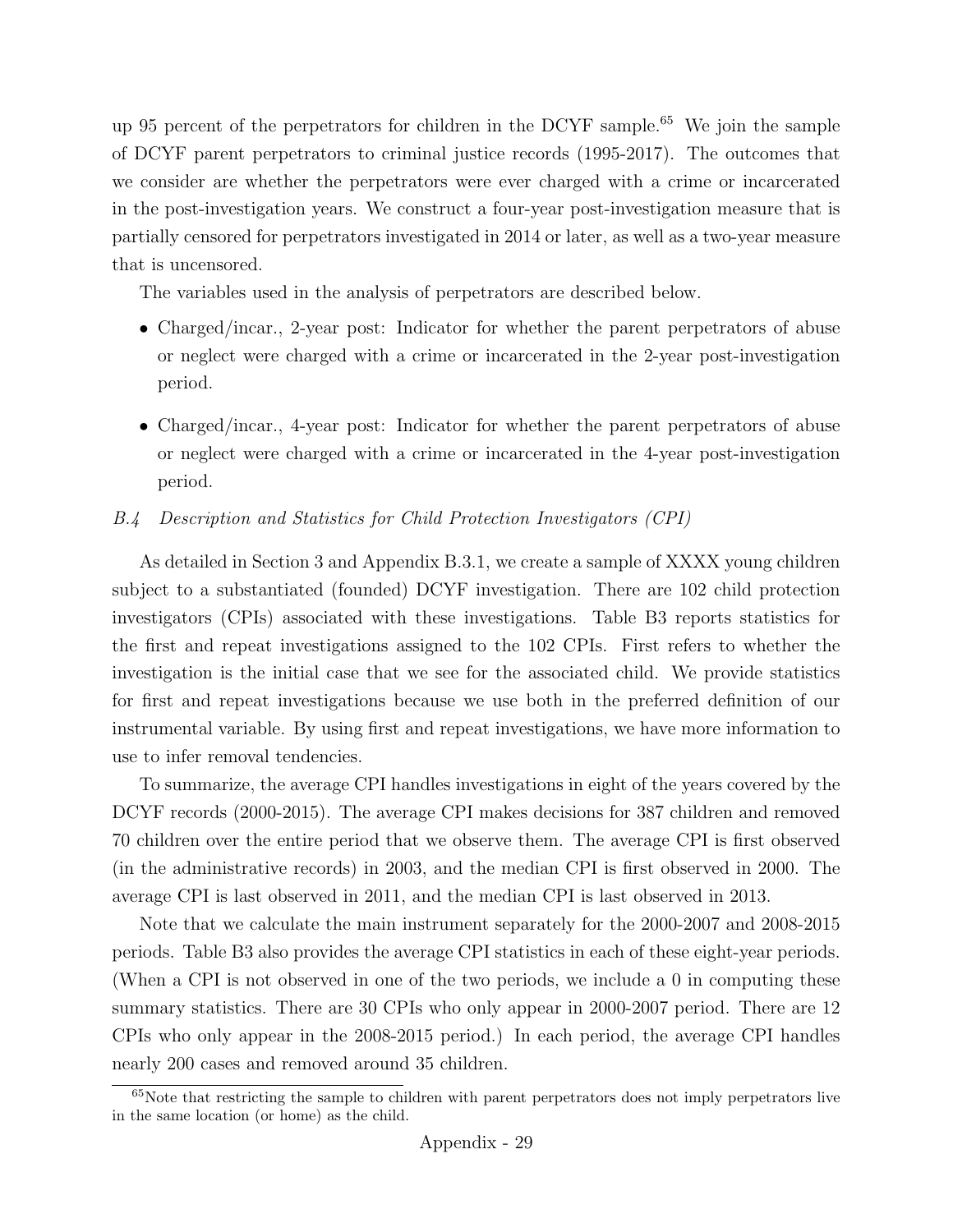up 95 percent of the perpetrators for children in the DCYF sample.[65](#page-79-0) We join the sample of DCYF parent perpetrators to criminal justice records (1995-2017). The outcomes that we consider are whether the perpetrators were ever charged with a crime or incarcerated in the post-investigation years. We construct a four-year post-investigation measure that is partially censored for perpetrators investigated in 2014 or later, as well as a two-year measure that is uncensored.

The variables used in the analysis of perpetrators are described below.

- Charged/incar., 2-year post: Indicator for whether the parent perpetrators of abuse or neglect were charged with a crime or incarcerated in the 2-year post-investigation period.
- Charged/incar., 4-year post: Indicator for whether the parent perpetrators of abuse or neglect were charged with a crime or incarcerated in the 4-year post-investigation period.

## B.4 Description and Statistics for Child Protection Investigators (CPI)

As detailed in Section [3](#page-8-0) and Appendix [B.3.1,](#page-71-0) we create a sample of XXXX young children subject to a substantiated (founded) DCYF investigation. There are 102 child protection investigators (CPIs) associated with these investigations. Table [B3](#page-80-0) reports statistics for the first and repeat investigations assigned to the 102 CPIs. First refers to whether the investigation is the initial case that we see for the associated child. We provide statistics for first and repeat investigations because we use both in the preferred definition of our instrumental variable. By using first and repeat investigations, we have more information to use to infer removal tendencies.

To summarize, the average CPI handles investigations in eight of the years covered by the DCYF records (2000-2015). The average CPI makes decisions for 387 children and removed 70 children over the entire period that we observe them. The average CPI is first observed (in the administrative records) in 2003, and the median CPI is first observed in 2000. The average CPI is last observed in 2011, and the median CPI is last observed in 2013.

Note that we calculate the main instrument separately for the 2000-2007 and 2008-2015 periods. Table [B3](#page-80-0) also provides the average CPI statistics in each of these eight-year periods. (When a CPI is not observed in one of the two periods, we include a 0 in computing these summary statistics. There are 30 CPIs who only appear in 2000-2007 period. There are 12 CPIs who only appear in the 2008-2015 period.) In each period, the average CPI handles nearly 200 cases and removed around 35 children.

<span id="page-79-0"></span><sup>&</sup>lt;sup>65</sup>Note that restricting the sample to children with parent perpetrators does not imply perpetrators live in the same location (or home) as the child.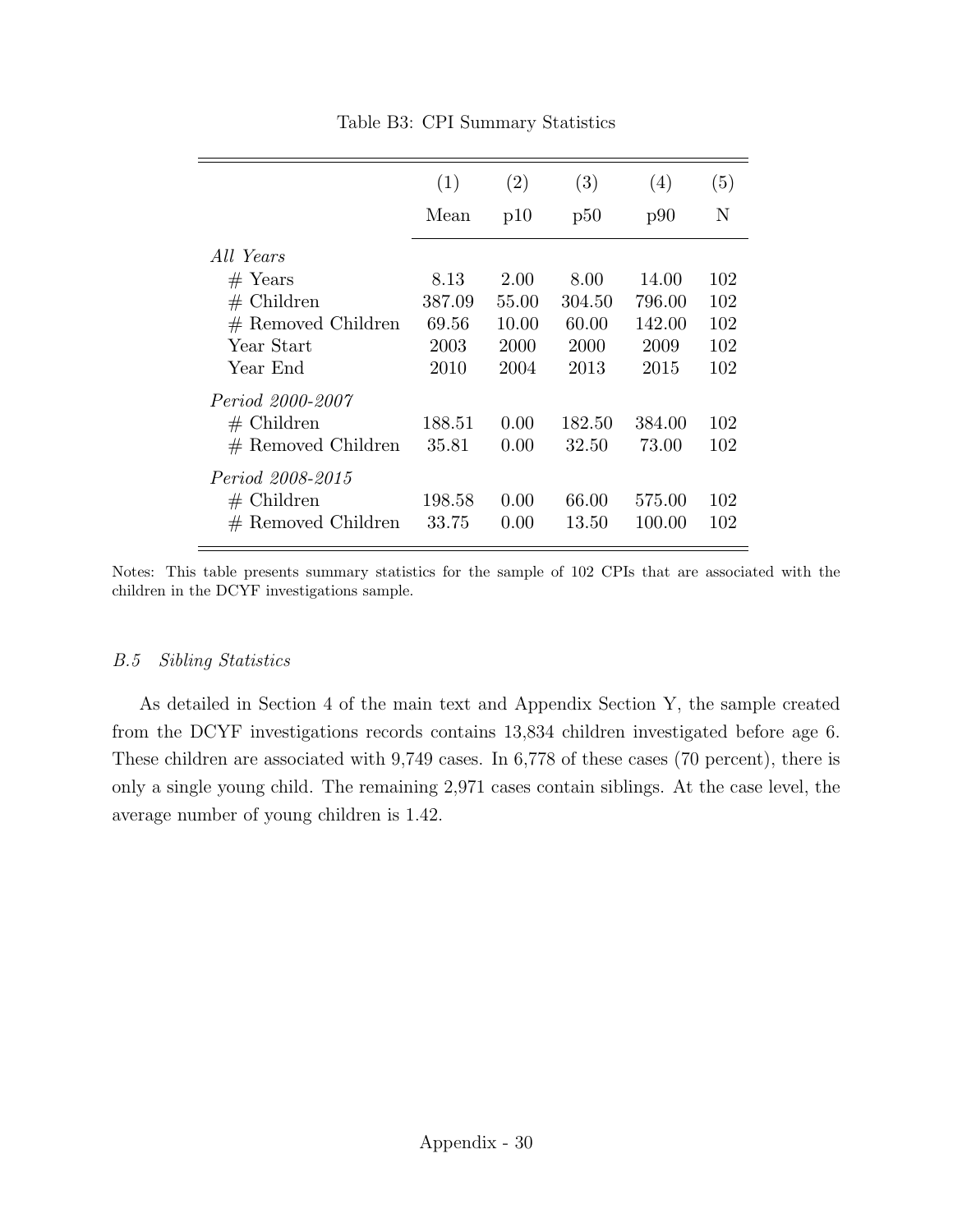<span id="page-80-0"></span>

| (1)    | (2)              | (3)    | (4)             | (5)              |
|--------|------------------|--------|-----------------|------------------|
| Mean   | p10              | p50    | p90             | N                |
|        |                  |        |                 |                  |
| 8.13   | 2.00             | 8.00   | 14.00           | 102              |
| 387.09 | 55.00            | 304.50 | 796.00          | 102              |
| 69.56  | 10.00            | 60.00  | 142.00          | 102              |
| 2003   | 2000             | 2000   | 2009            | 102              |
| 2010   | 2004             | 2013   | 2015            | 102              |
|        |                  |        |                 |                  |
|        | 0.00             |        |                 | 102              |
| 35.81  | 0.00             | 32.50  | 73.00           | 102              |
|        |                  |        |                 |                  |
|        |                  |        |                 | 102              |
| 33.75  | 0.00             | 13.50  | 100.00          | 102              |
|        | 188.51<br>198.58 | 0.00   | 182.50<br>66.00 | 384.00<br>575.00 |

Notes: This table presents summary statistics for the sample of 102 CPIs that are associated with the children in the DCYF investigations sample.

## B.5 Sibling Statistics

As detailed in Section [4](#page-13-0) of the main text and Appendix Section Y, the sample created from the DCYF investigations records contains 13,834 children investigated before age 6. These children are associated with 9,749 cases. In 6,778 of these cases (70 percent), there is only a single young child. The remaining 2,971 cases contain siblings. At the case level, the average number of young children is 1.42.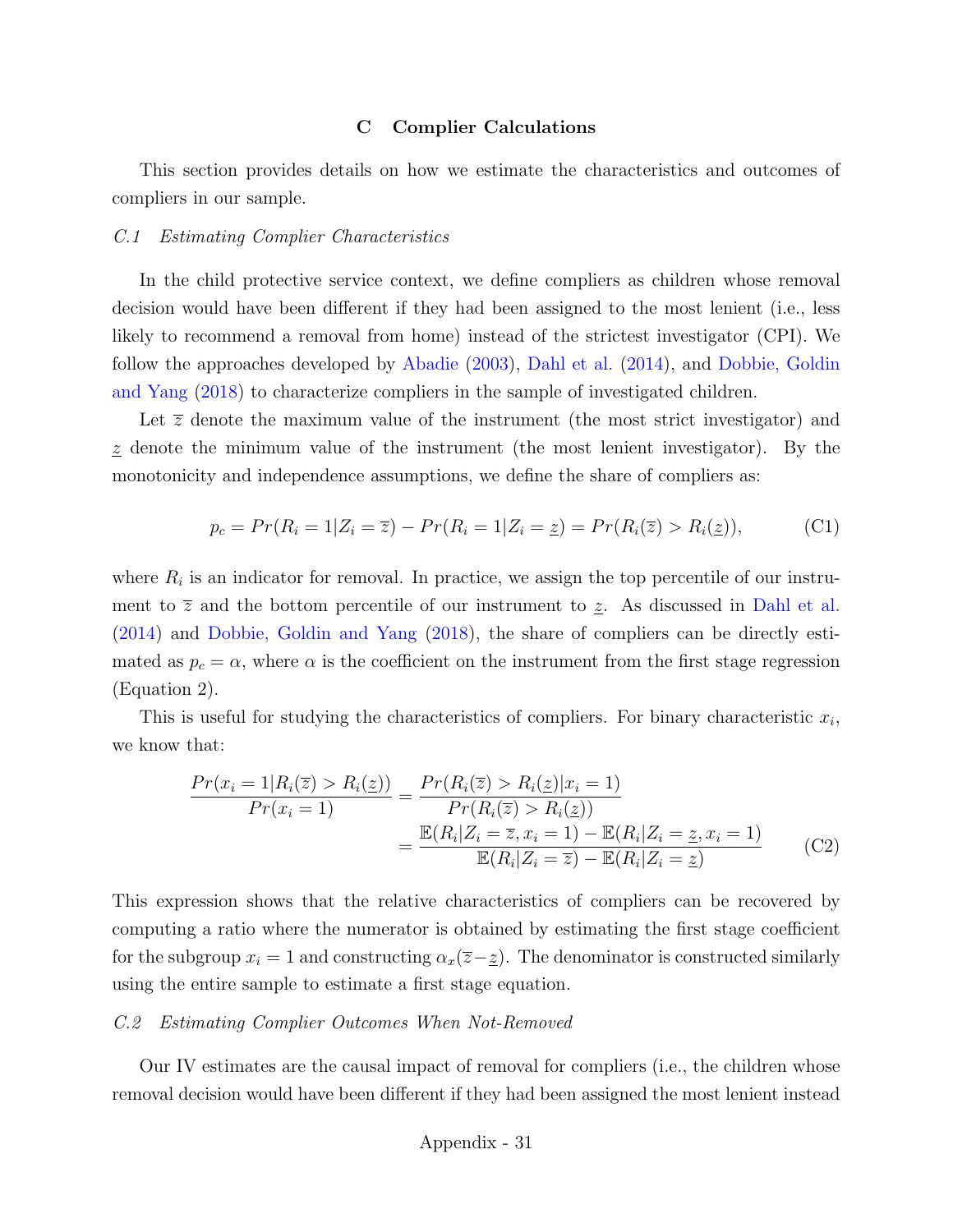### C Complier Calculations

This section provides details on how we estimate the characteristics and outcomes of compliers in our sample.

#### C.1 Estimating Complier Characteristics

In the child protective service context, we define compliers as children whose removal decision would have been different if they had been assigned to the most lenient (i.e., less likely to recommend a removal from home) instead of the strictest investigator (CPI). We follow the approaches developed by [Abadie](#page-34-0) [\(2003\)](#page-34-0), [Dahl et al.](#page-36-0) [\(2014\)](#page-36-0), and [Dobbie, Goldin](#page-36-1) [and Yang](#page-36-1) [\(2018\)](#page-36-1) to characterize compliers in the sample of investigated children.

Let  $\bar{z}$  denote the maximum value of the instrument (the most strict investigator) and  $z$  denote the minimum value of the instrument (the most lenient investigator). By the monotonicity and independence assumptions, we define the share of compliers as:

$$
p_c = Pr(R_i = 1 | Z_i = \overline{z}) - Pr(R_i = 1 | Z_i = \underline{z}) = Pr(R_i(\overline{z}) > R_i(\underline{z})),
$$
 (C1)

where  $R_i$  is an indicator for removal. In practice, we assign the top percentile of our instrument to  $\overline{z}$  and the bottom percentile of our instrument to  $\underline{z}$ . As discussed in [Dahl et al.](#page-36-0) [\(2014\)](#page-36-0) and [Dobbie, Goldin and Yang](#page-36-1) [\(2018\)](#page-36-1), the share of compliers can be directly estimated as  $p_c = \alpha$ , where  $\alpha$  is the coefficient on the instrument from the first stage regression (Equation 2).

This is useful for studying the characteristics of compliers. For binary characteristic  $x_i$ , we know that:

$$
\frac{Pr(x_i = 1 | R_i(\overline{z}) > R_i(\underline{z}))}{Pr(x_i = 1)} = \frac{Pr(R_i(\overline{z}) > R_i(\underline{z}) | x_i = 1)}{Pr(R_i(\overline{z}) > R_i(\underline{z}))} \\
= \frac{\mathbb{E}(R_i | Z_i = \overline{z}, x_i = 1) - \mathbb{E}(R_i | Z_i = \underline{z}, x_i = 1)}{\mathbb{E}(R_i | Z_i = \overline{z}) - \mathbb{E}(R_i | Z_i = \underline{z})} \tag{C2}
$$

This expression shows that the relative characteristics of compliers can be recovered by computing a ratio where the numerator is obtained by estimating the first stage coefficient for the subgroup  $x_i = 1$  and constructing  $\alpha_x(\overline{z}-\underline{z})$ . The denominator is constructed similarly using the entire sample to estimate a first stage equation.

#### C.2 Estimating Complier Outcomes When Not-Removed

Our IV estimates are the causal impact of removal for compliers (i.e., the children whose removal decision would have been different if they had been assigned the most lenient instead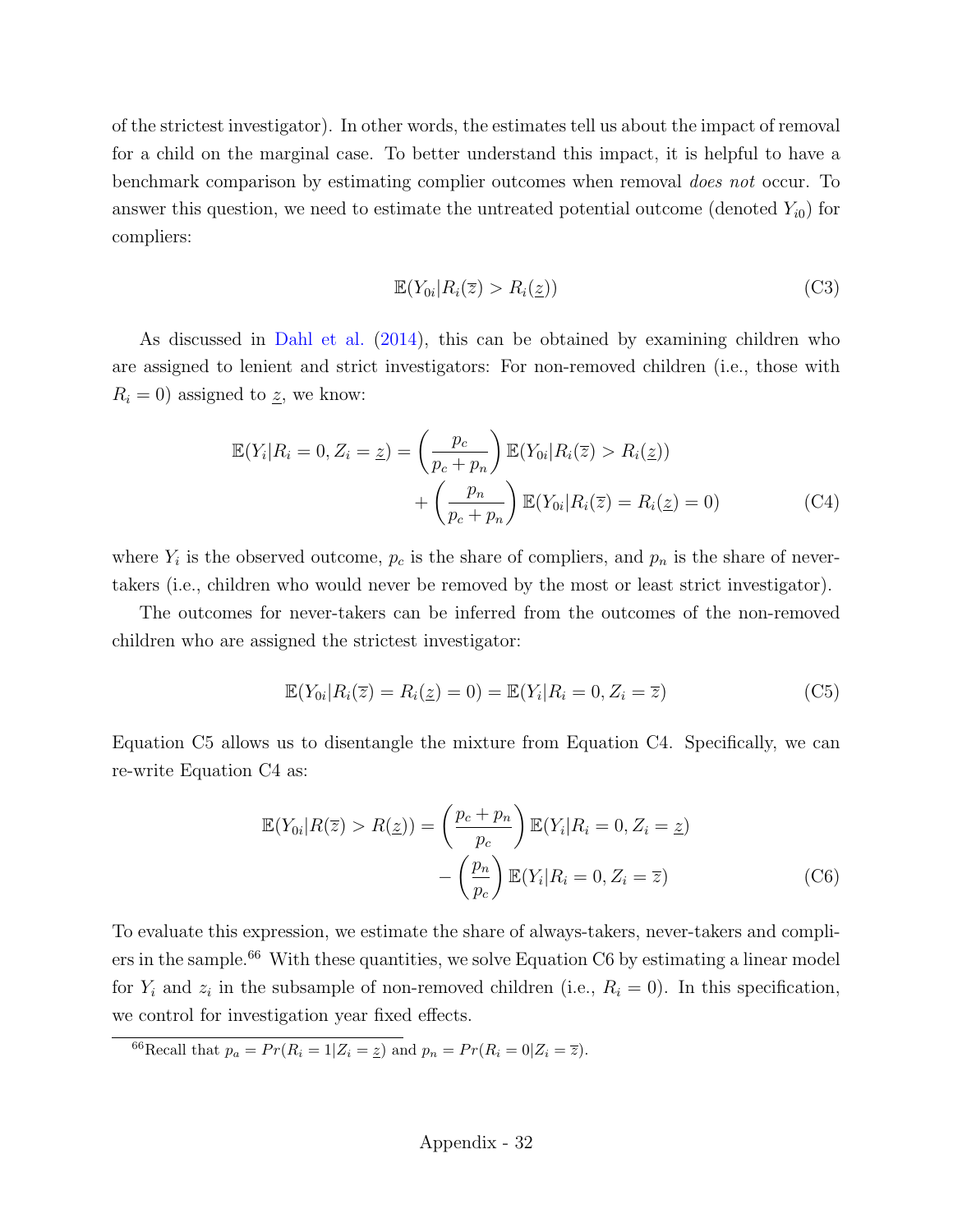of the strictest investigator). In other words, the estimates tell us about the impact of removal for a child on the marginal case. To better understand this impact, it is helpful to have a benchmark comparison by estimating complier outcomes when removal does not occur. To answer this question, we need to estimate the untreated potential outcome (denoted  $Y_{i0}$ ) for compliers:

<span id="page-82-1"></span>
$$
\mathbb{E}(Y_{0i}|R_i(\overline{z}) > R_i(\underline{z}))
$$
\n(C3)

As discussed in [Dahl et al.](#page-36-0) [\(2014\)](#page-36-0), this can be obtained by examining children who are assigned to lenient and strict investigators: For non-removed children (i.e., those with  $R_i = 0$ ) assigned to  $\underline{z}$ , we know:

$$
\mathbb{E}(Y_i | R_i = 0, Z_i = \underline{z}) = \left(\frac{p_c}{p_c + p_n}\right) \mathbb{E}(Y_{0i} | R_i(\overline{z}) > R_i(\underline{z})) \n+ \left(\frac{p_n}{p_c + p_n}\right) \mathbb{E}(Y_{0i} | R_i(\overline{z}) = R_i(\underline{z}) = 0)
$$
\n(C4)

where  $Y_i$  is the observed outcome,  $p_c$  is the share of compliers, and  $p_n$  is the share of nevertakers (i.e., children who would never be removed by the most or least strict investigator).

The outcomes for never-takers can be inferred from the outcomes of the non-removed children who are assigned the strictest investigator:

<span id="page-82-3"></span><span id="page-82-0"></span>
$$
\mathbb{E}(Y_{0i}|R_i(\overline{z})=R_i(\underline{z})=0)=\mathbb{E}(Y_i|R_i=0,Z_i=\overline{z})
$$
\n(C5)

Equation [C5](#page-82-0) allows us to disentangle the mixture from Equation [C4.](#page-82-1) Specifically, we can re-write Equation [C4](#page-82-1) as:

$$
\mathbb{E}(Y_{0i}|R(\overline{z}) > R(\underline{z})) = \left(\frac{p_c + p_n}{p_c}\right) \mathbb{E}(Y_i|R_i = 0, Z_i = \underline{z}) - \left(\frac{p_n}{p_c}\right) \mathbb{E}(Y_i|R_i = 0, Z_i = \overline{z})
$$
\n(C6)

To evaluate this expression, we estimate the share of always-takers, never-takers and compli-ers in the sample.<sup>[66](#page-82-2)</sup> With these quantities, we solve Equation [C6](#page-82-3) by estimating a linear model for  $Y_i$  and  $z_i$  in the subsample of non-removed children (i.e.,  $R_i = 0$ ). In this specification, we control for investigation year fixed effects.

<span id="page-82-2"></span><sup>66</sup>Recall that  $p_a = Pr(R_i = 1|Z_i = \underline{z})$  and  $p_n = Pr(R_i = 0|Z_i = \overline{z}).$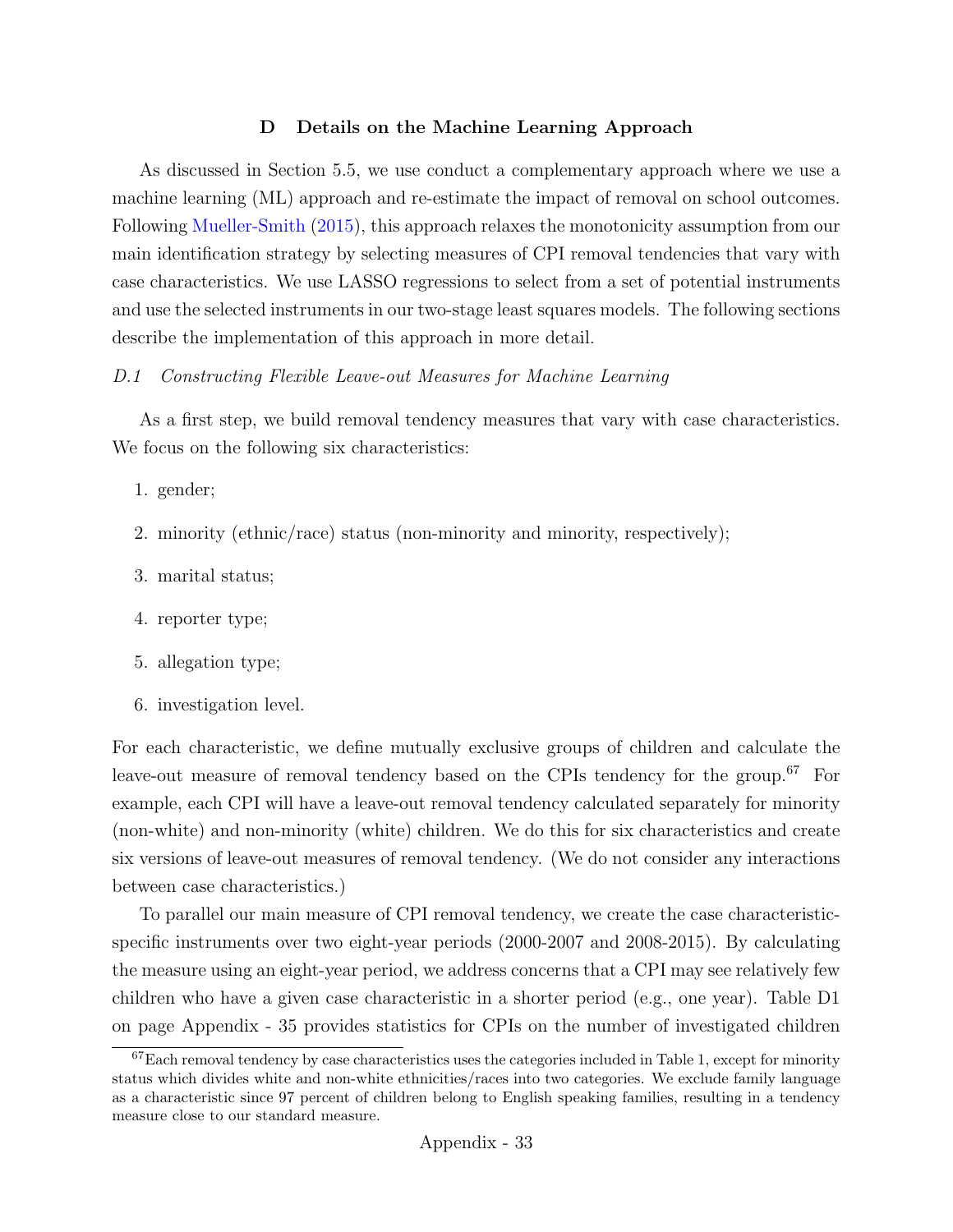### D Details on the Machine Learning Approach

As discussed in Section [5.5,](#page-23-0) we use conduct a complementary approach where we use a machine learning (ML) approach and re-estimate the impact of removal on school outcomes. Following [Mueller-Smith](#page-39-0) [\(2015\)](#page-39-0), this approach relaxes the monotonicity assumption from our main identification strategy by selecting measures of CPI removal tendencies that vary with case characteristics. We use LASSO regressions to select from a set of potential instruments and use the selected instruments in our two-stage least squares models. The following sections describe the implementation of this approach in more detail.

### D.1 Constructing Flexible Leave-out Measures for Machine Learning

As a first step, we build removal tendency measures that vary with case characteristics. We focus on the following six characteristics:

- 1. gender;
- 2. minority (ethnic/race) status (non-minority and minority, respectively);
- 3. marital status;
- 4. reporter type;
- 5. allegation type;
- 6. investigation level.

For each characteristic, we define mutually exclusive groups of children and calculate the leave-out measure of removal tendency based on the CPIs tendency for the group.<sup>[67](#page-83-0)</sup> For example, each CPI will have a leave-out removal tendency calculated separately for minority (non-white) and non-minority (white) children. We do this for six characteristics and create six versions of leave-out measures of removal tendency. (We do not consider any interactions between case characteristics.)

To parallel our main measure of CPI removal tendency, we create the case characteristicspecific instruments over two eight-year periods (2000-2007 and 2008-2015). By calculating the measure using an eight-year period, we address concerns that a CPI may see relatively few children who have a given case characteristic in a shorter period (e.g., one year). Table [D1](#page-85-0) on page [Appendix - 35](#page-85-0) provides statistics for CPIs on the number of investigated children

<span id="page-83-0"></span> $67$ Each removal tendency by case characteristics uses the categories included in Table 1, except for minority status which divides white and non-white ethnicities/races into two categories. We exclude family language as a characteristic since 97 percent of children belong to English speaking families, resulting in a tendency measure close to our standard measure.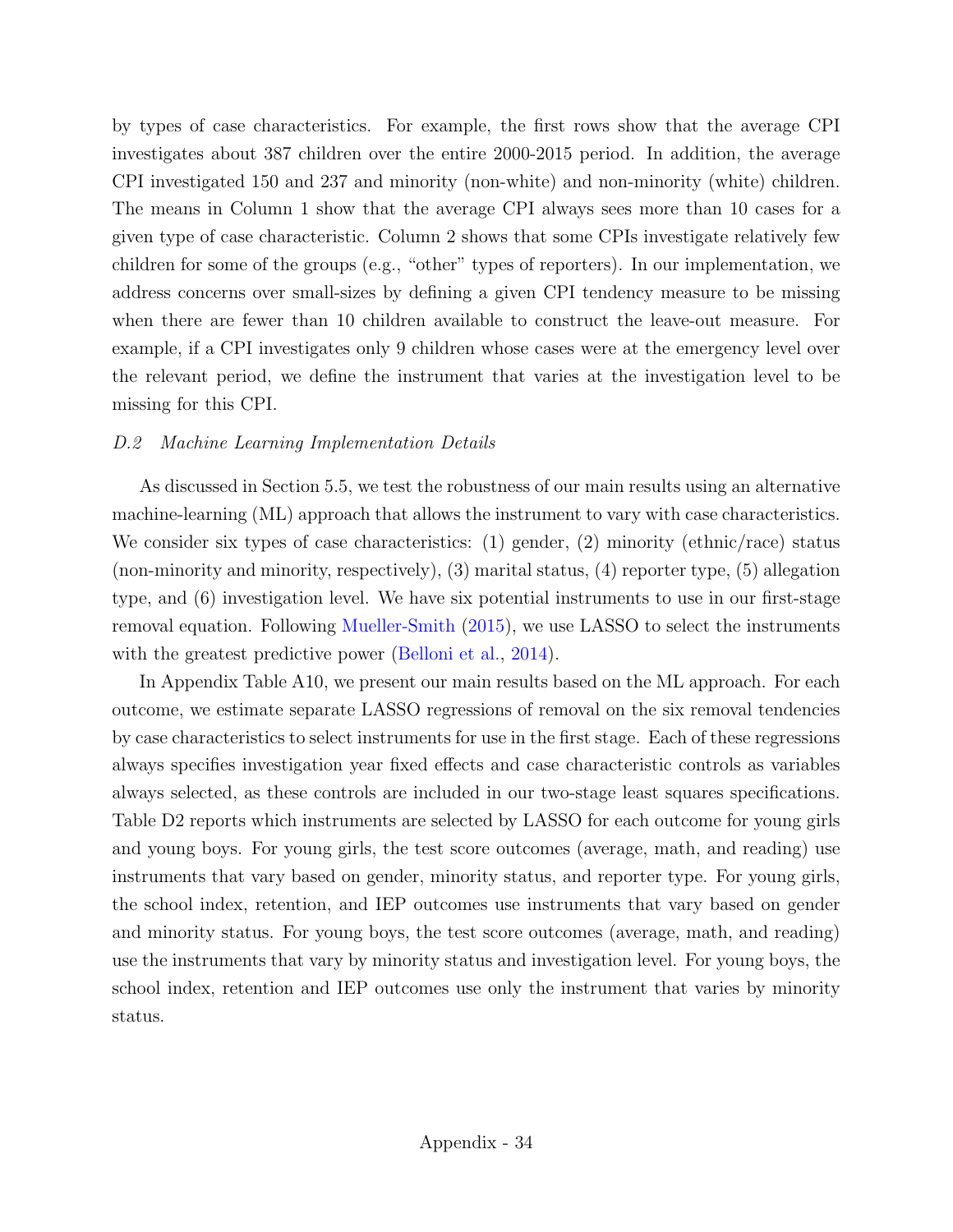by types of case characteristics. For example, the first rows show that the average CPI investigates about 387 children over the entire 2000-2015 period. In addition, the average CPI investigated 150 and 237 and minority (non-white) and non-minority (white) children. The means in Column 1 show that the average CPI always sees more than 10 cases for a given type of case characteristic. Column 2 shows that some CPIs investigate relatively few children for some of the groups (e.g., "other" types of reporters). In our implementation, we address concerns over small-sizes by defining a given CPI tendency measure to be missing when there are fewer than 10 children available to construct the leave-out measure. For example, if a CPI investigates only 9 children whose cases were at the emergency level over the relevant period, we define the instrument that varies at the investigation level to be missing for this CPI.

### D.2 Machine Learning Implementation Details

As discussed in Section [5.5,](#page-23-0) we test the robustness of our main results using an alternative machine-learning (ML) approach that allows the instrument to vary with case characteristics. We consider six types of case characteristics: (1) gender, (2) minority (ethnic/race) status (non-minority and minority, respectively), (3) marital status, (4) reporter type, (5) allegation type, and (6) investigation level. We have six potential instruments to use in our first-stage removal equation. Following [Mueller-Smith](#page-39-0) [\(2015\)](#page-39-0), we use LASSO to select the instruments with the greatest predictive power [\(Belloni et al.,](#page-35-0) [2014\)](#page-35-0).

In Appendix Table [A10,](#page-60-0) we present our main results based on the ML approach. For each outcome, we estimate separate LASSO regressions of removal on the six removal tendencies by case characteristics to select instruments for use in the first stage. Each of these regressions always specifies investigation year fixed effects and case characteristic controls as variables always selected, as these controls are included in our two-stage least squares specifications. Table [D2](#page-86-0) reports which instruments are selected by LASSO for each outcome for young girls and young boys. For young girls, the test score outcomes (average, math, and reading) use instruments that vary based on gender, minority status, and reporter type. For young girls, the school index, retention, and IEP outcomes use instruments that vary based on gender and minority status. For young boys, the test score outcomes (average, math, and reading) use the instruments that vary by minority status and investigation level. For young boys, the school index, retention and IEP outcomes use only the instrument that varies by minority status.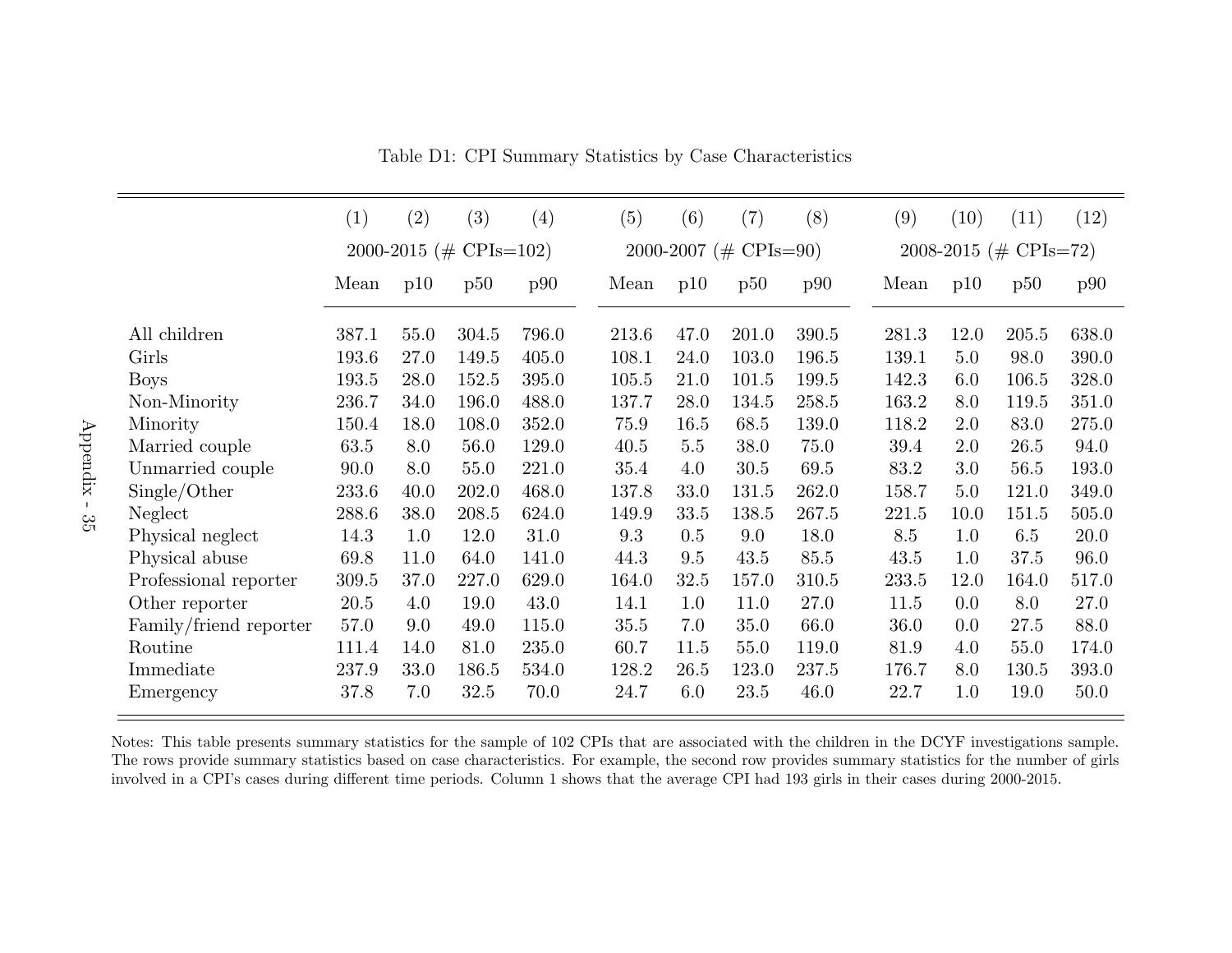|                        | (1)   | (2)  | (3)                    | (4)   | (5)   | (6)  | (7)                   | (8)   | (9)   | (10) | (11)                  | (12)  |
|------------------------|-------|------|------------------------|-------|-------|------|-----------------------|-------|-------|------|-----------------------|-------|
|                        |       |      | 2000-2015 (# CPIs=102) |       |       |      | 2000-2007 (# CPIs=90) |       |       |      | 2008-2015 (# CPIs=72) |       |
|                        | Mean  | p10  | p50                    | p90   | Mean  | p10  | p50                   | p90   | Mean  | p10  | p50                   | p90   |
| All children           | 387.1 | 55.0 | 304.5                  | 796.0 | 213.6 | 47.0 | 201.0                 | 390.5 | 281.3 | 12.0 | 205.5                 | 638.0 |
| Girls                  | 193.6 | 27.0 | 149.5                  | 405.0 | 108.1 | 24.0 | 103.0                 | 196.5 | 139.1 | 5.0  | 98.0                  | 390.0 |
| <b>Boys</b>            | 193.5 | 28.0 | 152.5                  | 395.0 | 105.5 | 21.0 | 101.5                 | 199.5 | 142.3 | 6.0  | 106.5                 | 328.0 |
| Non-Minority           | 236.7 | 34.0 | 196.0                  | 488.0 | 137.7 | 28.0 | 134.5                 | 258.5 | 163.2 | 8.0  | 119.5                 | 351.0 |
| Minority               | 150.4 | 18.0 | 108.0                  | 352.0 | 75.9  | 16.5 | 68.5                  | 139.0 | 118.2 | 2.0  | 83.0                  | 275.0 |
| Married couple         | 63.5  | 8.0  | 56.0                   | 129.0 | 40.5  | 5.5  | 38.0                  | 75.0  | 39.4  | 2.0  | 26.5                  | 94.0  |
| Unmarried couple       | 90.0  | 8.0  | 55.0                   | 221.0 | 35.4  | 4.0  | 30.5                  | 69.5  | 83.2  | 3.0  | 56.5                  | 193.0 |
| Single/Other           | 233.6 | 40.0 | 202.0                  | 468.0 | 137.8 | 33.0 | 131.5                 | 262.0 | 158.7 | 5.0  | 121.0                 | 349.0 |
| Neglect                | 288.6 | 38.0 | 208.5                  | 624.0 | 149.9 | 33.5 | 138.5                 | 267.5 | 221.5 | 10.0 | 151.5                 | 505.0 |
| Physical neglect       | 14.3  | 1.0  | 12.0                   | 31.0  | 9.3   | 0.5  | 9.0                   | 18.0  | 8.5   | 1.0  | 6.5                   | 20.0  |
| Physical abuse         | 69.8  | 11.0 | 64.0                   | 141.0 | 44.3  | 9.5  | 43.5                  | 85.5  | 43.5  | 1.0  | 37.5                  | 96.0  |
| Professional reporter  | 309.5 | 37.0 | 227.0                  | 629.0 | 164.0 | 32.5 | 157.0                 | 310.5 | 233.5 | 12.0 | 164.0                 | 517.0 |
| Other reporter         | 20.5  | 4.0  | 19.0                   | 43.0  | 14.1  | 1.0  | 11.0                  | 27.0  | 11.5  | 0.0  | 8.0                   | 27.0  |
| Family/friend reporter | 57.0  | 9.0  | 49.0                   | 115.0 | 35.5  | 7.0  | 35.0                  | 66.0  | 36.0  | 0.0  | 27.5                  | 88.0  |
| Routine                | 111.4 | 14.0 | 81.0                   | 235.0 | 60.7  | 11.5 | 55.0                  | 119.0 | 81.9  | 4.0  | 55.0                  | 174.0 |
| Immediate              | 237.9 | 33.0 | 186.5                  | 534.0 | 128.2 | 26.5 | 123.0                 | 237.5 | 176.7 | 8.0  | 130.5                 | 393.0 |
| Emergency              | 37.8  | 7.0  | 32.5                   | 70.0  | 24.7  | 6.0  | 23.5                  | 46.0  | 22.7  | 1.0  | 19.0                  | 50.0  |

Table D1: CPI Summary Statistics by Case Characteristics

<span id="page-85-0"></span>Notes: This table presents summary statistics for the sample of <sup>102</sup> CPIs that are associated with the children in the DCYF investigations sample. The rows provide summary statistics based on case characteristics. For example, the second row provides summary statistics for the number of girlsinvolved in <sup>a</sup> CPI's cases during different time periods. Column 1 shows that the average CPI had 193 girls in their cases during 2000-2015.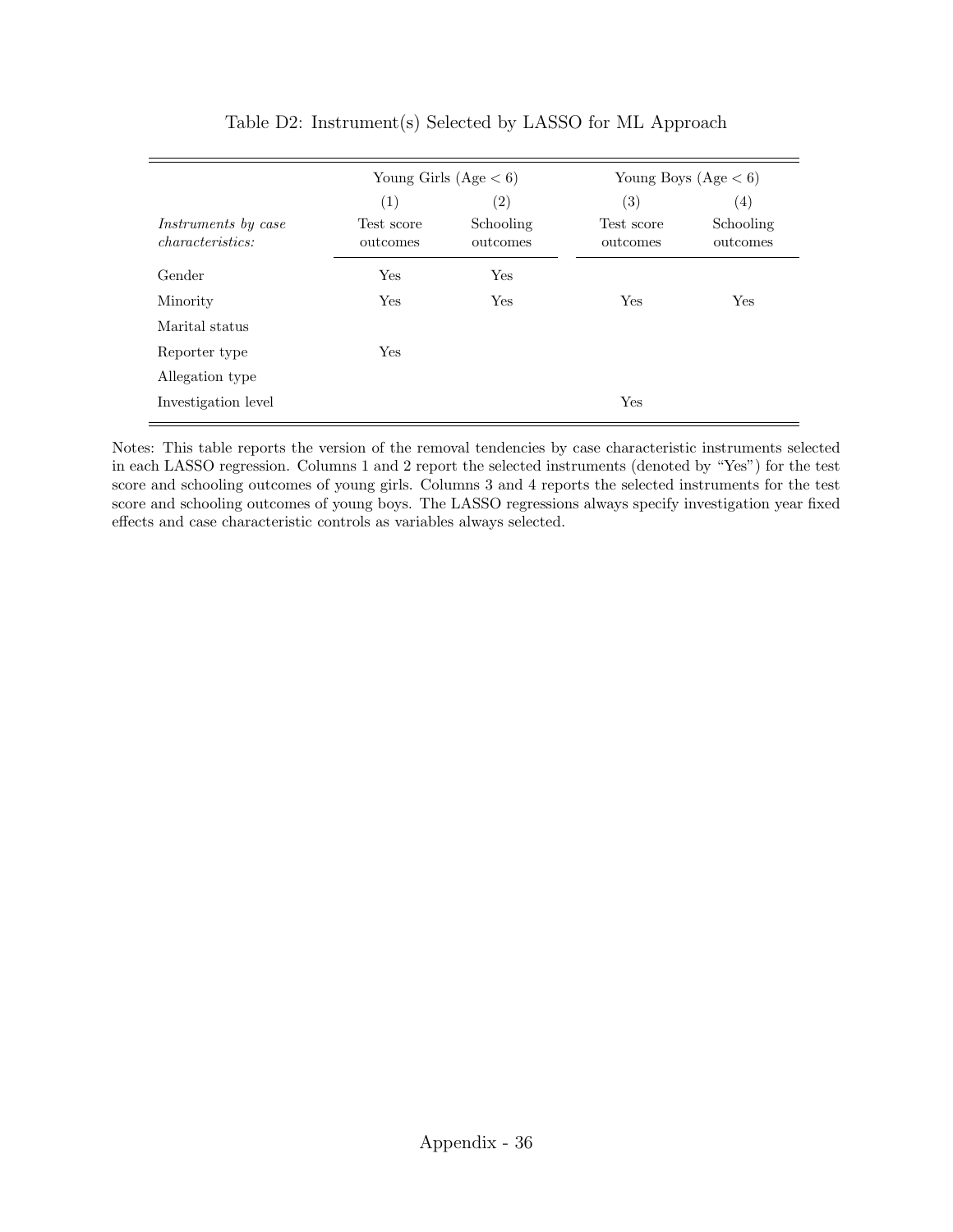<span id="page-86-0"></span>

|                                                |                        | Young Girls $(Age < 6)$ | Young Boys $(Age < 6)$ |                       |  |  |
|------------------------------------------------|------------------------|-------------------------|------------------------|-----------------------|--|--|
|                                                | (1)                    | $\left( 2\right)$       | $\left( 3\right)$      | $\left( 4\right)$     |  |  |
| <i>Instruments</i> by case<br>characteristics: | Test score<br>outcomes | Schooling<br>outcomes   | Test score<br>outcomes | Schooling<br>outcomes |  |  |
| Gender                                         | Yes                    | Yes                     |                        |                       |  |  |
| Minority                                       | Yes                    | Yes                     | Yes                    | <b>Yes</b>            |  |  |
| Marital status                                 |                        |                         |                        |                       |  |  |
| Reporter type                                  | Yes                    |                         |                        |                       |  |  |
| Allegation type                                |                        |                         |                        |                       |  |  |
| Investigation level                            |                        |                         | Yes                    |                       |  |  |
|                                                |                        |                         |                        |                       |  |  |

Table D2: Instrument(s) Selected by LASSO for ML Approach

Notes: This table reports the version of the removal tendencies by case characteristic instruments selected in each LASSO regression. Columns 1 and 2 report the selected instruments (denoted by "Yes") for the test score and schooling outcomes of young girls. Columns 3 and 4 reports the selected instruments for the test score and schooling outcomes of young boys. The LASSO regressions always specify investigation year fixed effects and case characteristic controls as variables always selected.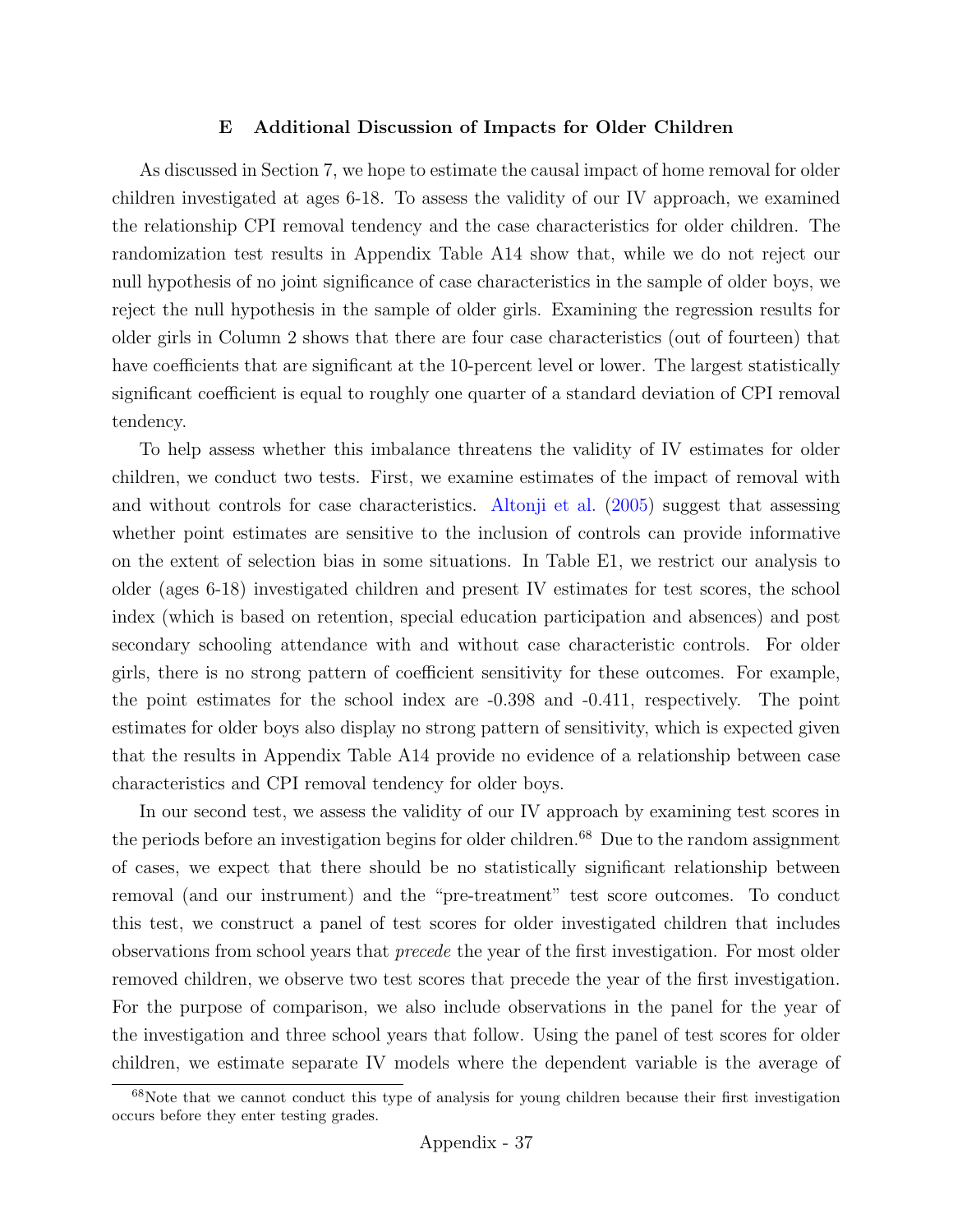### E Additional Discussion of Impacts for Older Children

As discussed in Section [7,](#page-30-0) we hope to estimate the causal impact of home removal for older children investigated at ages 6-18. To assess the validity of our IV approach, we examined the relationship CPI removal tendency and the case characteristics for older children. The randomization test results in Appendix Table [A14](#page-64-0) show that, while we do not reject our null hypothesis of no joint significance of case characteristics in the sample of older boys, we reject the null hypothesis in the sample of older girls. Examining the regression results for older girls in Column 2 shows that there are four case characteristics (out of fourteen) that have coefficients that are significant at the 10-percent level or lower. The largest statistically significant coefficient is equal to roughly one quarter of a standard deviation of CPI removal tendency.

To help assess whether this imbalance threatens the validity of IV estimates for older children, we conduct two tests. First, we examine estimates of the impact of removal with and without controls for case characteristics. [Altonji et al.](#page-34-1) [\(2005\)](#page-34-1) suggest that assessing whether point estimates are sensitive to the inclusion of controls can provide informative on the extent of selection bias in some situations. In Table [E1,](#page-89-0) we restrict our analysis to older (ages 6-18) investigated children and present IV estimates for test scores, the school index (which is based on retention, special education participation and absences) and post secondary schooling attendance with and without case characteristic controls. For older girls, there is no strong pattern of coefficient sensitivity for these outcomes. For example, the point estimates for the school index are -0.398 and -0.411, respectively. The point estimates for older boys also display no strong pattern of sensitivity, which is expected given that the results in Appendix Table [A14](#page-64-0) provide no evidence of a relationship between case characteristics and CPI removal tendency for older boys.

In our second test, we assess the validity of our IV approach by examining test scores in the periods before an investigation begins for older children.<sup>[68](#page-87-0)</sup> Due to the random assignment of cases, we expect that there should be no statistically significant relationship between removal (and our instrument) and the "pre-treatment" test score outcomes. To conduct this test, we construct a panel of test scores for older investigated children that includes observations from school years that precede the year of the first investigation. For most older removed children, we observe two test scores that precede the year of the first investigation. For the purpose of comparison, we also include observations in the panel for the year of the investigation and three school years that follow. Using the panel of test scores for older children, we estimate separate IV models where the dependent variable is the average of

<span id="page-87-0"></span><sup>&</sup>lt;sup>68</sup>Note that we cannot conduct this type of analysis for young children because their first investigation occurs before they enter testing grades.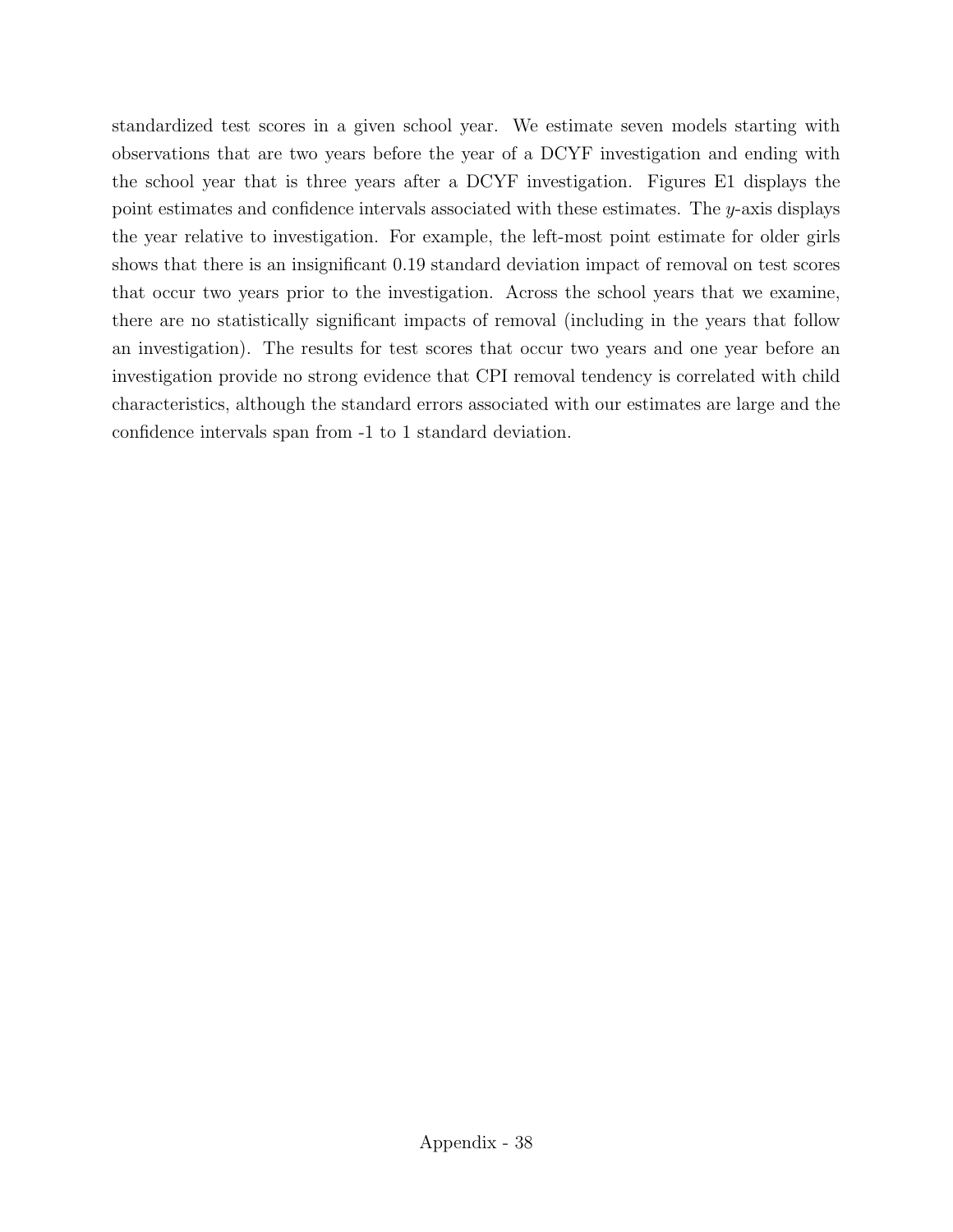standardized test scores in a given school year. We estimate seven models starting with observations that are two years before the year of a DCYF investigation and ending with the school year that is three years after a DCYF investigation. Figures [E1](#page-90-0) displays the point estimates and confidence intervals associated with these estimates. The y-axis displays the year relative to investigation. For example, the left-most point estimate for older girls shows that there is an insignificant 0.19 standard deviation impact of removal on test scores that occur two years prior to the investigation. Across the school years that we examine, there are no statistically significant impacts of removal (including in the years that follow an investigation). The results for test scores that occur two years and one year before an investigation provide no strong evidence that CPI removal tendency is correlated with child characteristics, although the standard errors associated with our estimates are large and the confidence intervals span from -1 to 1 standard deviation.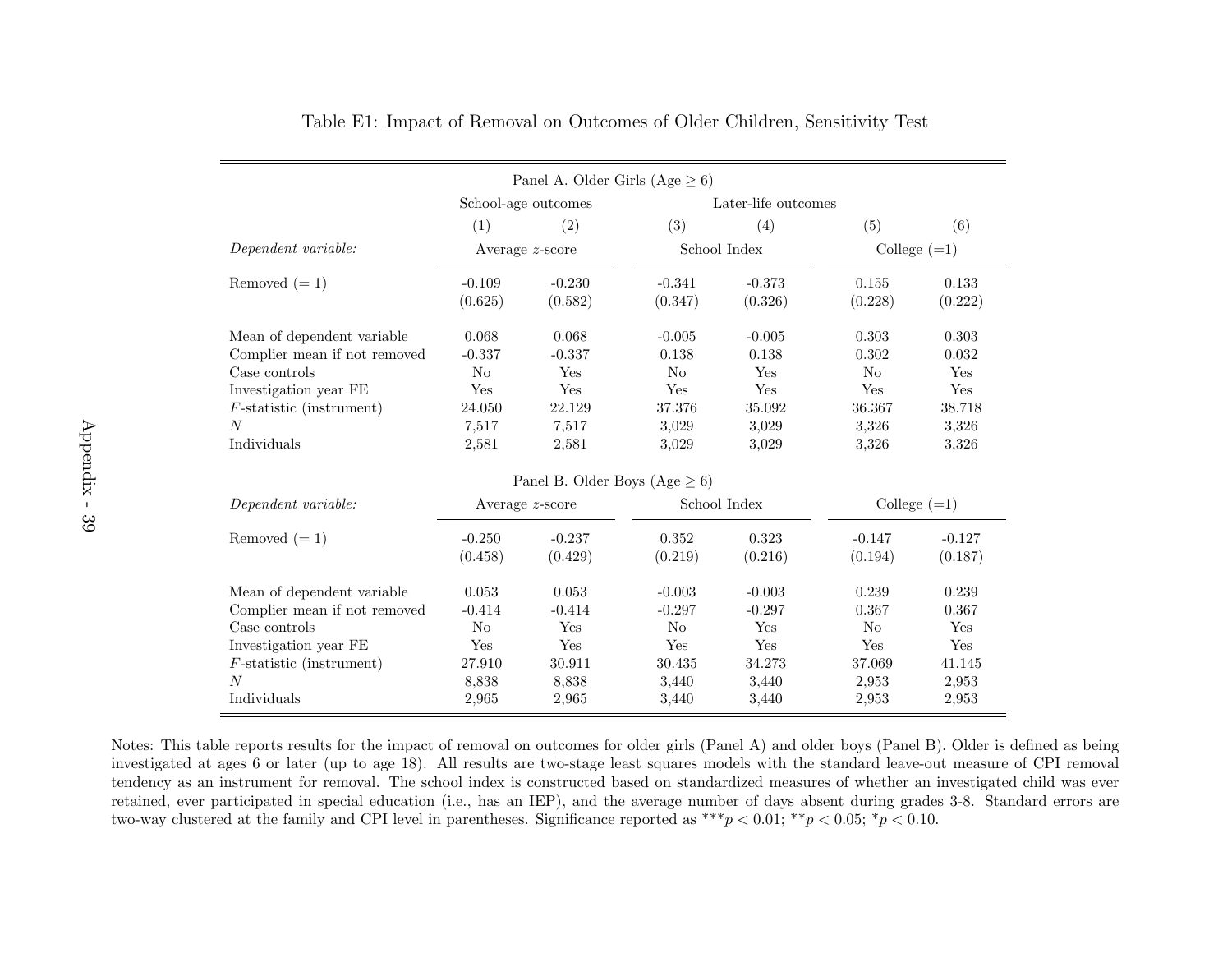|                              |                    | Panel A. Older Girls (Age $\geq 6$ ) |                |                     |                |                |  |
|------------------------------|--------------------|--------------------------------------|----------------|---------------------|----------------|----------------|--|
|                              |                    | School-age outcomes                  |                | Later-life outcomes |                |                |  |
|                              | (1)                | (2)                                  | (3)            | (4)                 | (5)            | (6)            |  |
| Dependent variable:          |                    | Average $z$ -score                   |                | School Index        |                | College $(=1)$ |  |
| Removed $(=1)$               | $-0.109$           | $-0.230$                             | $-0.341$       | $-0.373$            | 0.155          | 0.133          |  |
|                              | (0.625)            | (0.582)                              | (0.347)        | (0.326)             | (0.228)        | (0.222)        |  |
| Mean of dependent variable   | 0.068              | 0.068                                | $-0.005$       | $-0.005$            | 0.303          | 0.303          |  |
| Complier mean if not removed | $-0.337$           | $-0.337$                             | 0.138          | 0.138               | 0.302          | 0.032          |  |
| Case controls                | No                 | Yes                                  | N <sub>o</sub> | Yes                 | No             | Yes            |  |
| Investigation year FE        | Yes                | Yes                                  | Yes            | Yes                 | Yes            | Yes            |  |
| $F$ -statistic (instrument)  | 24.050             | 22.129                               | 37.376         | 35.092              | 36.367         | 38.718         |  |
| N                            | 7,517              | 7,517                                | 3,029          | 3,029               | 3,326          | 3,326          |  |
| Individuals                  | 2,581              | 2,581                                | 3,029          | 3,029               | 3,326          | 3,326          |  |
|                              |                    | Panel B. Older Boys (Age $\geq 6$ )  |                |                     |                |                |  |
| Dependent variable:          | Average $z$ -score |                                      | School Index   |                     | College $(=1)$ |                |  |
| Removed $(=1)$               | $-0.250$           | $-0.237$                             | 0.352          | 0.323               | $-0.147$       | $-0.127$       |  |
|                              | (0.458)            | (0.429)                              | (0.219)        | (0.216)             | (0.194)        | (0.187)        |  |
| Mean of dependent variable   | 0.053              | 0.053                                | $-0.003$       | $-0.003$            | 0.239          | 0.239          |  |
| Complier mean if not removed | $-0.414$           | $-0.414$                             | $-0.297$       | $-0.297$            | 0.367          | 0.367          |  |
| Case controls                | No                 | Yes                                  | N <sub>o</sub> | Yes                 | No             | Yes            |  |
| Investigation year FE        | Yes                | Yes                                  | Yes            | Yes                 | Yes            | Yes            |  |
| $F$ -statistic (instrument)  | 27.910             | 30.911                               | 30.435         | 34.273              | 37.069         | 41.145         |  |
| $\boldsymbol{N}$             | 8,838              | 8,838                                | 3,440          | 3,440               | 2,953          | 2,953          |  |
| Individuals                  | 2,965              | 2,965                                | 3,440          | 3.440               | 2,953          | 2,953          |  |

Table E1: Impact of Removal on Outcomes of Older Children, Sensitivity Test

Notes: This table reports results for the impact of removal on outcomes for older <sup>g</sup>irls (Panel A) and older boys (Panel B). Older is defined as being investigated at ages <sup>6</sup> or later (up to age 18). All results are two-stage least squares models with the standard leave-out measure of CPI removaltendency as an instrument for removal. The school index is constructed based on standardized measures of whether an investigated child was ever retained, ever participated in special education (i.e., has an IEP), and the average number of days absent during grades 3-8. Standard errors aretwo-way clustered at the family and CPI level in parentheses. Significance reported as  $***p < 0.01; **p < 0.05; *p < 0.10$ .

<span id="page-89-0"></span>s 2,965 2,965 3,440 3,440 2,953 2,953